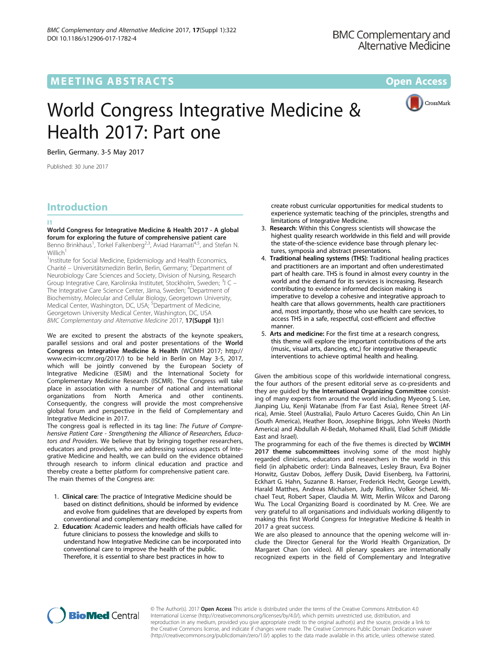MEETING ABSTRACTS AND RESERVE THE SERVE AND THE SERVE ASSESSED AND RESERVE ASSESSED AND RESERVE ASSESSED AND RESERVE ASSESSED AND RESERVE ASSESSED AND RESERVE ASSESSED AND RESERVE ASSESSED AND RESERVE ASSESSED AND RESERVE



# World Congress Integrative Medicine & Health 2017: Part one

Berlin, Germany. 3-5 May 2017

Published: 30 June 2017

# Introduction

## I1

World Congress for Integrative Medicine & Health 2017 - A global forum for exploring the future of comprehensive patient care Benno Brinkhaus<sup>1</sup>, Torkel Falkenberg<sup>2,3</sup>, Aviad Haramati<sup>4,5</sup>, and Stefan N.

Willich <sup>1</sup>Institute for Social Medicine, Epidemiology and Health Economics, Charité – Universitätsmedizin Berlin, Berlin, Germany; <sup>2</sup>Department of Neurobiology Care Sciences and Society, Division of Nursing, Research Group Integrative Care, Karolinska Institutet, Stockholm, Sweden; <sup>3</sup>I C -The Integrative Care Science Center, Järna, Sweden; <sup>4</sup>Department of Biochemistry, Molecular and Cellular Biology, Georgetown University, Medical Center, Washington, DC, USA; <sup>5</sup>Department of Medicine, Georgetown University Medical Center, Washington, DC, USA BMC Complementary and Alternative Medicine 2017, 17(Suppl 1):11

We are excited to present the abstracts of the keynote speakers, parallel sessions and oral and poster presentations of the World Congress on Integrative Medicine & Health (WCIMH 2017; [http://](http://www.ecim-iccmr.org/2017/) [www.ecim-iccmr.org/2017/\)](http://www.ecim-iccmr.org/2017/) to be held in Berlin on May 3-5, 2017, which will be jointly convened by the European Society of Integrative Medicine (ESIM) and the International Society for Complementary Medicine Research (ISCMR). The Congress will take place in association with a number of national and international organizations from North America and other continents. Consequently, the congress will provide the most comprehensive global forum and perspective in the field of Complementary and Integrative Medicine in 2017.

The congress goal is reflected in its tag line: The Future of Comprehensive Patient Care - Strengthening the Alliance of Researchers, Educators and Providers. We believe that by bringing together researchers, educators and providers, who are addressing various aspects of Integrative Medicine and health, we can build on the evidence obtained through research to inform clinical education and practice and thereby create a better platform for comprehensive patient care. The main themes of the Congress are:

- 1. Clinical care: The practice of Integrative Medicine should be based on distinct definitions, should be informed by evidence and evolve from guidelines that are developed by experts from conventional and complementary medicine.
- 2. Education: Academic leaders and health officials have called for future clinicians to possess the knowledge and skills to understand how Integrative Medicine can be incorporated into conventional care to improve the health of the public. Therefore, it is essential to share best practices in how to

create robust curricular opportunities for medical students to experience systematic teaching of the principles, strengths and limitations of Integrative Medicine.

- Research: Within this Congress scientists will showcase the highest quality research worldwide in this field and will provide the state-of-the-science evidence base through plenary lectures, symposia and abstract presentations.
- 4. Traditional healing systems (THS): Traditional healing practices and practitioners are an important and often underestimated part of health care. THS is found in almost every country in the world and the demand for its services is increasing. Research contributing to evidence informed decision making is imperative to develop a cohesive and integrative approach to health care that allows governments, health care practitioners and, most importantly, those who use health care services, to access THS in a safe, respectful, cost-efficient and effective manner.
- 5. Arts and medicine: For the first time at a research congress, this theme will explore the important contributions of the arts (music, visual arts, dancing, etc,) for integrative therapeutic interventions to achieve optimal health and healing.

Given the ambitious scope of this worldwide international congress, the four authors of the present editorial serve as co-presidents and they are guided by the International Organizing Committee consisting of many experts from around the world including Myeong S. Lee, Jianping Liu, Kenji Watanabe (from Far East Asia), Renee Street (Africa), Amie. Steel (Australia), Paulo Arturo Caceres Guido, Chin An Lin (South America), Heather Boon, Josephine Briggs, John Weeks (North America) and Abdullah Al-Bedah, Mohamed Khalil, Elad Schiff (Middle East and Israel).

The programming for each of the five themes is directed by WCIMH 2017 theme subcommittees involving some of the most highly regarded clinicians, educators and researchers in the world in this field (in alphabetic order): Linda Balneaves, Lesley Braun, Eva Bojner Horwitz, Gustav Dobos, Jeffery Dusik, David Eisenberg, Iva Fattorini, Eckhart G. Hahn, Suzanne B. Hanser, Frederick Hecht, George Lewith, Harald Matthes, Andreas Michalsen, Judy Rollins, Volker Scheid, Michael Teut, Robert Saper, Claudia M. Witt, Merlin Wilcox and Darong Wu. The Local Organizing Board is coordinated by M. Cree. We are very grateful to all organisations and individuals working diligently to making this first World Congress for Integrative Medicine & Health in 2017 a great success.

We are also pleased to announce that the opening welcome will include the Director General for the World Health Organization, Dr Margaret Chan (on video). All plenary speakers are internationally recognized experts in the field of Complementary and Integrative



© The Author(s). 2017 Open Access This article is distributed under the terms of the Creative Commons Attribution 4.0 International License ([http://creativecommons.org/licenses/by/4.0/\)](http://creativecommons.org/licenses/by/4.0/), which permits unrestricted use, distribution, and reproduction in any medium, provided you give appropriate credit to the original author(s) and the source, provide a link to the Creative Commons license, and indicate if changes were made. The Creative Commons Public Domain Dedication waiver ([http://creativecommons.org/publicdomain/zero/1.0/\)](http://creativecommons.org/publicdomain/zero/1.0/) applies to the data made available in this article, unless otherwise stated.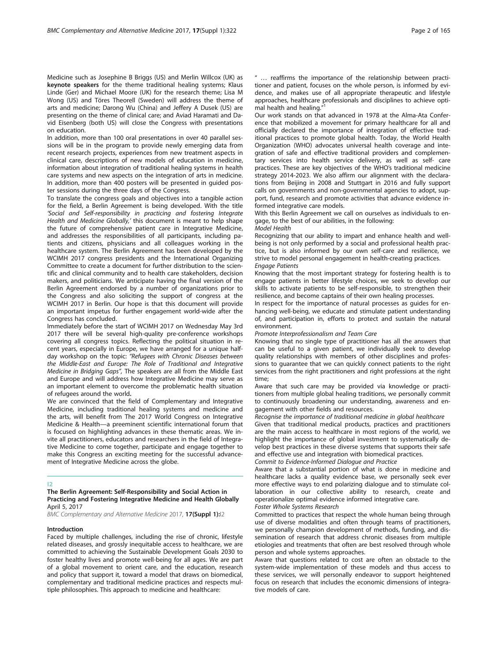Medicine such as Josephine B Briggs (US) and Merlin Willcox (UK) as keynote speakers for the theme traditional healing systems; Klaus Linde (Ger) and Michael Moore (UK) for the research theme; Lisa M Wong (US) and Töres Theorell (Sweden) will address the theme of arts and medicine; Darong Wu (China) and Jeffery A Dusek (US) are presenting on the theme of clinical care; and Aviad Haramati and David Eisenberg (both US) will close the Congress with presentations on education.

In addition, more than 100 oral presentations in over 40 parallel sessions will be in the program to provide newly emerging data from recent research projects, experiences from new treatment aspects in clinical care, descriptions of new models of education in medicine, information about integration of traditional healing systems in health care systems and new aspects on the integration of arts in medicine. In addition, more than 400 posters will be presented in guided poster sessions during the three days of the Congress.

To translate the congress goals and objectives into a tangible action for the field, a Berlin Agreement is being developed. With the title 'Social and Self-responsibility in practicing and fostering Integrate Health and Medicine Globally,' this document is meant to help shape the future of comprehensive patient care in Integrative Medicine, and addresses the responsibilities of all participants, including patients and citizens, physicians and all colleagues working in the healthcare system. The Berlin Agreement has been developed by the WCIMH 2017 congress presidents and the International Organizing Committee to create a document for further distribution to the scientific and clinical community and to health care stakeholders, decision makers, and politicians. We anticipate having the final version of the Berlin Agreement endorsed by a number of organizations prior to the Congress and also soliciting the support of congress at the WCIMH 2017 in Berlin. Our hope is that this document will provide an important impetus for further engagement world-wide after the Congress has concluded.

Immediately before the start of WCIMH 2017 on Wednesday May 3rd 2017 there will be several high-quality pre-conference workshops covering all congress topics. Reflecting the political situation in recent years, especially in Europe, we have arranged for a unique halfday workshop on the topic: "Refugees with Chronic Diseases between the Middle-East and Europe: The Role of Traditional and Integrative Medicine in Bridging Gaps", The speakers are all from the Middle East and Europe and will address how Integrative Medicine may serve as an important element to overcome the problematic health situation of refugees around the world.

We are convinced that the field of Complementary and Integrative Medicine, including traditional healing systems and medicine and the arts, will benefit from The 2017 World Congress on Integrative Medicine & Health—a preeminent scientific international forum that is focused on highlighting advances in these thematic areas. We invite all practitioners, educators and researchers in the field of Integrative Medicine to come together, participate and engage together to make this Congress an exciting meeting for the successful advancement of Integrative Medicine across the globe.

## I2

## The Berlin Agreement: Self-Responsibility and Social Action in Practicing and Fostering Integrative Medicine and Health Globally April 5, 2017

BMC Complementary and Alternative Medicine 2017, 17(Suppl 1):12

#### Introduction

Faced by multiple challenges, including the rise of chronic, lifestyle related diseases, and grossly inequitable access to healthcare, we are committed to achieving the Sustainable Development Goals 2030 to foster healthy lives and promote well-being for all ages. We are part of a global movement to orient care, and the education, research and policy that support it, toward a model that draws on biomedical, complementary and traditional medicine practices and respects multiple philosophies. This approach to medicine and healthcare:

" … reaffirms the importance of the relationship between practitioner and patient, focuses on the whole person, is informed by evidence, and makes use of all appropriate therapeutic and lifestyle approaches, healthcare professionals and disciplines to achieve optimal health and healing."<sup>1</sup>

Our work stands on that advanced in 1978 at the Alma-Ata Conference that mobilized a movement for primary healthcare for all and officially declared the importance of integration of effective traditional practices to promote global health. Today, the World Health Organization (WHO) advocates universal health coverage and integration of safe and effective traditional providers and complementary services into health service delivery, as well as self- care practices. These are key objectives of the WHO's traditional medicine strategy 2014-2023. We also affirm our alignment with the declarations from Beijing in 2008 and Stuttgart in 2016 and fully support calls on governments and non-governmental agencies to adopt, support, fund, research and promote activities that advance evidence informed integrative care models.

With this Berlin Agreement we call on ourselves as individuals to engage, to the best of our abilities, in the following:

#### Model Health

Recognizing that our ability to impart and enhance health and wellbeing is not only performed by a social and professional health practice, but is also informed by our own self-care and resilience, we strive to model personal engagement in health-creating practices. Engage Patients

Knowing that the most important strategy for fostering health is to engage patients in better lifestyle choices, we seek to develop our skills to activate patients to be self-responsible, to strengthen their resilience, and become captains of their own healing processes.

In respect for the importance of natural processes as guides for enhancing well-being, we educate and stimulate patient understanding of, and participation in, efforts to protect and sustain the natural environment.

Promote Interprofessionalism and Team Care

Knowing that no single type of practitioner has all the answers that can be useful to a given patient, we individually seek to develop quality relationships with members of other disciplines and professions to guarantee that we can quickly connect patients to the right services from the right practitioners and right professions at the right time;

Aware that such care may be provided via knowledge or practitioners from multiple global healing traditions, we personally commit to continuously broadening our understanding, awareness and engagement with other fields and resources.

Recognise the importance of traditional medicine in global healthcare

Given that traditional medical products, practices and practitioners are the main access to healthcare in most regions of the world, we highlight the importance of global investment to systematically develop best practices in these diverse systems that supports their safe and effective use and integration with biomedical practices. Commit to Evidence-Informed Dialogue and Practice

Aware that a substantial portion of what is done in medicine and healthcare lacks a quality evidence base, we personally seek ever more effective ways to end polarizing dialogue and to stimulate collaboration in our collective ability to research, create and operationalize optimal evidence informed integrative care.

## Foster Whole Systems Research

Committed to practices that respect the whole human being through use of diverse modalities and often through teams of practitioners, we personally champion development of methods, funding, and dissemination of research that address chronic diseases from multiple etiologies and treatments that often are best resolved through whole person and whole systems approaches.

Aware that questions related to cost are often an obstacle to the system-wide implementation of these models and thus access to these services, we will personally endeavor to support heightened focus on research that includes the economic dimensions of integrative models of care.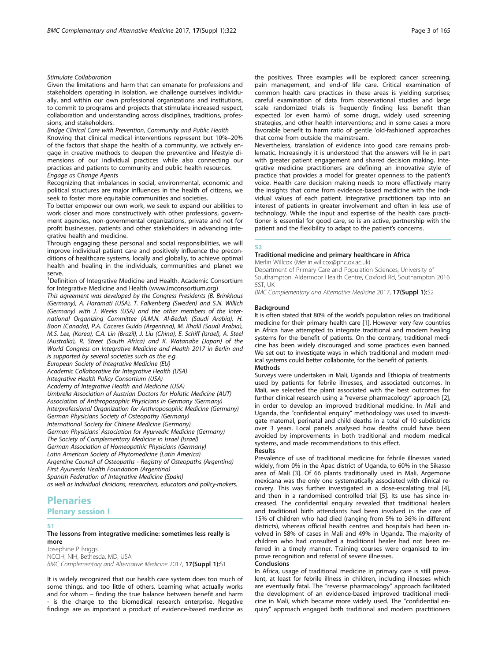## Stimulate Collaboration

Given the limitations and harm that can emanate for professions and stakeholders operating in isolation, we challenge ourselves individually, and within our own professional organizations and institutions, to commit to programs and projects that stimulate increased respect, collaboration and understanding across disciplines, traditions, professions, and stakeholders.

Bridge Clinical Care with Prevention, Community and Public Health

Knowing that clinical medical interventions represent but 10%–20% of the factors that shape the health of a community, we actively engage in creative methods to deepen the preventive and lifestyle dimensions of our individual practices while also connecting our practices and patients to community and public health resources.

## Engage as Change Agents

Recognizing that imbalances in social, environmental, economic and political structures are major influences in the health of citizens, we seek to foster more equitable communities and societies.

To better empower our own work, we seek to expand our abilities to work closer and more constructively with other professions, government agencies, non-governmental organizations, private and not for profit businesses, patients and other stakeholders in advancing integrative health and medicine.

Through engaging these personal and social responsibilities, we will improve individual patient care and positively influence the preconditions of healthcare systems, locally and globally, to achieve optimal health and healing in the individuals, communities and planet we serve.

## <sup>1</sup>Definition of Integrative Medicine and Health. Academic Consortium for Integrative Medicine and Health ([www.imconsortium.org\)](http://www.imconsortium.org/)

This agreement was developed by the Congress Presidents (B. Brinkhaus (Germany), A. Haramati (USA), T. Falkenberg (Sweden) and S.N. Willich (Germany) with J. Weeks (USA) and the other members of the International Organizing Committee (A.M.N. Al-Bedah (Saudi Arabia), H. Boon (Canada), P.A. Caceres Guido (Argentina), M. Khalil (Saudi Arabia), M.S. Lee, (Korea), C.A. Lin (Brazil), J. Liu (China), E. Schiff (Israel), A. Steel (Australia), R. Street (South Africa) and K. Watanabe (Japan) of the World Congress on Integrative Medicine and Health 2017 in Berlin and is supported by several societies such as the e.g. European Society of Integrative Medicine (EU)

Academic Collaborative for Integrative Health (USA)

Integrative Health Policy Consortium (USA)

Academy of Integrative Health and Medicine (USA)

Umbrella Association of Austrian Doctors for Holistic Medicine (AUT)

Association of Anthroposophic Physicians in Germany (Germany) Interprofessional Organization for Anthroposophic Medicine (Germany)

German Physicians Society of Osteopathy (Germany)

International Society for Chinese Medicine (Germany) German Physicians' Association for Ayurvedic Medicine (Germany) The Society of Complementary Medicine in Israel (Israel)

German Association of Homeopathic Physicians (Germany)

Latin American Society of Phytomedicine (Latin America)

Argentine Council of Osteopaths - Registry of Osteopaths (Argentina) First Ayurveda Health Foundation (Argentina)

Spanish Federation of Integrative Medicine (Spain)

as well as individual clinicians, researchers, educators and policy-makers.

## Plenaries

## Plenary session I

## S1

## The lessons from integrative medicine: sometimes less really is more

Josephine P Briggs NCCIH, NIH, Bethesda, MD, USA BMC Complementary and Alternative Medicine 2017, 17(Suppl 1):S1

It is widely recognized that our health care system does too much of some things, and too little of others. Learning what actually works and for whom – finding the true balance between benefit and harm - is the charge to the biomedical research enterprise. Negative findings are as important a product of evidence-based medicine as

the positives. Three examples will be explored: cancer screening, pain management, and end-of life care. Critical examination of common health care practices in these areas is yielding surprises; careful examination of data from observational studies and large scale randomized trials is frequently finding less benefit than expected (or even harm) of some drugs, widely used screening strategies, and other health interventions; and in some cases a more favorable benefit to harm ratio of gentle 'old-fashioned' approaches that come from outside the mainstream.

Nevertheless, translation of evidence into good care remains problematic. Increasingly it is understood that the answers will lie in part with greater patient engagement and shared decision making. Integrative medicine practitioners are defining an innovative style of practice that provides a model for greater openness to the patient's voice. Health care decision making needs to more effectively marry the insights that come from evidence-based medicine with the individual values of each patient. Integrative practitioners tap into an interest of patients in greater involvement and often in less use of technology. While the input and expertise of the health care practitioner is essential for good care, so is an active, partnership with the patient and the flexibility to adapt to the patient's concerns.

#### S2

# Traditional medicine and primary healthcare in Africa

Merlin Willcox (Merlin.willcox@phc.ox.ac.uk)

Department of Primary Care and Population Sciences, University of Southampton, Aldermoor Health Centre, Coxford Rd, Southampton 2016 5ST, UK

BMC Complementary and Alternative Medicine 2017, 17(Suppl 1):S2

#### **Background**

It is often stated that 80% of the world's population relies on traditional medicine for their primary health care [1]. However very few countries in Africa have attempted to integrate traditional and modern healing systems for the benefit of patients. On the contrary, traditional medicine has been widely discouraged and some practices even banned. We set out to investigate ways in which traditional and modern medical systems could better collaborate, for the benefit of patients. Methods

Surveys were undertaken in Mali, Uganda and Ethiopia of treatments used by patients for febrile illnesses, and associated outcomes. In Mali, we selected the plant associated with the best outcomes for further clinical research using a "reverse pharmacology" approach [2], in order to develop an improved traditional medicine. In Mali and Uganda, the "confidential enquiry" methodology was used to investigate maternal, perinatal and child deaths in a total of 10 subdistricts over 3 years. Local panels analysed how deaths could have been avoided by improvements in both traditional and modern medical systems, and made recommendations to this effect. Results

Prevalence of use of traditional medicine for febrile illnesses varied widely, from 0% in the Apac district of Uganda, to 60% in the Sikasso area of Mali [3]. Of 66 plants traditionally used in Mali, Argemone mexicana was the only one systematically associated with clinical recovery. This was further investigated in a dose-escalating trial [4], and then in a randomised controlled trial [5]. Its use has since increased. The confidential enquiry revealed that traditional healers and traditional birth attendants had been involved in the care of 15% of children who had died (ranging from 5% to 36% in different districts), whereas official health centres and hospitals had been involved in 58% of cases in Mali and 49% in Uganda. The majority of children who had consulted a traditional healer had not been referred in a timely manner. Training courses were organised to improve recognition and referral of severe illnesses.

## Conclusions

In Africa, usage of traditional medicine in primary care is still prevalent, at least for febrile illness in children, including illnesses which are eventually fatal. The "reverse pharmacology" approach facilitated the development of an evidence-based improved traditional medicine in Mali, which became more widely used. The "confidential enquiry" approach engaged both traditional and modern practitioners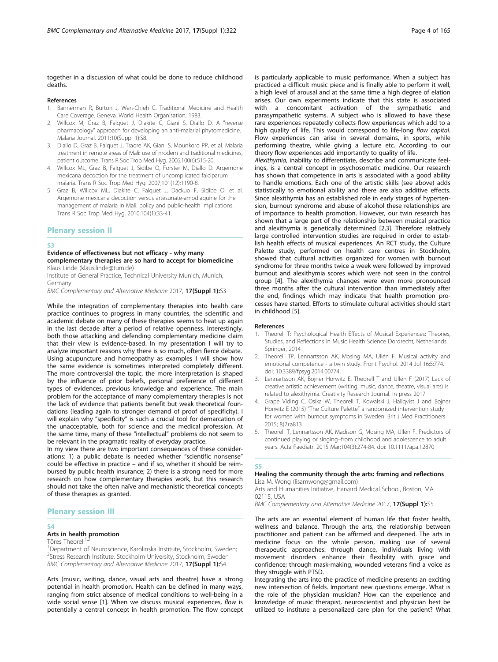## together in a discussion of what could be done to reduce childhood deaths.

## References

- 1. Bannerman R, Burton J, Wen-Chieh C. Traditional Medicine and Health Care Coverage. Geneva: World Health Organisation; 1983.
- 2. Willcox M, Graz B, Falquet J, Diakite C, Giani S, Diallo D. A "reverse pharmacology" approach for developing an anti-malarial phytomedicine. Malaria Journal. 2011;10(Suppl 1):S8.
- 3. Diallo D, Graz B, Falquet J, Traore AK, Giani S, Mounkoro PP, et al. Malaria treatment in remote areas of Mali: use of modern and traditional medicines, patient outcome. Trans R Soc Trop Med Hyg. 2006;100(6):515-20.
- 4. Willcox ML, Graz B, Falquet J, Sidibe O, Forster M, Diallo D. Argemone mexicana decoction for the treatment of uncomplicated falciparum malaria. Trans R Soc Trop Med Hyg. 2007;101(12):1190-8.
- 5. Graz B, Willcox ML, Diakite C, Falquet J, Dackuo F, Sidibe O, et al. Argemone mexicana decoction versus artesunate-amodiaquine for the management of malaria in Mali: policy and public-health implications. Trans R Soc Trop Med Hyg. 2010;104(1):33-41.

## Plenary session II

## S3

Evidence of effectiveness but not efficacy - why many complementary therapies are so hard to accept for biomedicine

Klaus Linde (klaus.linde@tum.de)

Institute of General Practice, Technical University Munich, Munich, Germany

BMC Complementary and Alternative Medicine 2017, 17(Suppl 1):S3

While the integration of complementary therapies into health care practice continues to progress in many countries, the scientific and academic debate on many of these therapies seems to heat up again in the last decade after a period of relative openness. Interestingly, both those attacking and defending complementary medicine claim that their view is evidence-based. In my presentation I will try to analyze important reasons why there is so much, often fierce debate. Using acupuncture and homeopathy as examples I will show how the same evidence is sometimes interpreted completely different. The more controversial the topic, the more interpretation is shaped by the influence of prior beliefs, personal preference of different types of evidences, previous knowledge and experience. The main problem for the acceptance of many complementary therapies is not the lack of evidence that patients benefit but weak theoretical foundations (leading again to stronger demand of proof of specificity). I will explain why "specificity" is such a crucial tool for demarcation of the unacceptable, both for science and the medical profession. At the same time, many of these "intellectual" problems do not seem to be relevant in the pragmatic reality of everyday practice.

In my view there are two important consequences of these considerations: 1) a public debate is needed whether "scientific nonsense" could be effective in practice – and if so, whether it should be reimbursed by public health insurance; 2) there is a strong need for more research on how complementary therapies work, but this research should not take the often naïve and mechanistic theoretical concepts of these therapies as granted.

## Plenary session III

#### $S$ 4

# Arts in health promotion

## Töres Theorell

<sup>1</sup>Department of Neuroscience, Karolinska Institute, Stockholm, Sweden; <sup>2</sup>Stress Research Institute, Stockholm University, Stockholm, Sweden BMC Complementary and Alternative Medicine 2017, 17(Suppl 1):S4

Arts (music, writing, dance, visual arts and theatre) have a strong potential in health promotion. Health can be defined in many ways, ranging from strict absence of medical conditions to well-being in a wide social sense [1]. When we discuss musical experiences, flow is potentially a central concept in health promotion. The flow concept

is particularly applicable to music performance. When a subject has practiced a difficult music piece and is finally able to perform it well, a high level of arousal and at the same time a high degree of elation arises. Our own experiments indicate that this state is associated with a concomitant activation of the sympathetic and parasympathetic systems. A subject who is allowed to have these rare experiences repeatedly collects flow experiences which add to a high quality of life. This would correspond to life-long flow capital. Flow experiences can arise in several domains, in sports, while performing theatre, while giving a lecture etc. According to our theory flow experiences add importantly to quality of life.

Alexithymia, inability to differentiate, describe and communicate feelings, is a central concept in psychosomatic medicine. Our research has shown that competence in arts is associated with a good ability to handle emotions. Each one of the artistic skills (see above) adds statistically to emotional ability and there are also additive effects. Since alexithymia has an established role in early stages of hypertension, burnout syndrome and abuse of alcohol these relationships are of importance to health promotion. However, our twin research has shown that a large part of the relationship between musical practice and alexithymia is genetically determined [2,3]. Therefore relatively large controlled intervention studies are required in order to establish health effects of musical experiences. An RCT study, the Culture Palette study, performed on health care centres in Stockholm, showed that cultural activities organized for women with burnout syndrome for three months twice a week were followed by improved burnout and alexithymia scores which were not seen in the control group [4]. The alexithymia changes were even more pronounced three months after the cultural intervention than immediately after the end, findings which may indicate that health promotion processes have started. Efforts to stimulate cultural activities should start in childhood [5].

## References

- 1. Theorell T: Psychological Health Effects of Musical Experiences: Theories, Studies, and Reflections in Music Health Science Dordrecht, Netherlands: Springer, 2014
- 2. Theorell TP, Lennartsson AK, Mosing MA, Ullén F. Musical activity and emotional competence - a twin study. Front Psychol. 2014 Jul 16;5:774. doi: [10.3389/fpsyg.2014.00774](http://dx.doi.org/10.3389/fpsyg.2014.00774).
- Lennartsson AK, Bojner Horwitz E, Theorell T and Ullén F (2017) Lack of creative artistic achievement (writing, music, dance, theatre, visual arts) is related to alexithymia. Creativity Research Journal. In press 2017
- Grape Viding C, Osika W, Theorell T, Kowalski J, Hallqvist J and Bojner Horwitz E (2015) "The Culture Palette" a randomized intervention study for women with burnout symptoms in Sweden. Brit J Med Practitioners 2015; 8(2):a813
- 5. Theorell T, Lennartsson AK, Madison G, Mosing MA, Ullén F. Predictors of continued playing or singing–from childhood and adolescence to adult years. Acta Paediatr. 2015 Mar;104(3):274-84. doi: [10.1111/apa.12870](http://dx.doi.org/10.1111/apa.12870)

#### SS

## Healing the community through the arts: framing and reflections Lisa M. Wong (lisamwong@gmail.com)

Arts and Humanities Initiative, Harvard Medical School, Boston, MA 02115, USA

BMC Complementary and Alternative Medicine 2017, 17(Suppl 1):S5

The arts are an essential element of human life that foster health, wellness and balance. Through the arts, the relationship between practitioner and patient can be affirmed and deepened. The arts in medicine focus on the whole person, making use of several therapeutic approaches: through dance, individuals living with movement disorders enhance their flexibility with grace and confidence; through mask-making, wounded veterans find a voice as they struggle with PTSD.

Integrating the arts into the practice of medicine presents an exciting new intersection of fields. Important new questions emerge. What is the role of the physician musician? How can the experience and knowledge of music therapist, neuroscientist and physician best be utilized to institute a personalized care plan for the patient? What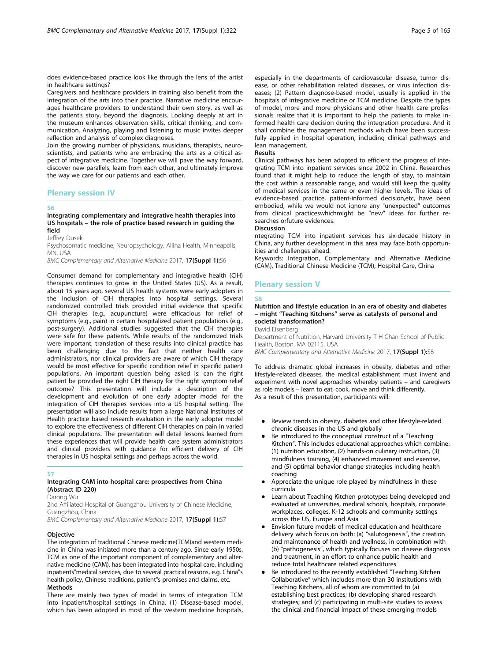does evidence-based practice look like through the lens of the artist in healthcare settings?

Caregivers and healthcare providers in training also benefit from the integration of the arts into their practice. Narrative medicine encourages healthcare providers to understand their own story, as well as the patient's story, beyond the diagnosis. Looking deeply at art in the museum enhances observation skills, critical thinking, and communication. Analyzing, playing and listening to music invites deeper reflection and analysis of complex diagnoses.

Join the growing number of physicians, musicians, therapists, neuroscientists, and patients who are embracing the arts as a critical aspect of integrative medicine. Together we will pave the way forward, discover new parallels, learn from each other, and ultimately improve the way we care for our patients and each other.

#### Plenary session IV

#### S6

#### Integrating complementary and integrative health therapies into US hospitals – the role of practice based research in guiding the field

Jeffrey Dusek

Psychosomatic medicine, Neuropsychology, Allina Health, Minneapolis, MN, USA

BMC Complementary and Alternative Medicine 2017, 17(Suppl 1):S6

Consumer demand for complementary and integrative health (CIH) therapies continues to grow in the United States (US). As a result, about 15 years ago, several US health systems were early adopters in the inclusion of CIH therapies into hospital settings. Several randomized controlled trials provided initial evidence that specific CIH therapies (e.g., acupuncture) were efficacious for relief of symptoms (e.g., pain) in certain hospitalized patient populations (e.g., post-surgery). Additional studies suggested that the CIH therapies were safe for these patients. While results of the randomized trials were important, translation of these results into clinical practice has been challenging due to the fact that neither health care administrators, nor clinical providers are aware of which CIH therapy would be most effective for specific condition relief in specific patient populations. An important question being asked is: can the right patient be provided the right CIH therapy for the right symptom relief outcome? This presentation will include a description of the development and evolution of one early adopter model for the integration of CIH therapies services into a US hospital setting. The presentation will also include results from a large National Institutes of Health practice based research evaluation in the early adopter model to explore the effectiveness of different CIH therapies on pain in varied clinical populations. The presentation will detail lessons learned from these experiences that will provide health care system administrators and clinical providers with guidance for efficient delivery of CIH therapies in US hospital settings and perhaps across the world.

#### S7

## Integrating CAM into hospital care: prospectives from China (Abstract ID 220)

Darong Wu

2nd Affiliated Hospital of Guangzhou University of Chinese Medicine, Guangzhou, China

BMC Complementary and Alternative Medicine 2017, 17(Suppl 1):S7

### Objective

The integration of traditional Chinese medicine(TCM)and western medicine in China was initiated more than a century ago. Since early 1950s, TCM as one of the important component of complementary and alternative medicine (CAM), has been integrated into hospital care, including inpatients"medical services, due to several practical reasons, e.g. China"s health policy, Chinese traditions, patient"s promises and claims, etc. **Methods** 

There are mainly two types of model in terms of integration TCM into inpatient/hospital settings in China, (1) Disease-based model, which has been adopted in most of the western medicine hospitals, especially in the departments of cardiovascular disease, tumor disease, or other rehabilitation related diseases, or virus infection diseases; (2) Pattern diagnose-based model, usually is applied in the hospitals of integrative medicine or TCM medicine. Despite the types of model, more and more physicians and other health care professionals realize that it is important to help the patients to make informed health care decision during the integration procedure. And it shall combine the management methods which have been successfully applied in hospital operation, including clinical pathways and lean management.

## Results

Clinical pathways has been adopted to efficient the progress of integrating TCM into inpatient services since 2002 in China. Researches found that it might help to reduce the length of stay, to maintain the cost within a reasonable range, and would still keep the quality of medical services in the same or even higher levels. The ideas of evidence-based practice, patient-informed decision,etc, have been embodied, while we would not ignore any "unexpected" outcomes from clinical practiceswhichmight be "new" ideas for further researches orfuture evidences.

## Discussion

ntegrating TCM into inpatient services has six-decade history in China, any further development in this area may face both opportunities and challenges ahead.

Keywords: Integration, Complementary and Alternative Medicine (CAM), Traditional Chinese Medicine (TCM), Hospital Care, China

## Plenary session V

#### S

## Nutrition and lifestyle education in an era of obesity and diabetes – might "Teaching Kitchens" serve as catalysts of personal and societal transformation?

David Eisenberg

Department of Nutrition, Harvard University T H Chan School of Public Health, Boston, MA 02115, USA

BMC Complementary and Alternative Medicine 2017, 17(Suppl 1):S8

To address dramatic global increases in obesity, diabetes and other lifestyle-related diseases, the medical establishment must invent and experiment with novel approaches whereby patients – and caregivers as role models – learn to eat, cook, move and think differently. As a result of this presentation, participants will:

- Review trends in obesity, diabetes and other lifestyle-related chronic diseases in the US and globally
- Be introduced to the conceptual construct of a "Teaching Kitchen". This includes educational approaches which combine: (1) nutrition education, (2) hands-on culinary instruction, (3) mindfulness training, (4) enhanced movement and exercise, and (5) optimal behavior change strategies including health coaching
- Appreciate the unique role played by mindfulness in these curricula
- Learn about Teaching Kitchen prototypes being developed and evaluated at universities, medical schools, hospitals, corporate workplaces, colleges, K-12 schools and community settings across the US, Europe and Asia
- Envision future models of medical education and healthcare delivery which focus on both: (a) "salutogenesis", the creation and maintenance of health and wellness, in combination with (b) "pathogenesis", which typically focuses on disease diagnosis and treatment, in an effort to enhance public health and reduce total healthcare related expenditures
- Be introduced to the recently established "Teaching Kitchen Collaborative" which includes more than 30 institutions with Teaching Kitchens, all of whom are committed to (a) establishing best practices; (b) developing shared research strategies; and (c) participating in multi-site studies to assess the clinical and financial impact of these emerging models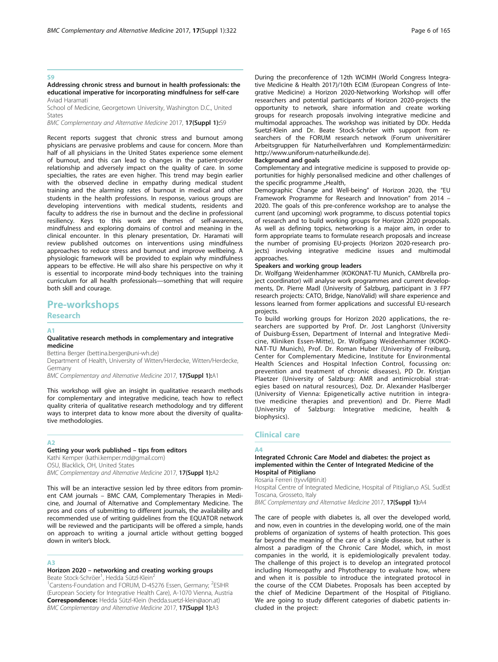## S9

## Addressing chronic stress and burnout in health professionals: the educational imperative for incorporating mindfulness for self-care Aviad Haramati

School of Medicine, Georgetown University, Washington D.C., United States

BMC Complementary and Alternative Medicine 2017, 17(Suppl 1):S9

Recent reports suggest that chronic stress and burnout among physicians are pervasive problems and cause for concern. More than half of all physicians in the United States experience some element of burnout, and this can lead to changes in the patient-provider relationship and adversely impact on the quality of care. In some specialties, the rates are even higher. This trend may begin earlier with the observed decline in empathy during medical student training and the alarming rates of burnout in medical and other students in the health professions. In response, various groups are developing interventions with medical students, residents and faculty to address the rise in burnout and the decline in professional resiliency. Keys to this work are themes of self-awareness, mindfulness and exploring domains of control and meaning in the clinical encounter. In this plenary presentation, Dr. Haramati will review published outcomes on interventions using mindfulness approaches to reduce stress and burnout and improve wellbeing. A physiologic framework will be provided to explain why mindfulness appears to be effective. He will also share his perspective on why it is essential to incorporate mind-body techniques into the training curriculum for all health professionals—something that will require both skill and courage.

## Pre-workshops

## Research

#### A1

## Qualitative research methods in complementary and integrative medicine

Bettina Berger (bettina.berger@uni-wh.de)

Department of Health, University of Witten/Herdecke, Witten/Herdecke, Germany

BMC Complementary and Alternative Medicine 2017, 17(Suppl 1):A1

This workshop will give an insight in qualitative research methods for complementary and integrative medicine, teach how to reflect quality criteria of qualitative research methodology and try different ways to interpret data to know more about the diversity of qualitative methodologies.

#### $\Delta$ 2

## Getting your work published – tips from editors

Kathi Kemper (kathi.kemper.md@gmail.com) OSU, Blacklick, OH, United States BMC Complementary and Alternative Medicine 2017, 17(Suppl 1):A2

This will be an interactive session led by three editors from prominent CAM journals – BMC CAM, Complementary Therapies in Medicine, and Journal of Alternative and Complementary Medicine. The pros and cons of submitting to different journals, the availability and recommended use of writing guidelines from the EQUATOR network will be reviewed and the participants will be offered a simple, hands on approach to writing a journal article without getting bogged down in writer's block.

#### A3

## Horizon 2020 – networking and creating working groups Beate Stock-Schröer<sup>1</sup>, Hedda Sützl-Klein<sup>2</sup>

<sup>1</sup>Carstens-Foundation and FORUM, D-45276 Essen, Germany; <sup>2</sup>ESIHR (European Society for Integrative Health Care), A-1070 Vienna, Austria Correspondence: Hedda Sützl-Klein (hedda.suetzl-klein@aon.at) BMC Complementary and Alternative Medicine 2017, 17(Suppl 1):A3

During the preconference of 12th WCIMH (World Congress Integrative Medicine & Health 2017)/10th ECIM (European Congress of Integrative Medicine) a Horizon 2020-Networking Workshop will offer researchers and potential participants of Horizon 2020-projects the opportunity to network, share information and create working groups for research proposals involving integrative medicine and multimodal approaches. The workshop was initiated by DDr. Hedda Suetzl-Klein and Dr. Beate Stock-Schröer with support from researchers of the FORUM research network (Forum universitärer Arbeitsgruppen für Naturheilverfahren und Komplementärmedizin: [http://www.uniforum-naturheilkunde.de\)](http://www.uniforum-naturheilkunde.de/).

#### Background and goals

Complementary and integrative medicine is supposed to provide opportunities for highly personalised medicine and other challenges of the specific programme "Health,

Demographic Change and Well-being" of Horizon 2020, the "EU Framework Programme for Research and Innovation" from 2014 – 2020. The goals of this pre-conference workshop are to analyse the current (and upcoming) work programme, to discuss potential topics of research and to build working groups for Horizon 2020 proposals. As well as defining topics, networking is a major aim, in order to form appropriate teams to formulate research proposals and increase the number of promising EU-projects (Horizon 2020-research projects) involving integrative medicine issues and multimodal approaches.

## Speakers and working group leaders

Dr. Wolfgang Weidenhammer (KOKONAT-TU Munich, CAMbrella project coordinator) will analyse work programmes and current developments, Dr. Pierre Madl (University of Salzburg, participant in 3 FP7 research projects: CATO, Bridge, NanoValid) will share experience and lessons learned from former applications and successful EU-research projects.

To build working groups for Horizon 2020 applications, the researchers are supported by Prof. Dr. Jost Langhorst (University of Duisburg-Essen, Department of Internal and Integrative Medicine, Kliniken Essen-Mitte), Dr. Wolfgang Weidenhammer (KOKO-NAT-TU Munich), Prof. Dr. Roman Huber (University of Freiburg, Center for Complementary Medicine, Institute for Environmental Health Sciences and Hospital Infection Control, focussing on: prevention and treatment of chronic diseases), PD Dr. Kristjan Plaetzer (University of Salzburg: AMR and antimicrobial strategies based on natural resources), Doz. Dr. Alexander Haslberger (University of Vienna: Epigenetically active nutrition in integrative medicine therapies and prevention) and Dr. Pierre Madl (University of Salzburg: Integrative medicine, health & biophysics).

## Clinical care

#### A4

## Integrated Cchronic Care Model and diabetes: the project as implemented within the Center of Integrated Medicine of the Hospital of Pitigliano

Rosaria Ferreri (tyvvf@tin.it)

Hospital Centre of Integrated Medicine, Hospital of Pitiglian,o ASL SudEst Toscana, Grosseto, Italy

BMC Complementary and Alternative Medicine 2017, 17(Suppl 1):A4

The care of people with diabetes is, all over the developed world, and now, even in countries in the developing world, one of the main problems of organization of systems of health protection. This goes far beyond the meaning of the care of a single disease, but rather is almost a paradigm of the Chronic Care Model, which, in most companies in the world, it is epidemiologically prevalent today. The challenge of this project is to develop an integrated protocol including Homeopathy and Phytotherapy to evaluate how, where and when it is possible to introduce the integrated protocol in the course of the CCM Diabetes. Proposals has been accepted by the chief of Medicine Department of the Hospital of Pitigliano. We are going to study different categories of diabetic patients included in the project: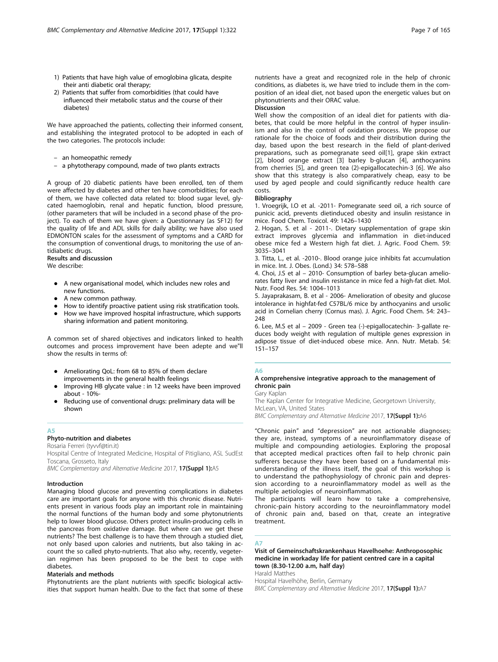- 1) Patients that have high value of emoglobina glicata, despite their anti diabetic oral therapy;
- 2) Patients that suffer from comorbidities (that could have influenced their metabolic status and the course of their diabetes)

We have approached the patients, collecting their informed consent, and establishing the integrated protocol to be adopted in each of the two categories. The protocols include:

- an homeopathic remedy
- a phytotherapy compound, made of two plants extracts

A group of 20 diabetic patients have been enrolled, ten of them were affected by diabetes and other ten have comorbidities; for each of them, we have collected data related to: blood sugar level, glycated haemoglobin, renal and hepatic function, blood pressure, (other parameters that will be included in a second phase of the project). To each of them we have given: a Questionnary (as SF12) for the quality of life and ADL skills for daily ability; we have also used EDMONTON scales for the assessment of symptoms and a CARD for the consumption of conventional drugs, to monitoring the use of antidiabetic drugs.

Results and discussion

We describe:

- A new organisational model, which includes new roles and new functions.
- A new common pathway.
- How to identify proactive patient using risk stratification tools.
- How we have improved hospital infrastructure, which supports sharing information and patient monitoring.

A common set of shared objectives and indicators linked to health outcomes and process improvement have been adepte and we"ll show the results in terms of:

- Ameliorating QoL: from 68 to 85% of them declare improvements in the general health feelings
- Improving HB glycate value : in 12 weeks have been improved about - 10%-
- Reducing use of conventional drugs: preliminary data will be shown

## A5

## Phyto-nutrition and diabetes

Rosaria Ferreri (tyvvf@tin.it) Hospital Centre of Integrated Medicine, Hospital of Pitigliano, ASL SudEst Toscana, Grosseto, Italy

BMC Complementary and Alternative Medicine 2017, 17(Suppl 1):A5

## Introduction

Managing blood glucose and preventing complications in diabetes care are important goals for anyone with this chronic disease. Nutrients present in various foods play an important role in maintaining the normal functions of the human body and some phytonutrients help to lower blood glucose. Others protect insulin-producing cells in the pancreas from oxidative damage. But where can we get these nutrients? The best challenge is to have them through a studied diet, not only based upon calories and nutrients, but also taking in account the so called phyto-nutrients. That also why, recently, vegeterian regimen has been proposed to be the best to cope with diabetes.

#### Materials and methods

Phytonutrients are the plant nutrients with specific biological activities that support human health. Due to the fact that some of these

#### Discussion

Well show the composition of an ideal diet for patients with diabetes, that could be more helpful in the control of hyper insulinism and also in the control of oxidation process. We propose our rationale for the choice of foods and their distribution during the day, based upon the best research in the field of plant-derived preparations, such as pomegranate seed oil[1], grape skin extract [2], blood orange extract [3] barley b-glucan [4], anthocyanins from cherries [5], and green tea (2)-epigallocatechin-3 [6]. We also show that this strategy is also comparatively cheap, easy to be used by aged people and could significantly reduce health care costs.

#### Bibliography

1. Vroegrijk, I.O et al. -2011- Pomegranate seed oil, a rich source of punicic acid, prevents dietinduced obesity and insulin resistance in mice. Food Chem. Toxicol. 49: 1426–1430

2. Hogan, S. et al - 2011-. Dietary supplementation of grape skin extract improves glycemia and inflammation in diet-induced obese mice fed a Western high fat diet. J. Agric. Food Chem. 59: 3035–3041

3. Titta, L., et al. -2010-. Blood orange juice inhibits fat accumulation in mice. Int. J. Obes. (Lond.) 34: 578–588

4. Choi, J.S et al – 2010- Consumption of barley beta-glucan ameliorates fatty liver and insulin resistance in mice fed a high-fat diet. Mol. Nutr. Food Res. 54: 1004–1013

5. Jayaprakasam, B. et al - 2006- Amelioration of obesity and glucose intolerance in highfat-fed C57BL/6 mice by anthocyanins and ursolic acid in Cornelian cherry (Cornus mas). J. Agric. Food Chem. 54: 243– 248

6. Lee, M.S et al – 2009 - Green tea (-)-epigallocatechin- 3-gallate reduces body weight with regulation of multiple genes expression in adipose tissue of diet-induced obese mice. Ann. Nutr. Metab. 54: 151–157

#### A6

#### A comprehensive integrative approach to the management of chronic pain

Gary Kaplan

The Kaplan Center for Integrative Medicine, Georgetown University, McLean, VA, United States BMC Complementary and Alternative Medicine 2017, 17(Suppl 1):A6

"Chronic pain" and "depression" are not actionable diagnoses; they are, instead, symptoms of a neuroinflammatory disease of multiple and compounding aetiologies. Exploring the proposal that accepted medical practices often fail to help chronic pain sufferers because they have been based on a fundamental misunderstanding of the illness itself, the goal of this workshop is to understand the pathophysiology of chronic pain and depression according to a neuroinflammatory model as well as the multiple aetiologies of neuroinflammation.

The participants will learn how to take a comprehensive, chronic-pain history according to the neuroinflammatory model of chronic pain and, based on that, create an integrative treatment.

## A7

## Visit of Gemeinschaftskrankenhaus Havelhoehe: Anthroposophic medicine in workaday life for patient centred care in a capital town (8.30-12.00 a.m, half day) Harald Matthes

Hospital Havelhöhe, Berlin, Germany

BMC Complementary and Alternative Medicine 2017, 17(Suppl 1):A7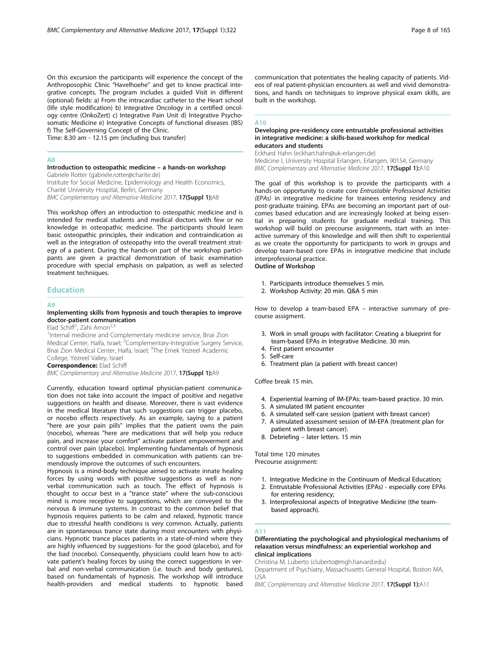On this excursion the participants will experience the concept of the Anthroposophic Clinic "Havelhoehe" and get to know practical integrative concepts. The program includes a guided Visit in different (optional) fields: a) From the intracardiac catheter to the Heart school (life style modification) b) Integrative Oncology in a certified oncology centre (OnkoZert) c) Integrative Pain Unit d) Integrative Psychosomatic Medicine e) Integrative Concepts of functional diseases (IBS) f) The Self-Governing Concept of the Clinic.

Time: 8.30 am - 12.15 pm (including bus transfer)

## A8

## Introduction to osteopathic medicine – a hands-on workshop Gabriele Rotter (gabriele.rotter@charite.de)

Institute for Social Medicine, Epidemiology and Health Economics, Charité University Hospital, Berlin, Germany BMC Complementary and Alternative Medicine 2017, 17(Suppl 1):A8

This workshop offers an introduction to osteopathic medicine and is intended for medical students and medical doctors with few or no knowledge in osteopathic medicine. The participants should learn basic osteopathic principles, their indication and contraindication as well as the integration of osteopathy into the overall treatment strategy of a patient. During the hands-on part of the workshop participants are given a practical demonstration of basic examination procedure with special emphasis on palpation, as well as selected treatment techniques.

## **Education**

## **A**<sup>o</sup>

## Implementing skills from hypnosis and touch therapies to improve doctor-patient communication

Elad Schiff<sup>1</sup>, Zahi Arnon<sup>2,3</sup>

<sup>1</sup>Internal medicine and Complementary medicine service, Bnai Zion Medical Center, Haifa, Israel; <sup>2</sup>Complementary-Integrative Surgery Service, Bnai Zion Medical Center, Haifa, Israel, <sup>3</sup>The Emek Yezreel Academic College, Yezreel Valley, Israel

Correspondence: Elad Schiff

BMC Complementary and Alternative Medicine 2017, 17(Suppl 1):A9

Currently, education toward optimal physician-patient communication does not take into account the impact of positive and negative suggestions on health and disease. Moreover, there is vast evidence in the medical literature that such suggestions can trigger placebo, or nocebo effects respectively. As an example, saying to a patient "here are your pain pills" implies that the patient owns the pain (nocebo), whereas "here are medications that will help you reduce pain, and increase your comfort" activate patient empowerment and control over pain (placebo). Implementing fundamentals of hypnosis to suggestions embedded in communication with patients can tremendously improve the outcomes of such encounters.

Hypnosis is a mind-body technique aimed to activate innate healing forces by using words with positive suggestions as well as nonverbal communication such as touch. The effect of hypnosis is thought to occur best in a "trance state" where the sub-conscious mind is more receptive to suggestions, which are conveyed to the nervous & immune systems. In contrast to the common belief that hypnosis requires patients to be calm and relaxed, hypnotic trance due to stressful health conditions is very common. Actually, patients are in spontaneous trance state during most encounters with physicians. Hypnotic trance places patients in a state-of-mind where they are highly influenced by suggestions- for the good (placebo), and for the bad (nocebo). Consequently, physicians could learn how to activate patient's healing forces by using the correct suggestions in verbal and non-verbal communication (i.e. touch and body gestures), based on fundamentals of hypnosis. The workshop will introduce health-providers and medical students to hypnotic based

communication that potentiates the healing capacity of patients. Videos of real patient-physician encounters as well and vivid demonstrations, and hands on techniques to improve physical exam skills, are built in the workshop.

#### A10

## Developing pre-residency core entrustable professional activities in integrative medicine: a skills-based workshop for medical educators and students

Eckhard Hahn (eckhart.hahn@uk-erlangen.de) Medicine I, University Hospital Erlangen, Erlangen, 90154, Germany BMC Complementary and Alternative Medicine 2017, 17(Suppl 1):A10

The goal of this workshop is to provide the participants with a hands-on opportunity to create core Entrustable Professional Activities (EPAs) in integrative medicine for trainees entering residency and post-graduate training. EPAs are becoming an important part of outcomes based education and are increasingly looked at being essential in preparing students for graduate medical training. This workshop will build on precourse assignments, start with an interactive summary of this knowledge and will then shift to experiential as we create the opportunity for participants to work in groups and develop team-based core EPAs in integrative medicine that include interprofessional practice. Outline of Workshop

- 1. Participants introduce themselves 5 min.
- 2. Workshop Activity: 20 min. Q&A 5 min

How to develop a team-based EPA – interactive summary of precourse assigment.

- 3. Work in small groups with facilitator: Creating a blueprint for team-based EPAs in Integrative Medicine. 30 min.
- 4. First patient encounter
- 5. Self-care
- 6. Treatment plan (a patient with breast cancer)

Coffee break 15 min.

- 4. Experiential learning of IM-EPAs: team-based practice. 30 min.
- 5. A simulated IM patient encounter
- 6. A simulated self-care session (patient with breast cancer)
- 7. A simulated assessment session of IM-EPA (treatment plan for
- patient with breast cancer). 8. Debriefing – later letters. 15 min

Total time 120 minutes Precourse assignment:

- 1. Integrative Medicine in the Continuum of Medical Education;
- 2. Entrustable Professional Activities (EPAs) especially core EPAs for entering residency;
- 3. Interprofessional aspects of Integrative Medicine (the teambased approach).

## A11

#### Differentiating the psychological and physiological mechanisms of relaxation versus mindfulness: an experiential workshop and clinical implications

Christina M. Luberto (cluberto@mgh.harvard.edu)

Department of Psychiatry, Massachusetts General Hospital, Boston MA, USA

BMC Complementary and Alternative Medicine 2017, 17(Suppl 1):A11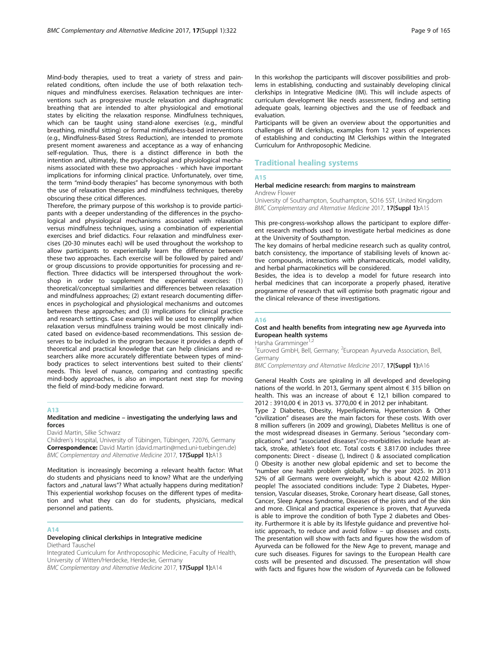Mind-body therapies, used to treat a variety of stress and painrelated conditions, often include the use of both relaxation techniques and mindfulness exercises. Relaxation techniques are interventions such as progressive muscle relaxation and diaphragmatic breathing that are intended to alter physiological and emotional states by eliciting the relaxation response. Mindfulness techniques, which can be taught using stand-alone exercises (e.g., mindful breathing, mindful sitting) or formal mindfulness-based interventions (e.g., Mindfulness-Based Stress Reduction), are intended to promote present moment awareness and acceptance as a way of enhancing self-regulation. Thus, there is a distinct difference in both the intention and, ultimately, the psychological and physiological mechanisms associated with these two approaches - which have important implications for informing clinical practice. Unfortunately, over time, the term "mind-body therapies" has become synonymous with both the use of relaxation therapies and mindfulness techniques, thereby obscuring these critical differences.

Therefore, the primary purpose of this workshop is to provide participants with a deeper understanding of the differences in the psychological and physiological mechanisms associated with relaxation versus mindfulness techniques, using a combination of experiential exercises and brief didactics. Four relaxation and mindfulness exercises (20-30 minutes each) will be used throughout the workshop to allow participants to experientially learn the difference between these two approaches. Each exercise will be followed by paired and/ or group discussions to provide opportunities for processing and reflection. Three didactics will be interspersed throughout the workshop in order to supplement the experiential exercises: (1) theoretical/conceptual similarities and differences between relaxation and mindfulness approaches; (2) extant research documenting differences in psychological and physiological mechanisms and outcomes between these approaches; and (3) implications for clinical practice and research settings. Case examples will be used to exemplify when relaxation versus mindfulness training would be most clinically indicated based on evidence-based recommendations. This session deserves to be included in the program because it provides a depth of theoretical and practical knowledge that can help clinicians and researchers alike more accurately differentiate between types of mindbody practices to select interventions best suited to their clients' needs. This level of nuance, comparing and contrasting specific mind-body approaches, is also an important next step for moving the field of mind-body medicine forward.

#### A13

## Meditation and medicine – investigating the underlying laws and forces

David Martin, Silke Schwarz

Children's Hospital, University of Tübingen, Tübingen, 72076, Germany Correspondence: David Martin (david.martin@med.uni-tuebingen.de) BMC Complementary and Alternative Medicine 2017, 17(Suppl 1):A13

Meditation is increasingly becoming a relevant health factor: What do students and physicians need to know? What are the underlying factors and "natural laws"? What actually happens during meditation? This experiential workshop focuses on the different types of meditation and what they can do for students, physicians, medical personnel and patients.

#### A14

#### Developing clinical clerkships in Integrative medicine Diethard Tauschel

Integrated Curriculum for Anthroposophic Medicine, Faculty of Health, University of Witten/Herdecke, Herdecke, Germany BMC Complementary and Alternative Medicine 2017, 17(Suppl 1):A14

In this workshop the participants will discover possibilities and problems in establishing, conducting and sustainably developing clinical clerkships in Integrative Medicine (IM). This will include aspects of curriculum development like needs assessment, finding and setting adequate goals, learning objectives and the use of feedback and evaluation.

Participants will be given an overview about the opportunities and challenges of IM clerkships, examples from 12 years of experiences of establishing and conducting IM Clerkships within the Integrated Curriculum for Anthroposophic Medicine.

## Traditional healing systems

#### A15

#### Herbal medicine research: from margins to mainstream Andrew Flower

University of Southampton, Southampton, SO16 5ST, United Kingdom BMC Complementary and Alternative Medicine 2017, 17(Suppl 1):A15

## This pre-congress-workshop allows the participant to explore different research methods used to investigate herbal medicines as done at the University of Southampton.

The key domains of herbal medicine research such as quality control, batch consistency, the importance of stabilising levels of known active compounds, interactions with pharmaceuticals, model validity, and herbal pharmacokinetics will be considered.

Besides, the idea is to develop a model for future research into herbal medicines that can incorporate a properly phased, iterative programme of research that will optimise both pragmatic rigour and the clinical relevance of these investigations.

#### A16

## Cost and health benefits from integrating new age Ayurveda into European health systems

Harsha Gramminger

<sup>1</sup>Euroved GmbH, Bell, Germany; <sup>2</sup>European Ayurveda Association, Bell Germany

BMC Complementary and Alternative Medicine 2017, 17(Suppl 1):A16

General Health Costs are spiraling in all developed and developing nations of the world. In 2013, Germany spent almost € 315 billion on health. This was an increase of about € 12,1 billion compared to 2012 : 3910,00 € in 2013 vs. 3770,00 € in 2012 per inhabitant.

Type 2 Diabetes, Obesity, Hyperlipidemia, Hypertension & Other "civilization" diseases are the main factors for these costs. With over 8 million sufferers (in 2009 and growing), Diabetes Mellitus is one of the most widespread diseases in Germany. Serious "secondary complications" and "associated diseases"/co-morbidities include heart attack, stroke, athlete's foot etc. Total costs € 3.817.00 includes three components: Direct - disease (), Indirect () & associated complication () Obesity is another new global epidemic and set to become the "number one health problem globally" by the year 2025. In 2013 52% of all Germans were overweight, which is about 42.02 Million people! The associated conditions include: Type 2 Diabetes, Hypertension, Vascular diseases, Stroke, Coronary heart disease, Gall stones, Cancer, Sleep Apnea Syndrome, Diseases of the joints and of the skin and more. Clinical and practical experience is proven, that Ayurveda is able to improve the condition of both Type 2 diabetes and Obesity. Furthermore it is able by its lifestyle guidance and preventive holistic approach, to reduce and avoid follow – up diseases and costs. The presentation will show with facts and figures how the wisdom of Ayurveda can be followed for the New Age to prevent, manage and cure such diseases. Figures for savings to the European Health care costs will be presented and discussed. The presentation will show with facts and figures how the wisdom of Ayurveda can be followed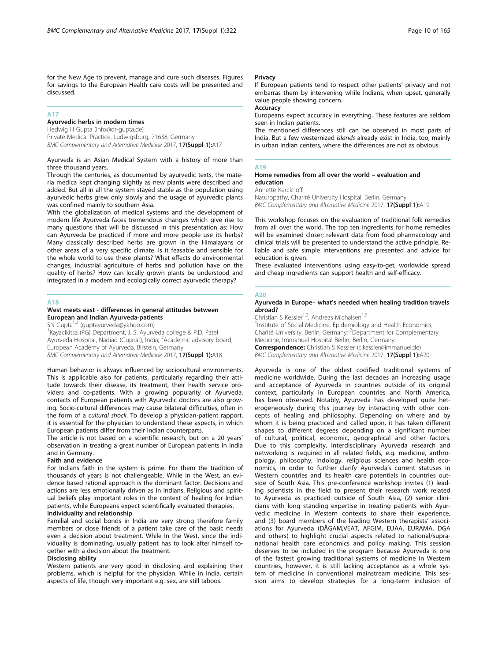for the New Age to prevent, manage and cure such diseases. Figures for savings to the European Health care costs will be presented and discussed.

#### A17

## Ayurvedic herbs in modern times

Hedwig H Gupta (info@dr-gupta.de) Private Medical Practice, Ludwigsburg, 71638, Germany BMC Complementary and Alternative Medicine 2017, 17(Suppl 1):A17

Ayurveda is an Asian Medical System with a history of more than three thousand years.

Through the centuries, as documented by ayurvedic texts, the materia medica kept changing slightly as new plants were described and added. But all in all the system stayed stable as the population using ayurvedic herbs grew only slowly and the usage of ayurvedic plants was confined mainly to southern Asia.

With the globalization of medical systems and the development of modern life Ayurveda faces tremendous changes which give rise to many questions that will be discussed in this presentation as: How can Ayurveda be practiced if more and more people use its herbs? Many classically described herbs are grown in the Himalayans or other areas of a very specific climate. Is it feasable and sensible for the whole world to use these plants? What effects do environmental changes, industrial agriculture of herbs and pollution have on the quality of herbs? How can locally grown plants be understood and integrated in a modern and ecologically correct ayurvedic therapy?

## A18

## West meets east - differences in general attitudes between European and Indian Ayurveda-patients

SN Gupta<sup>1,2</sup> (quptayurveda@yahoo.com)

<sup>1</sup> Kayacikitsa (PG) Department, J. S. Ayurveda college & P.D. Patel Ayurveda Hospital, Nadiad (Gujarat), India; <sup>2</sup>Academic advisory board, European Academy of Ayurveda, Birstein, Germany BMC Complementary and Alternative Medicine 2017, 17(Suppl 1):A18

Human behavior is always influenced by sociocultural environments. This is applicable also for patients, particularly regarding their attitude towards their disease, its treatment, their health service providers and co-patients. With a growing popularity of Ayurveda, contacts of European patients with Ayurvedic doctors are also growing. Socio-cultural differences may cause bilateral difficulties, often in the form of a cultural shock. To develop a physician-patient rapport, it is essential for the physician to understand these aspects, in which European patients differ from their Indian counterparts.

The article is not based on a scientific research, but on a 20 years' observation in treating a great number of European patients in India and in Germany.

#### Faith and evidence

For Indians faith in the system is prime. For them the tradition of thousands of years is not challengeable. While in the West, an evidence based rational approach is the dominant factor. Decisions and actions are less emotionally driven as in Indians. Religious and spiritual beliefs play important roles in the context of healing for Indian patients, while Europeans expect scientifically evaluated therapies.

## Individuality and relationship

Familial and social bonds in India are very strong therefore family members or close friends of a patient take care of the basic needs even a decision about treatment. While In the West, since the individuality is dominating, usually patient has to look after himself together with a decision about the treatment.

#### Disclosing ability

Western patients are very good in disclosing and explaining their problems, which is helpful for the physician. While in India, certain aspects of life, though very important e.g. sex, are still taboos.

## Privacy

If European patients tend to respect other patients' privacy and not embarras them by intervening while Indians, when upset, generally value people showing concern.

## Accuracy

Europeans expect accuracy in everything. These features are seldom seen in Indian patients.

The mentioned differences still can be observed in most parts of India. But a few westernized islands already exist in India, too, mainly in urban Indian centers, where the differences are not as obvious.

#### A19

Home remedies from all over the world – evaluation and education

Annette Kerckhoff

Naturopathy, Charité University Hospital, Berlin, Germany BMC Complementary and Alternative Medicine 2017, 17(Suppl 1):A19

This workshop focuses on the evaluation of traditional folk remedies from all over the world. The top ten ingredients for home remedies will be examined closer; relevant data from food pharmacology and clinical trials will be presented to understand the active principle. Reliable and safe simple interventions are presented and advice for education is given.

These evaluated interventions using easy-to-get, worldwide spread and cheap ingredients can support health and self-efficacy.

## A20

#### Ayurveda in Europe– what's needed when healing tradition travels abroad?

Christian S Kessler<sup>1,2</sup>, Andreas Michalsen<sup>1,2</sup> <sup>1</sup>Institute of Social Medicine, Epidemiology and Health Economics, Charité University, Berlin, Germany; <sup>2</sup>Department for Complementary Medicine, Immanuel Hospital Berlin, Berlin, Germany Correspondence: Christian S Kessler (c.kessler@immanuel.de)

BMC Complementary and Alternative Medicine 2017, 17(Suppl 1):A20

Ayurveda is one of the oldest codified traditional systems of medicine worldwide. During the last decades an increasing usage and acceptance of Ayurveda in countries outside of its original context, particularly in European countries and North America, has been observed. Notably, Ayurveda has developed quite heterogeneously during this journey by interacting with other concepts of healing and philosophy. Depending on where and by whom it is being practiced and called upon, it has taken different shapes to different degrees depending on a significant number of cultural, political, economic, geographical and other factors. Due to this complexity, interdisciplinary Ayurveda research and networking is required in all related fields, e.g. medicine, anthropology, philosophy, Indology, religious sciences and health economics, in order to further clarify Ayurveda's current statuses in Western countries and its health care potentials in countries outside of South Asia. This pre-conference workshop invites (1) leading scientists in the field to present their research work related to Ayurveda as practiced outside of South Asia, (2) senior clinicians with long standing expertise in treating patients with Ayurvedic medicine in Western contexts to share their experience, and (3) board members of the leading Western therapists' associations for Ayurveda (DÄGAM,VEAT, AFGIM, EUAA, EURAMA, DGA and others) to highlight crucial aspects related to national/supranational health care economics and policy making. This session deserves to be included in the program because Ayurveda is one of the fastest growing traditional systems of medicine in Western countries, however, it is still lacking acceptance as a whole system of medicine in conventional mainstream medicine. This session aims to develop strategies for a long-term inclusion of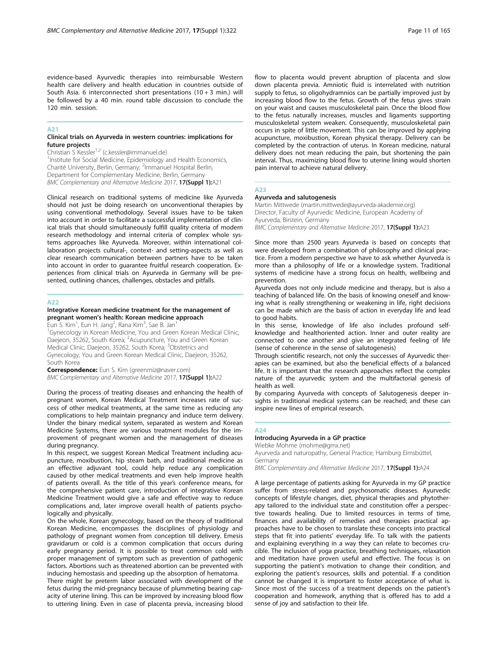evidence-based Ayurvedic therapies into reimbursable Western health care delivery and health education in countries outside of South Asia. 6 interconnected short presentations  $(10 + 3 \text{ min.})$  will be followed by a 40 min. round table discussion to conclude the 120 min. session.

#### A21

## Clinical trials on Ayurveda in western countries: implications for future projects

Christian S Kessler<sup>1,2</sup> (c.kessler@immanuel.de)

<sup>1</sup>Institute for Social Medicine, Epidemiology and Health Economics, Charité University, Berlin, Germany; <sup>2</sup>Immanuel Hospital Berlin, Department for Complementary Medicine, Berlin, Germany BMC Complementary and Alternative Medicine 2017, 17(Suppl 1):A21

Clinical research on traditional systems of medicine like Ayurveda should not just be doing research on unconventional therapies by using conventional methodology. Several issues have to be taken into account in order to facilitate a successful implementation of clinical trials that should simultaneously fulfill quality criteria of modern research methodology and internal criteria of complex whole systems approaches like Ayurveda. Moreover, within international collaboration projects cultural-, context- and setting-aspects as well as clear research communication between partners have to be taken into account in order to guarantee fruitful research cooperation. Experiences from clinical trials on Ayurveda in Germany will be presented, outlining chances, challenges, obstacles and pitfalls.

#### A22

## Integrative Korean medicine treatment for the management of pregnant women's health: Korean medicine approach

Eun S. Kim<sup>1</sup>, Eun H. Jang<sup>2</sup>, Rana Kim<sup>3</sup>, Sae B. Jan<sup>1</sup>

<sup>1</sup>Gynecology in Korean Medicine, You and Green Korean Medical Clinic, Daejeon, 35262, South Korea; <sup>2</sup>Acupuncture, You and Green Korean Medical Clinic, Daejeon, 35262, South Korea; <sup>3</sup>Obstetrics and Gynecology, You and Green Korean Medical Clinic, Daejeon, 35262, South Korea

Correspondence: Eun S. Kim (greenmiz@naver.com) BMC Complementary and Alternative Medicine 2017, 17(Suppl 1):A22

During the process of treating diseases and enhancing the health of pregnant women, Korean Medical Treatment increases rate of success of other medical treatments, at the same time as reducing any complications to help maintain pregnancy and induce term delivery. Under the binary medical system, separated as western and Korean Medicine Systems, there are various treatment modules for the improvement of pregnant women and the management of diseases during pregnancy.

In this respect, we suggest Korean Medical Treatment including acupuncture, moxibustion, hip steam bath, and traditional medicine as an effective adjuvant tool, could help reduce any complication caused by other medical treatments and even help improve health of patients overall. As the title of this year's conference means, for the comprehensive patient care, introduction of integrative Korean Medicine Treatment would give a safe and effective way to reduce complications and, later improve overall health of patients psychologically and physically.

On the whole, Korean gynecology, based on the theory of traditional Korean Medicine, encompasses the disciplines of physiology and pathology of pregnant women from conception till delivery. Emesis gravidarum or cold is a common complication that occurs during early pregnancy period. It is possible to treat common cold with proper management of symptom such as prevention of pathogenic factors. Abortions such as threatened abortion can be prevented with inducing hemostasis and speeding up the absorption of hematoma.

There might be preterm labor associated with development of the fetus during the mid-pregnancy because of plummeting bearing capacity of uterine lining. This can be improved by increasing blood flow to uttering lining. Even in case of placenta previa, increasing blood flow to placenta would prevent abruption of placenta and slow down placenta previa. Amniotic fluid is interrelated with nutrition supply to fetus, so oligohydramnios can be partially improved just by increasing blood flow to the fetus. Growth of the fetus gives strain on your waist and causes musculoskeletal pain. Once the blood flow to the fetus naturally increases, muscles and ligaments supporting musculoskeletal system weaken. Consequently, musculoskeletal pain occurs in spite of little movement. This can be improved by applying acupuncture, moxibustion, Korean physical therapy. Delivery can be completed by the contraction of uterus. In Korean medicine, natural delivery does not mean reducing the pain, but shortening the pain interval. Thus, maximizing blood flow to uterine lining would shorten pain interval to achieve natural delivery.

#### A23

## Ayurveda and salutogenesis

Martin Mittwede (martin.mittwede@ayurveda-akademie.org) Director, Faculty of Ayurvedic Medicine, European Academy of Ayurveda, Birstein, Germany BMC Complementary and Alternative Medicine 2017, 17(Suppl 1):A23

Since more than 2500 years Ayurveda is based on concepts that were developed from a combination of philosophy and clinical practice. From a modern perspective we have to ask whether Ayurveda is more than a philosophy of life or a knowledge system. Traditional systems of medicine have a strong focus on health, wellbeing and prevention.

Ayurveda does not only include medicine and therapy, but is also a teaching of balanced life. On the basis of knowing oneself and knowing what is really strengthening or weakening in life, right decisions can be made which are the basis of action in everyday life and lead to good habits.

In this sense, knowledge of life also includes profound selfknowledge and healthoriented action. Inner and outer reality are connected to one another and give an integrated feeling of life (sense of coherence in the sense of salutogenesis)

Through scientific research, not only the successes of Ayurvedic therapies can be examined, but also the beneficial effects of a balanced life. It is important that the research approaches reflect the complex nature of the ayurvedic system and the multifactorial genesis of health as well.

By comparing Ayurveda with concepts of Salutogenesis deeper insights in traditional medical systems can be reached; and these can inspire new lines of empirical research.

## A24

#### Introducing Ayurveda in a GP practice

Wiebke Mohme (mohme@gmx.net)

Ayurveda and naturopathy, General Practice, Hamburg Eimsbüttel, Germany

BMC Complementary and Alternative Medicine 2017, 17(Suppl 1):A24

A large percentage of patients asking for Ayurveda in my GP practice suffer from stress-related and psychosomatic diseases. Ayurvedic concepts of lifestyle changes, diet, physical therapies and phytotherapy tailored to the individual state and constitution offer a perspective towards healing. Due to limited resources in terms of time, finances and availability of remedies and therapies practical approaches have to be chosen to translate these concepts into practical steps that fit into patients' everyday life. To talk with the patients and explaining everything in a way they can relate to becomes crucible. The inclusion of yoga practice, breathing techniques, relaxation and meditation have proven useful and effective. The focus is on supporting the patient's motivation to change their condition, and exploring the patient's resources, skills and potential. If a condition cannot be changed it is important to foster acceptance of what is. Since most of the success of a treatment depends on the patient's cooperation and homework, anything that is offered has to add a sense of joy and satisfaction to their life.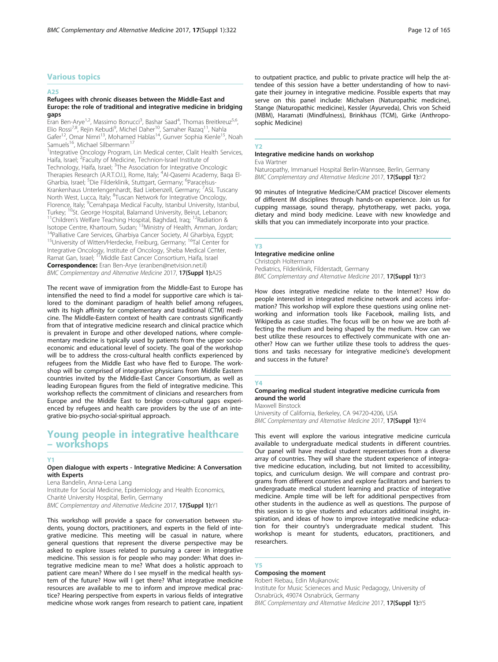## Various topics

#### A25

## Refugees with chronic diseases between the Middle-East and Europe: the role of traditional and integrative medicine in bridging gaps

Eran Ben-Arye<sup>1,2</sup>, Massimo Bonucci<sup>3</sup>, Bashar Saad<sup>4</sup>, Thomas Breitkreuz<sup>5,6</sup>, Elio Rossi<sup>7,8</sup>, Rejin Kebudi<sup>9</sup>, Michel Daher<sup>10</sup>, Samaher Razaq<sup>11</sup>, Nahla Gafer<sup>12</sup>, Omar Nimri<sup>13</sup>, Mohamed Hablas<sup>14</sup>, Gunver Sophia Kienle<sup>15</sup>, Noah Samuels<sup>16</sup>, Michael Silbermann<sup>17</sup>

<sup>1</sup>Integrative Oncology Program, Lin Medical center, Clalit Health Services, Haifa, Israel; <sup>2</sup>Faculty of Medicine, Technion-Israel Institute of Technology, Haifa, Israel; <sup>3</sup>The Association for Integrative Oncologic Therapies Research (A.R.T.O.I.), Rome, Italy; <sup>4</sup>Al-Qasemi Academy, Baqa El-Gharbia, Israel; <sup>5</sup>Die Filderklinik, Stuttgart, Germany; <sup>6</sup>Paracelsus-Krankenhaus Unterlengenhardt, Bad Liebenzell, Germany; <sup>7</sup> ASL Tuscany North West, Lucca, Italy; <sup>8</sup>Tuscan Network for Integrative Oncology, Florence, Italy; <sup>9</sup>Cerrahpaşa Medical Faculty, Istanbul University, Istanbul, Turkey; <sup>10</sup>St. George Hospital, Balamand University, Beirut, Lebanon;<br><sup>11</sup>Children's Welfare Teaching Hospital, Baghdad, Iraq; <sup>12</sup>Radiation &<br>Isotope Centre, Khartoum, Sudan; <sup>13</sup>Ministry of Health, Amman, Jordan; <sup>14</sup>Palliative Care Services, Gharbiya Cancer Society, Al Gharbiya, Egypt;<br><sup>15</sup>University of Witten/Herdecke, Freiburg, Germany; <sup>16</sup>Tal Center for Integrative Oncology, Institute of Oncology, Sheba Medical Center, Ramat Gan, Israel; 17Middle East Cancer Consortium, Haifa, Israel Correspondence: Eran Ben-Arye (eranben@netvision.net.il) BMC Complementary and Alternative Medicine 2017, 17(Suppl 1):A25

The recent wave of immigration from the Middle-East to Europe has intensified the need to find a model for supportive care which is tailored to the dominant paradigm of health belief among refugees, with its high affinity for complementary and traditional (CTM) medicine. The Middle-Eastern context of health care contrasts significantly from that of integrative medicine research and clinical practice which is prevalent in Europe and other developed nations, where complementary medicine is typically used by patients from the upper socioeconomic and educational level of society. The goal of the workshop will be to address the cross-cultural health conflicts experienced by refugees from the Middle East who have fled to Europe. The workshop will be comprised of integrative physicians from Middle Eastern countries invited by the Middle-East Cancer Consortium, as well as leading European figures from the field of integrative medicine. This workshop reflects the commitment of clinicians and researchers from Europe and the Middle East to bridge cross-cultural gaps experienced by refugees and health care providers by the use of an integrative bio-psycho-social-spiritual approach.

# Young people in integrative healthcare – workshops

#### Y1

## Open dialogue with experts - Integrative Medicine: A Conversation with Experts

Lena Bandelin, Anna-Lena Lang Institute for Social Medicine, Epidemiology and Health Economics, Charité University Hospital, Berlin, Germany BMC Complementary and Alternative Medicine 2017, 17(Suppl 1):Y1

This workshop will provide a space for conversation between students, young doctors, practitioners, and experts in the field of integrative medicine. This meeting will be casual in nature, where general questions that represent the diverse perspective may be asked to explore issues related to pursuing a career in integrative medicine. This session is for people who may ponder: What does integrative medicine mean to me? What does a holistic approach to patient care mean? Where do I see myself in the medical health system of the future? How will I get there? What integrative medicine resources are available to me to inform and improve medical practice? Hearing perspective from experts in various fields of integrative medicine whose work ranges from research to patient care, inpatient

to outpatient practice, and public to private practice will help the attendee of this session have a better understanding of how to navigate their journey in integrative medicine. Possible experts that may serve on this panel include: Michalsen (Naturopathic medicine), Stange (Naturopathic medicine), Kessler (Ayurveda), Chris von Scheid (MBM), Haramati (Mindfulness), Brinkhaus (TCM), Girke (Anthroposophic Medicine)

#### Y2

## Integrative medicine hands on workshop

Eva Wartner

Naturopathy, Immanuel Hospital Berlin-Wannsee, Berlin, Germany BMC Complementary and Alternative Medicine 2017, 17(Suppl 1):Y2

90 minutes of Integrative Medicine/CAM practice! Discover elements of different IM disciplines through hands-on experience. Join us for cupping massage, sound therapy, phytotherapy, wet packs, yoga, dietary and mind body medicine. Leave with new knowledge and skills that you can immediately incorporate into your practice.

#### Y3

## Integrative medicine online

Christoph Holtermann Pediatrics, Filderklinik, Filderstadt, Germany BMC Complementary and Alternative Medicine 2017, 17(Suppl 1):Y3

How does integrative medicine relate to the Internet? How do people interested in integrated medicine network and access information? This workshop will explore these questions using online networking and information tools like Facebook, mailing lists, and Wikipedia as case studies. The focus will be on how we are both affecting the medium and being shaped by the medium. How can we best utilize these resources to effectively communicate with one another? How can we further utilize these tools to address the questions and tasks necessary for integrative medicine's development and success in the future?

#### Y4

## Comparing medical student integrative medicine curricula from around the world

Maxwell Binstock University of California, Berkeley, CA 94720-4206, USA BMC Complementary and Alternative Medicine 2017, 17(Suppl 1):Y4

This event will explore the various integrative medicine curricula available to undergraduate medical students in different countries. Our panel will have medical student representatives from a diverse array of countries. They will share the student experience of integrative medicine education, including, but not limited to accessibility, topics, and curriculum design. We will compare and contrast programs from different countries and explore facilitators and barriers to undergraduate medical student learning and practice of integrative medicine. Ample time will be left for additional perspectives from other students in the audience as well as questions. The purpose of this session is to give students and educators additional insight, inspiration, and ideas of how to improve integrative medicine education for their country's undergraduate medical student. This workshop is meant for students, educators, practitioners, and researchers.

## Y5

## Composing the moment

Robert Riebau, Edin Mujkanovic Institute for Music Scieneces and Music Pedagogy, University of Osnabrück, 49074 Osnabrück, Germany

BMC Complementary and Alternative Medicine 2017, 17(Suppl 1):Y5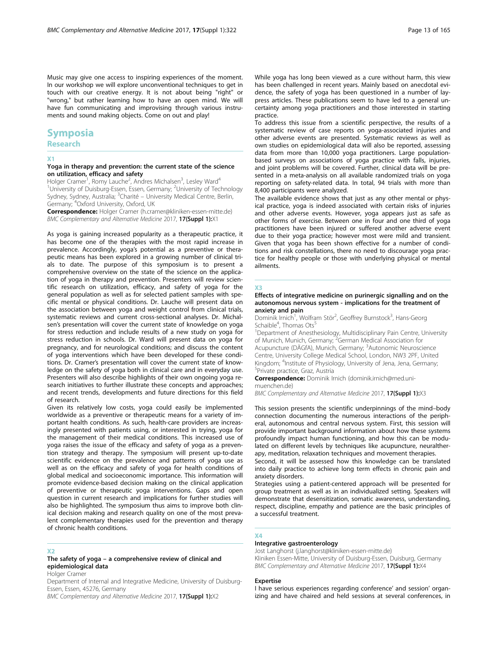Music may give one access to inspiring experiences of the moment. In our workshop we will explore unconventional techniques to get in touch with our creative energy. It is not about being "right" or

"wrong," but rather learning how to have an open mind. We will have fun communicating and improvising through various instruments and sound making objects. Come on out and play!

# Symposia

Research

## X1

## Yoga in therapy and prevention: the current state of the science on utilization, efficacy and safety

Holger Cramer<sup>1</sup>, Romy Lauche<sup>2</sup>, Andres Michalsen<sup>3</sup>, Lesley Ward<sup>4</sup> <sup>1</sup>University of Duisburg-Essen, Essen, Germany; <sup>2</sup>University of Technology Sydney, Sydney, Australia; <sup>3</sup>Charité – University Medical Centre, Berlin, Germany; <sup>4</sup> Oxford University, Oxford, UK

Correspondence: Holger Cramer (h.cramer@kliniken-essen-mitte.de) BMC Complementary and Alternative Medicine 2017, 17(Suppl 1):X1

As yoga is gaining increased popularity as a therapeutic practice, it has become one of the therapies with the most rapid increase in prevalence. Accordingly, yoga's potential as a preventive or therapeutic means has been explored in a growing number of clinical trials to date. The purpose of this symposium is to present a comprehensive overview on the state of the science on the application of yoga in therapy and prevention. Presenters will review scientific research on utilization, efficacy, and safety of yoga for the general population as well as for selected patient samples with specific mental or physical conditions. Dr. Lauche will present data on the association between yoga and weight control from clinical trials, systematic reviews and current cross-sectional analyses. Dr. Michalsen's presentation will cover the current state of knowledge on yoga for stress reduction and include results of a new study on yoga for stress reduction in schools. Dr. Ward will present data on yoga for pregnancy, and for neurological conditions; and discuss the content of yoga interventions which have been developed for these conditions. Dr. Cramer's presentation will cover the current state of knowledge on the safety of yoga both in clinical care and in everyday use. Presenters will also describe highlights of their own ongoing yoga research initiatives to further illustrate these concepts and approaches; and recent trends, developments and future directions for this field of research.

Given its relatively low costs, yoga could easily be implemented worldwide as a preventive or therapeutic means for a variety of important health conditions. As such, health-care providers are increasingly presented with patients using, or interested in trying, yoga for the management of their medical conditions. This increased use of yoga raises the issue of the efficacy and safety of yoga as a prevention strategy and therapy. The symposium will present up-to-date scientific evidence on the prevalence and patterns of yoga use as well as on the efficacy and safety of yoga for health conditions of global medical and socioeconomic importance. This information will promote evidence-based decision making on the clinical application of preventive or therapeutic yoga interventions. Gaps and open question in current research and implications for further studies will also be highlighted. The symposium thus aims to improve both clinical decision making and research quality on one of the most prevalent complementary therapies used for the prevention and therapy of chronic health conditions.

## X2

## The safety of yoga – a comprehensive review of clinical and epidemiological data

Holger Cramer

Department of Internal and Integrative Medicine, University of Duisburg-Essen, Essen, 45276, Germany

BMC Complementary and Alternative Medicine 2017, 17(Suppl 1):X2

While yoga has long been viewed as a cure without harm, this view has been challenged in recent years. Mainly based on anecdotal evidence, the safety of yoga has been questioned in a number of laypress articles. These publications seem to have led to a general uncertainty among yoga practitioners and those interested in starting practice.

To address this issue from a scientific perspective, the results of a systematic review of case reports on yoga-associated injuries and other adverse events are presented. Systematic reviews as well as own studies on epidemiological data will also be reported, assessing data from more than 10,000 yoga practitioners. Large populationbased surveys on associations of yoga practice with falls, injuries, and joint problems will be covered. Further, clinical data will be presented in a meta-analysis on all available randomized trials on yoga reporting on safety-related data. In total, 94 trials with more than 8,400 participants were analyzed.

The available evidence shows that just as any other mental or physical practice, yoga is indeed associated with certain risks of injuries and other adverse events. However, yoga appears just as safe as other forms of exercise. Between one in four and one third of yoga practitioners have been injured or suffered another adverse event due to their yoga practice; however most were mild and transient. Given that yoga has been shown effective for a number of conditions and risk constellations, there no need to discourage yoga practice for healthy people or those with underlying physical or mental ailments.

#### X3

## Effects of integrative medicine on purinergic signalling and on the autonomous nervous system - implications for the treatment of anxiety and pain

Dominik Irnich<sup>1</sup>, Wolfram Stör<sup>2</sup>, Geoffrey Burnstock<sup>3</sup>, Hans-Georg Schaible<sup>4</sup>, Thomas Ots<sup>5</sup>

<sup>1</sup>Department of Anesthesiology, Multidisciplinary Pain Centre, University of Munich, Munich, Germany; <sup>2</sup>German Medical Association for Acupuncture (DÄGfA), Munich, Germany; <sup>3</sup>Autonomic Neuroscience Centre, University College Medical School, London, NW3 2PF, United Kingdom; <sup>4</sup>Institute of Physiology, University of Jena, Jena, Germany,<br><sup>5</sup>Privato practico Graz, Austria <sup>5</sup>Private practice, Graz, Austria

Correspondence: Dominik Irnich (dominik.irnich@med.unimuenchen.de)

BMC Complementary and Alternative Medicine 2017, 17(Suppl 1):X3

This session presents the scientific underpinnings of the mind–body connection documenting the numerous interactions of the peripheral, autonomous and central nervous system. First, this session will provide important background information about how these systems profoundly impact human functioning, and how this can be modulated on different levels by techniques like acupuncture, neuraltherapy, meditation, relaxation techniques and movement therapies.

Second, it will be assessed how this knowledge can be translated into daily practice to achieve long term effects in chronic pain and anxiety disorders.

Strategies using a patient-centered approach will be presented for group treatment as well as in an individualized setting. Speakers will demonstrate that desensitization, somatic awareness, understanding, respect, discipline, empathy and patience are the basic principles of a successful treatment.

## X4

## Integrative gastroenterology

Jost Langhorst (j.langhorst@kliniken-essen-mitte.de) Kliniken Essen-Mitte, University of Duisburg-Essen, Duisburg, Germany BMC Complementary and Alternative Medicine 2017, 17(Suppl 1):X4

#### Expertise

I have serious experiences regarding conference' and session' organizing and have chaired and held sessions at several conferences, in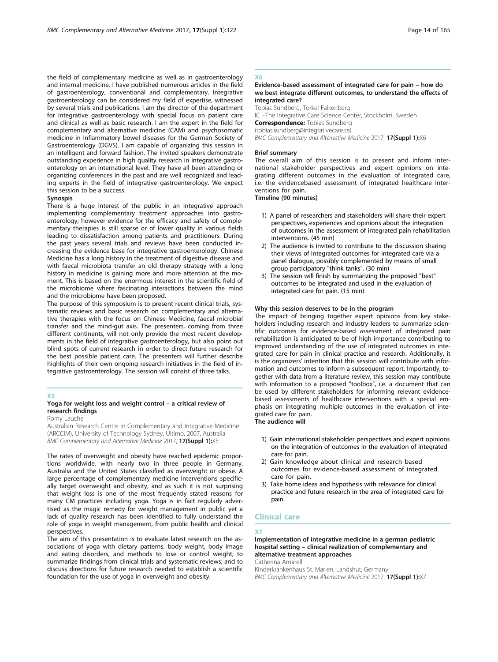the field of complementary medicine as well as in gastroenterology and internal medicine. I have published numerous articles in the field of gastroenterology, conventional and complementary. Integrative gastroenterology can be considered my field of expertise, witnessed by several trials and publications. I am the director of the department for integrative gastroenterology with special focus on patient care and clinical as well as basic research. I am the expert in the field for complementary and alternative medicine (CAM) and psychosomatic medicine in Inflammatory bowel diseases for the German Society of Gastroenterology (DGVS). I am capable of organizing this session in an intelligent and forward fashion. The invited speakers demonstrate outstanding experience in high quality research in integrative gastroenterology on an international level. They have all been attending or organizing conferences in the past and are well recognized and leading experts in the field of integrative gastroenterology. We expect this session to be a success.

#### Synospis

There is a huge interest of the public in an integrative approach implementing complementary treatment approaches into gastroenterology; however evidence for the efficacy and safety of complementary therapies is still sparse or of lower quality in various fields leading to dissatisfaction among patients and practitioners. During the past years several trials and reviews have been conducted increasing the evidence base for integrative gastroenterology. Chinese Medicine has a long history in the treatment of digestive disease and with faecal microbiota transfer an old therapy strategy with a long history in medicine is gaining more and more attention at the moment. This is based on the enormous interest in the scientific field of the microbiome where fascinating interactions between the mind and the microbiome have been proposed.

The purpose of this symposium is to present recent clinical trials, systematic reviews and basic research on complementary and alternative therapies with the focus on Chinese Medicine, faecal microbial transfer and the mind-gut axis. The presenters, coming from three different continents, will not only provide the most recent developments in the field of integrative gastroenterology, but also point out blind spots of current research in order to direct future research for the best possible patient care. The presenters will further describe highlights of their own ongoing research initiatives in the field of integrative gastroenterology. The session will consist of three talks.

#### X5

## Yoga for weight loss and weight control – a critical review of research findings

Romy Lauche

Australian Research Centre in Complementary and Integrative Medicine (ARCCIM), University of Technology Sydney, Ultimo, 2007, Australia BMC Complementary and Alternative Medicine 2017, 17(Suppl 1):X5

The rates of overweight and obesity have reached epidemic proportions worldwide, with nearly two in three people in Germany, Australia and the United States classified as overweight or obese. A large percentage of complementary medicine interventions specifically target overweight and obesity, and as such it is not surprising that weight loss is one of the most frequently stated reasons for many CM practices including yoga. Yoga is in fact regularly advertised as the magic remedy for weight management in public yet a lack of quality research has been identified to fully understand the role of yoga in weight management, from public health and clinical perspectives.

The aim of this presentation is to evaluate latest research on the associations of yoga with dietary patterns, body weight, body image and eating disorders, and methods to lose or control weight; to summarize findings from clinical trials and systematic reviews; and to discuss directions for future research needed to establish a scientific foundation for the use of yoga in overweight and obesity.

#### X6

## Evidence-based assessment of integrated care for pain – how do we best integrate different outcomes, to understand the effects of integrated care?

Tobias Sundberg, Torkel Falkenberg IC –The Integrative Care Science Center, Stockholm, Sweden **Correspondence:** Tobias Sundberg (tobias.sundberg@integrativecare.se)

BMC Complementary and Alternative Medicine 2017, 17(Suppl 1):X6

### Brief summary

The overall aim of this session is to present and inform international stakeholder perspectives and expert opinions on integrating different outcomes in the evaluation of integrated care, i.e. the evidencebased assessment of integrated healthcare interventions for pain.

Timeline (90 minutes)

- 1) A panel of researchers and stakeholders will share their expert perspectives, experiences and opinions about the integration of outcomes in the assessment of integrated pain rehabilitation interventions. (45 min)
- 2) The audience is invited to contribute to the discussion sharing their views of integrated outcomes for integrated care via a panel dialogue, possibly complemented by means of small group participatory "think tanks". (30 min)
- 3) The session will finish by summarizing the proposed "best" outcomes to be integrated and used in the evaluation of integrated care for pain. (15 min)

#### Why this session deserves to be in the program

The impact of bringing together expert opinions from key stakeholders including research and industry leaders to summarize scientific outcomes for evidence-based assessment of integrated pain rehabilitation is anticipated to be of high importance contributing to improved understanding of the use of integrated outcomes in integrated care for pain in clinical practice and research. Additionally, it is the organizers' intention that this session will contribute with information and outcomes to inform a subsequent report. Importantly, together with data from a literature review, this session may contribute with information to a proposed "toolbox", i.e. a document that can be used by different stakeholders for informing relevant evidencebased assessments of healthcare interventions with a special emphasis on integrating multiple outcomes in the evaluation of integrated care for pain. The audience will

- 1) Gain international stakeholder perspectives and expert opinions on the integration of outcomes in the evaluation of integrated care for pain.
- 2) Gain knowledge about clinical and research based outcomes for evidence-based assessment of integrated care for pain.
- 3) Take home ideas and hypothesis with relevance for clinical practice and future research in the area of integrated care for pain.

## Clinical care

## X7

## Implementation of integrative medicine in a german pediatric hospital setting – clinical realization of complementary and alternative treatment approaches

Catherina Amarell

Kinderkrankenhaus St. Marien, Landshut, Germany BMC Complementary and Alternative Medicine 2017, 17(Suppl 1):X7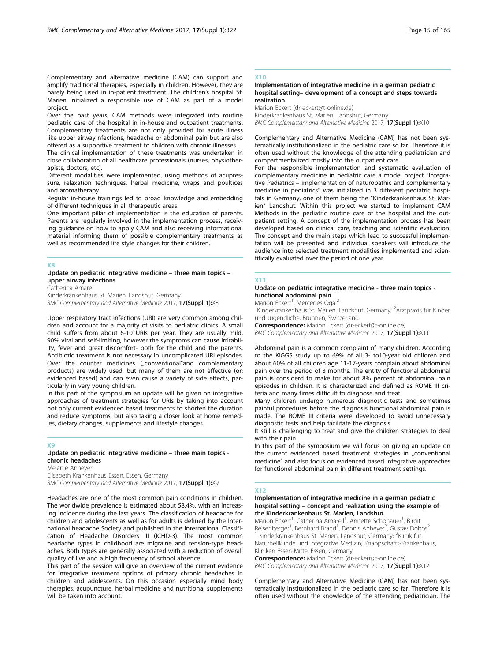Complementary and alternative medicine (CAM) can support and amplify traditional therapies, especially in children. However, they are barely being used in in-patient treatment. The children's hospital St. Marien initialized a responsible use of CAM as part of a model project.

Over the past years, CAM methods were integrated into routine pediatric care of the hospital in in-house and outpatient treatments. Complementary treatments are not only provided for acute illness like upper airway nfections, headache or abdominal pain but are also offered as a supportive treatment to children with chronic illnesses.

The clinical implementation of these treatments was undertaken in close collaboration of all healthcare professionals (nurses, physiotherapists, doctors, etc).

Different modalities were implemented, using methods of acupressure, relaxation techniques, herbal medicine, wraps and poultices and aromatherapy.

Regular in-house trainings led to broad knowledge and embedding of different techniques in all therapeutic areas.

One important pillar of implementation is the education of parents. Parents are regularly involved in the implementation process, receiving guidance on how to apply CAM and also receiving informational material informing them of possible complementary treatments as well as recommended life style changes for their children.

## X8

## Update on pediatric integrative medicine – three main topics – upper airway infections

Catherina Amarell

Kinderkrankenhaus St. Marien, Landshut, Germany BMC Complementary and Alternative Medicine 2017, 17(Suppl 1):X8

Upper respiratory tract infections (URI) are very common among children and account for a majority of visits to pediatric clinics. A small child suffers from about 6-10 URIs per year. They are usually mild, 90% viral and self-limiting, however the symptoms can cause irritability, fever and great discomfort- both for the child and the parents. Antibiotic treatment is not necessary in uncomplicated URI episodes. Over the counter medicines ("conventional"and complementary products) are widely used, but many of them are not effective (or: evidenced based) and can even cause a variety of side effects, particularly in very young children.

In this part of the symposium an update will be given on integrative approaches of treatment strategies for URIs by taking into account not only current evidenced based treatments to shorten the duration and reduce symptoms, but also taking a closer look at home remedies, dietary changes, supplements and lifestyle changes.

## X9

## Update on pediatric integrative medicine – three main topics chronic headaches

Melanie Anheyer Elisabeth Krankenhaus Essen, Essen, Germany BMC Complementary and Alternative Medicine 2017, 17(Suppl 1):X9

Headaches are one of the most common pain conditions in children. The worldwide prevalence is estimated about 58.4%, with an increasing incidence during the last years. The classification of headache for children and adolescents as well as for adults is defined by the International headache Society and published in the International Classification of Headache Disorders III (ICHD-3). The most common headache types in childhood are migraine and tension-type headaches. Both types are generally associated with a reduction of overall quality of live and a high frequency of school absence.

This part of the session will give an overview of the current evidence for integrative treatment options of primary chronic headaches in children and adolescents. On this occasion especially mind body therapies, acupuncture, herbal medicine and nutritional supplements will be taken into account.

## X10

## Implementation of integrative medicine in a german pediatric hospital setting– development of a concept and steps towards realization

Marion Eckert (dr-eckert@t-online.de) Kinderkrankenhaus St. Marien, Landshut, Germany BMC Complementary and Alternative Medicine 2017, 17(Suppl 1):X10

Complementary and Alternative Medicine (CAM) has not been systematically institutionalized in the pediatric care so far. Therefore it is often used without the knowledge of the attending pediatrician and compartmentalized mostly into the outpatient care.

For the responsible implementation and systematic evaluation of complementary medicine in pediatric care a model project "Integrative Pediatrics – implementation of naturopathic and complementary medicine in pediatrics" was initialized in 3 different pediatric hospitals in Germany, one of them being the "Kinderkrankenhaus St. Marien" Landshut. Within this project we started to implement CAM Methods in the pediatric routine care of the hospital and the outpatient setting. A concept of the implementation process has been developed based on clinical care, teaching and scientific evaluation. The concept and the main steps which lead to successful implementation will be presented and individual speakers will introduce the audience into selected treatment modalities implemented and scientifically evaluated over the period of one year.

#### X11

#### Update on pediatric integrative medicine - three main topics functional abdominal pain

Marion Eckert<sup>1</sup>, Mercedes Ogal<sup>2</sup>

<sup>1</sup>Kinderkrankenhaus St. Marien, Landshut, Germany; <sup>2</sup>Arztpraxis für Kinder und Jugendliche, Brunnen, Switzerland

Correspondence: Marion Eckert (dr-eckert@t-online.de) BMC Complementary and Alternative Medicine 2017, 17(Suppl 1):X11

Abdominal pain is a common complaint of many children. According to the KiGGS study up to 69% of all 3- to10-year old children and about 60% of all children age 11-17-years complain about abdominal pain over the period of 3 months. The entity of functional abdominal pain is considerd to make for about 8% percent of abdominal pain episodes in children. It is characterized and defined as ROME III criteria and many times difficult to diagnose and treat.

Many children undergo numerous diagnostic tests and sometimes painful procedures before the diagnosis functional abdominal pain is made. The ROME III criteria were developed to avoid unnecessary diagnostic tests and help facilitate the diagnosis.

It still is challenging to treat and give the children strategies to deal with their pain.

In this part of the symposium we will focus on giving an update on the current evidenced based treatment strategies in "conventional medicine" and also focus on evidenced based integrative approaches for functionel abdominal pain in different treatment settings.

#### X12

## Implementation of integrative medicine in a german pediatric hospital setting – concept and realization using the example of the Kinderkrankenhaus St. Marien, Landshut

Marion Eckert<sup>1</sup>, Catherina Amarell<sup>1</sup>, Annette Schönauer<sup>1</sup>, Birgit Reisenberger<sup>1</sup>, Bernhard Brand<sup>1</sup>, Dennis Anheyer<sup>2</sup>, Gustav Dobos<sup>2</sup> <sup>1</sup> Kinderkrankenhaus St. Marien, Landshut, Germany; <sup>2</sup>Klinik für

Naturheilkunde und Integrative Medizin, Knappschafts-Krankenhaus, Kliniken Essen-Mitte, Essen, Germany

Correspondence: Marion Eckert (dr-eckert@t-online.de) BMC Complementary and Alternative Medicine 2017, 17(Suppl 1):X12

Complementary and Alternative Medicine (CAM) has not been systematically institutionalized in the pediatric care so far. Therefore it is often used without the knowledge of the attending pediatrician. The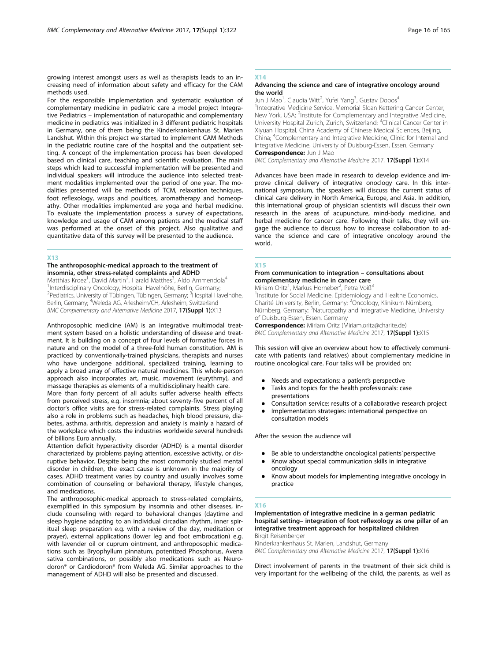growing interest amongst users as well as therapists leads to an increasing need of information about safety and efficacy for the CAM methods used.

For the responsible implementation and systematic evaluation of complementary medicine in pediatric care a model project Integrative Pediatrics – implementation of naturopathic and complementary medicine in pediatrics was initialized in 3 different pediatric hospitals in Germany, one of them being the Kinderkrankenhaus St. Marien Landshut. Within this project we started to implement CAM Methods in the pediatric routine care of the hospital and the outpatient setting. A concept of the implementation process has been developed based on clinical care, teaching and scientific evaluation. The main steps which lead to successful implementation will be presented and individual speakers will introduce the audience into selected treatment modalities implemented over the period of one year. The modalities presented will be methods of TCM, relaxation techniques, foot reflexology, wraps and poultices, aromatherapy and homeopathy. Other modalities implemented are yoga and herbal medicine. To evaluate the implementation process a survey of expectations, knowledge and usage of CAM among patients and the medical staff was performed at the onset of this project. Also qualitative and quantitative data of this survey will be presented to the audience.

#### X13

## The anthroposophic-medical approach to the treatment of insomnia, other stress-related complaints and ADHD

Matthias Kroez<sup>1</sup>, David Martin<sup>2</sup>, Harald Matthes<sup>3</sup>, Aldo Ammendola<sup>4</sup> <sup>1</sup>Interdisciplinary Oncology, Hospital Havelhöhe, Berlin, Germany; <sup>2</sup>Pediatrics, University of Tübingen, Tübingen, Germany, <sup>3</sup>Hospital Havelhöhe, Berlin, Germany; <sup>4</sup> Weleda AG, Arlesheim/CH, Arlesheim, Switzerland BMC Complementary and Alternative Medicine 2017, 17(Suppl 1):X13

Anthroposophic medicine (AM) is an integrative multimodal treatment system based on a holistic understanding of disease and treatment. It is building on a concept of four levels of formative forces in nature and on the model of a three-fold human constitution. AM is practiced by conventionally-trained physicians, therapists and nurses who have undergone additional, specialized training, learning to apply a broad array of effective natural medicines. This whole-person approach also incorporates art, music, movement (eurythmy), and massage therapies as elements of a multidisciplinary health care.

More than forty percent of all adults suffer adverse health effects from perceived stress, e.g. insomnia; about seventy-five percent of all doctor's office visits are for stress-related complaints. Stress playing also a role in problems such as headaches, high blood pressure, diabetes, asthma, arthritis, depression and anxiety is mainly a hazard of the workplace which costs the industries worldwide several hundreds of billions Euro annually.

Attention deficit hyperactivity disorder (ADHD) is a mental disorder characterized by problems paying attention, excessive activity, or disruptive behavior. Despite being the most commonly studied mental disorder in children, the exact cause is unknown in the majority of cases. ADHD treatment varies by country and usually involves some combination of counseling or behavioral therapy, lifestyle changes, and medications.

The anthroposophic-medical approach to stress-related complaints, exemplified in this symposium by insomnia and other diseases, include counseling with regard to behavioral changes (daytime and sleep hygiene adapting to an individual circadian rhythm, inner spiritual sleep preparation e.g. with a review of the day, meditation or prayer), external applications (lower leg and foot embrocation) e.g. with lavender oil or cuprum ointment, and anthroposophic medications such as Bryophyllum pinnatum, potentized Phosphorus, Avena sativa combinations, or possibly also medications such as Neurodoron® or Cardiodoron® from Weleda AG. Similar approaches to the management of ADHD will also be presented and discussed.

## X14

## Advancing the science and care of integrative oncology around the world

Jun J Mao<sup>1</sup>, Claudia Witt<sup>2</sup>, Yufei Yang<sup>3</sup>, Gustav Dobos<sup>4</sup> <sup>1</sup>Integrative Medicine Service, Memorial Sloan Kettering Cancer Center, New York, USA; <sup>2</sup>Institute for Complementary and Integrative Medicine, University Hospital Zurich, Zurich, Switzerland; <sup>3</sup>Clinical Cancer Center in Xiyuan Hospital, China Academy of Chinese Medical Sciences, Beijing, China; <sup>4</sup> Complementary and Integrative Medicine, Clinic for Internal and Integrative Medicine, University of Duisburg-Essen, Essen, Germany Correspondence: Jun J Mao

BMC Complementary and Alternative Medicine 2017, 17(Suppl 1):X14

Advances have been made in research to develop evidence and improve clinical delivery of integrative onoclogy care. In this international symposium, the speakers will discuss the current status of clinical care delivery in North America, Europe, and Asia. In addition, this international group of physician scientists will discuss their own research in the areas of acupuncture, mind-body medicine, and herbal medicine for cancer care. Following their talks, they will engage the audience to discuss how to increase collaboration to advance the science and care of integrative oncology around the world.

## X15

## From communication to integration – consultations about complementary medicine in cancer care

Miriam Oritz<sup>1</sup>, Markus Horneber<sup>2</sup>, Petra Voiß<sup>3</sup>

<sup>1</sup>Institute for Social Medicine, Epidemiology and Healthe Economics, Charité University, Berlin, Germany; <sup>2</sup>Oncology, Klinikum Nürnberg Nürnberg, Germany; <sup>3</sup>Naturopathy and Integrative Medicine, University of Duisburg-Essen, Essen, Germany

Correspondence: Miriam Oritz (Miriam.oritz@charite.de) BMC Complementary and Alternative Medicine 2017, 17(Suppl 1):X15

This session will give an overview about how to effectively communicate with patients (and relatives) about complementary medicine in routine oncological care. Four talks will be provided on:

- Needs and expectations: a patient's perspective
- Tasks and topics for the health professionals: case presentations
- Consultation service: results of a collaborative research project
- Implementation strategies: international perspective on consultation models

After the session the audience will

- Be able to understandthe oncological patients`perspective
- Know about special communication skills in integrative oncology
- Know about models for implementing integrative oncology in practice

#### X16

## Implementation of integrative medicine in a german pediatric hospital setting– integration of foot reflexology as one pillar of an integrative treatment approach for hospitalized children Birgit Reisenberger

Kinderkrankenhaus St. Marien, Landshut, Germany BMC Complementary and Alternative Medicine 2017, 17(Suppl 1):X16

Direct involvement of parents in the treatment of their sick child is very important for the wellbeing of the child, the parents, as well as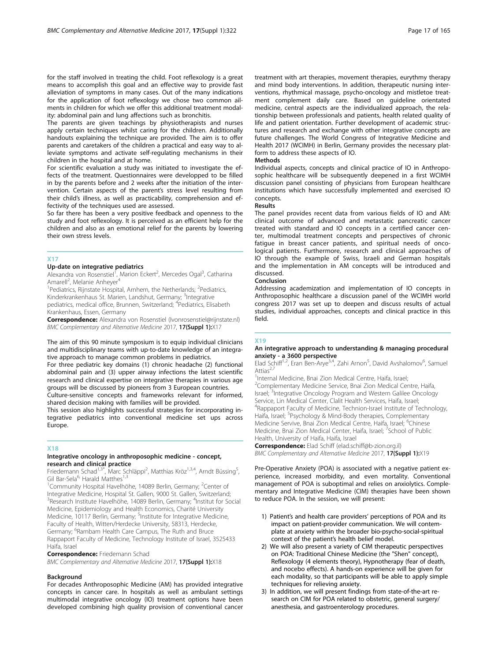for the staff involved in treating the child. Foot reflexology is a great means to accomplish this goal and an effective way to provide fast alleviation of symptoms in many cases. Out of the many indications for the application of foot reflexology we chose two common ailments in children for which we offer this additional treatment modality: abdominal pain and lung affections such as bronchitis.

The parents are given teachings by physiotherapists and nurses apply certain techniques whilst caring for the children. Additionally handouts explaining the technique are provided. The aim is to offer parents and caretakers of the children a practical and easy way to alleviate symptoms and activate self-regulating mechanisms in their children in the hospital and at home.

For scientific evaluation a study was initiated to investigate the effects of the treatment. Questionnaires were developped to be filled in by the parents before and 2 weeks after the initiation of the intervention. Certain aspects of the parent's stress level resulting from their child's illness, as well as practicability, comprehension and effectivity of the techniques used are assessed.

So far there has been a very positive feedback and openness to the study and foot reflexology. It is perceived as an efficient help for the children and also as an emotional relief for the parents by lowering their own stress levels.

## X17

#### Up-date on integrative pediatrics

Alexandra von Rosenstiel<sup>1</sup>, Marion Eckert<sup>2</sup>, Mercedes Ogal<sup>3</sup>, Catharina Amarell<sup>2</sup>, Melanie Anheyer<sup>4</sup>

<sup>1</sup>Pediatrics, Rijnstate Hospital, Arnhem, the Netherlands; <sup>2</sup>Pediatrics, Kinderkrankenhaus St. Marien, Landshut, Germany; <sup>3</sup>Integrative pediatrics, medical office, Brunnen, Switzerland; <sup>4</sup>Pediatrics, Elisabeth Krankenhaus, Essen, Germany

Correspondence: Alexandra von Rosenstiel (Ivonrosenstiel@rijnstate.nl) BMC Complementary and Alternative Medicine 2017, 17(Suppl 1):X17

The aim of this 90 minute symposium is to equip individual clinicians and multidisciplinary teams with up-to-date knowledge of an integrative approach to manage common problems in pediatrics.

For three pediatric key domains (1) chronic headache (2) functional abdominal pain and (3) upper airway infections the latest scientific research and clinical expertise on integrative therapies in various age groups will be discussed by pioneers from 3 European countries. Culture-sensitive concepts and frameworks relevant for informed,

shared decision making with families will be provided.

This session also highlights successful strategies for incorporating integrative pediatrics into conventional medicine set ups across Europe.

#### X18

# Integrative oncology in anthroposophic medicine - concept,

**research and clinical practice**<br>Friedemann Schad<sup>1,3\*</sup>, Marc Schläppi<sup>2</sup>, Matthias Kröz<sup>1,3,4</sup>, Arndt Büssing<sup>5</sup> , Gil Bar-Sela<sup>6,</sup> Harald Matthes<sup>1,3</sup>

<sup>1</sup> Community Hospital Havelhöhe, 14089 Berlin, Germany; <sup>2</sup> Center of Integrative Medicine, Hospital St. Gallen, 9000 St. Gallen, Switzerland; <sup>3</sup>Research Institute Havelhöhe, 14089 Berlin, Germany; <sup>4</sup>Institut for Social Medicine, Epidemiology and Health Economics, Charité University Medicine, 10117 Berlin, Germany; <sup>5</sup>Institute for Integrative Medicine, Faculty of Health, Witten/Herdecke University, 58313, Herdecke, Germany; <sup>6</sup>Rambam Health Care Campus, The Ruth and Bruce Rappaport Faculty of Medicine, Technology Institute of Israel, 3525433 Haifa, Israel

#### **Correspondence:** Friedemann Schad

BMC Complementary and Alternative Medicine 2017, 17(Suppl 1):X18

#### Background

For decades Anthroposophic Medicine (AM) has provided integrative concepts in cancer care. In hospitals as well as ambulant settings multimodal integrative oncology (IO) treatment options have been developed combining high quality provision of conventional cancer treatment with art therapies, movement therapies, eurythmy therapy and mind body interventions. In addition, therapeutic nursing interventions, rhythmical massage, psycho-oncology and mistletoe treatment complement daily care. Based on guideline orientated medicine, central aspects are the individualized approach, the relationship between professionals and patients, health related quality of life and patient orientation. Further development of academic structures and research and exchange with other integrative concepts are future challenges. The World Congress of Integrative Medicine and Health 2017 (WCIMH) in Berlin, Germany provides the necessary platform to address these aspects of IO.

#### Methods

Individual aspects, concepts and clinical practice of IO in Anthroposophic healthcare will be subsequently deepened in a first WCIMH discussion panel consisting of physicians from European healthcare institutions which have successfully implemented and exercised IO concepts.

## **Results**

The panel provides recent data from various fields of IO and AM: clinical outcome of advanced and metastatic pancreatic cancer treated with standard and IO concepts in a certified cancer center, multimodal treatment concepts and perspectives of chronic fatigue in breast cancer patients, and spiritual needs of oncological patients. Furthermore, research and clinical approaches of IO through the example of Swiss, Israeli and German hospitals and the implementation in AM concepts will be introduced and discussed.

#### Conclusion

Addressing academization and implementation of IO concepts in Anthroposophic healthcare a discussion panel of the WCIMH world congress 2017 was set up to deepen and discuss results of actual studies, individual approaches, concepts and clinical practice in this field.

#### X19

#### An integrative approach to understanding & managing procedural anxiety - a 3600 perspective

Elad Schiff<sup>1,2</sup>, Eran Ben-Arye<sup>3,4</sup>, Zahi Arnon<sup>5</sup>, David Avshalomov<sup>6</sup>, Samuel Attias<sup>2</sup>

<sup>1</sup>Internal Medicine, Bnai Zion Medical Centre, Haifa, Israel <sup>2</sup>Complementary Medicine Service, Bnai Zion Medical Centre, Haifa Israel; <sup>3</sup>Integrative Oncology Program and Western Galilee Oncology Service, Lin Medical Center, Clalit Health Services, Haifa, Israel; <sup>4</sup>Rappaport Faculty of Medicine, Technion-Israel Institute of Technology, Haifa, Israel; <sup>5</sup>Psychology & Mind-Body therapies, Complementary Medicine Servive, Bnai Zion Medical Centre, Haifa, Israel; <sup>6</sup>Chinese Medicine, Bnai Zion Medical Center, Haifa, Israel; <sup>7</sup>School of Public Health, University of Haifa, Haifa, Israel

Correspondence: Elad Schiff (elad.schiff@b-zion.org.il) BMC Complementary and Alternative Medicine 2017, 17(Suppl 1):X19

Pre-Operative Anxiety (POA) is associated with a negative patient experience, increased morbidity, and even mortality. Conventional management of POA is suboptimal and relies on anxiolytics. Complementary and Integrative Medicine (CIM) therapies have been shown to reduce POA. In the session, we will present:

- 1) Patient's and health care providers' perceptions of POA and its impact on patient-provider communication. We will contemplate at anxiety within the broader bio-psycho-social-spiritual context of the patient's health belief model.
- 2) We will also present a variety of CIM therapeutic perspectives on POA: Traditional Chinese Medicine (the "Shen" concept), Reflexology (4 elements theory), Hypnotherapy (fear of death, and nocebo effects). A hands-on experience will be given for each modality, so that participants will be able to apply simple techniques for relieving anxiety.
- 3) In addition, we will present findings from state-of-the-art research on CIM for POA related to obstetric, general surgery/ anesthesia, and gastroenterology procedures.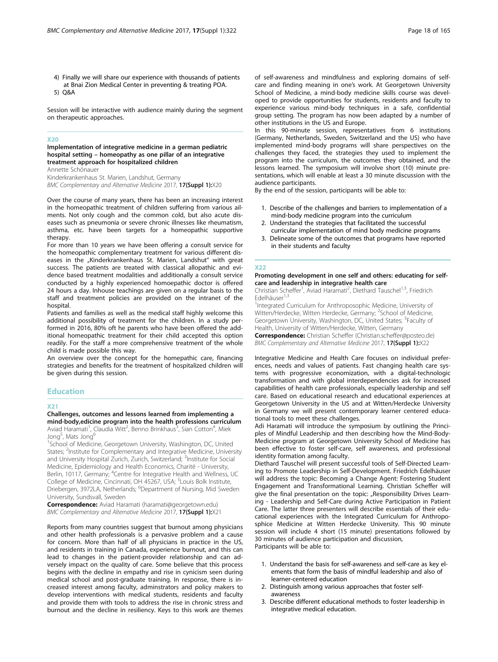4) Finally we will share our experience with thousands of patients at Bnai Zion Medical Center in preventing & treating POA. 5) Q&A

Session will be interactive with audience mainly during the segment on therapeutic approaches.

#### X20

## Implementation of integrative medicine in a german pediatric hospital setting – homeopathy as one pillar of an integrative treatment approach for hospitalized children

Annette Schönauer

Kinderkrankenhaus St. Marien, Landshut, Germany BMC Complementary and Alternative Medicine 2017, 17(Suppl 1):X20

Over the course of many years, there has been an increasing interest in the homeopathic treatment of children suffering from various ailments. Not only cough and the common cold, but also acute diseases such as pneumonia or severe chronic illnesses like rheumatism, asthma, etc. have been targets for a homeopathic supportive therapy.

For more than 10 years we have been offering a consult service for the homeopathic complementary treatment for various different diseases in the "Kinderkrankenhaus St. Marien, Landshut" with great success. The patients are treated with classical allopathic and evidence based treatment modalities and additionally a consult service conducted by a highly experienced homoepathic doctor is offered 24 hours a day. Inhouse teachings are given on a regular basis to the staff and treatment policies are provided on the intranet of the hospital.

Patients and families as well as the medical staff highly welcome this additional possibility of treatment for the children. In a study performed in 2016, 80% oft he parents who have been offered the additional homeopathic treatment for their child accepted this option readily. For the staff a more comprehensive treatment of the whole child is made possible this way.

An overview over the concept for the homepathic care, financing strategies and benefits for the treatment of hospitalized children will be given during this session.

## Education

#### X21

Challenges, outcomes and lessons learned from implementing a mind-body,edicine program into the health professions curriculum Aviad Haramati<sup>1</sup>, Claudia Witt<sup>2</sup>, Benno Brinkhaus<sup>3</sup>, Sian Cotton<sup>4</sup>, Miek Jong<sup>5</sup>, Mats Jong<sup>6</sup>

<sup>1</sup>School of Medicine, Georgetown University, Washington, DC, United States; <sup>2</sup>Institute for Complementary and Integrative Medicine, University and University Hospital Zurich, Zurich, Switzerland; <sup>3</sup>Institute for Social Medicine, Epidemiology and Health Economics, Charité - University, Berlin, 10117, Germany, <sup>4</sup>Centre for Integrative Health and Wellness, UC College of Medicine, Cincinnati, OH 45267, USA; <sup>5</sup>Louis Bolk Institute, Driebergen, 3972LA, Netherlands; <sup>6</sup>Department of Nursing, Mid Sweden University, Sundsvall, Sweden

Correspondence: Aviad Haramati (haramati@georgetown.edu) BMC Complementary and Alternative Medicine 2017, 17(Suppl 1):X21

Reports from many countries suggest that burnout among physicians and other health professionals is a pervasive problem and a cause for concern. More than half of all physicians in practice in the US, and residents in training in Canada, experience burnout, and this can lead to changes in the patient-provider relationship and can adversely impact on the quality of care. Some believe that this process begins with the decline in empathy and rise in cynicism seen during medical school and post-graduate training. In response, there is increased interest among faculty, adminstrators and policy makers to develop interventions with medical students, residents and faculty and provide them with tools to address the rise in chronic stress and burnout and the decline in resiliency. Keys to this work are themes of self-awareness and mindfulness and exploring domains of selfcare and finding meaning in one's work. At Georgetown University School of Medicine, a mind-body medicine skills course was developed to provide opportunities for students, residents and faculty to experience various mind-body techniques in a safe, confidential group setting. The program has now been adapted by a number of

other institutions in the US and Europe. In this 90-minute session, representatives from 6 institutions (Germany, Netherlands, Sweden, Switzerland and the US) who have implemented mind-body programs will share perspectives on the challenges they faced, the strategies they used to implement the program into the curriculum, the outcomes they obtained, and the lessons learned. The symposium will involve short (10) minute presentations, which will enable at least a 30 minute discussion with the audience participants.

By the end of the session, participants will be able to:

- 1. Describe of the challenges and barriers to implementation of a mind-body medicine program into the curriculum
- Understand the strategies that facilitated the successful curricular implementation of mind body medicine programs
- Delineate some of the outcomes that programs have reported in their students and faculty

#### X<sub>22</sub>

Promoting development in one self and others: educating for selfcare and leadership in integrative health care

Christian Scheffer<sup>1</sup>, Aviad Haramati<sup>2</sup>, Diethard Tauschel<sup>1,3</sup>, Friedrich Edelhäuser1,3

<sup>1</sup>Integrated Curriculum for Anthroposophic Medicine, University of Witten/Herdecke, Witten Herdecke, Germany; <sup>2</sup>School of Medicine Georgetown University, Washington, DC, United States; <sup>3</sup>Faculty of Health, University of Witten/Herdecke, Witten, Germany Correspondence: Christian Scheffer (Christian.scheffer@posteo.de)

BMC Complementary and Alternative Medicine 2017, 17(Suppl 1):X22

Integrative Medicine and Health Care focuses on individual preferences, needs and values of patients. Fast changing health care systems with progressive economization, with a digital-technologic transformation and with global interdependencies ask for increased capabilities of health care professionals, especially leadership and self care. Based on educational research and educational experiences at Georgetown University in the US and at Witten/Herdecke University in Germany we will present contemporary learner centered educational tools to meet these challenges.

Adi Haramati will introduce the symposium by outlining the Principles of Mindful Leadership and then describing how the Mind-Body-Medicine program at Georgetown University School of Medicine has been effective to foster self-care, self awareness, and professional identity formation among faculty.

Diethard Tauschel will present successful tools of Self-Directed Learning to Promote Leadership in Self-Development. Friedrich Edelhäuser will address the topic: Becoming a Change Agent: Fostering Student Engagement and Transformational Learning. Christian Scheffer will give the final presentation on the topic: "Responsibility Drives Learning - Leadership and Self-Care during Active Participation in Patient Care. The latter three presenters will describe essentials of their educational experiences with the Integrated Curriculum for Anthroposphice Medicine at Witten Herdecke University. This 90 minute session will include 4 short (15 minute) presentations followed by 30 minutes of audience participation and discussion, Participants will be able to:

- 1. Understand the basis for self-awareness and self-care as key elements that form the basis of mindful leadership and also of learner-centered education
- 2. Distinguish among various approaches that foster selfawareness
- 3. Describe different educational methods to foster leadership in integrative medical education.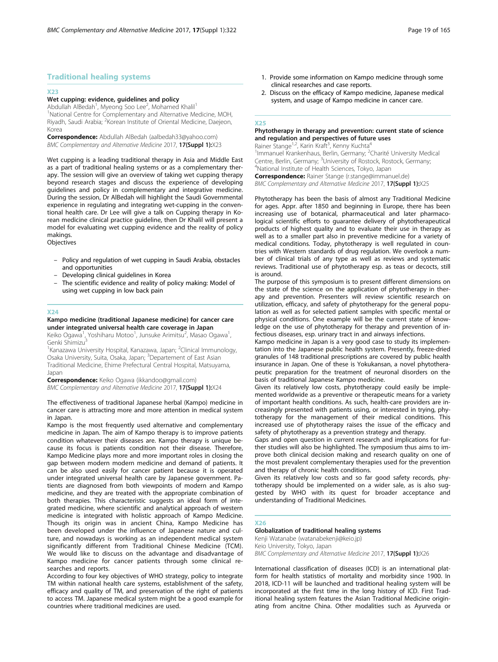## Traditional healing systems

#### X23

## Wet cupping: evidence, guidelines and policy

Abdullah AlBedah<sup>1</sup>, Myeong Soo Lee<sup>2</sup>, Mohamed Khalil<sup>1</sup> <sup>1</sup>National Centre for Complementary and Alternative Medicine, MOH, Riyadh, Saudi Arabia; <sup>2</sup>Korean Institute of Oriental Medicine, Daejeon, Korea

Correspondence: Abdullah AlBedah (aalbedah33@yahoo.com) BMC Complementary and Alternative Medicine 2017, 17(Suppl 1):X23

Wet cupping is a leading traditional therapy in Asia and Middle East as a part of traditional healing systems or as a complementary therapy. The session will give an overview of taking wet cupping therapy beyond research stages and discuss the experience of developing guidelines and policy in complementary and integrative medicine. During the session, Dr AlBedah will highlight the Saudi Governmental experience in regulating and integrating wet-cupping in the conventional health care. Dr Lee will give a talk on Cupping therapy in Korean medicine clinical practice guideline, then Dr Khalil will present a model for evaluating wet cupping evidence and the reality of policy makings.

**Objectives** 

- Policy and regulation of wet cupping in Saudi Arabia, obstacles and opportunities
- Developing clinical guidelines in Korea
- The scientific evidence and reality of policy making: Model of using wet cupping in low back pain

## X24

## Kampo medicine (traditional Japanese medicine) for cancer care under integrated universal health care coverage in Japan Keiko Ogawa<sup>1</sup>, Yoshiharu Motoo<sup>1</sup>, Junsuke Arimitsu<sup>2</sup>, Masao Ogawa<sup>1</sup>

, Genki Shimizu<sup>3</sup>

<sup>1</sup> Kanazawa University Hospital, Kanazawa, Japan; <sup>2</sup>Clinical Immunology, Osaka University, Suita, Osaka, Japan; <sup>3</sup>Departement of East Asian Traditional Medicine, Ehime Prefectural Central Hospital, Matsuyama, Japan

Correspondence: Keiko Ogawa (ikkandoo@gmail.com) BMC Complementary and Alternative Medicine 2017, 17(Suppl 1):X24

## The effectiveness of traditional Japanese herbal (Kampo) medicine in cancer care is attracting more and more attention in medical system in Japan.

Kampo is the most frequently used alternative and complementary medicine in Japan. The aim of Kampo therapy is to improve patients condition whatever their diseases are. Kampo therapy is unique because its focus is patients condition not their disease. Therefore, Kampo Medicine plays more and more important roles in closing the gap between modern modern medicine and demand of patients. It can be also used easily for cancer patient because it is operated under integrated universal health care by Japanese government. Patients are diagnosed from both viewpoints of modern and Kampo medicine, and they are treated with the appropriate combination of both therapies. This characteristic suggests an ideal form of integrated medicine, where scientific and analytical approach of western medicine is integrated with holistic approach of Kampo Medicine. Though its origin was in ancient China, Kampo Medicine has been developed under the influence of Japanese nature and culture, and nowadays is working as an independent medical system significantly different from Traditional Chinese Medicine (TCM). We would like to discuss on the advantage and disadvantage of Kampo medicine for cancer patients through some clinical researches and reports.

According to four key objectives of WHO strategy, policy to integrate TM within national health care systems, establishment of the safety, efficacy and quality of TM, and preservation of the right of patients to access TM. Japanese medical system might be a good example for countries where traditional medicines are used.

- 1. Provide some information on Kampo medicine through some clinical researches and case reports.
- 2. Discuss on the efficacy of Kampo medicine, Japanese medical system, and usage of Kampo medicine in cancer care.

#### X25

## Phytotherapy in therapy and prevention: current state of science and regulation and perspectives of future uses

Rainer Stange<sup>1,2</sup>, Karin Kraft<sup>3</sup>, Kenny Kuchta<sup>4</sup> <sup>1</sup>Immanuel Krankenhaus, Berlin, Germany; <sup>2</sup>Charité University Medical Centre, Berlin, Germany; <sup>3</sup>University of Rostock, Rostock, Germany;<br><sup>4</sup>National Instituto of Hoalth Sciences, Tokyo, Japan National Institute of Health Sciences, Tokyo, Japan

Correspondence: Rainer Stange (r.stange@immanuel.de) BMC Complementary and Alternative Medicine 2017, 17(Suppl 1):X25

Phytotherapy has been the basis of almost any Traditional Medicine for ages. Appr. after 1850 and beginning in Europe, there has been increasing use of botanical, pharmaceutical and later pharmacological scientific efforts to guarantee delivery of phytotherapeutical products of highest quality and to evaluate their use in therapy as well as to a smaller part also in preventive medicine for a variety of medical conditions. Today, phytotherapy is well regulated in countries with Western standards of drug regulation. We overlook a number of clinical trials of any type as well as reviews and systematic reviews. Traditional use of phytotherapy esp. as teas or decocts, still is around.

The purpose of this symposium is to present different dimensions on the state of the science on the application of phytotherapy in therapy and prevention. Presenters will review scientific research on utilization, efficacy, and safety of phytotherapy for the general population as well as for selected patient samples with specific mental or physical conditions. One example will be the current state of knowledge on the use of phytotherapy for therapy and prevention of infectious diseases, esp. urinary tract in and airways infections.

Kampo medicine in Japan is a very good case to study its implementation into the Japanese public health system. Presently, freeze-dried granules of 148 traditional prescriptions are covered by public health insurance in Japan. One of these is Yokukansan, a novel phytotherapeutic preparation for the treatment of neuronal disorders on the basis of traditional Japanese Kampo medicine.

Given its relatively low costs, phytotherapy could easily be implemented worldwide as a preventive or therapeutic means for a variety of important health conditions. As such, health-care providers are increasingly presented with patients using, or interested in trying, phytotherapy for the management of their medical conditions. This increased use of phytotherapy raises the issue of the efficacy and safety of phytotherapy as a prevention strategy and therapy.

Gaps and open question in current research and implications for further studies will also be highlighted. The symposium thus aims to improve both clinical decision making and research quality on one of the most prevalent complementary therapies used for the prevention and therapy of chronic health conditions.

Given its relatively low costs and so far good safety records, phytotherapy should be implemented on a wider sale, as is also suggested by WHO with its quest for broader acceptance and understanding of Traditional Medicines.

## X26

## Globalization of traditional healing systems

Kenji Watanabe (watanabekenji@keio.jp) Keio University, Tokyo, Japan

BMC Complementary and Alternative Medicine 2017, 17(Suppl 1):X26

International classification of diseases (ICD) is an international platform for health statistics of mortality and morbidity since 1900. In 2018, ICD-11 will be launched and traditional healing system will be incorporated at the first time in the long history of ICD. First Traditional healing system features the Asian Traditional Medicine originating from ancitne China. Other modalities such as Ayurveda or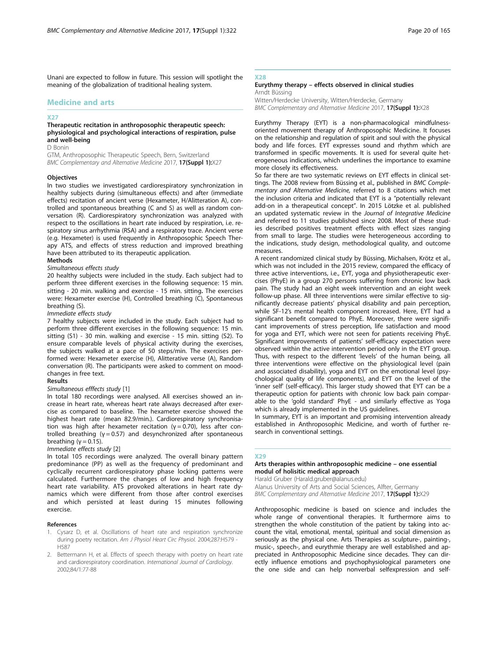Unani are expected to follow in future. This session will spotlight the meaning of the globalization of traditional healing system.

## Medicine and arts

#### Y<sub>27</sub>

## Therapeutic recitation in anthroposophic therapeutic speech: physiological and psychological interactions of respiration, pulse and well-being

D Bonin

GTM, Anthroposophic Therapeutic Speech, Bern, Switzerland BMC Complementary and Alternative Medicine 2017, 17(Suppl 1):X27

#### **Objectives**

In two studies we investigated cardiorespiratory synchronization in healthy subjects during (simultaneous effects) and after (immediate effects) recitation of ancient verse (Hexameter, H/Alitteration A), controlled and spontaneous breathing (C and S) as well as random conversation (R). Cardiorespiratory synchronization was analyzed with respect to the oscillations in heart rate induced by respiration, i.e. respiratory sinus arrhythmia (RSA) and a respiratory trace. Ancient verse (e.g. Hexameter) is used frequently in Anthroposophic Speech Therapy ATS, and effects of stress reduction and improved breathing have been attributed to its therapeutic application.

## Methods

## Simultaneous effects study

20 healthy subjects were included in the study. Each subject had to perform three different exercises in the following sequence: 15 min. sitting - 20 min. walking and exercise - 15 min. sitting. The exercises were: Hexameter exercise (H), Controlled breathing (C), Spontaneous breathing (S).

## Immediate effects study

7 healthy subjects were included in the study. Each subject had to perform three different exercises in the following sequence: 15 min. sitting (S1) - 30 min. walking and exercise - 15 min. sitting (S2). To ensure comparable levels of physical activity during the exercises, the subjects walked at a pace of 50 steps/min. The exercises performed were: Hexameter exercise (H), Alitterative verse (A), Random conversation (R). The participants were asked to comment on moodchanges in free text.

#### Results

## Simultaneous efffects study [1]

In total 180 recordings were analysed. All exercises showed an increase in heart rate, whereas heart rate always decreased after exercise as compared to baseline. The hexameter exercise showed the highest heart rate (mean 82.9/min.). Cardiorespiratory synchronisation was high after hexameter recitation ( $v = 0.70$ ), less after controlled breathing ( $γ = 0.57$ ) and desynchronized after spontaneous breathing ( $γ = 0.15$ ).

## Immediate effects study [2]

In total 105 recordings were analyzed. The overall binary pattern predominance (PP) as well as the frequency of predominant and cyclically recurrent cardiorespiratory phase locking patterns were calculated. Furthermore the changes of low and high frequency heart rate variability. ATS provoked alterations in heart rate dynamics which were different from those after control exercises and which persisted at least during 15 minutes following exercise.

## References

- 1. Cysarz D, et al. Oscillations of heart rate and respiration synchronize during poetry recitation. Am J Physiol Heart Circ Physiol. 2004;287:H579 - H587
- 2. Bettermann H, et al. Effects of speech therapy with poetry on heart rate and cardiorespiratory coordination. International Journal of Cardiology. 2002;84/1:77-88

## X28

## Eurythmy therapy – effects observed in clinical studies Arndt Büssing

Witten/Herdecke University, Witten/Herdecke, Germany BMC Complementary and Alternative Medicine 2017, 17(Suppl 1):X28

Eurythmy Therapy (EYT) is a non-pharmacological mindfulnessoriented movement therapy of Anthroposophic Medicine. It focuses on the relationship and regulation of spirit and soul with the physical body and life forces. EYT expresses sound and rhythm which are transformed in specific movements. It is used for several quite heterogeneous indications, which underlines the importance to examine more closely its effectiveness.

So far there are two systematic reviews on EYT effects in clinical settings. The 2008 review from Büssing et al., published in BMC Complementary and Alternative Medicine, referred to 8 citations which met the inclusion criteria and indicated that EYT is a "potentially relevant add-on in a therapeutical concept". In 2015 Lötzke et al. published an updated systematic review in the Journal of Integrative Medicine and referred to 11 studies published since 2008. Most of these studies described positives treatment effects with effect sizes ranging from small to large. The studies were heterogeneous according to the indications, study design, methodological quality, and outcome measures.

A recent randomized clinical study by Büssing, Michalsen, Krötz et al., which was not included in the 2015 review, compared the efficacy of three active interventions, i.e., EYT, yoga and physiotherapeutic exercises (PhyE) in a group 270 persons suffering from chronic low back pain. The study had an eight week intervention and an eight week follow-up phase. All three interventions were similar effective to significantly decrease patients' physical disability and pain perception, while SF-12's mental health component increased. Here, EYT had a significant benefit compared to PhyE. Moreover, there were significant improvements of stress perception, life satisfaction and mood for yoga and EYT, which were not seen for patients receiving PhyE. Significant improvements of patients' self-efficacy expectation were observed within the active intervention period only in the EYT group. Thus, with respect to the different 'levels' of the human being, all three interventions were effective on the physiological level (pain and associated disability), yoga and EYT on the emotional level (psychological quality of life components), and EYT on the level of the 'inner self' (self-efficacy). This larger study showed that EYT can be a therapeutic option for patients with chronic low back pain comparable to the 'gold standard' PhyE - and similarly effective as Yoga which is already implemented in the US guidelines.

In summary, EYT is an important and promising intervention already established in Anthroposophic Medicine, and worth of further research in conventional settings.

#### X29

## Arts therapies within anthroposophic medicine – one essential modul of holisitic medical approach

Harald Gruber (Harald.gruber@alanus.edu) Alanus University of Arts and Social Sciences, Alfter, Germany BMC Complementary and Alternative Medicine 2017, 17(Suppl 1):X29

Anthroposophic medicine is based on science and includes the whole range of conventional therapies. It furthermore aims to strengthen the whole constitution of the patient by taking into account the vital, emotional, mental, spiritual and social dimension as seriously as the physical one. Arts Therapies as sculpture-, painting-, music-, speech-, and eurythmie therapy are well established and appreciated in Anthroposophic Medicine since decades. They can directly influence emotions and psychophysiological parameters one the one side and can help nonverbal selfexpression and self-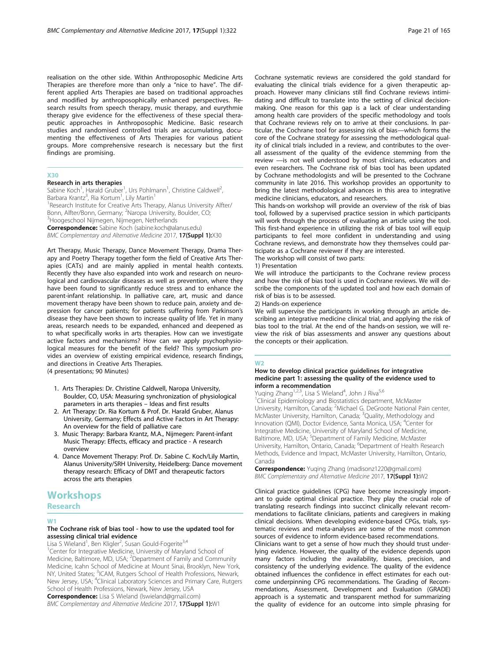realisation on the other side. Within Anthroposophic Medicine Arts Therapies are therefore more than only a "nice to have". The different applied Arts Therapies are based on traditional approaches and modified by anthroposophically enhanced perspectives. Research results from speech therapy, music therapy, and eurythmie therapy give evidence for the effectiveness of these special therapeutic approaches in Anthroposophic Medicine. Basic research studies and randomised controlled trials are accumulating, documenting the effectiveness of Arts Therapies for various patient groups. More comprehensive research is necessary but the first findings are promising.

#### X30

## Research in arts therapies

Sabine Koch<sup>1</sup>, Harald Gruber<sup>1</sup>, Urs Pohlmann<sup>1</sup>, Christine Caldwell<sup>2</sup> , Barbara Krantz<sup>3</sup>, Ria Kortum<sup>1</sup>, Lily Martin<sup>1</sup>

<sup>1</sup> Research Institute for Creative Arts Therapy, Alanus University Alfter/ Bonn, Alfter/Bonn, Germany; <sup>2</sup>Naropa University, Boulder, CO;<br><sup>3</sup>Hoogaschool Nijmogen, Nijmogen, Netherlands <sup>3</sup>Hoogeschool Nijmegen, Nijmegen, Netherlands Correspondence: Sabine Koch (sabine.koch@alanus.edu) BMC Complementary and Alternative Medicine 2017, 17(Suppl 1):X30

Art Therapy, Music Therapy, Dance Movement Therapy, Drama Therapy and Poetry Therapy together form the field of Creative Arts Therapies (CATs) and are mainly applied in mental health contexts. Recently they have also expanded into work and research on neurological and cardiovascular diseases as well as prevention, where they have been found to significantly reduce stress and to enhance the parent-infant relationship. In palliative care, art, music and dance movement therapy have been shown to reduce pain, anxiety and depression for cancer patients; for patients suffering from Parkinson's disease they have been shown to increase quality of life. Yet in many areas, research needs to be expanded, enhanced and deepened as to what specifically works in arts therapies. How can we investigate active factors and mechanisms? How can we apply psychophysiological measures for the benefit of the field? This symposium provides an overview of existing empirical evidence, research findings, and directions in Creative Arts Therapies. (4 presentations; 90 Minutes)

- 1. Arts Therapies: Dr. Christine Caldwell, Naropa University, Boulder, CO, USA: Measuring synchronization of physiological parameters in arts therapies – Ideas and first results
- 2. Art Therapy: Dr. Ria Kortum & Prof. Dr. Harald Gruber, Alanus University, Germany; Effects and Active Factors in Art Therapy: An overview for the field of palliative care
- 3. Music Therapy: Barbara Krantz, M.A., Nijmegen: Parent-infant Music Therapy: Effects, efficacy and practice - A research overview
- 4. Dance Movement Therapy: Prof. Dr. Sabine C. Koch/Lily Martin, Alanus University/SRH University, Heidelberg: Dance movement therapy research: Efficacy of DMT and therapeutic factors across the arts therapies

## Workshops Research

# W1

## The Cochrane risk of bias tool - how to use the updated tool for assessing clinical trial evidence

Lisa S Wieland<sup>1</sup>, Ben Kligler<sup>2</sup>, Susan Gould-Fogerite<sup>3,4</sup> <sup>1</sup> Center for Integrative Medicine, University of Maryland School of

Medicine, Baltimore, MD, USA; <sup>2</sup>Department of Family and Community Medicine, Icahn School of Medicine at Mount Sinai, Brooklyn, New York, NY, United States; <sup>3</sup>ICAM, Rutgers School of Health Professions, Newark, New Jersey, USA; <sup>4</sup>Clinical Laboratory Sciences and Primary Care, Rutgers School of Health Professions, Newark, New Jersey, USA

Correspondence: Lisa S Wieland (Iswieland@gmail.com) BMC Complementary and Alternative Medicine 2017, 17(Suppl 1):W1 Cochrane systematic reviews are considered the gold standard for evaluating the clinical trials evidence for a given therapeutic approach. However many clinicians still find Cochrane reviews intimidating and difficult to translate into the setting of clinical decisionmaking. One reason for this gap is a lack of clear understanding among health care providers of the specific methodology and tools that Cochrane reviews rely on to arrive at their conclusions. In particular, the Cochrane tool for assessing risk of bias—which forms the core of the Cochrane strategy for assessing the methodological quality of clinical trials included in a review, and contributes to the overall assessment of the quality of the evidence stemming from the review —is not well understood by most clinicians, educators and even researchers. The Cochrane risk of bias tool has been updated by Cochrane methodologists and will be presented to the Cochrane community in late 2016. This workshop provides an opportunity to bring the latest methodological advances in this area to integrative medicine clinicians, educators, and researchers.

This hands-on workshop will provide an overview of the risk of bias tool, followed by a supervised practice session in which participants will work through the process of evaluating an article using the tool. This first-hand experience in utilizing the risk of bias tool will equip participants to feel more confident in understanding and using Cochrane reviews, and demonstrate how they themselves could participate as a Cochrane reviewer if they are interested.

The workshop will consist of two parts:

## 1) Presentation

We will introduce the participants to the Cochrane review process and how the risk of bias tool is used in Cochrane reviews. We will describe the components of the updated tool and how each domain of risk of bias is to be assessed.

2) Hands-on experience

We will supervise the participants in working through an article describing an integrative medicine clinical trial, and applying the risk of bias tool to the trial. At the end of the hands-on session, we will review the risk of bias assessments and answer any questions about the concepts or their application.

#### W2

## How to develop clinical practice guidelines for integrative medicine part 1: assessing the quality of the evidence used to inform a recommendation

Yuqing Zhang<sup>1,2,3</sup>, Lisa S Wieland<sup>4</sup>, John J Riva<sup>5,6</sup>

<sup>1</sup>Clinical Epidemiology and Biostatistics department, McMaster University, Hamilton, Canada; <sup>2</sup>Michael G. DeGroote National Pain center, McMaster University, Hamilton, Canada; <sup>3</sup>Quality, Methodology and Innovation (QMI), Doctor Evidence, Santa Monica, USA; <sup>4</sup> Center for Integrative Medicine, University of Maryland School of Medicine, Baltimore, MD, USA; <sup>5</sup>Department of Family Medicine, McMaster University, Hamilton, Ontario, Canada; <sup>6</sup>Department of Health Research Methods, Evidence and Impact, McMaster University, Hamilton, Ontario, Canada

Correspondence: Yuqing Zhang (madisonz1220@gmail.com) BMC Complementary and Alternative Medicine 2017, 17(Suppl 1):W2

Clinical practice guidelines (CPG) have become increasingly important to guide optimal clinical practice. They play the crucial role of translating research findings into succinct clinically relevant recommendations to facilitate clinicians, patients and caregivers in making clinical decisions. When developing evidence-based CPGs, trials, systematic reviews and meta-analyses are some of the most common sources of evidence to inform evidence-based recommendations.

Clinicians want to get a sense of how much they should trust underlying evidence. However, the quality of the evidence depends upon many factors including the availability, biases, precision, and consistency of the underlying evidence. The quality of the evidence obtained influences the confidence in effect estimates for each outcome underpinning CPG recommendations. The Grading of Recommendations, Assessment, Development and Evaluation (GRADE) approach is a systematic and transparent method for summarizing the quality of evidence for an outcome into simple phrasing for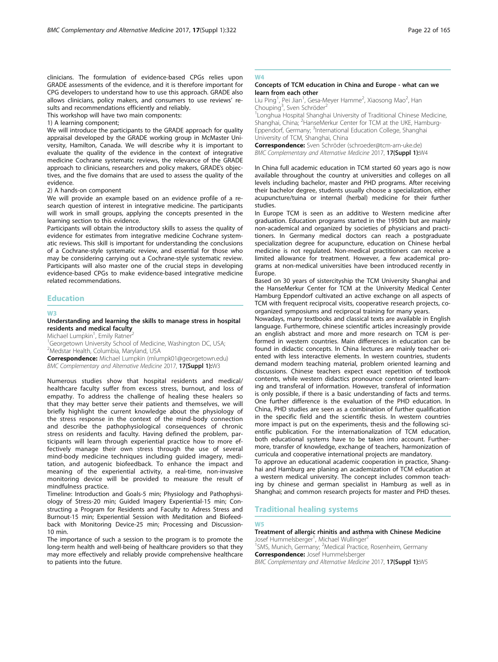clinicians. The formulation of evidence-based CPGs relies upon GRADE assessments of the evidence, and it is therefore important for CPG developers to understand how to use this approach. GRADE also allows clinicians, policy makers, and consumers to use reviews' results and recommendations efficiently and reliably.

This workshop will have two main components:

#### 1) A learning component;

We will introduce the participants to the GRADE approach for quality appraisal developed by the GRADE working group in McMaster University, Hamilton, Canada. We will describe why it is important to evaluate the quality of the evidence in the context of integrative medicine Cochrane systematic reviews, the relevance of the GRADE approach to clinicians, researchers and policy makers, GRADE's objectives, and the five domains that are used to assess the quality of the evidence.

## 2) A hands-on component

We will provide an example based on an evidence profile of a research question of interest in integrative medicine. The participants will work in small groups, applying the concepts presented in the learning section to this evidence.

Participants will obtain the introductory skills to assess the quality of evidence for estimates from integrative medicine Cochrane systematic reviews. This skill is important for understanding the conclusions of a Cochrane-style systematic review, and essential for those who may be considering carrying out a Cochrane-style systematic review. Participants will also master one of the crucial steps in developing evidence-based CPGs to make evidence-based integrative medicine related recommendations.

## **Education**

## W3

## Understanding and learning the skills to manage stress in hospital residents and medical faculty

Michael Lumpkin<sup>1</sup>, Emily Ratner<sup>2</sup>

<sup>1</sup>Georgetown University School of Medicine, Washington DC, USA; 2 Medstar Health, Columbia, Maryland, USA

Correspondence: Michael Lumpkin (mlumpk01@georgetown.edu) BMC Complementary and Alternative Medicine 2017, 17(Suppl 1):W3

Numerous studies show that hospital residents and medical/ healthcare faculty suffer from excess stress, burnout, and loss of empathy. To address the challenge of healing these healers so that they may better serve their patients and themselves, we will briefly highlight the current knowledge about the physiology of the stress response in the context of the mind-body connection and describe the pathophysiological consequences of chronic stress on residents and faculty. Having defined the problem, participants will learn through experiential practice how to more effectively manage their own stress through the use of several mind-body medicine techniques including guided imagery, meditation, and autogenic biofeedback. To enhance the impact and meaning of the experiential activity, a real-time, non-invasive monitoring device will be provided to measure the result of mindfulness practice.

Timeline: Introduction and Goals-5 min; Physiology and Pathophysiology of Stress-20 min; Guided Imagery Experiential-15 min; Constructing a Program for Residents and Faculty to Adress Stress and Burnout-15 min; Experiential Session with Meditation and Biofeedback with Monitoring Device-25 min; Processing and Discussion-10 min.

The importance of such a session to the program is to promote the long-term health and well-being of healthcare providers so that they may more effectively and reliably provide comprehensive healthcare to patients into the future.

## W4

## Concepts of TCM education in China and Europe - what can we learn from each other

Liu Ping<sup>1</sup>, Pei Jian<sup>1</sup>, Gesa-Meyer Hamme<sup>2</sup>, Xiaosong Mao<sup>2</sup>, Han Chouping<sup>3</sup>, Sven Schröder<sup>2</sup>

<sup>1</sup> Longhua Hospital Shanghai University of Traditional Chinese Medicine Shanghai, China; <sup>2</sup>HanseMerkur Center for TCM at the UKE, Hamburg-Eppendorf, Germany; <sup>3</sup>International Education College, Shanghai University of TCM, Shanghai, China

Correspondence: Sven Schröder (schroeder@tcm-am-uke.de) BMC Complementary and Alternative Medicine 2017, 17(Suppl 1):W4

In China full academic education in TCM started 60 years ago is now available throughout the country at universities and colleges on all levels including bachelor, master and PHD programs. After receiving their bachelor degree, students usually choose a specialization, either acupuncture/tuina or internal (herbal) medicine for their further studies.

In Europe TCM is seen as an additive to Western medicine after graduation. Education programs started in the 1950th but are mainly non-academical and organized by societies of physicians and practitioners. In Germany medical doctors can reach a postgraduate specialization degree for acupuncture, education on Chinese herbal medicine is not regulated. Non-medical practitioners can receive a limited allowance for treatment. However, a few academical programs at non-medical universities have been introduced recently in Europe.

Based on 30 years of sistercityship the TCM University Shanghai and the HanseMerkur Center for TCM at the University Medical Center Hamburg Eppendorf cultivated an active exchange on all aspects of TCM with frequent reciprocal visits, cooperative research projects, coorganized symposiums and reciprocal training for many years.

Nowadays, many textbooks and classical texts are available in English language. Furthermore, chinese scientific articles increasingly provide an english abstract and more and more research on TCM is performed in western countries. Main differences in education can be found in didactic concepts. In China lectures are mainly teacher oriented with less interactive elements. In western countries, students demand modern teaching material, problem oriented learning and discussions. Chinese teachers expect exact repetition of textbook contents, while western didactics pronounce context oriented learning and transferal of information. However, transferal of information is only possible, if there is a basic understanding of facts and terms. One further difference is the evaluation of the PHD education. In China, PHD studies are seen as a combination of further qualification in the specific field and the scientific thesis. In western countries more impact is put on the experiments, thesis and the following scientific publication. For the internationalization of TCM education, both educational systems have to be taken into account. Furthermore, transfer of knowledge, exchange of teachers, harmonization of curricula and cooperative international projects are mandatory.

To approve an educational academic cooperation in practice, Shanghai and Hamburg are planing an academization of TCM education at a western medical university. The concept includes common teaching by chinese and german specialist in Hamburg as well as in Shanghai; and common research projects for master and PHD theses.

## Traditional healing systems

#### W5

Treatment of allergic rhinitis and asthma with Chinese Medicine Josef Hummelsberger<sup>1</sup>, Michael Wullinger<sup>2</sup> <sup>1</sup>SMS, Munich, Germany; <sup>2</sup>Medical Practice, Rosenheim, Germany

Correspondence: Josef Hummelsberger BMC Complementary and Alternative Medicine 2017, 17(Suppl 1):W5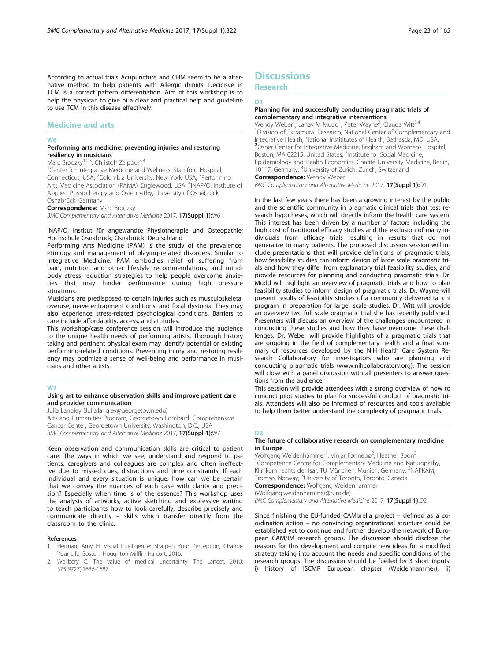According to actual trials Acupuncture and CHM seem to be a alternative method to help patients with Allergic rhiniits. Decicisve in TCM is a correct pattern differentiation. Aim of this workshop is to help the physican to give hi a clear and practical help and guideline to use TCM in this disease effectively.

#### Medicine and arts

## W6

## Performing arts medicine: preventing injuries and restoring resiliency in musicians

Marc Brodzky $^{1,2,3}$ , Christoff Zalpour $^{3,4}$ 

<sup>1</sup> Center for Integrative Medicine and Wellness, Stamford Hospital, Connecticut, USA; <sup>2</sup>Columbia University, New York, USA; <sup>3</sup>Performing Arts Medicine Association (PAMA), Englewood, USA; <sup>4</sup>INAP/O, Institute of Applied Physiotherapy and Osteopathy, University of Osnabrück, Osnabrück, Germany

Correspondence: Marc Brodzky

BMC Complementary and Alternative Medicine 2017, 17(Suppl 1):W6

## INAP/O, Institut für angewandte Physiotherapie und Osteopathie; Hochschule Osnabrück, Osnabrück, Deutschland

Performing Arts Medicine (PAM) is the study of the prevalence, etiology and management of playing-related disorders. Similar to Integrative Medicine, PAM embodies relief of suffering from pain, nutrition and other lifestyle recommendations, and mindbody stress reduction strategies to help people overcome anxieties that may hinder performance during high pressure situations.

Musicians are predisposed to certain injuries such as musculoskeletal overuse, nerve entrapment conditions, and focal dystonia. They may also experience stress-related psychological conditions. Barriers to care include affordability, access, and attitudes.

This workshop/case conference session will introduce the audience to the unique health needs of performing artists. Thorough history taking and pertinent physical exam may identify potential or existing performing-related conditions. Preventing injury and restoring resiliency may optimize a sense of well-being and performance in musicians and other artists.

#### W7

## Using art to enhance observation skills and improve patient care and provider communication

Julia Langley (Julia.langley@georgetown.edu)

Arts and Humanities Program, Georgetown Lombardi Comprehensive Cancer Center, Georgetown University, Washington, D.C., USA BMC Complementary and Alternative Medicine 2017, 17(Suppl 1):W7

Keen observation and communication skills are critical to patient care. The ways in which we see, understand and respond to patients, caregivers and colleagues are complex and often ineffective due to missed cues, distractions and time constraints. If each individual and every situation is unique, how can we be certain that we convey the nuances of each case with clarity and precision? Especially when time is of the essence? This workshop uses the analysis of artworks, active sketching and expressive writing to teach participants how to look carefully, describe precisely and communicate directly – skills which transfer directly from the classroom to the clinic.

## References

- Herman, Amy H. Visual Intelligence: Sharpen Your Perception, Change Your Life, Boston: Houghton Mifflin Harcort, 2016.
- 2. Wellbery C. The value of medical uncertainty, The Lancet. 2010; 375(9727):1686-1687.

## **Discussions** Research

#### D1

## Planning for and successfully conducting pragmatic trials of complementary and integrative interventions

Wendy Weber<sup>1</sup>, Lanay M Mudd<sup>1</sup>, Peter Wayne<sup>2</sup>, Clauda Witt<sup>3,4</sup> <sup>1</sup>Division of Extramural Research, National Center of Complementary and Integrative Health, National Instititutes of Health, Bethesda, MD, USA; <sup>2</sup>Osher Center for Integrative Medicine, Brigham and Womens Hospital Boston, MA 02215, United States; <sup>3</sup>Institute for Social Medicine, Epidemiology and Health Economics, Charité University Medicine, Berlin, 10117, Germany; <sup>4</sup> University of Zurich, Zurich, Switzerland **Correspondence: Wendy Weber** 

BMC Complementary and Alternative Medicine 2017, 17(Suppl 1):D1

In the last few years there has been a growing interest by the public and the scientific community in pragmatic clinical trials that test research hypotheses, which will directly inform the health care system. This interest has been driven by a number of factors including the high cost of traditional efficacy studies and the exclusion of many individuals from efficacy trials resulting in results that do not generalize to many patients. The proposed discussion session will include presentations that will provide definitions of pragmatic trials; how feasibility studies can inform design of large scale pragmatic trials and how they differ from explanatory trial feasibility studies; and provide resources for planning and conducting pragmatic trials. Dr. Mudd will highlight an overview of pragmatic trials and how to plan feasibility studies to inform design of pragmatic trials. Dr. Wayne will present results of feasibility studies of a community delivered tai chi program in preparation for larger scale studies. Dr. Witt will provide an overview two full scale pragmatic trial she has recently published. Presenters will discuss an overview of the challenges encountered in conducting these studies and how they have overcome these challenges. Dr. Weber will provide highlights of a pragmatic trials that are ongoing in the field of complementary health and a final summary of resources developed by the NIH Health Care System Research Collaboratory for investigators who are planning and conducting pragmatic trials [\(www.nihcollaboratory.org\)](http://www.nihcollaboratory.org/). The session will close with a panel discussion with all presenters to answer questions from the audience.

This session will provide attendees with a strong overview of how to conduct pilot studies to plan for successful conduct of pragmatic trials. Attendees will also be informed of resources and tools available to help them better understand the complexity of pragmatic trials.

## D<sub>2</sub>

#### The future of collaborative research on complementary medicine in Europe

Wolfgang Weidenhammer<sup>1</sup>, Vinjar Fønnebø<sup>2</sup>, Heather Boon<sup>3</sup> <sup>1</sup>Competence Centre for Complementary Medicine and Naturopathy, Klinikum rechts der Isar, TU München, Munich, Germany; <sup>2</sup>NAFKAM Tromsø, Norway; <sup>3</sup>University of Toronto, Toronto, Canada **Correspondence:** Wolfgang Weidenhammer

(Wolfgang.weidenhammer@tum.de)

BMC Complementary and Alternative Medicine 2017, 17(Suppl 1):D2

Since finishing the EU-funded CAMbrella project – defined as a coordination action – no convincing organizational structure could be established yet to continue and further develop the network of European CAM/IM research groups. The discussion should disclose the reasons for this development and compile new ideas for a modified strategy taking into account the needs and specific conditions of the research groups. The discussion should be fuelled by 3 short inputs: i) history of ISCMR European chapter (Weidenhammer), ii)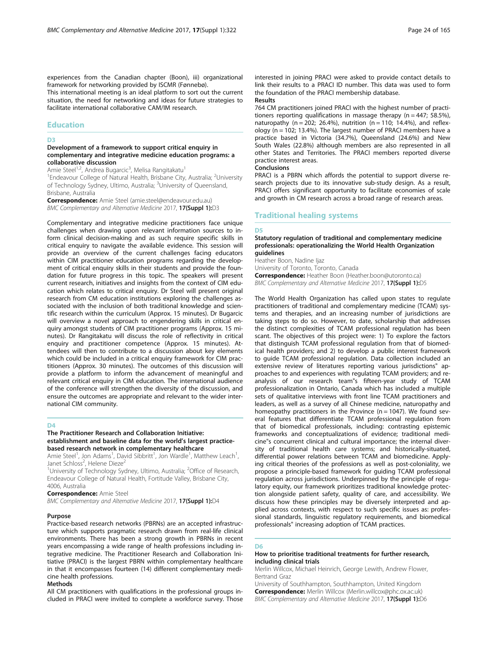experiences from the Canadian chapter (Boon), iii) organizational framework for networking provided by ISCMR (Fønnebø). This international meeting is an ideal platform to sort out the current situation, the need for networking and ideas for future strategies to facilitate international collaborative CAM/IM research.

## **Education**

#### D3

## Development of a framework to support critical enquiry in complementary and integrative medicine education programs: a collaborative discussion

Amie Steel<sup>1,2</sup>, Andrea Bugarcic<sup>3</sup>, Melisa Rangitakatu<sup>1</sup>

<sup>1</sup>Endeavour College of Natural Health, Brisbane City, Australia; <sup>2</sup>University of Technology Sydney, Ultimo, Australia; <sup>3</sup>University of Queensland, Brisbane, Australia

Correspondence: Amie Steel (amie.steel@endeavour.edu.au) BMC Complementary and Alternative Medicine 2017, 17(Suppl 1):D3

Complementary and integrative medicine practitioners face unique challenges when drawing upon relevant information sources to inform clinical decision-making and as such require specific skills in critical enquiry to navigate the available evidence. This session will provide an overview of the current challenges facing educators within CIM practitioner education programs regarding the development of critical enquiry skills in their students and provide the foundation for future progress in this topic. The speakers will present current research, initiatives and insights from the context of CIM education which relates to critical enquiry. Dr Steel will present original research from CM education institutions exploring the challenges associated with the inclusion of both traditional knowledge and scientific research within the curriculum (Approx. 15 minutes). Dr Bugarcic will overview a novel approach to engendering skills in critical enquiry amongst students of CIM practitioner programs (Approx. 15 minutes). Dr Rangitakatu will discuss the role of reflectivity in critical enquiry and practitioner competence (Approx. 15 minutes). Attendees will then to contribute to a discussion about key elements which could be included in a critical enquiry framework for CIM practitioners (Approx. 30 minutes). The outcomes of this discussion will provide a platform to inform the advancement of meaningful and relevant critical enquiry in CIM education. The international audience of the conference will strengthen the diversity of the discussion, and ensure the outcomes are appropriate and relevant to the wider international CIM community.

## D4

## The Practitioner Research and Collaboration Initiative: establishment and baseline data for the world's largest practicebased research network in complementary healthcare

Amie Steel<sup>1</sup>, Jon Adams<sup>1</sup>, David Sibbritt<sup>1</sup>, Jon Wardle<sup>1</sup>, Matthew Leach<sup>1</sup> , Janet Schloss<sup>2</sup>, Helene Dieze<sup>2</sup>

<sup>1</sup>University of Technology Sydney, Ultimo, Australia; <sup>2</sup>Office of Research, Endeavour College of Natural Health, Fortitude Valley, Brisbane City, 4006, Australia

Correspondence: Amie Steel

BMC Complementary and Alternative Medicine 2017, 17(Suppl 1):D4

## Purpose

Practice-based research networks (PBRNs) are an accepted infrastructure which supports pragmatic research drawn from real-life clinical environments. There has been a strong growth in PBRNs in recent years encompassing a wide range of health professions including integrative medicine. The Practitioner Research and Collaboration Initiative (PRACI) is the largest PBRN within complementary healthcare in that it encompasses fourteen (14) different complementary medicine health professions.

#### Methods

All CM practitioners with qualifications in the professional groups included in PRACI were invited to complete a workforce survey. Those

764 CM practitioners joined PRACI with the highest number of practitioners reporting qualifications in massage therapy ( $n = 447$ ; 58.5%), naturopathy (n = 202; 26.4%), nutrition (n = 110; 14.4%), and reflexology ( $n = 102$ ; 13.4%). The largest number of PRACI members have a practice based in Victoria (34.7%), Queensland (24.6%) and New South Wales (22.8%) although members are also represented in all other States and Territories. The PRACI members reported diverse practice interest areas.

## **Conclusions**

PRACI is a PBRN which affords the potential to support diverse research projects due to its innovative sub-study design. As a result, PRACI offers significant opportunity to facilitate economies of scale and growth in CM research across a broad range of research areas.

## Traditional healing systems

#### D5

## Statutory regulation of traditional and complementary medicine professionals: operationalizing the World Health Organization guidelines

Heather Boon, Nadine Ijaz University of Toronto, Toronto, Canada **Correspondence:** Heather Boon (Heather.boon@utoronto.ca) BMC Complementary and Alternative Medicine 2017, 17(Suppl 1):D5

The World Health Organization has called upon states to regulate practitioners of traditional and complementary medicine (TCAM) systems and therapies, and an increasing number of jurisdictions are taking steps to do so. However, to date, scholarship that addresses the distinct complexities of TCAM professional regulation has been scant. The objectives of this project were: 1) To explore the factors that distinguish TCAM professional regulation from that of biomedical health providers; and 2) to develop a public interest framework to guide TCAM professional regulation. Data collection included an extensive review of literatures reporting various jurisdictions" approaches to and experiences with regulating TCAM providers; and reanalysis of our research team"s fifteen-year study of TCAM professionalization in Ontario, Canada which has included a multiple sets of qualitative interviews with front line TCAM practitioners and leaders, as well as a survey of all Chinese medicine, naturopathy and homeopathy practitioners in the Province ( $n = 1047$ ). We found several features that differentiate TCAM professional regulation from that of biomedical professionals, including: contrasting epistemic frameworks and conceptualizations of evidence; traditional medicine"s concurrent clinical and cultural importance; the internal diversity of traditional health care systems; and historically-situated, differential power relations between TCAM and biomedicine. Applying critical theories of the professions as well as post-coloniality, we propose a principle-based framework for guiding TCAM professional regulation across jurisdictions. Underpinned by the principle of regulatory equity, our framework prioritizes traditional knowledge protection alongside patient safety, quality of care, and accessibility. We discuss how these principles may be diversely interpreted and applied across contexts, with respect to such specific issues as: professional standards, linguistic regulatory requirements, and biomedical professionals" increasing adoption of TCAM practices.

#### D6

## How to prioritise traditional treatments for further research, including clinical trials

Merlin Willcox, Michael Heinrich, George Lewith, Andrew Flower, Bertrand Graz

University of Southhampton, Southhampton, United Kingdom Correspondence: Merlin Willcox (Merlin.willcox@phc.ox.ac.uk) BMC Complementary and Alternative Medicine 2017, 17(Suppl 1):D6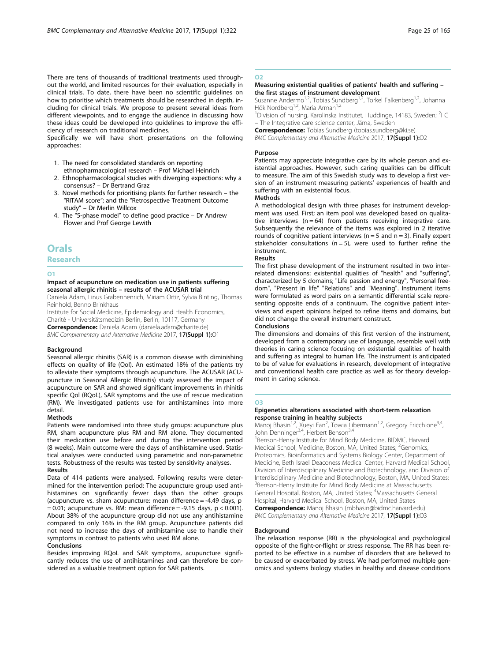There are tens of thousands of traditional treatments used throughout the world, and limited resources for their evaluation, especially in clinical trials. To date, there have been no scientific guidelines on how to prioritise which treatments should be researched in depth, including for clinical trials. We propose to present several ideas from different viewpoints, and to engage the audience in discussing how these ideas could be developed into guidelines to improve the efficiency of research on traditional medicines.

Specifically we will have short presentations on the following approaches:

- 1. The need for consolidated standards on reporting ethnopharmacological research – Prof Michael Heinrich
- 2. Ethnopharmacological studies with diverging expections: why a consensus? – Dr Bertrand Graz
- 3. Novel methods for prioritising plants for further research the "RITAM score"; and the "Retrospective Treatment Outcome study" – Dr Merlin Willcox
- 4. The "5-phase model" to define good practice Dr Andrew Flower and Prof George Lewith

# Orals

Research

O1

## Impact of acupuncture on medication use in patients suffering seasonal allergic rhinitis – results of the ACUSAR trial

Daniela Adam, Linus Grabenhenrich, Miriam Ortiz, Sylvia Binting, Thomas Reinhold, Benno Brinkhaus

Institute for Social Medicine, Epidemiology and Health Economics, Charité - Universitätsmedizin Berlin, Berlin, 10117, Germany Correspondence: Daniela Adam (daniela.adam@charite.de) BMC Complementary and Alternative Medicine 2017, 17(Suppl 1):01

## **Background**

Seasonal allergic rhinitis (SAR) is a common disease with diminishing effects on quality of life (Qol). An estimated 18% of the patients try to alleviate their symptoms through acupuncture. The ACUSAR (ACUpuncture in Seasonal Allergic Rhinitis) study assessed the impact of acupuncture on SAR and showed significant improvements in rhinitis specific Qol (RQoL), SAR symptoms and the use of rescue medication (RM). We investigated patients use for antihistamines into more detail.

## Methods

Patients were randomised into three study groups: acupuncture plus RM, sham acupuncture plus RM and RM alone. They documented their medication use before and during the intervention period (8 weeks). Main outcome were the days of antihistamine used. Statistical analyses were conducted using parametric and non-parametric tests. Robustness of the results was tested by sensitivity analyses. Results

Data of 414 patients were analysed. Following results were determined for the intervention period: The acupuncture group used antihistamines on significantly fewer days than the other groups (acupuncture vs. sham acupuncture: mean difference = -4.49 days, p  $= 0.01$ ; acupuncture vs. RM: mean difference  $= -9.15$  days,  $p < 0.001$ ). About 38% of the acupuncture group did not use any antihistamine compared to only 16% in the RM group. Acupuncture patients did not need to increase the days of antihistamine use to handle their symptoms in contrast to patients who used RM alone.

## Conclusions

Besides improving RQoL and SAR symptoms, acupuncture significantly reduces the use of antihistamines and can therefore be considered as a valuable treatment option for SAR patients.

## O<sub>2</sub>

## Measuring existential qualities of patients' health and suffering – the first stages of instrument development

Susanne Andermo<sup>1,2</sup>, Tobias Sundberg<sup>1,2</sup>, Torkel Falkenberg<sup>1,2</sup>, Johanna Hök Nordberg<sup>1,2</sup>, Maria Arman<sup>1,2</sup>

<sup>1</sup>Division of nursing, Karolinska Institutet, Huddinge, 14183, Sweden; <sup>2</sup>I C – The Integrative care science center, Järna, Sweden

**Correspondence:** Tobias Sundberg (tobias.sundberg@ki.se)

BMC Complementary and Alternative Medicine 2017, 17(Suppl 1):02

## Purpose

Patients may appreciate integrative care by its whole person and existential approaches. However, such caring qualities can be difficult to measure. The aim of this Swedish study was to develop a first version of an instrument measuring patients' experiences of health and suffering with an existential focus.

## Methods

A methodological design with three phases for instrument development was used. First; an item pool was developed based on qualitative interviews  $(n = 64)$  from patients receiving integrative care. Subsequently the relevance of the items was explored in 2 iterative rounds of cognitive patient interviews ( $n = 5$  and  $n = 3$ ). Finally expert stakeholder consultations ( $n = 5$ ), were used to further refine the instrument.

## Results

The first phase development of the instrument resulted in two interrelated dimensions: existential qualities of "health" and "suffering", characterized by 5 domains; "Life passion and energy", "Personal freedom", "Present in life" "Relations" and "Meaning". Instrument items were formulated as word pairs on a semantic differential scale representing opposite ends of a continuum. The cognitive patient interviews and expert opinions helped to refine items and domains, but did not change the overall instrument construct.

## Conclusions

The dimensions and domains of this first version of the instrument, developed from a contemporary use of language, resemble well with theories in caring science focusing on existential qualities of health and suffering as integral to human life. The instrument is anticipated to be of value for evaluations in research, development of integrative and conventional health care practice as well as for theory development in caring science.

## O3

## Epigenetics alterations associated with short-term relaxation response training in healthy subjects

Manoj Bhasin<sup>1,2</sup>, Xueyi Fan<sup>2</sup>, Towia Libermann<sup>1,2</sup>, Gregory Fricchione<sup>3,4</sup> John Denninger<sup>3,4</sup>, Herbert Benson<sup>3,4</sup>

<sup>1</sup>Benson-Henry Institute for Mind Body Medicine, BIDMC, Harvard Medical School, Medicine, Boston, MA, United States; <sup>2</sup>Genomics, Proteomics, Bioinformatics and Systems Biology Center, Department of Medicine, Beth Israel Deaconess Medical Center, Harvard Medical School, Division of Interdisciplinary Medicine and Biotechnology, and Division of Interdisciplinary Medicine and Biotechnology, Boston, MA, United States; <sup>3</sup>Benson-Henry Institute for Mind Body Medicine at Massachusetts General Hospital, Boston, MA, United States; <sup>4</sup>Massachusetts General Hospital, Harvard Medical School, Boston, MA, United States Correspondence: Manoj Bhasin (mbhasin@bidmc.harvard.edu) BMC Complementary and Alternative Medicine 2017, 17(Suppl 1):03

## Background

The relaxation response (RR) is the physiological and psychological opposite of the fight-or-flight or stress response. The RR has been reported to be effective in a number of disorders that are believed to be caused or exacerbated by stress. We had performed multiple genomics and systems biology studies in healthy and disease conditions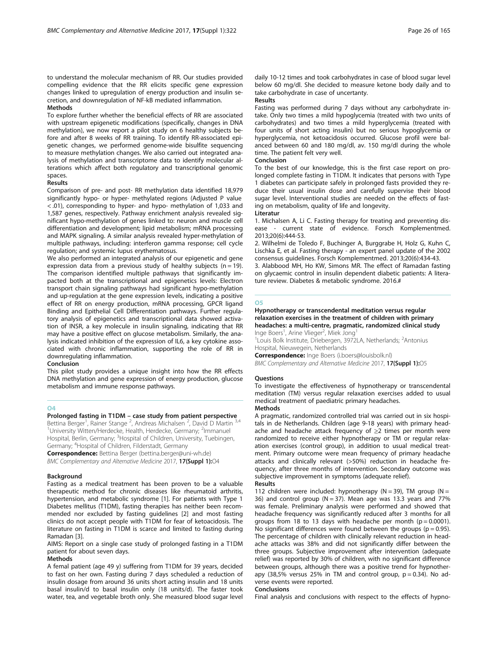to understand the molecular mechanism of RR. Our studies provided compelling evidence that the RR elicits specific gene expression changes linked to upregulation of energy production and insulin secretion, and downregulation of NF-kB mediated inflammation.

#### Methods

To explore further whether the beneficial effects of RR are associated with upstream epigenetic modifications (specifically, changes in DNA methylation), we now report a pilot study on 6 healthy subjects before and after 8 weeks of RR training. To identify RR-associated epigenetic changes, we performed genome-wide bisulfite sequencing to measure methylation changes. We also carried out integrated analysis of methylation and transcriptome data to identify molecular alterations which affect both regulatory and transcriptional genomic spaces.

## Results

Comparison of pre- and post- RR methylation data identified 18,979 significantly hypo- or hyper- methylated regions (Adjusted P value < .01), corresponding to hyper- and hypo- methylation of 1,033 and 1,587 genes, respectively. Pathway enrichment analysis revealed significant hypo-methylation of genes linked to: neuron and muscle cell differentiation and development; lipid metabolism; mRNA processing and MAPK signaling. A similar analysis revealed hyper-methylation of multiple pathways, including: interferon gamma response; cell cycle regulation; and systemic lupus erythematosus.

We also performed an integrated analysis of our epigenetic and gene expression data from a previous study of healthy subjects ( $n = 19$ ). The comparison identified multiple pathways that significantly impacted both at the transcriptional and epigenetics levels: Electron transport chain signaling pathways had significant hypo-methylation and up-regulation at the gene expression levels, indicating a positive effect of RR on energy production, mRNA processing, GPCR ligand Binding and Epithelial Cell Differentiation pathways. Further regulatory analysis of epigenetics and transcriptional data showed activation of INSR, a key molecule in insulin signaling, indicating that RR may have a positive effect on glucose metabolism. Similarly, the analysis indicated inhibition of the expression of IL6, a key cytokine associated with chronic inflammation, supporting the role of RR in downregulating inflammation.

## Conclusion

This pilot study provides a unique insight into how the RR effects DNA methylation and gene expression of energy production, glucose metabolism and immune response pathways.

## O4

**Prolonged fasting in T1DM – case study from patient perspective**<br>Bettina Berger<sup>1</sup>, Rainer Stange <sup>2</sup>, Andreas Michalsen <sup>2</sup>, David D Martin <sup>3,4</sup> <sup>1</sup>University Witten/Herdecke, Health, Herdecke, Germany; <sup>2</sup>Immanuel Hospital, Berlin, Germany; <sup>3</sup>Hospital of Children, University, Tuebingen, Germany; <sup>4</sup>Hospital of Children, Filderstadt, Germany Correspondence: Bettina Berger (bettina.berger@uni-wh.de)

BMC Complementary and Alternative Medicine 2017, 17(Suppl 1):04

#### Background

Fasting as a medical treatment has been proven to be a valuable therapeutic method for chronic diseases like rheumatoid arthritis, hypertension, and metabolic syndrome [1]. For patients with Type 1 Diabetes mellitus (T1DM), fasting therapies has neither been recommended nor excluded by fasting guidelines [2] and most fasting clinics do not accept people with T1DM for fear of ketoacidosis. The literature on fasting in T1DM is scarce and limited to fasting during Ramadan [3].

## AIMS: Report on a single case study of prolonged fasting in a T1DM patient for about seven days.

## Methods

A femal patient (age 49 y) suffering from T1DM for 39 years, decided to fast on her own. Fasting during 7 days scheduled a reduction of insulin dosage from around 36 units short acting insulin and 18 units basal insulin/d to basal insulin only (18 units/d). The faster took water, tea, and vegetable broth only. She measured blood sugar level

## daily 10-12 times and took carbohydrates in case of blood sugar level below 60 mg/dl. She decided to measure ketone body daily and to take carbohydrate in case of uncertanty. Results

Fasting was performed during 7 days without any carbohydrate intake. Only two times a mild hypoglycemia (treated with two units of carbohydrates) and two times a mild hyperglycemia (treated with four units of short acting insulin) but no serious hypoglycemia or hyperglycemia, not ketoacidosis occurred. Glucose profil were balanced between 60 and 180 mg/dl, av. 150 mg/dl during the whole time. The patient felt very well.

## Conclusion

To the best of our knowledge, this is the first case report on prolonged complete fasting in T1DM. It indicates that persons with Type 1 diabetes can participate safely in prolonged fasts provided they reduce their usual insulin dose and carefully supervise their blood sugar level. Interventional studies are needed on the effects of fasting on metabolism, quality of life and longevity.

## Literatur

1. Michalsen A, Li C. Fasting therapy for treating and preventing disease - current state of evidence. Forsch Komplementmed. 2013;20(6):444-53.

2. Wilhelmi de Toledo F, Buchinger A, Burggrabe H, Holz G, Kuhn C, Lischka E, et al. Fasting therapy - an expert panel update of the 2002 consensus guidelines. Forsch Komplementmed. 2013;20(6):434-43.

3. Alabbood MH, Ho KW, Simons MR. The effect of Ramadan fasting on glycaemic control in insulin dependent diabetic patients: A literature review. Diabetes & metabolic syndrome. 2016.#

#### O5

## Hypnotherapy or transcendental meditation versus regular relaxation exercises in the treatment of children with primary headaches: a multi-centre, pragmatic, randomized clinical study Inge Boers<sup>1</sup>, Arine Vlieger<sup>2</sup>, Miek Jong<sup>1</sup>

<sup>1</sup> Louis Bolk Institute, Driebergen, 3972LA, Netherlands; <sup>2</sup>Antonius Hospital, Nieuwegein, Netherlands

Correspondence: Inge Boers (i.boers@louisbolk.nl)

BMC Complementary and Alternative Medicine 2017, 17(Suppl 1):05

#### **Questions**

To investigate the effectiveness of hypnotherapy or transcendental meditation (TM) versus regular relaxation exercises added to usual medical treatment of paediatric primary headaches. Methods

A pragmatic, randomized controlled trial was carried out in six hospitals in de Netherlands. Children (age 9-18 years) with primary headache and headache attack frequency of  $\geq 2$  times per month were randomized to receive either hypnotherapy or TM or regular relaxation exercises (control group), in addition to usual medical treatment. Primary outcome were mean frequency of primary headache attacks and clinically relevant (>50%) reduction in headache frequency, after three months of intervention. Secondary outcome was subjective improvement in symptoms (adequate relief).

#### Results

112 children were included: hypnotherapy (N = 39), TM group (N = 36) and control group ( $N = 37$ ). Mean age was 13.3 years and 77% was female. Preliminary analysis were performed and showed that headache frequency was significantly reduced after 3 months for all groups from 18 to 13 days with headache per month  $(p = 0.0001)$ . No significant differences were found between the groups ( $p = 0.95$ ). The percentage of children with clinically relevant reduction in headache attacks was 38% and did not significantly differ between the three groups. Subjective improvement after intervention (adequate relief) was reported by 30% of children, with no significant difference between groups, although there was a positive trend for hypnotherapy (38,5% versus 25% in TM and control group,  $p = 0.34$ ). No adverse events were reported.

## Conclusions

Final analysis and conclusions with respect to the effects of hypno-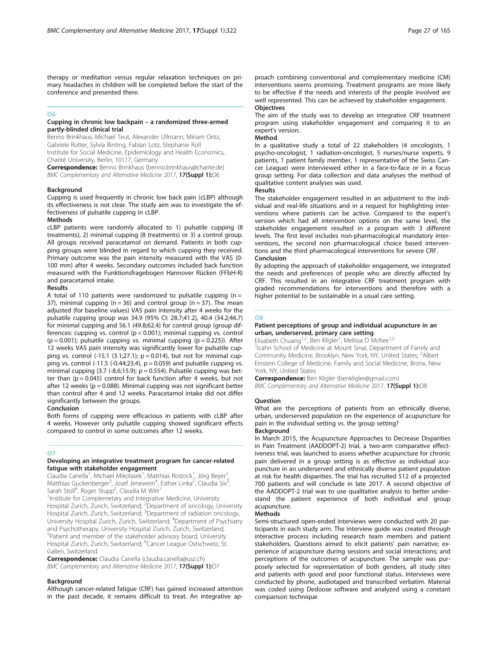therapy or meditation versus regular relaxation techniques on primary headaches in children will be completed before the start of the conference and presented there.

## O6

## Cupping in chronic low backpain – a randomized three-armed partly-blinded clinical trial

Benno Brinkhaus, Michael Teut, Alexander Ullmann, Miriam Ortiz, Gabriele Rotter, Sylvia Binting, Fabian Lotz, Stephanie Roll Institute for Social Medicine, Epidemiology and Health Economics, Charité University, Berlin, 10117, Germany

Correspondence: Benno Brinkhaus (benno.brinkhaus@charite.de) BMC Complementary and Alternative Medicine 2017, 17(Suppl 1):06

## **Background**

Cupping is used frequently in chronic low back pain (cLBP) although its effectiveness is not clear. The study aim was to investigate the effectiveness of pulsatile cupping in cLBP.

#### Methods

cLBP patients were randomly allocated to 1) pulsatile cupping (8 treatments), 2) minimal cupping (8 treatments) or 3) a control group. All groups received paracetamol on demand. Patients in both cupping groups were blinded in regard to which cupping they received. Primary outcome was the pain intensity measured with the VAS (0- 100 mm) after 4 weeks. Secondary outcomes included back function measured with the Funktionsfragebogen Hannover Rücken (FFbH-R) and paracetamol intake.

#### Results

A total of 110 patients were randomized to pulsatile cupping ( $n =$ 37), minimal cupping ( $n = 36$ ) and control group ( $n = 37$ ). The mean adjusted (for baseline values) VAS pain intensity after 4 weeks for the pulsatile cupping group was 34.9 (95% CI: 28.7;41.2), 40.4 (34.2;46.7) for minimal cupping and 56.1 (49.8;62.4) for control group (group differences: cupping vs. control (p < 0.001); minimal cupping vs. control ( $p = 0.001$ ); pulsatile cupping vs. minimal cupping ( $p = 0.225$ )). After 12 weeks VAS pain intensity was significantly lower for pulsatile cupping vs. control (-15.1 (3.1;27.1);  $p = 0.014$ ), but not for minimal cupping vs. control (-11.5 (-0.44;23.4),  $p = 0.059$ ) and pulsatile cupping vs. minimal cupping  $(3.7 (-8.6; 15.9); p = 0.554)$ . Pulsatile cupping was better than  $(p = 0.045)$  control for back function after 4 weeks, but not after 12 weeks ( $p = 0.088$ ). Minimal cupping was not significant better than control after 4 and 12 weeks. Paracetamol intake did not differ significantly between the groups.

## Conclusion

Both forms of cupping were efficacious in patients with cLBP after 4 weeks. However only pulsatile cupping showed significant effects compared to control in some outcomes after 12 weeks.

## O7

## Developing an integrative treatment program for cancer-related fatigue with stakeholder engagement

Claudia Canella<sup>1</sup>, Michael Mikolasek<sup>1</sup>, Matthias Rostock<sup>1</sup>, Jörg Beyer<sup>2</sup> , Matthias Guckenberger<sup>3</sup>, Josef Jenewein<sup>4</sup>, Esther Linka<sup>2</sup>, Claudia Six<sup>5</sup> , Sarah Stoll<sup>6</sup>, Roger Stupp<sup>2</sup>, Claudia M Witt<sup>1</sup>

<sup>1</sup>Institute for Complemetary and Integrative Medicine, University Hospital Zurich, Zurich, Switzerland; <sup>2</sup>Department of oncology, University Hospital Zurich, Zurich, Switzerland; <sup>3</sup>Department of radiation oncology, University Hospital Zurich, Zurich, Switzerland; <sup>4</sup>Department of Psychiatry and Psychotherapy, University Hospital Zurich, Zurich, Switzerland; <sup>5</sup>Patient and member of the stakeholder advisory board, University Hospital Zurich, Zurich, Switzerland; <sup>6</sup>Cancer League Ostschweiz, St. Gallen, Switzerland

Correspondence: Claudia Canella (claudia.canella@usz.ch) BMC Complementary and Alternative Medicine 2017, 17(Suppl 1):07

#### Background

Although cancer-related fatigue (CRF) has gained increased attention in the past decade, it remains difficult to treat. An integrative approach combining conventional and complementary medicine (CM) interventions seems promising. Treatment programs are more likely to be effective if the needs and interests of the people involved are well represented. This can be achieved by stakeholder engagement. **Objectives** 

The aim of the study was to develop an integrative CRF treatment program using stakeholder engagement and comparing it to an expert's version.

#### Method

In a qualitative study a total of 22 stakeholders (4 oncologists, 1 psycho-oncologist, 1 radiation-oncologist, 5 nurses/nurse experts, 9 patients, 1 patient family member, 1 representative of the Swiss Cancer League) were interviewed either in a face-to-face or in a focus group setting. For data collection and data analyses the method of qualitative content analyses was used.

Results

The stakeholder engagement resulted in an adjustment to the individual and real-life situations and in a request for highlighting interventions where patients can be active. Compared to the expert's version which had all intervention options on the same level, the stakeholder engagement resulted in a program with 3 different levels. The first level includes non-pharmacological mandatory interventions, the second non pharmacological choice based interventions and the third pharmacological interventions for severe CRF. Conclusion

By adopting the approach of stakeholder engagement, we integrated the needs and preferences of people who are directly affected by CRF. This resulted in an integrative CRF treatment program with graded recommendations for interventions and therefore with a higher potential to be sustainable in a usual care setting.

#### O8

## Patient perceptions of group and individual acupuncture in an urban, underserved, primary care setting

Elisabeth Chuang<sup>1,2</sup>, Ben Kligler<sup>1</sup>, Melissa D McKee<sup>1,2</sup>

<sup>1</sup>Icahn School of Medicine at Mount Sinai, Department of Family and Community Medicine, Brooklyn, New York, NY, United States; <sup>2</sup>Albert Einstein College of Medicine, Family and Social Medicine, Bronx, New York, NY, United States

Correspondence: Ben Kligler (benkligler@gmail.com) BMC Complementary and Alternative Medicine 2017, 17(Suppl 1):08

## **Ouestion**

What are the perceptions of patients from an ethnically diverse, urban, underserved population on the experience of acupuncture for pain in the individual setting vs. the group setting? **Background** 

In March 2015, the Acupuncture Approaches to Decrease Disparities in Pain Treatment (AADDOPT-2) trial, a two-arm comparative effectiveness trial, was launched to assess whether acupuncture for chronic pain delivered in a group setting is as effective as individual acupuncture in an underserved and ethnically diverse patient population at risk for health disparities. The trial has recruited 512 of a projected 700 patients and will conclude in late 2017. A second objective of the AADDOPT-2 trial was to use qualitative analysis to better understand the patient experience of both individual and group acupuncture.

## Methods

Semi-structured open-ended interviews were conducted with 20 participants in each study arm. The interview guide was created through interactive process including research team members and patient stakeholders. Questions aimed to elicit patients' pain narrative; experience of acupuncture during sessions and social interactions; and perceptions of the outcomes of acupuncture. The sample was purposely selected for representation of both genders, all study sites and patients with good and poor functional status. Interviews were conducted by phone, audiotaped and transcribed verbatim. Material was coded using Dedoose software and analyzed using a constant comparison technique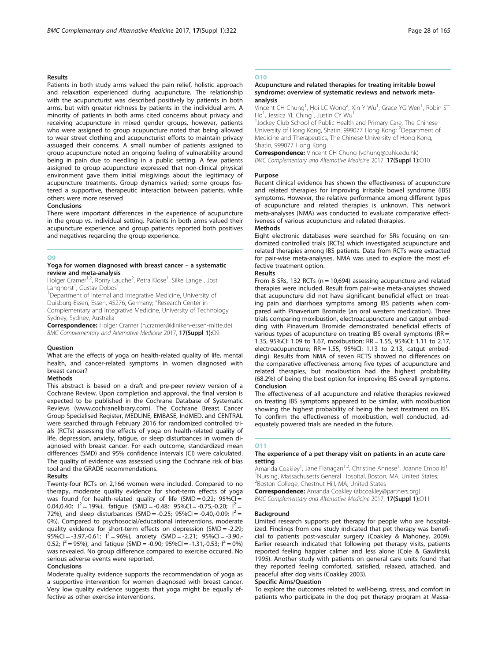## Results

Patients in both study arms valued the pain relief, holistic approach and relaxation experienced during acupuncture. The relationship with the acupuncturist was described positively by patients in both arms, but with greater richness by patients in the individual arm. A minority of patients in both arms cited concerns about privacy and receiving acupuncture in mixed gender groups, however, patients who were assigned to group acupuncture noted that being allowed to wear street clothing and acupuncturist efforts to maintain privacy assuaged their concerns. A small number of patients assigned to group acupuncture noted an ongoing feeling of vulnerability around being in pain due to needling in a public setting. A few patients assigned to group acupuncture expressed that non-clinical physical environment gave them initial misgivings about the legitimacy of acupuncture treatments. Group dynamics varied; some groups fostered a supportive, therapeutic interaction between patients, while others were more reserved

## Conclusions

There were important differences in the experience of acupuncture in the group vs. individual setting. Patients in both arms valued their acupuncture experience. and group patients reported both positives and negatives regarding the group experience.

#### O9

## Yoga for women diagnosed with breast cancer – a systematic review and meta-analysis

Holger Cramer<sup>1,2</sup>, Romy Lauche<sup>2</sup>, Petra Klose<sup>1</sup>, Silke Lange<sup>1</sup>, Jost Langhorst<sup>1</sup>, Gustav Dobos<sup>1</sup>

<sup>1</sup>Department of Internal and Integrative Medicine, University of Duisburg-Essen, Essen, 45276, Germany; <sup>2</sup>Research Center in Complementary and Integrative Medicine, University of Technology Sydney, Sydney, Australia

Correspondence: Holger Cramer (h.cramer@kliniken-essen-mitte.de) BMC Complementary and Alternative Medicine 2017, 17(Suppl 1):O9

#### Question

What are the effects of yoga on health-related quality of life, mental health, and cancer-related symptoms in women diagnosed with breast cancer?

## **Methods**

This abstract is based on a draft and pre-peer review version of a Cochrane Review. Upon completion and approval, the final version is expected to be published in the Cochrane Database of Systematic Reviews [\(www.cochranelibrary.com\)](http://www.cochranelibrary.com/). The Cochrane Breast Cancer Group Specialised Register, MEDLINE, EMBASE, IndMED, and CENTRAL were searched through February 2016 for randomized controlled trials (RCTs) assessing the effects of yoga on health-related quality of life, depression, anxiety, fatigue, or sleep disturbances in women diagnosed with breast cancer. For each outcome, standardized mean differences (SMD) and 95% confidence intervals (CI) were calculated. The quality of evidence was assessed using the Cochrane risk of bias tool and the GRADE recommendations.

#### Results

Twenty-four RCTs on 2,166 women were included. Compared to no therapy, moderate quality evidence for short-term effects of yoga was found for health-related quality of life  $(SMD = 0.22; 95\% CI =$ 0.04,0.40;  $I^2 = 19\%$ ), fatigue (SMD = -0.48; 95%CI = -0.75,-0.20;  $I^2 =$ 72%), and sleep disturbances (SMD = -0.25; 95%CI = -0.40,-0.09;  $I^2$  = 0%). Compared to psychosocial/educational interventions, moderate quality evidence for short-term effects on depression (SMD = -2.29;  $95\%CI = -3.97, -0.61;$   $I^2 = 96\%$ , anxiety  $(SMD = -2.21; 95\%CI = -3.90, -1.5)$ 0.52;  $I^2 = 95\%$ ), and fatigue (SMD = -0.90;  $95\%$ CI = -1.31,-0.53;  $I^2 = 0\%$ ) was revealed. No group difference compared to exercise occured. No serious adverse events were reported.

## Conclusions

Moderate quality evidence supports the recommendation of yoga as a supportive intervention for women diagnosed with breast cancer. Very low quality evidence suggests that yoga might be equally effective as other exercise interventions.

## O10

#### Acupuncture and related therapies for treating irritable bowel syndrome: overview of systematic reviews and network metaanalysis

Vincent CH Chung<sup>1</sup>, Hoi LC Wong<sup>2</sup>, Xin Y Wu<sup>1</sup>, Grace YG Wen<sup>1</sup>, Robin ST Ho<sup>1</sup>, Jessica YL Ching<sup>1</sup>, Justin CY Wu<sup>1</sup>

<sup>1</sup> Jockey Club School of Public Health and Primary Care, The Chinese University of Hong Kong, Shatin, 999077 Hong Kong; <sup>2</sup>Department of Medicine and Therapeutics, The Chinese University of Hong Kong, Shatin, 999077 Hong Kong

Correspondence: Vincent CH Chung (vchung@cuhk.edu.hk) BMC Complementary and Alternative Medicine 2017, 17(Suppl 1):010

#### Purpose

Recent clinical evidence has shown the effectiveness of acupuncture and related therapies for improving irritable bowel syndrome (IBS) symptoms. However, the relative performance among different types of acupuncture and related therapies is unknown. This network meta-analyses (NMA) was conducted to evaluate comparative effectiveness of various acupuncture and related therapies.

## Methods

Eight electronic databases were searched for SRs focusing on randomized controlled trials (RCTs) which investigated acupuncture and related therapies among IBS patients. Data from RCTs were extracted for pair-wise meta-analyses. NMA was used to explore the most effective treatment option.

## Results

From 8 SRs, 132 RCTs ( $n = 10,694$ ) assessing acupuncture and related therapies were included. Result from pair-wise meta-analyses showed that acupuncture did not have significant beneficial effect on treating pain and diarrhoea symptoms among IBS patients when compared with Pinaverium Bromide (an oral western medication). Three trials comparing moxibustion, electroacupuncture and catgut embedding with Pinaverium Bromide demonstrated beneficial effects of various types of acupuncture on treating IBS overall symptoms (RR  $=$ 1.35, 95%CI: 1.09 to 1.67, moxibustion; RR = 1.55, 95%CI: 1.11 to 2.17, electroacupuncture;  $RR = 1.55$ ,  $95\%$ CI: 1.13 to 2.13, catqut embedding). Results from NMA of seven RCTS showed no differences on the comparative effectiveness among five types of acupuncture and related therapies, but moxibustion had the highest probability (68.2%) of being the best option for improving IBS overall symptoms. Conclusion

The effectiveness of all acupuncture and relative therapies reviewed on treating IBS symptoms appeared to be similar, with moxibustion showing the highest probability of being the best treatment on IBS. To confirm the effectiveness of moxibustion, well conducted, adequately powered trials are needed in the future.

#### O11

#### The experience of a pet therapy visit on patients in an acute care setting

Amanda Coakley<sup>1</sup>, Jane Flanagan<sup>1,2</sup>, Christine Annese<sup>1</sup>, Joanne Empoliti<sup>1</sup> <sup>1</sup>Nursing, Massachusetts General Hospital, Boston, MA, United States; 2 Boston College, Chestnut Hill, MA, United States

Correspondence: Amanda Coakley (abcoakley@partners.org) BMC Complementary and Alternative Medicine 2017, 17(Suppl 1):011

#### Background

Limited research supports pet therapy for people who are hospitalized. Findings from one study indicated that pet therapy was beneficial to patients post-vascular surgery (Coakley & Mahoney, 2009). Earlier research indicated that following pet therapy visits, patients reported feeling happier calmer and less alone (Cole & Gawlinski, 1995). Another study with patients on general care units found that they reported feeling comforted, satisfied, relaxed, attached, and peaceful after dog visits (Coakley 2003).

#### Specific Aims/Question

To explore the outcomes related to well-being, stress, and comfort in patients who participate in the dog pet therapy program at Massa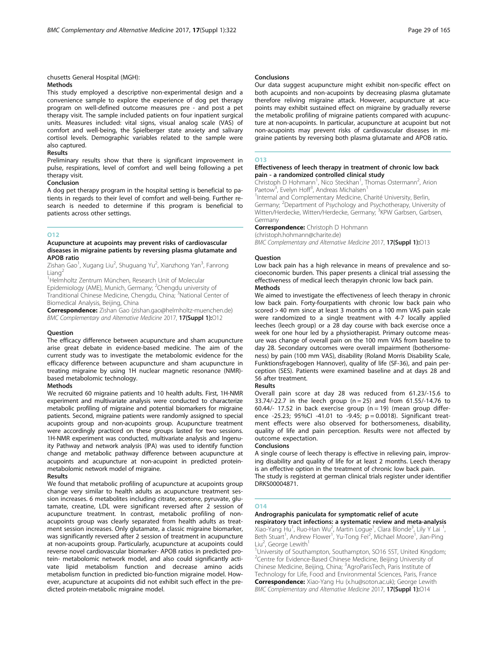chusetts General Hospital (MGH):

## **Methods**

This study employed a descriptive non-experimental design and a convenience sample to explore the experience of dog pet therapy program on well-defined outcome measures pre - and post a pet therapy visit. The sample included patients on four inpatient surgical units. Measures included: vital signs, visual analog scale (VAS) of comfort and well-being, the Spielberger state anxiety and salivary cortisol levels. Demographic variables related to the sample were also captured.

## **Results**

Preliminary results show that there is significant improvement in pulse, respirations, level of comfort and well being following a pet therapy visit.

## Conclusion

A dog pet therapy program in the hospital setting is beneficial to patients in regards to their level of comfort and well-being. Further research is needed to determine if this program is beneficial to patients across other settings.

#### O12

## Acupuncture at acupoints may prevent risks of cardiovascular diseases in migraine patients by reversing plasma glutamate and APOB ratio

Zishan Gao<sup>1</sup>, Xugang Liu<sup>2</sup>, Shuguang Yu<sup>2</sup>, Xianzhong Yan<sup>3</sup>, Fanrong Liang $^2$ 

1 Helmholtz Zentrum München, Research Unit of Molecular Epidemiology (AME), Munich, Germany; <sup>2</sup>Chengdu university of Tranditional Chinese Medicine, Chengdu, China; <sup>3</sup>National Center of Biomedical Analysis, Beijing, China

Correspondence: Zishan Gao (zishan.gao@helmholtz-muenchen.de) BMC Complementary and Alternative Medicine 2017, 17(Suppl 1):012

#### **Ouestion**

The efficacy difference between acupuncture and sham acupuncture arise great debate in evidence-based medicine. The aim of the current study was to investigate the metabolomic evidence for the efficacy difference between acupuncture and sham acupuncture in treating migraine by using 1H nuclear magnetic resonance (NMR) based metabolomic technology.

#### Methods

We recruited 60 migraine patients and 10 health adults. First, 1H-NMR experiment and multivariate analysis were conducted to characterize metabolic profiling of migraine and potential biomarkers for migraine patients. Second, migraine patients were randomly assigned to special acupoints group and non-acupoints group. Acupuncture treatment were accordingly practiced on these groups lasted for two sessions. 1H-NMR experiment was conducted, multivariate analysis and Ingenuity Pathway and network analysis (IPA) was used to identify function change and metabolic pathway difference between acupuncture at acupoints and acupuncture at non-acupoint in predicted proteinmetabolomic network model of migraine.

## Results

We found that metabolic profiling of acupuncture at acupoints group change very similar to health adults as acupuncture treatment session increases. 6 metabolites including citrate, acetone, pyruvate, glutamate, creatine, LDL were significant reversed after 2 session of acupuncture treatment. In contrast, metabolic profiling of nonacupoints group was clearly separated from health adults as treatment session increases. Only glutamate, a classic migraine biomarker, was significantly reversed after 2 session of treatment in acupuncture at non-acupoints group. Particularly, acupuncture at acupoints could reverse novel cardiovascular biomarker- APOB ratios in predicted protein- metabolomic network model, and also could significantly activate lipid metabolism function and decrease amino acids metabolism function in predicted bio-function migraine model. However, acupuncture at acupoints did not exhibit such effect in the predicted protein-metabolic migraine model.

## Conclusions

Our data suggest acupuncture might exhibit non-specific effect on both acupoints and non-acupoints by decreasing plasma glutamate therefore reliving migraine attack. However, acupuncture at acupoints may exhibit sustained effect on migraine by gradually reverse the metabolic profiling of migraine patients compared with acupuncture at non-acupoints. In particular, acupuncture at acupoint but not non-acupoints may prevent risks of cardiovascular diseases in migraine patients by reversing both plasma glutamate and APOB ratio.

#### O13

## Effectiveness of leech therapy in treatment of chronic low back pain - a randomized controlled clinical study

Christoph D Hohmann<sup>1</sup>, Nico Steckhan<sup>1</sup>, Thomas Ostermann<sup>2</sup>, Arion Paetow<sup>3</sup>, Evelyn Hoff<sup>3</sup>, Andreas Michalsen<sup>1</sup>

<sup>1</sup>Internal and Complementary Medicine, Charité University, Berlin, Germany; <sup>2</sup>Department of Psychology and Psychotherapy, University of Witten/Herdecke, Witten/Herdecke, Germany; <sup>3</sup>KPW Garbsen, Garbsen, Germany

Correspondence: Christoph D Hohmann

(christoph.hohmann@charite.de)

BMC Complementary and Alternative Medicine 2017, 17(Suppl 1):013

## Question

Low back pain has a high relevance in means of prevalence and socioeconomic burden. This paper presents a clinical trial assessing the effectiveness of medical leech therapyin chronic low back pain. **Methods** 

We aimed to investigate the effectiveness of leech therapy in chronic low back pain. Forty-fourpatients with chronic low back pain who scored > 40 mm since at least 3 months on a 100 mm VAS pain scale were randomized to a single treatment with 4-7 locally applied leeches (leech group) or a 28 day course with back exercise once a week for one hour led by a physiotherapist. Primary outcome measure was change of overall pain on the 100 mm VAS from baseline to day 28. Secondary outcomes were overall impairment (bothersomeness) by pain (100 mm VAS), disability (Roland Morris Disability Scale, Funktionsfragebogen Hannover), quality of life (SF-36), and pain perception (SES). Patients were examined baseline and at days 28 and 56 after treatment.

## Results

Overall pain score at day 28 was reduced from 61.23/-15.6 to 33.74/-22.7 in the leech group (n = 25) and from 61.55/-14.76 to 60.44/- 17.52 in back exercise group ( $n = 19$ ) (mean group difference -25.23; 95%CI -41.01 to -9.45; p = 0.0018). Significant treatment effects were also observed for bothersomeness, disability, quality of life and pain perception. Results were not affected by outcome expectation.

#### Conclusions

A single course of leech therapy is effective in relieving pain, improving disability and quality of life for at least 2 months. Leech therapy is an effective option in the treatment of chronic low back pain. The study is registerd at german clinical trials register under identifier DRKS00004871.

#### $O14$

# Andrographis paniculata for symptomatic relief of acute

respiratory tract infections: a systematic review and meta-analysis Xiao-Yang Hu<sup>1</sup>, Ruo-Han Wu<sup>2</sup>, Martin Logue<sup>1</sup>, Clara Blonde<sup>3</sup>, Lily Y Lai<sup>1</sup> , Beth Stuart<sup>1</sup>, Andrew Flower<sup>1</sup>, Yu-Tong Fei<sup>2</sup>, Michael Moore<sup>1</sup>, Jian-Ping Liu<sup>2</sup>, George Lewith<sup>1</sup>

<sup>1</sup>University of Southampton, Southampton, SO16 5ST, United Kingdom; <sup>2</sup>Centre for Evidence-Based Chinese Medicine, Beijing University of Chinese Medicine, Beijing, China; <sup>3</sup>AgroParisTech, Paris Institute of Technology for Life, Food and Environmental Sciences, Paris, France Correspondence: Xiao-Yang Hu (x.hu@soton.ac.uk); George Lewith BMC Complementary and Alternative Medicine 2017, 17(Suppl 1):014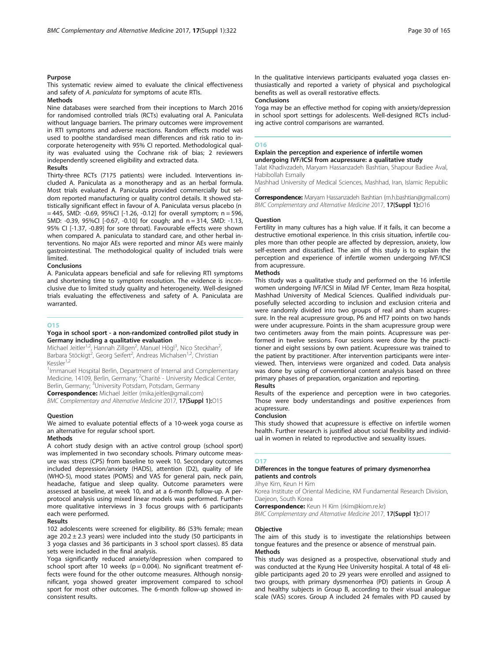## Purpose

This systematic review aimed to evaluate the clinical effectiveness and safety of A. paniculata for symptoms of acute RTIs.

## Methods

Nine databases were searched from their inceptions to March 2016 for randomised controlled trials (RCTs) evaluating oral A. Paniculata without language barriers. The primary outcomes were improvement in RTI symptoms and adverse reactions. Random effects model was used to poolthe standardised mean differences and risk ratio to incorporate heterogeneity with 95% CI reported. Methodological quality was evaluated using the Cochrane risk of bias; 2 reviewers independently screened eligibility and extracted data.

## Results

Thirty-three RCTs (7175 patients) were included. Interventions included A. Paniculata as a monotherapy and as an herbal formula. Most trials evaluated A. Paniculata provided commercially but seldom reported manufacturing or quality control details. It showed statistically significant effect in favour of A. Paniculata versus placebo (n  $= 445$ , SMD: -0.69, 95%CI [-1.26, -0.12] for overall symptom; n = 596, SMD: -0.39, 95%CI [-0.67, -0.10] for cough; and n = 314, SMD: -1.13, 95% CI [-1.37, -0.89] for sore throat). Favourable effects were shown when compared A. paniculata to standard care, and other herbal interventions. No major AEs were reported and minor AEs were mainly gastrointestinal. The methodological quality of included trials were limited.

## Conclusions

A. Paniculata appears beneficial and safe for relieving RTI symptoms and shortening time to symptom resolution. The evidence is inconclusive due to limited study quality and heterogeneity. Well-designed trials evaluating the effectiveness and safety of A. Paniculata are warranted.

## O15

## Yoga in school sport - a non-randomized controlled pilot study in Germany including a qualitative evaluation

Michael Jeitler<sup>1,2</sup>, Hannah Zillgen<sup>2</sup>, Manuel Högl<sup>3</sup>, Nico Steckhan<sup>2</sup> , Barbara Stöckigt<sup>2</sup>, Georg Seifert<sup>2</sup>, Andreas Michalsen<sup>1,2</sup>, Christian Kessler<sup>1,2</sup>

<sup>1</sup> Immanuel Hospital Berlin, Department of Internal and Complementary Medicine, 14109, Berlin, Germany; <sup>2</sup>Charité - University Medical Center, Berlin, Germany; <sup>3</sup>University Potsdam, Potsdam, Germany Correspondence: Michael Jeitler (mika.jeitler@gmail.com)

BMC Complementary and Alternative Medicine 2017, 17(Suppl 1):015

#### **Ouestion**

We aimed to evaluate potential effects of a 10-week yoga course as an alternative for regular school sport.

## Methods

A cohort study design with an active control group (school sport) was implemented in two secondary schools. Primary outcome measure was stress (CPS) from baseline to week 10. Secondary outcomes included depression/anxiety (HADS), attention (D2), quality of life (WHO-5), mood states (POMS) and VAS for general pain, neck pain, headache, fatigue and sleep quality. Outcome parameters were assessed at baseline, at week 10, and at a 6-month follow-up. A perprotocol analysis using mixed linear models was performed. Furthermore qualitative interviews in 3 focus groups with 6 participants each were performed.

#### Results

102 adolescents were screened for eligibility. 86 (53% female; mean age  $20.2 \pm 2.3$  years) were included into the study (50 participants in 3 yoga classes and 36 participants in 3 school sport classes). 85 data sets were included in the final analysis.

Yoga significantly reduced anxiety/depression when compared to school sport after 10 weeks ( $p = 0.004$ ). No significant treatment effects were found for the other outcome measures. Although nonsignificant, yoga showed greater improvement compared to school sport for most other outcomes. The 6-month follow-up showed inconsistent results.

In the qualitative interviews participants evaluated yoga classes enthusiastically and reported a variety of physical and psychological benefits as well as overall restorative effects. Conclusions

Yoga may be an effective method for coping with anxiety/depression in school sport settings for adolescents. Well-designed RCTs including active control comparisons are warranted.

#### O16

## Explain the perception and experience of infertile women undergoing IVF/ICSI from acupressure: a qualitative study

Talat Khadivzadeh, Maryam Hassanzadeh Bashtian, Shapour Badiee Aval, Habibollah Esmaily

Mashhad University of Medical Sciences, Mashhad, Iran, Islamic Republic of

Correspondence: Maryam Hassanzadeh Bashtian (m.h.bashtian@gmail.com) BMC Complementary and Alternative Medicine 2017, 17(Suppl 1):016

### Question

Fertility in many cultures has a high value. If it fails, it can become a destructive emotional experience. In this crisis situation, infertile couples more than other people are affected by depression, anxiety, low self-esteem and dissatisfied. The aim of this study is to explain the perception and experience of infertile women undergoing IVF/ICSI from acupressure.

## Methods

This study was a qualitative study and performed on the 16 infertile women undergoing IVF/ICSI in Milad IVF Center, Imam Reza hospital, Mashhad University of Medical Sciences. Qualified individuals purposefully selected according to inclusion and exclusion criteria and were randomly divided into two groups of real and sham acupressure. In the real acupressure group, P6 and HT7 points on two hands were under acupressure. Points in the sham acupressure group were two centimeters away from the main points. Acupressure was performed in twelve sessions. Four sessions were done by the practitioner and eight sessions by own patient. Acupressure was trained to the patient by practitioner. After intervention participants were interviewed. Then, interviews were organized and coded. Data analysis was done by using of conventional content analysis based on three primary phases of preparation, organization and reporting. Results

Results of the experience and perception were in two categories. Those were body understandings and positive experiences from acupressure.

## Conclusion

This study showed that acupressure is effective on infertile women health. Further research is justified about social flexibility and individual in women in related to reproductive and sexuality issues.

#### O17

## Differences in the tongue features of primary dysmenorrhea patients and controls

Jihye Kim, Keun H Kim

Korea Institute of Oriental Medicine, KM Fundamental Research Division, Daejeon, South Korea

Correspondence: Keun H Kim (rkim@kiom.re.kr)

BMC Complementary and Alternative Medicine 2017, 17(Suppl 1):017

#### **Objective**

## The aim of this study is to investigate the relationships between tongue features and the presence or absence of menstrual pain. Methods

This study was designed as a prospective, observational study and was conducted at the Kyung Hee University hospital. A total of 48 eligible participants aged 20 to 29 years were enrolled and assigned to two groups, with primary dysmenorrhea (PD) patients in Group A and healthy subjects in Group B, according to their visual analogue scale (VAS) scores. Group A included 24 females with PD caused by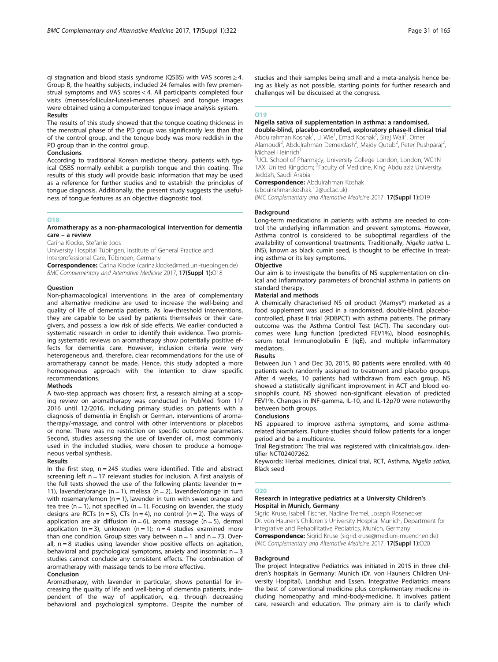qi stagnation and blood stasis syndrome (QSBS) with VAS scores  $\geq$  4. Group B, the healthy subjects, included 24 females with few premenstrual symptoms and VAS scores < 4. All participants completed four visits (menses-follicular-luteal-menses phases) and tongue images were obtained using a computerized tongue image analysis system. Results

The results of this study showed that the tongue coating thickness in the menstrual phase of the PD group was significantly less than that of the control group, and the tongue body was more reddish in the PD group than in the control group.

## Conclusions

According to traditional Korean medicine theory, patients with typical QSBS normally exhibit a purplish tongue and thin coating. The results of this study will provide basic information that may be used as a reference for further studies and to establish the principles of tongue diagnosis. Additionally, the present study suggests the usefulness of tongue features as an objective diagnostic tool.

#### O18

## Aromatherapy as a non-pharmacological intervention for dementia care – a review

Carina Klocke, Stefanie Joos

University Hospital Tübingen, Institute of General Practice and

Interprofessional Care, Tübingen, Germany

Correspondence: Carina Klocke (carina.klocke@med.uni-tuebingen.de) BMC Complementary and Alternative Medicine 2017, 17(Suppl 1):018

#### **Ouestion**

Non-pharmacological interventions in the area of complementary and alternative medicine are used to increase the well-being and quality of life of dementia patients. As low-threshold interventions, they are capable to be used by patients themselves or their caregivers, and possess a low risk of side effects. We earlier conducted a systematic research in order to identify their evidence. Two promising systematic reviews on aromatherapy show potentially positive effects for dementia care. However, inclusion criteria were very heterogeneous and, therefore, clear recommendations for the use of aromatherapy cannot be made. Hence, this study adopted a more homogeneous approach with the intention to draw specific recommendations.

#### Methods

A two-step approach was chosen: first, a research aiming at a scoping review on aromatherapy was conducted in PubMed from 11/ 2016 until 12/2016, including primary studies on patients with a diagnosis of dementia in English or German, interventions of aromatherapy/-massage, and control with other interventions or placebos or none. There was no restriction on specific outcome parameters. Second, studies assessing the use of lavender oil, most commonly used in the included studies, were chosen to produce a homogeneous verbal synthesis.

## Results

In the first step,  $n = 245$  studies were identified. Title and abstract screening left  $n = 17$  relevant studies for inclusion. A first analysis of the full texts showed the use of the following plants: lavender ( $n =$ 11), lavender/orange (n = 1), melissa (n = 2), lavender/orange in turn with rosemary/lemon ( $n = 1$ ), lavender in turn with sweet orange and tea tree (n = 1), not specified (n = 1). Focusing on lavender, the study designs are RCTs ( $n = 5$ ), CTs ( $n = 4$ ), no control ( $n = 2$ ). The ways of application are air diffusion ( $n = 6$ ), aroma massage ( $n = 5$ ), dermal application (n = 3), unknown (n = 1);  $n = 4$  studies examined more than one condition. Group sizes vary between  $n = 1$  and  $n = 73$ . Overall,  $n = 8$  studies using lavender show positive effects on agitation, behavioral and psychological symptoms, anxiety and insomnia;  $n = 3$ studies cannot conclude any consistent effects. The combination of aromatherapy with massage tends to be more effective.

#### Conclusion

Aromatherapy, with lavender in particular, shows potential for increasing the quality of life and well-being of dementia patients, independent of the way of application, e.g. through decreasing behavioral and psychological symptoms. Despite the number of

studies and their samples being small and a meta-analysis hence being as likely as not possible, starting points for further research and challenges will be discussed at the congress.

## O19

# Nigella sativa oil supplementation in asthma: a randomised,

double-blind, placebo-controlled, exploratory phase-II clinical trial Abdulrahman Koshak<sup>1</sup>, Li Wie<sup>1</sup>, Emad Koshak<sup>2</sup>, Siraj Wali<sup>2</sup>, Omer Alamoudi<sup>2</sup>, Abdulrahman Demerdash<sup>2</sup>, Majdy Qutub<sup>2</sup>, Peter Pushparaj<sup>2</sup> , Michael Heinrich<sup>1</sup>

<sup>1</sup>UCL School of Pharmacy, University College London, London, WC1N 1AX, United Kingdom; <sup>2</sup>Faculty of Medicine, King Abdulaziz University, Jeddah, Saudi Arabia

**Correspondence: Abdulrahman Koshak** 

(abdulrahman.koshak.12@ucl.ac.uk)

BMC Complementary and Alternative Medicine 2017, 17(Suppl 1):019

#### Background

Long-term medications in patients with asthma are needed to control the underlying inflammation and prevent symptoms. However, Asthma control is considered to be suboptimal regardless of the availability of conventional treatments. Traditionally, Nigella sativa L. (NS), known as black cumin seed, is thought to be effective in treating asthma or its key symptoms.

#### Objective

Our aim is to investigate the benefits of NS supplementation on clinical and inflammatory parameters of bronchial asthma in patients on standard therapy.

## Material and methods

A chemically characterised NS oil product (Marnys®) marketed as a food supplement was used in a randomised, double-blind, placebocontrolled, phase II trial (RDBPCT) with asthma patients. The primary outcome was the Asthma Control Test (ACT). The secondary outcomes were lung function (predicted FEV1%), blood eosinophils, serum total Immunoglobulin E (IgE), and multiple inflammatory mediators.

#### Results

Between Jun 1 and Dec 30, 2015, 80 patients were enrolled, with 40 patients each randomly assigned to treatment and placebo groups. After 4 weeks, 10 patients had withdrawn from each group. NS showed a statistically significant improvement in ACT and blood eosinophils count. NS showed non-significant elevation of predicted FEV1%. Changes in INF-gamma, IL-10, and IL-12p70 were noteworthy between both groups.

#### Conclusions

NS appeared to improve asthma symptoms, and some asthmarelated biomarkers. Future studies should follow patients for a longer period and be a multicentre.

Trial Registration: The trial was registered with clinicaltrials.gov, identifier NCT02407262.

Keywords: Herbal medicines, clinical trial, RCT, Asthma, Nigella sativa, Black seed

#### O20

## Research in integrative pediatrics at a University Children's Hospital in Munich, Germany

Sigrid Kruse, Isabell Fischer, Nadine Tremel, Joseph Rosenecker Dr. von Hauner's Children's University Hospital Munich, Department for Integrative and Rehabilitative Pediatrics, Munich, Germany Correspondence: Sigrid Kruse (sigrid.kruse@med.uni-muenchen.de) BMC Complementary and Alternative Medicine 2017, 17(Suppl 1):020

#### **Background**

The project Integrative Pediatrics was initiated in 2015 in three children's hospitals in Germany: Munich (Dr. von Hauners Children University Hospital), Landshut and Essen. Integrative Pediatrics means the best of conventional medicine plus complementary medicine including homeopathy and mind-body-medicine. It involves patient care, research and education. The primary aim is to clarify which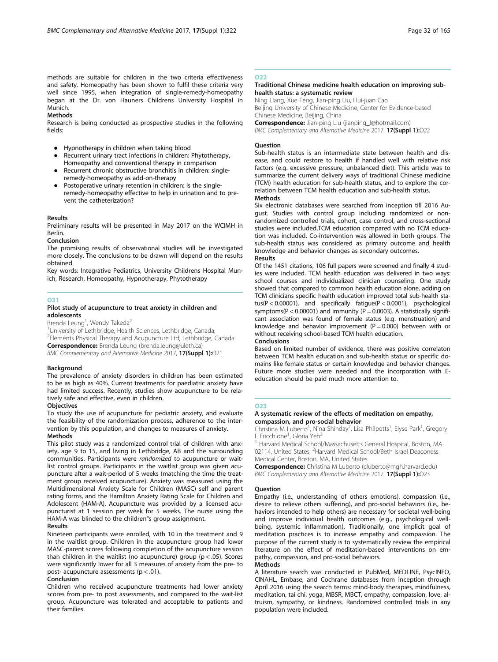methods are suitable for children in the two criteria effectiveness and safety. Homeopathy has been shown to fulfil these criteria very well since 1995, when integration of single-remedy-homeopathy began at the Dr. von Hauners Childrens University Hospital in Munich.

## Methods

Research is being conducted as prospective studies in the following fields:

- Hypnotherapy in children when taking blood
- Recurrent urinary tract infections in children: Phytotherapy, Homeopathy and conventional therapy in comparison
- Recurrent chronic obstructive bronchitis in children: singleremedy-homeopathy as add-on-therapy
- Postoperative urinary retention in children: Is the singleremedy-homeopathy effective to help in urination and to prevent the catheterization?

## Results

Preliminary results will be presented in May 2017 on the WCIMH in Berlin.

## Conclusion

The promising results of observational studies will be investigated more closely. The conclusions to be drawn will depend on the results obtained

Key words: Integrative Pediatrics, University Childrens Hospital Munich, Research, Homeopathy, Hypnotherapy, Phytotherapy

## O21

## Pilot study of acupuncture to treat anxiety in children and adolescents

Brenda Leung<sup>1</sup>, Wendy Takeda<sup>2</sup>

<sup>1</sup>University of Lethbridge, Health Sciences, Lethbridge, Canada; 2 Elements Physical Therapy and Acupuncture Ltd, Lethbridge, Canada Correspondence: Brenda Leung (brenda.leung@uleth.ca)

BMC Complementary and Alternative Medicine 2017, 17(Suppl 1):021

## **Background**

The prevalence of anxiety disorders in children has been estimated to be as high as 40%. Current treatments for paediatric anxiety have had limited success. Recently, studies show acupuncture to be relatively safe and effective, even in children.

## **Objectives**

To study the use of acupuncture for pediatric anxiety, and evaluate the feasibility of the randomization process, adherence to the intervention by this population, and changes to measures of anxiety. Methods

This pilot study was a randomized control trial of children with anxiety, age 9 to 15, and living in Lethbridge, AB and the surrounding communities. Participants were randomized to acupuncture or waitlist control groups. Participants in the waitlist group was given acupuncture after a wait-period of 5 weeks (matching the time the treatment group received acupuncture). Anxiety was measured using the Multidimensional Anxiety Scale for Children (MASC) self and parent rating forms, and the Hamilton Anxiety Rating Scale for Children and Adolescent (HAM-A). Acupuncture was provided by a licensed acupuncturist at 1 session per week for 5 weeks. The nurse using the HAM-A was blinded to the children"s group assignment.

## Results

Nineteen participants were enrolled, with 10 in the treatment and 9 in the waitlist group. Children in the acupuncture group had lower MASC-parent scores following completion of the acupuncture session than children in the waitlist (no acupuncture) group ( $p < .05$ ). Scores were significantly lower for all 3 measures of anxiety from the pre- to post- acupuncture assessments (p < .01).

## Conclusion

Children who received acupuncture treatments had lower anxiety scores from pre- to post assessments, and compared to the wait-list group. Acupuncture was tolerated and acceptable to patients and their families.

## O<sub>22</sub>

## Traditional Chinese medicine health education on improving subhealth status: a systematic review

Ning Liang, Xue Feng, Jian-ping Liu, Hui-juan Cao Beijing University of Chinese Medicine, Center for Evidence-based Chinese Medicine, Beijing, China Correspondence: Jian-ping Liu (jianping\_l@hotmail.com)

BMC Complementary and Alternative Medicine 2017, 17(Suppl 1):O22

## **Ouestion**

Sub-health status is an intermediate state between health and disease, and could restore to health if handled well with relative risk factors (e.g. excessive pressure, unbalanced diet). This article was to summarize the current delivery ways of traditional Chinese medicine (TCM) health education for sub-health status, and to explore the correlation between TCM health education and sub-health status. Methods

Six electronic databases were searched from inception till 2016 August. Studies with control group including randomized or nonrandomized controlled trials, cohort, case control, and cross-sectional studies were included.TCM education compared with no TCM education was included. Co-intervention was allowed in both groups. The sub-health status was considered as primary outcome and health knowledge and behavior changes as secondary outcomes.

## Results

Of the 1451 citations, 106 full papers were screened and finally 4 studies were included. TCM health education was delivered in two ways: school courses and individualized clinician counseling. One study showed that compared to common health education alone, adding on TCM clinicians specific health education improved total sub-health status(P < 0.00001), and specifically fatigue(P < 0.0001), psychological symptoms( $P < 0.00001$ ) and immunity ( $P = 0.0003$ ). A statistically significant association was found of female status (e.g. menstruation) and knowledge and behavior improvement ( $P = 0.000$ ) between with or without receiving school-based TCM health education. Conclusions

Based on limited number of evidence, there was positive correlaton between TCM health education and sub-health status or specific domains like female status or certain knowledge and behavior changes. Future more studies were needed and the incorporation with Eeducation should be paid much more attention to.

## O23

## A systematic review of the effects of meditation on empathy, compassion, and pro-social behavior

Christina M Luberto<sup>1</sup>, Nina Shinday<sup>2</sup>, Lisa Philpotts<sup>1</sup>, Elyse Park<sup>1</sup>, Gregory L Fricchione<sup>1</sup>, Gloria Yeh<sup>2</sup>

<sup>1</sup> Harvard Medical School/Massachusetts General Hospital, Boston, MA 02114, United States; <sup>2</sup>Harvard Medical School/Beth Israel Deaconess Medical Center, Boston, MA, United States

Correspondence: Christina M Luberto (cluberto@mgh.harvard.edu) BMC Complementary and Alternative Medicine 2017, 17(Suppl 1):O23

## **Ouestion**

Empathy (i.e., understanding of others emotions), compassion (i.e., desire to relieve others suffering), and pro-social behaviors (i.e., behaviors intended to help others) are necessary for societal well-being and improve individual health outcomes (e.g., psychological wellbeing, systemic inflammation). Traditionally, one implicit goal of meditation practices is to increase empathy and compassion. The purpose of the current study is to systematically review the empirical literature on the effect of meditation-based interventions on empathy, compassion, and pro-social behaviors.

## Methods

A literature search was conducted in PubMed, MEDLINE, PsycINFO, CINAHL, Embase, and Cochrane databases from inception through April 2016 using the search terms: mind-body therapies, mindfulness, meditation, tai chi, yoga, MBSR, MBCT, empathy, compassion, love, altruism, sympathy, or kindness. Randomized controlled trials in any population were included.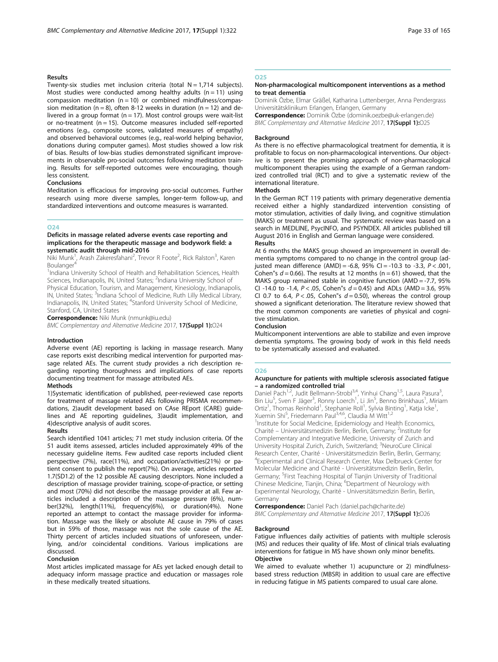## Results

Twenty-six studies met inclusion criteria (total  $N = 1,714$  subjects). Most studies were conducted among healthy adults  $(n = 11)$  using compassion meditation ( $n = 10$ ) or combined mindfulness/compassion meditation ( $n = 8$ ), often 8-12 weeks in duration ( $n = 12$ ) and delivered in a group format ( $n = 17$ ). Most control groups were wait-list or no-treatment ( $n = 15$ ). Outcome measures included self-reported emotions (e.g., composite scores, validated measures of empathy) and observed behavioral outcomes (e.g., real-world helping behavior, donations during computer games). Most studies showed a low risk of bias. Results of low-bias studies demonstrated significant improvements in observable pro-social outcomes following meditation training. Results for self-reported outcomes were encouraging, though less consistent.

## Conclusions

Meditation is efficacious for improving pro-social outcomes. Further research using more diverse samples, longer-term follow-up, and standardized interventions and outcome measures is warranted.

## O24

## Deficits in massage related adverse events case reporting and implications for the therapeutic massage and bodywork field: a systematic audit through mid-2016

Niki Munk<sup>1</sup>, Arash Zakeresfahani<sup>2</sup>, Trevor R Foote<sup>2</sup>, Rick Ralston<sup>3</sup>, Karen Boulanger<sup>4</sup>

<sup>1</sup>Indiana University School of Health and Rehabilitation Sciences, Health Sciences, Indianapolis, IN, United States; <sup>2</sup>Indiana University School of Physical Education, Tourism, and Management, Kinesiology, Indianapolis, IN, United States; <sup>3</sup>Indiana School of Medicine, Ruth Lilly Medical Library, Indianapolis, IN, United States; <sup>4</sup>Stanford University School of Medicine, Stanford, CA, United States

Correspondence: Niki Munk (nmunk@iu.edu)

BMC Complementary and Alternative Medicine 2017, 17(Suppl 1):O24

#### Introduction

Adverse event (AE) reporting is lacking in massage research. Many case reports exist describing medical intervention for purported massage related AEs. The current study provides a rich description regarding reporting thoroughness and implications of case reports documenting treatment for massage attributed AEs.

#### Methods

1)Systematic identification of published, peer-reviewed case reports for treatment of massage related AEs following PRISMA recommendations, 2)audit development based on CAse REport (CARE) guidelines and AE reporting guidelines, 3)audit implementation, and 4)descriptive analysis of audit scores.

## Results

Search identified 1041 articles; 71 met study inclusion criteria. Of the 51 audit items assessed, articles included approximately 49% of the necessary guideline items. Few audited case reports included client perspective (7%), race(11%), and occupation/activities(21%) or patient consent to publish the report(7%). On average, articles reported 1.7(SD1.2) of the 12 possible AE causing descriptors. None included a description of massage provider training, scope-of-practice, or setting and most (70%) did not describe the massage provider at all. Few articles included a description of the massage pressure (6%), number(32%), length(11%), frequency(6%), or duration(4%). None reported an attempt to contact the massage provider for information. Massage was the likely or absolute AE cause in 79% of cases but in 59% of those, massage was not the sole cause of the AE. Thirty percent of articles included situations of unforeseen, underlying, and/or coincidental conditions. Various implications are discussed.

#### Conclusion

Most articles implicated massage for AEs yet lacked enough detail to adequacy inform massage practice and education or massages role in these medically treated situations.

## O25

## Non-pharmacological multicomponent interventions as a method to treat dementia

Dominik Özbe, Elmar Gräßel, Katharina Luttenberger, Anna Pendergrass Universitätsklinikum Erlangen, Erlangen, Germany

Correspondence: Dominik Özbe (dominik.oezbe@uk-erlangen.de) BMC Complementary and Alternative Medicine 2017, 17(Suppl 1):025

#### **Background**

As there is no effective pharmacological treatment for dementia, it is profitable to focus on non-pharmacological interventions. Our objective is to present the promising approach of non-pharmacological multicomponent therapies using the example of a German randomized controlled trial (RCT) and to give a systematic review of the international literature.

#### **Methods**

In the German RCT 119 patients with primary degenerative dementia received either a highly standardized intervention consisting of motor stimulation, activities of daily living, and cognitive stimulation (MAKS) or treatment as usual. The systematic review was based on a search in MEDLINE, PsycINFO, and PSYNDEX. All articles published till August 2016 in English and German language were considered. Results

At 6 months the MAKS group showed an improvement in overall dementia symptoms compared to no change in the control group (adjusted mean difference (AMD) = -6.8, 95% CI = -10.3 to -3.3,  $P < .001$ , Cohen"s  $d = 0.66$ ). The results at 12 months (n = 61) showed, that the MAKS group remained stable in cognitive function (AMD = -7.7, 95% CI -14.0 to -1.4,  $P < .05$ , Cohen"s  $d = 0.45$ ) and ADLs (AMD = 3.6, 95% CI 0.7 to 6.4,  $P < .05$ , Cohen's  $d = 0.50$ ), whereas the control group showed a significant deterioration. The literature review showed that the most common components are varieties of physical and cognitive stimulation.

#### Conclusion

Multicomponent interventions are able to stabilize and even improve dementia symptoms. The growing body of work in this field needs to be systematically assessed and evaluated.

#### O26

## Acupuncture for patients with multiple sclerosis associated fatigue – a randomized controlled trial

Daniel Pach<sup>1,2</sup>, Judit Bellmann-Strobl<sup>3,4</sup>, Yinhui Chang<sup>1,5</sup>, Laura Pasura<sup>3</sup>, , Bin Liu<sup>5</sup>, Sven F Jäger<sup>3</sup>, Ronny Loerch<sup>1</sup>, Li Jin<sup>5</sup>, Benno Brinkhaus<sup>1</sup>, Miriam Ortiz<sup>1</sup>, Thomas Reinhold<sup>1</sup>, Stephanie Roll<sup>1</sup>, Sylvia Binting<sup>1</sup>, Katja Icke<sup>1</sup> , Xuemin Shi<sup>5</sup>, Friedemann Paul<sup>3,4,6</sup>, Claudia M Witt<sup>1,2</sup>

<sup>1</sup>Institute for Social Medicine, Epidemiology and Health Economics, Charité - Universitätsmedizin Berlin, Berlin, Germany; <sup>2</sup>Institute for Complementary and Integrative Medicine, University of Zurich and University Hospital Zurich, Zurich, Switzerland; <sup>3</sup>NeuroCure Clinical Research Center, Charité - Universitätsmedizin Berlin, Berlin, Germany; 4 Experimental and Clinical Research Center, Max Delbrueck Center for Molecular Medicine and Charité - Universitätsmedizin Berlin, Berlin, Germany; <sup>5</sup>First Teaching Hospital of Tianjin University of Traditional Chinese Medicine, Tianjin, China; <sup>6</sup>Department of Neurology with Experimental Neurology, Charité - Universitätsmedizin Berlin, Berlin, Germany

Correspondence: Daniel Pach (daniel.pach@charite.de) BMC Complementary and Alternative Medicine 2017, 17(Suppl 1):026

#### Background

Fatigue influences daily activities of patients with multiple sclerosis (MS) and reduces their quality of life. Most of clinical trials evaluating interventions for fatigue in MS have shown only minor benefits. **Objective** 

We aimed to evaluate whether 1) acupuncture or 2) mindfulnessbased stress reduction (MBSR) in addition to usual care are effective in reducing fatigue in MS patients compared to usual care alone.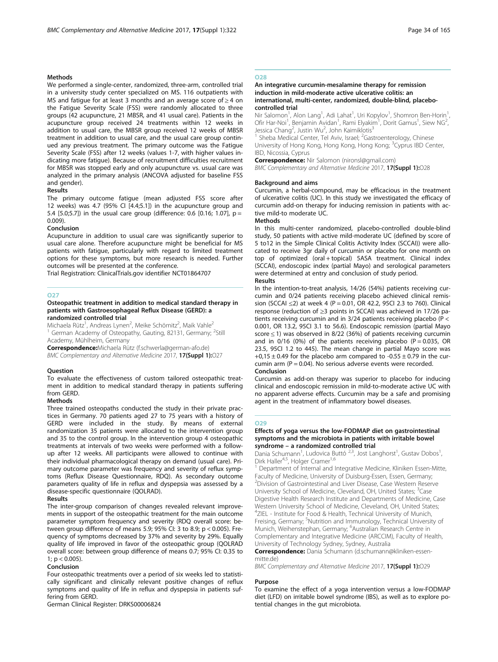## Methods

We performed a single-center, randomized, three-arm, controlled trial in a university study center specialized on MS. 116 outpatients with MS and fatigue for at least 3 months and an average score of  $\geq$  4 on the Fatigue Severity Scale (FSS) were randomly allocated to three groups (42 acupuncture, 21 MBSR, and 41 usual care). Patients in the acupuncture group received 24 treatments within 12 weeks in addition to usual care, the MBSR group received 12 weeks of MBSR treatment in addition to usual care, and the usual care group continued any previous treatment. The primary outcome was the Fatigue Severity Scale (FSS) after 12 weeks (values 1-7, with higher values indicating more fatigue). Because of recruitment difficulties recruitment for MBSR was stopped early and only acupuncture vs. usual care was analyzed in the primary analysis (ANCOVA adjusted for baseline FSS and gender).

#### Results

The primary outcome fatigue (mean adjusted FSS score after 12 weeks) was 4.7 (95% CI [4.4;5.1]) in the acupuncture group and 5.4 [5.0;5.7]) in the usual care group (difference: 0.6 [0.16; 1.07], p = 0.009).

#### Conclusion

Acupuncture in addition to usual care was significantly superior to usual care alone. Therefore acupuncture might be beneficial for MS patients with fatigue, particularly with regard to limited treatment options for these symptoms, but more research is needed. Further outcomes will be presented at the conference.

Trial Registration: ClinicalTrials.gov identifier NCT01864707

#### O<sub>27</sub>

## Osteopathic treatment in addition to medical standard therapy in patients with Gastroesophageal Reflux Disease (GERD): a randomized controlled trial

Michaela Rütz<sup>1</sup>, Andreas Lynen<sup>2</sup>, Meike Schömitz<sup>2</sup>, Maik Vahle<sup>2</sup> <sup>1</sup> German Academy of Osteopathy, Gauting, 82131, Germany; <sup>2</sup>Still Academy, Mühlheim, Germany

Correspondence:Michaela Rütz (f.schwerla@german-afo.de)

BMC Complementary and Alternative Medicine 2017, 17(Suppl 1):027

#### **Ouestion**

To evaluate the effectiveness of custom tailored osteopathic treatment in addition to medical standard therapy in patients suffering from GERD.

## **Methods**

Three trained osteopaths conducted the study in their private practices in Germany. 70 patients aged 27 to 75 years with a history of GERD were included in the study. By means of external randomization 35 patients were allocated to the intervention group and 35 to the control group. In the intervention group 4 osteopathic treatments at intervals of two weeks were performed with a followup after 12 weeks. All participants were allowed to continue with their individual pharmacological therapy on demand (usual care). Primary outcome parameter was frequency and severity of reflux symptoms (Reflux Disease Questionnaire, RDQ). As secondary outcome parameters quality of life in reflux and dyspepsia was assessed by a disease-specific questionnaire (QOLRAD).

## Results

The inter-group comparison of changes revealed relevant improvements in support of the osteopathic treatment for the main outcome parameter symptom frequency and severity (RDQ overall score: between group difference of means 5.9; 95% CI: 3 to 8.9; p < 0.005). Frequency of symptoms decreased by 37% and severity by 29%. Equally quality of life improved in favor of the osteopathic group (QOLRAD overall score: between group difference of means 0.7; 95% CI: 0.35 to 1; p < 0.005).

## Conclusion

Four osteopathic treatments over a period of six weeks led to statistically significant and clinically relevant positive changes of reflux symptoms and quality of life in reflux and dyspepsia in patients suffering from GERD.

German Clinical Register: DRKS00006824

## O28

## An integrative curcumin-mesalamine therapy for remission induction in mild-moderate active ulcerative colitis: an international, multi-center, randomized, double-blind, placebocontrolled trial

Nir Salomon<sup>1</sup>, Alon Lang<sup>1</sup>, Adi Lahat<sup>1</sup>, Uri Kopylov<sup>1</sup>, Shomron Ben-Horin<sup>1</sup> , Ofir Har-Noi<sup>1</sup>, Benjamin Avidan<sup>1</sup>, Rami Elyakim<sup>1</sup>, Dorit Gamus<sup>1</sup>, Siew NG<sup>2</sup> , Jessica Chang<sup>2</sup>, Justin Wu<sup>2</sup>, John Kaimiklotis<sup>3</sup>

<sup>1</sup> Sheba Medical Center, Tel Aviv, Israel; <sup>2</sup>Gastroenterology, Chinese University of Hong Kong, Hong Kong, Hong Kong; <sup>3</sup>Cyprus IBD Center IBD, Nicossia, Cyprus

Correspondence: Nir Salomon (nironsl@gmail.com)

BMC Complementary and Alternative Medicine 2017, 17(Suppl 1):O28

## Background and aims

Curcumin, a herbal-compound, may be efficacious in the treatment of ulcerative colitis (UC). In this study we investigated the efficacy of curcumin add-on therapy for inducing remission in patients with active mild-to moderate UC.

#### Methods

In this multi-center randomized, placebo-controlled double-blind study, 50 patients with active mild-moderate UC (defined by score of 5 to12 in the Simple Clinical Colitis Activity Index (SCCAI)) were allocated to receive 3gr daily of curcumin or placebo for one month on top of optimized (oral + topical) 5ASA treatment. Clinical index (SCCAI), endoscopic index (partial Mayo) and serological parameters were determined at entry and conclusion of study period.

## Results

In the intention-to-treat analysis, 14/26 (54%) patients receiving curcumin and 0/24 patients receiving placebo achieved clinical remission (SCCAI ≤2) at week 4 (P = 0.01, OR 42.2, 95CI 2.3 to 760). Clinical response (reduction of ≥3 points in SCCAI) was achieved in 17/26 patients receiving curcumin and in 3/24 patients receiving placebo (P < 0.001, OR 13.2, 95CI 3.1 to 56.6). Endoscopic remission (partial Mayo score  $\leq$  1) was observed in 8/22 (36%) of patients receiving curcumin and in  $0/16$  (0%) of the patients receiving placebo (P = 0.035, OR 23.5, 95CI 1.2 to 445). The mean change in partial Mayo score was +0,15  $\pm$  0.49 for the placebo arm compared to -0.55  $\pm$  0.79 in the curcumin arm  $(P = 0.04)$ . No serious adverse events were recorded. Conclusion

Curcumin as add-on therapy was superior to placebo for inducing clinical and endoscopic remission in mild-to-moderate active UC with no apparent adverse effects. Curcumin may be a safe and promising agent in the treatment of inflammatory bowel diseases.

#### O<sub>29</sub>

## Effects of yoga versus the low-FODMAP diet on gastrointestinal symptoms and the microbiota in patients with irritable bowel syndrome – a randomized controlled trial

Dania Schumann<sup>1</sup>, Ludovica Buttó<sup>2,3</sup>, Jost Langhorst<sup>1</sup>, Gustav Dobos<sup>1</sup> , Dirk Haller<sup>4,5</sup>, Holger Cramer<sup>1,6</sup>

<sup>1</sup> Department of Internal and Integrative Medicine, Kliniken Essen-Mitte, Faculty of Medicine, University of Duisburg-Essen, Essen, Germany; 2 Division of Gastrointestinal and Liver Disease, Case Western Reserve University School of Medicine, Cleveland, OH, United States; <sup>3</sup>Case Digestive Health Research Institute and Departments of Medicine, Case Western University School of Medicine, Cleveland, OH, United States; 4 ZIEL - Institute for Food & Health, Technical University of Munich, Freising, Germany; <sup>5</sup>Nutrition and Immunology, Technical University of Munich, Weihenstephan, Germany; <sup>6</sup>Australian Research Centre in Complementary and Integrative Medicine (ARCCIM), Faculty of Health, University of Technology Sydney, Sydney, Australia

Correspondence: Dania Schumann (d.schumann@kliniken-essenmitte.de)

BMC Complementary and Alternative Medicine 2017, 17(Suppl 1):029

#### Purpose

To examine the effect of a yoga intervention versus a low-FODMAP diet (LFD) on irritable bowel syndrome (IBS), as well as to explore potential changes in the gut microbiota.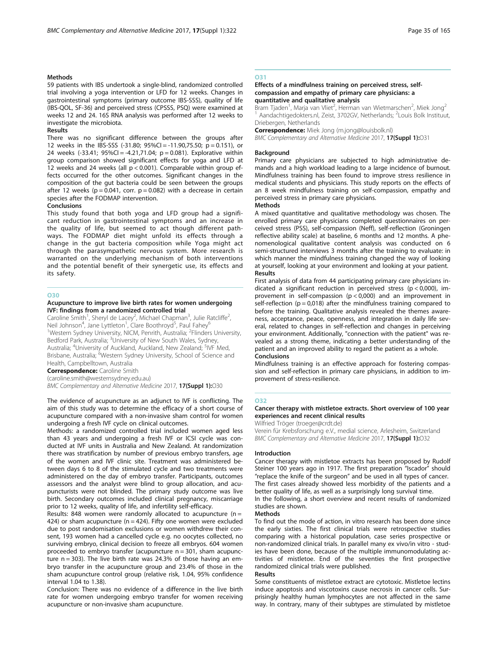## Methods

59 patients with IBS undertook a single-blind, randomized controlled trial involving a yoga intervention or LFD for 12 weeks. Changes in gastrointestinal symptoms (primary outcome IBS-SSS), quality of life (IBS-QOL, SF-36) and perceived stress (CPSSS, PSQ) were examined at weeks 12 and 24. 16S RNA analysis was performed after 12 weeks to investigate the microbiota.

#### Results

There was no significant difference between the groups after 12 weeks in the IBS-SSS (-31.80; 95%CI = -11.90,75.50; p = 0.151), or 24 weeks (-33.41; 95%CI = -4.21,71.04; p = 0.081). Explorative within group comparison showed significant effects for yoga and LFD at 12 weeks and 24 weeks (all  $p < 0.001$ ). Comparable within group effects occurred for the other outcomes. Significant changes in the composition of the gut bacteria could be seen between the groups after 12 weeks ( $p = 0.041$ , corr.  $p = 0.082$ ) with a decrease in certain species after the FODMAP intervention.

#### Conclusions

This study found that both yoga and LFD group had a significant reduction in gastrointestinal symptoms and an increase in the quality of life, but seemed to act though different pathways. The FODMAP diet might unfold its effects through a change in the gut bacteria composition while Yoga might act through the parasympathetic nervous system. More research is warranted on the underlying mechanism of both interventions and the potential benefit of their synergetic use, its effects and its safety.

## O30

## Acupuncture to improve live birth rates for women undergoing IVF: findings from a randomized controlled trial

Caroline Smith<sup>1</sup>, Sheryl de Lacey<sup>2</sup>, Michael Chapman<sup>3</sup>, Julie Ratcliffe<sup>2</sup> , Neil Johnson<sup>4</sup>, Jane Lyttleton<sup>1</sup>, Clare Boothroyd<sup>5</sup>, Paul Fahey<sup>6</sup> <sup>1</sup>Western Sydney University, NICM, Penrith, Australia; <sup>2</sup>Flinders University, Bedford Park, Australia; <sup>3</sup>University of New South Wales, Sydney, Australia; <sup>4</sup>University of Auckland, Auckland, New Zealand; <sup>5</sup>IVF Med, Brisbane, Australia; <sup>6</sup>Western Sydney University, School of Science and Health, Campbelltown, Australia

**Correspondence:** Caroline Smith

(caroline.smith@westernsydney.edu.au)

BMC Complementary and Alternative Medicine 2017, 17(Suppl 1):030

The evidence of acupuncture as an adjunct to IVF is conflicting. The aim of this study was to determine the efficacy of a short course of acupuncture compared with a non-invasive sham control for women undergoing a fresh IVF cycle on clinical outcomes.

Methods: a randomized controlled trial included women aged less than 43 years and undergoing a fresh IVF or ICSI cycle was conducted at IVF units in Australia and New Zealand. At randomization there was stratification by number of previous embryo transfers, age of the women and IVF clinic site. Treatment was administered between days 6 to 8 of the stimulated cycle and two treatments were administered on the day of embryo transfer. Participants, outcomes assessors and the analyst were blind to group allocation, and acupuncturists were not blinded. The primary study outcome was live birth. Secondary outcomes included clinical pregnancy, miscarriage prior to 12 weeks, quality of life, and infertility self-efficacy.

Results: 848 women were randomly allocated to acupuncture ( $n =$ 424) or sham acupuncture ( $n = 424$ ). Fifty one women were excluded due to post randomisation exclusions or women withdrew their consent, 193 women had a cancelled cycle e.g. no oocytes collected, no surviving embryo, clinical decision to freeze all embryos. 604 women proceeded to embryo transfer (acupuncture  $n = 301$ , sham acupuncture  $n = 303$ ). The live birth rate was 24.3% of those having an embryo transfer in the acupuncture group and 23.4% of those in the sham acupuncture control group (relative risk, 1.04, 95% confidence interval 1.04 to 1.38).

Conclusion: There was no evidence of a difference in the live birth rate for women undergoing embryo transfer for women receiving acupuncture or non-invasive sham acupuncture.

## O31

## Effects of a mindfulness training on perceived stress, selfcompassion and empathy of primary care physicians: a quantitative and qualitative analysis

Bram Tjaden<sup>1</sup>, Marja van Vliet<sup>2</sup>, Herman van Wietmarschen<sup>2</sup>, Miek Jong<sup>2</sup> <sup>1</sup> Aandachtigedokters.nl, Zeist, 3702GV, Netherlands; <sup>2</sup>Louis Bolk Instituut Driebergen, Netherlands

Correspondence: Miek Jong (m.jong@louisbolk.nl)

BMC Complementary and Alternative Medicine 2017, 17(Suppl 1):031

#### **Background**

Primary care physicians are subjected to high administrative demands and a high workload leading to a large incidence of burnout. Mindfulness training has been found to improve stress resilience in medical students and physicians. This study reports on the effects of an 8 week mindfulness training on self-compassion, empathy and perceived stress in primary care physicians.

#### Methods

A mixed quantitative and qualitative methodology was chosen. The enrolled primary care physicians completed questionnaires on perceived stress (PSS), self-compassion (Neff), self-reflection (Groningen reflective ability scale) at baseline, 6 months and 12 months. A phenomenological qualitative content analysis was conducted on 6 semi-structured interviews 3 months after the training to evaluate: in which manner the mindfulness training changed the way of looking at yourself, looking at your environment and looking at your patient. Results

First analysis of data from 44 participating primary care physicians indicated a significant reduction in perceived stress ( $p < 0,000$ ), improvement in self-compassion (p < 0,000) and an improvement in self-reflection ( $p = 0.018$ ) after the mindfulness training compared to before the training. Qualitative analysis revealed the themes awareness, acceptance, peace, openness, and integration in daily life several, related to changes in self-reflection and changes in perceiving your environment. Additionally, "connection with the patient" was revealed as a strong theme, indicating a better understanding of the patient and an improved ability to regard the patient as a whole. Conclusions

Mindfulness training is an effective approach for fostering compassion and self-reflection in primary care physicians, in addition to improvement of stress-resilience.

## O32

## Cancer therapy with mistletoe extracts. Short overview of 100 year experiences and recent clinical results

Wilfried Tröger (troeger@crdt.de)

Verein für Krebsforschung e.V., medial science, Arlesheim, Switzerland BMC Complementary and Alternative Medicine 2017, 17(Suppl 1):032

#### Introduction

Cancer therapy with mistletoe extracts has been proposed by Rudolf Steiner 100 years ago in 1917. The first preparation "Iscador" should "replace the knife of the surgeon" and be used in all types of cancer. The first cases already showed less morbidity of the patients and a better quality of life, as well as a surprisingly long survival time.

In the following, a short overview and recent results of randomized studies are shown.

## Methods

To find out the mode of action, in vitro research has been done since the early sixties. The first clinical trials were retrospective studies comparing with a historical population, case series prospective or non-randomized clinical trials. In parallel many ex vivo/in vitro - studies have been done, because of the multiple immunomodulating activities of mistletoe. End of the seventies the first prospective randomized clinical trials were published.

#### Results

Some constituents of mistletoe extract are cytotoxic. Mistletoe lectins induce apoptosis and viscotoxins cause necrosis in cancer cells. Surprisingly healthy human lymphocytes are not affected in the same way. In contrary, many of their subtypes are stimulated by mistletoe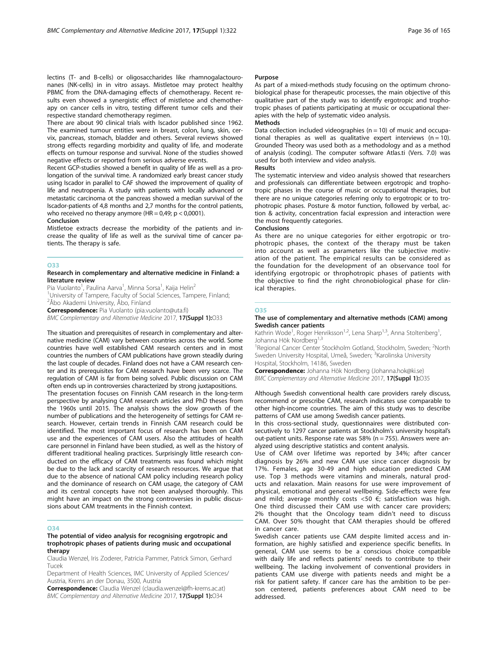lectins (T- and B-cells) or oligosaccharides like rhamnogalactouronanes (NK-cells) in in vitro assays. Mistletoe may protect healthy PBMC from the DNA-damaging effects of chemotherapy. Recent results even showed a synergistic effect of mistletoe and chemotherapy on cancer cells in vitro, testing different tumor cells and their respective standard chemotherapy regimen.

There are about 90 clinical trials with Iscador published since 1962. The examined tumour entities were in breast, colon, lung, skin, cervix, pancreas, stomach, bladder and others. Several reviews showed strong effects regarding morbidity and quality of life, and moderate effects on tumour response and survival. None of the studies showed negative effects or reported from serious adverse events.

Recent GCP-studies showed a benefit in quality of life as well as a prolongation of the survival time. A randomized early breast cancer study using Iscador in parallel to CAF showed the improvement of quality of life and neutropenia. A study with patients with locally advanced or metastatic carcinoma ot the pancreas showed a median survival of the Iscador-patients of 4,8 months and 2,7 months for the control patients, who received no therapy anymore (HR =  $0,49$ ; p <  $0,0001$ ).

#### Conclusion

Mistletoe extracts decrease the morbidity of the patients and increase the quality of life as well as the survival time of cancer patients. The therapy is safe.

#### O33

#### Research in complementary and alternative medicine in Finland: a literature review

Pia Vuolanto<sup>1</sup>, Paulina Aarva<sup>1</sup>, Minna Sorsa<sup>1</sup>, Kaija Helin<sup>2</sup>

<sup>1</sup>University of Tampere, Faculty of Social Sciences, Tampere, Finland; 2 Åbo Akademi University, Åbo, Finland

Correspondence: Pia Vuolanto (pia.vuolanto@uta.fi)

BMC Complementary and Alternative Medicine 2017, 17(Suppl 1):033

The situation and prerequisites of research in complementary and alternative medicine (CAM) vary between countries across the world. Some countries have well established CAM research centers and in most countries the numbers of CAM publications have grown steadily during the last couple of decades. Finland does not have a CAM research center and its prerequisites for CAM research have been very scarce. The regulation of CAM is far from being solved. Public discussion on CAM often ends up in controversies characterized by strong juxtapositions.

The presentation focuses on Finnish CAM research in the long-term perspective by analysing CAM research articles and PhD theses from the 1960s until 2015. The analysis shows the slow growth of the number of publications and the heterogeneity of settings for CAM research. However, certain trends in Finnish CAM research could be identified. The most important focus of research has been on CAM use and the experiences of CAM users. Also the attitudes of health care personnel in Finland have been studied, as well as the history of different traditional healing practices. Surprisingly little research conducted on the efficacy of CAM treatments was found which might be due to the lack and scarcity of research resources. We argue that due to the absence of national CAM policy including research policy and the dominance of research on CAM usage, the category of CAM and its central concepts have not been analysed thoroughly. This might have an impact on the strong controversies in public discussions about CAM treatments in the Finnish context.

## O34

## The potential of video analysis for recognising ergotropic and trophotropic phases of patients during music and occupational therapy

Claudia Wenzel, Iris Zoderer, Patricia Pammer, Patrick Simon, Gerhard Tucek

Department of Health Sciences, IMC University of Applied Sciences/ Austria, Krems an der Donau, 3500, Austria

Correspondence: Claudia Wenzel (claudia.wenzel@fh-krems.ac.at) BMC Complementary and Alternative Medicine 2017, 17(Suppl 1):034

## Purpose

As part of a mixed-methods study focusing on the optimum chronobiological phase for therapeutic processes, the main objective of this qualitative part of the study was to identify ergotropic and trophotropic phases of patients participating at music or occupational therapies with the help of systematic video analysis.

#### Methods

Data collection included videographies ( $n = 10$ ) of music and occupational therapies as well as qualitative expert interviews ( $n = 10$ ). Grounded Theory was used both as a methodology and as a method of analysis (coding). The computer software Atlas.ti (Vers. 7.0) was used for both interview and video analysis.

## Results

The systematic interview and video analysis showed that researchers and professionals can differentiate between ergotropic and trophotropic phases in the course of music or occupational therapies, but there are no unique categories referring only to ergotropic or to trophotropic phases. Posture & motor function, followed by verbal, action & activity, concentration facial expression and interaction were the most frequently categories.

#### Conclusions

As there are no unique categories for either ergotropic or trophotropic phases, the context of the therapy must be taken into account as well as parameters like the subjective motivation of the patient. The empirical results can be considered as the foundation for the development of an observance tool for identifying ergotropic or throphotropic phases of patients with the objective to find the right chronobiological phase for clinical therapies.

## O35

#### The use of complementary and alternative methods (CAM) among Swedish cancer patients

Kathrin Wode<sup>1</sup>, Roger Henriksson<sup>1,2</sup>, Lena Sharp<sup>1,3</sup>, Anna Stoltenberg<sup>1</sup> Johanna Hök Nordberg<sup>1,3</sup>

<sup>1</sup>Regional Cancer Center Stockholm Gotland, Stockholm, Sweden; <sup>2</sup>North Sweden University Hospital, Umeå, Sweden; <sup>3</sup>Karolinska University Hospital, Stockholm, 14186, Sweden

Correspondence: Johanna Hök Nordberg (Johanna.hok@ki.se) BMC Complementary and Alternative Medicine 2017, 17(Suppl 1):O35

Although Swedish conventional health care providers rarely discuss, recommend or prescribe CAM, research indicates use comparable to other high-income countries. The aim of this study was to describe patterns of CAM use among Swedish cancer patients.

In this cross-sectional study, questionnaires were distributed consecutively to 1297 cancer patients at Stockholm's university hospital's out-patient units. Response rate was 58% (n = 755). Answers were analyzed using descriptive statistics and content analysis.

Use of CAM over lifetime was reported by 34%; after cancer diagnosis by 26% and new CAM use since cancer diagnosis by 17%. Females, age 30-49 and high education predicted CAM use. Top 3 methods were vitamins and minerals, natural products and relaxation. Main reasons for use were improvement of physical, emotional and general wellbeing. Side-effects were few and mild; average monthly costs <50  $\epsilon$ ; satisfaction was high. One third discussed their CAM use with cancer care providers; 2% thought that the Oncology team didn't need to discuss CAM. Over 50% thought that CAM therapies should be offered in cancer care.

Swedish cancer patients use CAM despite limited access and information, are highly satisfied and experience specific benefits. In general, CAM use seems to be a conscious choice compatible with daily life and reflects patients' needs to contribute to their wellbeing. The lacking involvement of conventional providers in patients CAM use diverge with patients needs and might be a risk for patient safety. If cancer care has the ambition to be person centered, patients preferences about CAM need to be addressed.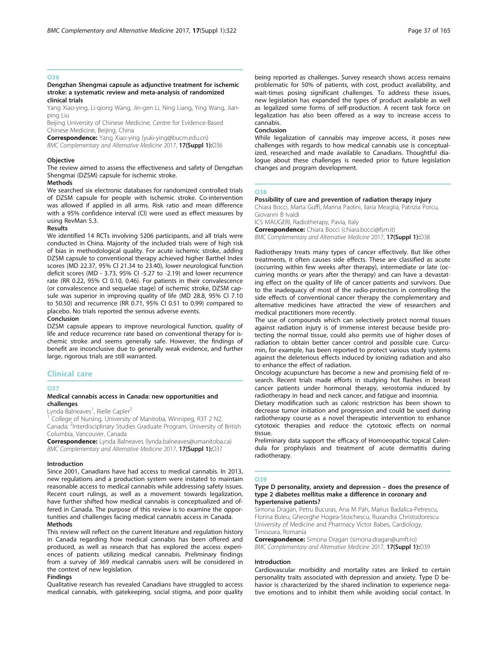## O36

#### Dengzhan Shengmai capsule as adjunctive treatment for ischemic stroke: a systematic review and meta-analysis of randomized clinical trials

Yang Xiao-ying, Li-qiong Wang, Jin-gen Li, Ning Liang, Ying Wang, Jianping Liu

Beijing University of Chinese Medicine, Centre for Evidence-Based Chinese Medicine, Beijing, China

**Correspondence:** Yang Xiao-ying (yuki-ying@bucm.edu.cn)

BMC Complementary and Alternative Medicine 2017, 17(Suppl 1):036

## **Objective**

The review aimed to assess the effectiveness and safety of Dengzhan Shengmai (DZSM) capsule for ischemic stroke.

## Methods

We searched six electronic databases for randomized controlled trials of DZSM capsule for people with ischemic stroke. Co-intervention was allowed if applied in all arms. Risk ratio and mean difference with a 95% confidence interval (CI) were used as effect measures by using RevMan 5.3.

## Results

We identified 14 RCTs involving 5206 participants, and all trials were conducted in China. Majority of the included trials were of high risk of bias in methodological quality. For acute ischemic stroke, adding DZSM capsule to conventional therapy achieved higher Barthel Index scores (MD 22.37, 95% CI 21.34 to 23.40), lower neurological function deficit scores (MD - 3.73, 95% CI -5.27 to -2.19) and lower recurrence rate (RR 0.22, 95% CI 0.10, 0.46). For patients in their convalescence (or convalescence and sequelae stage) of ischemic stroke, DZSM capsule was superior in improving quality of life (MD 28.8, 95% CI 7.10 to 50.50) and recurrence (RR 0.71, 95% CI 0.51 to 0.99) compared to placebo. No trials reported the serious adverse events.

## Conclusion

DZSM capsule appears to improve neurological function, quality of life and reduce recurrence rate based on conventional therapy for ischemic stroke and seems generally safe. However, the findings of benefit are inconclusive due to generally weak evidence, and further large, rigorous trials are still warranted.

## Clinical care

#### O37

## Medical cannabis access in Canada: new opportunities and challenges

Lynda Balneaves<sup>1</sup>, Rielle Capler<sup>2</sup>

<sup>1</sup> College of Nursing, University of Manitoba, Winnipeg, R3T 2 N2, Canada; <sup>2</sup>Interdisciplinary Studies Graduate Program, University of British Columbia, Vancouver, Canada

Correspondence: Lynda Balneaves (lynda.balneaves@umanitoba.ca) BMC Complementary and Alternative Medicine 2017, 17(Suppl 1):037

## Introduction

Since 2001, Canadians have had access to medical cannabis. In 2013, new regulations and a production system were instated to maintain reasonable access to medical cannabis while addressing safety issues. Recent court rulings, as well as a movement towards legalization, have further shifted how medical cannabis is conceptualized and offered in Canada. The purpose of this review is to examine the opportunities and challenges facing medical cannabis access in Canada. Methods

This review will reflect on the current literature and regulation history in Canada regarding how medical cannabis has been offered and produced, as well as research that has explored the access experiences of patients utilizing medical cannabis. Preliminary findings from a survey of 369 medical cannabis users will be considered in the context of new legislation.

#### Findings

Qualitative research has revealed Canadians have struggled to access medical cannabis, with gatekeeping, social stigma, and poor quality being reported as challenges. Survey research shows access remains problematic for 50% of patients, with cost, product availability, and wait-times posing significant challenges. To address these issues, new legislation has expanded the types of product available as well as legalized some forms of self-production. A recent task force on legalization has also been offered as a way to increase access to cannabis.

## Conclusion

While legalization of cannabis may improve access, it poses new challenges with regards to how medical cannabis use is conceptualized, researched and made available to Canadians. Thoughtful dialogue about these challenges is needed prior to future legislation changes and program development.

#### O38

#### Possibility of cure and prevention of radiation therapy injury

Chiara Bocci, Marta Guffi, Marina Paolini, Ilaria Meaglia, Patrizia Porcu, Giovanni B Ivaldi

ICS MAUGERI, Radiotherapy, Pavia, Italy

Correspondence: Chiara Bocci (chiara.bocci@fsm.it)

BMC Complementary and Alternative Medicine 2017, 17(Suppl 1):038

Radiotherapy treats many types of cancer effectively. But like other treatments, it often causes side effects. These are classified as acute (occurring within few weeks after therapy), intermediate or late (occurring months or years after the therapy) and can have a devastating effect on the quality of life of cancer patients and survivors. Due to the inadequacy of most of the radio-protectors in controlling the side effects of conventional cancer therapy the complementary and alternative medicines have attracted the view of researchers and medical practitioners more recently.

The use of compounds which can selectively protect normal tissues against radiation injury is of immense interest because beside protecting the normal tissue, could also permits use of higher doses of radiation to obtain better cancer control and possible cure. Curcumin, for example, has been reported to protect various study systems against the deleterious effects induced by ionizing radiation and also to enhance the effect of radiation.

Oncology acupuncture has become a new and promising field of research. Recent trials made efforts in studying hot flashes in breast cancer patients under hormonal therapy, xerostomia induced by radiotherapy in head and neck cancer, and fatigue and insomnia.

Dietary modification such as caloric restriction has been shown to decrease tumor initiation and progression and could be used during radiotherapy course as a novel therapeutic intervention to enhance cytotoxic therapies and reduce the cytotoxic effects on normal tissue.

Preliminary data support the efficacy of Homoeopathic topical Calendula for prophylaxis and treatment of acute dermatitis during radiotherapy.

#### O39

## Type D personality, anxiety and depression – does the presence of type 2 diabetes mellitus make a difference in coronary and hypertensive patients?

Simona Dragan, Petru Bucuras, Ana M Pah, Marius Badalica-Petrescu, Florina Buleu, Gheorghe Hogea-Stoichescu, Ruxandra Christodorescu University of Medicine and Pharmacy Victor Babes, Cardiology, Timisoara, Romania

**Correspondence:** Simona Dragan (simona.dragan@umft.ro) BMC Complementary and Alternative Medicine 2017, 17(Suppl 1):O39

#### Introduction

Cardiovascular morbidity and mortality rates are linked to certain personality traits associated with depression and anxiety. Type D behavior is characterized by the shared inclination to experience negative emotions and to inhibit them while avoiding social contact. In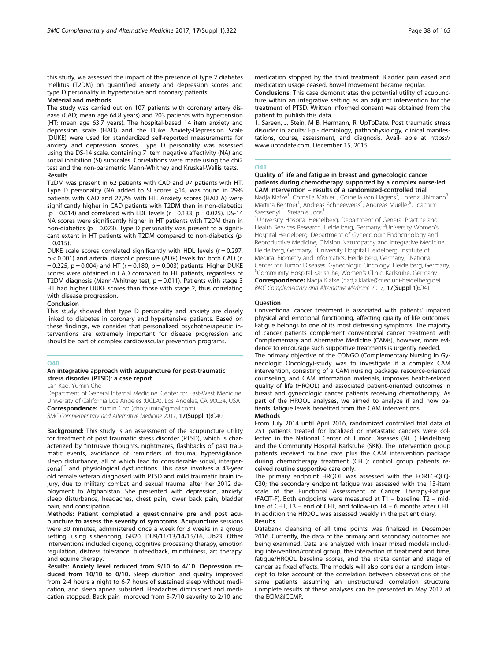this study, we assessed the impact of the presence of type 2 diabetes mellitus (T2DM) on quantified anxiety and depression scores and type D personality in hypertensive and coronary patients.

## Material and methods

The study was carried out on 107 patients with coronary artery disease (CAD; mean age 64.8 years) and 203 patients with hypertension (HT; mean age 63.7 years). The hospital-based 14 item anxiety and depression scale (HAD) and the Duke Anxiety-Depression Scale (DUKE) were used for standardized self-reported measurements for anxiety and depression scores. Type D personality was assessed using the DS-14 scale, containing 7 item negative affectivity (NA) and social inhibition (SI) subscales. Correlations were made using the chi2 test and the non-parametric Mann-Whitney and Kruskal-Wallis tests. Results

T2DM was present in 62 patients with CAD and 97 patients with HT. Type D personality (NA added to SI scores ≥14) was found in 29% patients with CAD and 27,7% with HT. Anxiety scores (HAD A) were significantly higher in CAD patients with T2DM than in non-diabetics ( $p = 0.014$ ) and correlated with LDL levels ( $r = 0.133$ ,  $p = 0.025$ ). DS-14 NA scores were significantly higher in HT patients with T2DM than in non-diabetics ( $p = 0.023$ ). Type D personality was present to a significant extent in HT patients with T2DM compared to non-diabetics (p  $= 0.015$ .

DUKE scale scores correlated significantly with HDL levels ( $r = 0.297$ , p < 0.001) and arterial diastolic pressure (ADP) levels for both CAD (r  $= 0.225$ , p = 0.004) and HT (r = 0.180, p = 0.003) patients. Higher DUKE scores were obtained in CAD compared to HT patients, regardless of T2DM diagnosis (Mann-Whitney test,  $p = 0.011$ ). Patients with stage 3 HT had higher DUKE scores than those with stage 2, thus correlating with disease progression.

#### Conclusion

This study showed that type D personality and anxiety are closely linked to diabetes in coronary and hypertensive patients. Based on these findings, we consider that personalized psychotherapeutic interventions are extremely important for disease progression and should be part of complex cardiovascular prevention programs.

## O40

## An integrative approach with acupuncture for post-traumatic stress disorder (PTSD): a case report

Lan Kao, Yumin Cho

Department of General Internal Medicine, Center for East-West Medicine, University of California Los Angeles (UCLA), Los Angeles, CA 90024, USA **Correspondence:** Yumin Cho (cho.yumin@gmail.com) BMC Complementary and Alternative Medicine 2017, 17(Suppl 1):040

Background: This study is an assessment of the acupuncture utility for treatment of post traumatic stress disorder (PTSD), which is characterized by "intrusive thoughts, nightmares, flashbacks of past traumatic events, avoidance of reminders of trauma, hypervigilance, sleep disturbance, all of which lead to considerable social, interpersonal<sup>1"</sup> and physiological dysfunctions. This case involves a 43-year old female veteran diagnosed with PTSD and mild traumatic brain injury, due to military combat and sexual trauma, after her 2012 deployment to Afghanistan. She presented with depression, anxiety, sleep disturbance, headaches, chest pain, lower back pain, bladder

pain, and constipation. Methods: Patient completed a questionnaire pre and post acupuncture to assess the severity of symptoms. Acupuncture sessions were 30 minutes, administered once a week for 3 weeks in a group setting, using sishencong, GB20, DU9/11/13/14/15/16, Ub23. Other interventions included qigong, cognitive processing therapy, emotion regulation, distress tolerance, biofeedback, mindfulness, art therapy, and equine therapy.

Results: Anxiety level reduced from 9/10 to 4/10. Depression reduced from 10/10 to 0/10. Sleep duration and quality improved from 2-4 hours a night to 6-7 hours of sustained sleep without medication, and sleep apnea subsided. Headaches diminished and medication stopped. Back pain improved from 5-7/10 severity to 2/10 and medication stopped by the third treatment. Bladder pain eased and medication usage ceased. Bowel movement became regular.

Conclusions: This case demonstrates the potential utility of acupuncture within an integrative setting as an adjunct intervention for the treatment of PTSD. Written informed consent was obtained from the patient to publish this data.

1. Sareen, J, Stein, M B, Hermann, R. UpToDate. Post traumatic stress disorder in adults: Epi- demiology, pathophysiology, clinical manifestations, course, assessment, and diagnosis. Avail- able at [https://](https://www.uptodate.com/) [www.uptodate.com](https://www.uptodate.com/). December 15, 2015.

#### O41

## Quality of life and fatigue in breast and gynecologic cancer patients during chemotherapy supported by a complex nurse-led CAM intervention – results of a randomized-controlled trial Nadja Klafke<sup>1</sup>, Cornelia Mahler<sup>1</sup>, Cornelia von Hagens<sup>2</sup>, Lorenz Uhlmann<sup>3</sup>

, Martina Bentner<sup>1</sup>, Andreas Schneeweiss<sup>4</sup>, Andreas Mueller<sup>5</sup>, Joachim Szecsenyi<sup>1</sup>, Stefanie Joos<sup>1</sup>

<sup>1</sup>University Hospital Heidelberg, Department of General Practice and Health Services Research, Heidelberg, Germany; <sup>2</sup>University Women's Hospital Heidelberg, Department of Gynecologic Endocrinology and Reproductive Medicine, Division Naturopathy and Integrative Medicine, Heidelberg, Germany; <sup>3</sup>University Hospital Heidelberg, Institute of Medical Biometry and Informatics, Heidelberg, Germany; <sup>4</sup>National Center for Tumor Diseases, Gynecologic Oncology, Heidelberg, Germany; 5 Community Hospital Karlsruhe, Women's Clinic, Karlsruhe, Germany Correspondence: Nadja Klafke (nadja.klafke@med.uni-heidelberg.de) BMC Complementary and Alternative Medicine 2017, 17(Suppl 1):041

## **Ouestion**

Conventional cancer treatment is associated with patients' impaired physical and emotional functioning, affecting quality of life outcomes. Fatigue belongs to one of its most distressing symptoms. The majority of cancer patients complement conventional cancer treatment with Complementary and Alternative Medicine (CAMs), however, more evidence to encourage such supportive treatments is urgently needed. The primary objective of the CONGO (Complementary Nursing in Gynecologic Oncology)-study was to investigate if a complex CAM intervention, consisting of a CAM nursing package, resource-oriented counseling, and CAM information materials, improves health-related quality of life (HRQOL) and associated patient-oriented outcomes in breast and gynecologic cancer patients receiving chemotherapy. As part of the HRQOL analyses, we aimed to analyze if and how patients' fatigue levels benefited from the CAM interventions.

Methods

From July 2014 until April 2016, randomized controlled trial data of 251 patients treated for localized or metastatic cancers were collected in the National Center of Tumor Diseases (NCT) Heidelberg and the Community Hospital Karlsruhe (SKK). The intervention group patients received routine care plus the CAM intervention package during chemotherapy treatment (CHT); control group patients received routine supportive care only.

The primary endpoint HRQOL was assessed with the EORTC-QLQ-C30; the secondary endpoint fatigue was assessed with the 13-item scale of the Functional Assessment of Cancer Therapy-Fatigue (FACIT-F). Both endpoints were measured at T1 – baseline, T2 – midline of CHT, T3 – end of CHT, and follow-up T4 – 6 months after CHT. In addition the HRQOL was assessed weekly in the patient diary. Results

Databank cleansing of all time points was finalized in December 2016. Currently, the data of the primary and secondary outcomes are being examined. Data are analyzed with linear mixed models including intervention/control group, the interaction of treatment and time, fatigue/HRQOL baseline scores, and the strata center and stage of cancer as fixed effects. The models will also consider a random intercept to take account of the correlation between observations of the same patients assuming an unstructured correlation structure. Complete results of these analyses can be presented in May 2017 at the ECIM&ICCMR.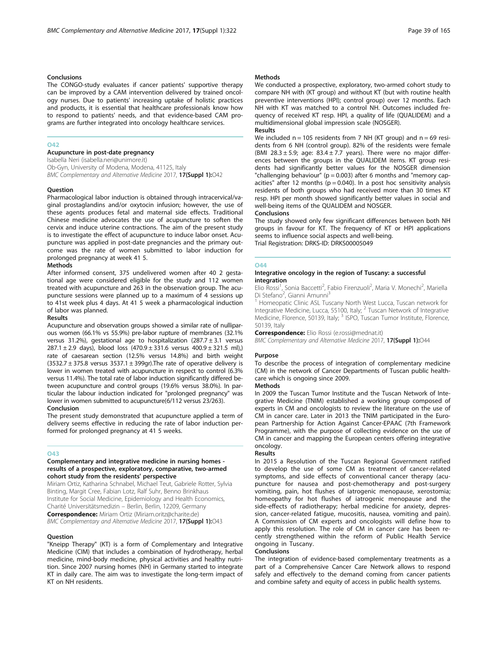The CONGO-study evaluates if cancer patients' supportive therapy can be improved by a CAM intervention delivered by trained oncology nurses. Due to patients' increasing uptake of holistic practices and products, it is essential that healthcare professionals know how to respond to patients' needs, and that evidence-based CAM programs are further integrated into oncology healthcare services.

## O<sub>42</sub>

## Acupuncture in post-date pregnancy

Isabella Neri (isabella.neri@unimore.it)

Ob-Gyn, University of Modena, Modena, 41125, Italy

BMC Complementary and Alternative Medicine 2017, 17(Suppl 1):042

## **Ouestion**

Pharmacological labor induction is obtained through intracervical/vaginal prostaglandins and/or oxytocin infusion; however, the use of these agents produces fetal and maternal side effects. Traditional Chinese medicine advocates the use of acupuncture to soften the cervix and induce uterine contractions. The aim of the present study is to investigate the effect of acupuncture to induce labor onset. Acupuncture was applied in post-date pregnancies and the primary outcome was the rate of women submitted to labor induction for prolonged pregnancy at week 41 5.

## Methods

After informed consent, 375 undelivered women after 40 2 gestational age were considered eligible for the study and 112 women treated with acupuncture and 263 in the observation group. The acupuncture sessions were planned up to a maximum of 4 sessions up to 41st week plus 4 days. At 41 5 week a pharmacological induction of labor was planned.

#### Results

Acupuncture and observation groups showed a similar rate of nulliparous women (66.1% vs 55.9%) pre-labor rupture of membranes (32.1% versus 31.2%), gestational age to hospitalization  $(287.7 \pm 3.1$  versus  $287.1 \pm 2.9$  days), blood loss  $(470.9 \pm 331.6$  versus  $400.9 \pm 321.5$  ml),) rate of caesarean section (12.5% versus 14.8%) and birth weight  $(3532.7 \pm 375.8$  versus  $3537.1 \pm 399$ gr). The rate of operative delivery is lower in women treated with acupuncture in respect to control (6.3% versus 11.4%). The total rate of labor induction significantly differed between acupuncture and control groups (19.6% versus 38.0%). In particular the labour induction indicated for "prolonged pregnancy" was lower in women submitted to acupuncture(6/112 versus 23/263). Conclusion

The present study demonstrated that acupuncture applied a term of delivery seems effective in reducing the rate of labor induction performed for prolonged pregnancy at 41 5 weeks.

#### O43

## Complementary and integrative medicine in nursing homes results of a prospective, exploratory, comparative, two-armed cohort study from the residents' perspective

Miriam Ortiz, Katharina Schnabel, Michael Teut, Gabriele Rotter, Sylvia Binting, Margit Cree, Fabian Lotz, Ralf Suhr, Benno Brinkhaus Institute for Social Medicine, Epidemiology and Health Economics, Charité Universitätsmedizin – Berlin, Berlin, 12209, Germany Correspondence: Miriam Ortiz (Miriam.oritz@charite.de)

BMC Complementary and Alternative Medicine 2017, 17(Suppl 1):043

## **Question**

"Kneipp Therapy" (KT) is a form of Complementary and Integrative Medicine (CIM) that includes a combination of hydrotherapy, herbal medicine, mind-body medicine, physical activities and healthy nutrition. Since 2007 nursing homes (NH) in Germany started to integrate KT in daily care. The aim was to investigate the long-term impact of KT on NH residents.

## Methods

We conducted a prospective, exploratory, two-armed cohort study to compare NH with (KT group) and without KT (but with routine health preventive interventions (HPI); control group) over 12 months. Each NH with KT was matched to a control NH. Outcomes included frequency of received KT resp. HPI, a quality of life (QUALIDEM) and a multidimensional global impression scale (NOSGER).

## Results

We included  $n = 105$  residents from 7 NH (KT group) and  $n = 69$  residents from 6 NH (control group). 82% of the residents were female (BMI 28.3  $\pm$  5.9; age: 83.4  $\pm$  7.7 years). There were no major differences between the groups in the QUALIDEM items. KT group residents had significantly better values for the NOSGER dimension "challenging behaviour" ( $p = 0.003$ ) after 6 months and "memory capacities" after 12 months ( $p = 0.040$ ). In a post hoc sensitivity analysis residents of both groups who had received more than 30 times KT resp. HPI per month showed significantly better values in social and well-being items of the QUALIDEM and NOSGER.

## Conclusions

The study showed only few significant differences between both NH groups in favour for KT. The frequency of KT or HPI applications seems to influence social aspects and well-being. Trial Registration: DRKS-ID: DRKS00005049

#### O44

#### Integrative oncology in the region of Tuscany: a successful integration

Elio Rossi<sup>1</sup>, Sonia Baccetti<sup>2</sup>, Fabio Firenzuoli<sup>2</sup>, Maria V. Monechi<sup>2</sup>, Mariella Di Stefano<sup>2</sup>, Gianni Amunni<sup>3</sup>

<sup>1</sup> Homeopatic Clinic ASL Tuscany North West Lucca, Tuscan network for Integrative Medicine, Lucca, 55100, Italy; <sup>2</sup> Tuscan Network of Integrative Medicine, Florence, 50139, Italy; <sup>3</sup> ISPO, Tuscan Tumor Institute, Florence, 50139, Italy

Correspondence: Elio Rossi (e.rossi@mednat.it)

BMC Complementary and Alternative Medicine 2017, 17(Suppl 1):044

#### Purpose

To describe the process of integration of complementary medicine (CM) in the network of Cancer Departments of Tuscan public healthcare which is ongoing since 2009.

## Methods

In 2009 the Tuscan Tumor Institute and the Tuscan Network of Integrative Medicine (TNIM) established a working group composed of experts in CM and oncologists to review the literature on the use of CM in cancer care. Later in 2013 the TNIM participated in the European Partnership for Action Against Cancer-EPAAC (7th Framework Programme), with the purpose of collecting evidence on the use of CM in cancer and mapping the European centers offering integrative oncology.

#### Results

In 2015 a Resolution of the Tuscan Regional Government ratified to develop the use of some CM as treatment of cancer-related symptoms, and side effects of conventional cancer therapy (acupuncture for nausea and post-chemotherapy and post-surgery vomiting, pain, hot flushes of iatrogenic menopause, xerostomia; homeopathy for hot flushes of iatrogenic menopause and the side-effects of radiotherapy; herbal medicine for anxiety, depression, cancer-related fatigue, mucositis, nausea, vomiting and pain). A Commission of CM experts and oncologists will define how to apply this resolution. The role of CM in cancer care has been recently strengthened within the reform of Public Health Service ongoing in Tuscany.

## Conclusions

The integration of evidence-based complementary treatments as a part of a Comprehensive Cancer Care Network allows to respond safely and effectively to the demand coming from cancer patients and combine safety and equity of access in public health systems.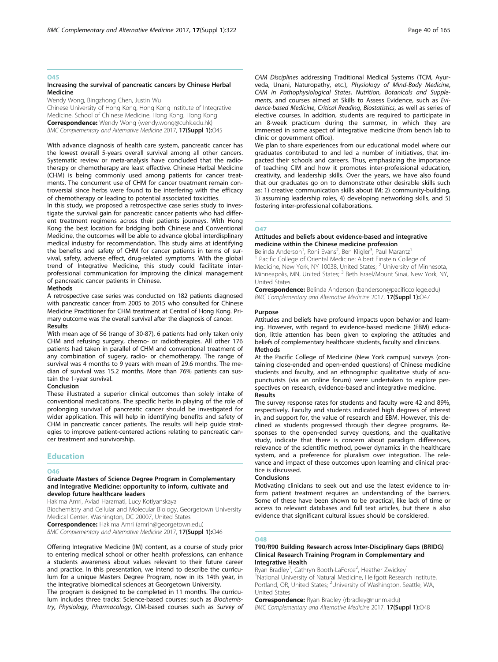## O45

## Increasing the survival of pancreatic cancers by Chinese Herbal Medicine

Wendy Wong, Bingzhong Chen, Justin Wu Chinese University of Hong Kong, Hong Kong Institute of Integrative Medicine, School of Chinese Medicine, Hong Kong, Hong Kong Correspondence: Wendy Wong (wendy.wong@cuhk.edu.hk) BMC Complementary and Alternative Medicine 2017, 17(Suppl 1):045

With advance diagnosis of health care system, pancreatic cancer has the lowest overall 5-years overall survival among all other cancers. Systematic review or meta-analysis have concluded that the radiotherapy or chemotherapy are least effective. Chinese Herbal Medicine (CHM) is being commonly used among patients for cancer treatments. The concurrent use of CHM for cancer treatment remain controversial since herbs were found to be interfering with the efficacy of chemotherapy or leading to potential associated toxicities.

In this study, we proposed a retrospective case series study to investigate the survival gain for pancreatic cancer patients who had different treatment regimens across their patients journeys. With Hong Kong the best location for bridging both Chinese and Conventional Medicine, the outcomes will be able to advance global interdisplinary medical industry for recommendation. This study aims at identifying the benefits and safety of CHM for cancer patients in terms of survival, safety, adverse effect, drug-related symptoms. With the global trend of Integrative Medicine, this study could facilitate interprofessional communication for improving the clinical management of pancreatic cancer patients in Chinese.

## Methods

A retrospective case series was conducted on 182 patients diagnosed with pancreatic cancer from 2005 to 2015 who consulted for Chinese Medicine Practitioner for CHM treatment at Central of Hong Kong. Primary outcome was the overall survival after the diagnosis of cancer. Results

## With mean age of 56 (range of 30-87), 6 patients had only taken only CHM and refusing surgery, chemo- or radiotherapies. All other 176 patients had taken in parallel of CHM and conventional treatment of any combination of sugery, radio- or chemotherapy. The range of survival was 4 months to 9 years with mean of 29.6 months. The median of survival was 15.2 months. More than 76% patients can sustain the 1-year survival.

#### Conclusion

These illustrated a superior clinical outcomes than solely intake of conventional medications. The specific herbs in playing of the role of prolonging survival of pancreatic cancer should be investigated for wider application. This will help in identifying benefits and safety of CHM in pancreatic cancer patients. The results will help guide strategies to improve patient-centered actions relating to pancreatic cancer treatment and survivorship.

## Education

#### O46

## Graduate Masters of Science Degree Program in Complementary and Integrative Medicine: opportunity to inform, cultivate and develop future healthcare leaders

Hakima Amri, Aviad Haramati, Lucy Kotlyanskaya

Biochemistry and Cellular and Molecular Biology, Georgetown University Medical Center, Washington, DC 20007, United States

Correspondence: Hakima Amri (amrih@georgetown.edu)

BMC Complementary and Alternative Medicine 2017, 17(Suppl 1):046

Offering Integrative Medicine (IM) content, as a course of study prior to entering medical school or other health professions, can enhance a students awareness about values relevant to their future career and practice. In this presentation, we intend to describe the curriculum for a unique Masters Degree Program, now in its 14th year, in the integrative biomedical sciences at Georgetown University.

The program is designed to be completed in 11 months. The curriculum includes three tracks: Science-based courses: such as Biochemistry, Physiology, Pharmacology, CIM-based courses such as Survey of CAM Disciplines addressing Traditional Medical Systems (TCM, Ayurveda, Unani, Naturopathy, etc.), Physiology of Mind-Body Medicine, CAM in Pathophysiological States, Nutrition, Botanicals and Supplements, and courses aimed at Skills to Assess Evidence, such as Evidence-based Medicine, Critical Reading, Biostatistics, as well as series of elective courses. In addition, students are required to participate in an 8-week practicum during the summer, in which they are immersed in some aspect of integrative medicine (from bench lab to clinic or government office).

We plan to share experiences from our educational model where our graduates contributed to and led a number of initiatives, that impacted their schools and careers. Thus, emphasizing the importance of teaching CIM and how it promotes inter-professional education, creativity, and leadership skills. Over the years, we have also found that our graduates go on to demonstrate other desirable skills such as: 1) creative communication skills about IM; 2) community-building, 3) assuming leadership roles, 4) developing networking skills, and 5) fostering inter-professional collaborations.

## O47

## Attitudes and beliefs about evidence-based and integrative medicine within the Chinese medicine profession

Belinda Anderson<sup>1</sup>, Roni Evans<sup>2</sup>, Ben Kligler<sup>3</sup>, Paul Marantz<sup>1</sup>

<sup>1</sup> Pacific College of Oriental Medicine; Albert Einstein College of Medicine, New York, NY 10038, United States; <sup>2</sup> University of Minnesota, Minneapolis, MN, United States; <sup>3</sup> Beth Israel/Mount Sinai, New York, NY, United States

Correspondence: Belinda Anderson (banderson@pacificcollege.edu) BMC Complementary and Alternative Medicine 2017, 17(Suppl 1):047

#### Purpose

Attitudes and beliefs have profound impacts upon behavior and learning. However, with regard to evidence-based medicine (EBM) education, little attention has been given to exploring the attitudes and beliefs of complementary healthcare students, faculty and clinicians. Methods

At the Pacific College of Medicine (New York campus) surveys (containing close-ended and open-ended questions) of Chinese medicine students and faculty, and an ethnographic qualitative study of acupuncturists (via an online forum) were undertaken to explore perspectives on research, evidence-based and integrative medicine. Results

The survey response rates for students and faculty were 42 and 89%, respectively. Faculty and students indicated high degrees of interest in, and support for, the value of research and EBM. However, this declined as students progressed through their degree programs. Responses to the open-ended survey questions, and the qualitative study, indicate that there is concern about paradigm differences, relevance of the scientific method, power dynamics in the healthcare system, and a preference for pluralism over integration. The relevance and impact of these outcomes upon learning and clinical practice is discussed.

#### Conclusions

Motivating clinicians to seek out and use the latest evidence to inform patient treatment requires an understanding of the barriers. Some of these have been shown to be practical, like lack of time or access to relevant databases and full text articles, but there is also evidence that significant cultural issues should be considered.

## O48

## T90/R90 Building Research across Inter-Disciplinary Gaps (BRIDG) Clinical Research Training Program in Complementary and Integrative Health

Ryan Bradley<sup>1</sup>, Cathryn Booth-LaForce<sup>2</sup>, Heather Zwickey<sup>1</sup> <sup>1</sup>National University of Natural Medicine, Helfgott Research Institute, Portland, OR, United States; <sup>2</sup>University of Washington, Seattle, WA, United States

Correspondence: Ryan Bradley (rbradley@nunm.edu) BMC Complementary and Alternative Medicine 2017, 17(Suppl 1):048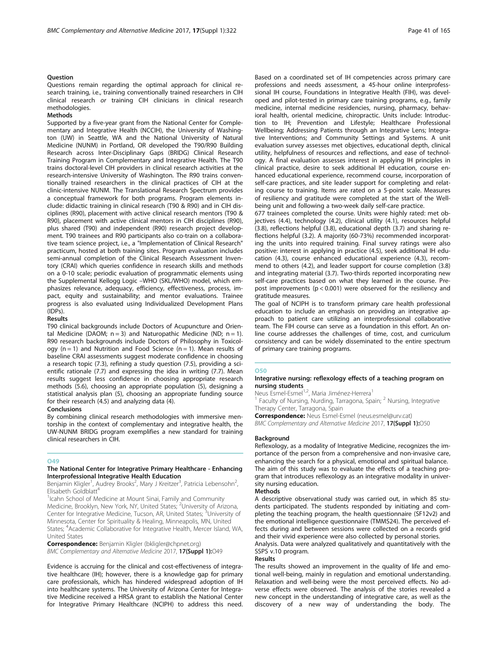## Question

Questions remain regarding the optimal approach for clinical research training, i.e., training conventionally trained researchers in CIH clinical research or training CIH clinicians in clinical research methodologies.

## Methods

Supported by a five-year grant from the National Center for Complementary and Integrative Health (NCCIH), the University of Washington (UW) in Seattle, WA and the National University of Natural Medicine (NUNM) in Portland, OR developed the T90/R90 Building Research across Inter-Disciplinary Gaps (BRIDG) Clinical Research Training Program in Complementary and Integrative Health. The T90 trains doctoral-level CIH providers in clinical research activities at the research-intensive University of Washington. The R90 trains conventionally trained researchers in the clinical practices of CIH at the clinic-intensive NUNM. The Translational Research Spectrum provides a conceptual framework for both programs. Program elements include: didactic training in clinical research (T90 & R90) and in CIH disciplines (R90), placement with active clinical research mentors (T90 & R90), placement with active clinical mentors in CIH disciplines (R90), plus shared (T90) and independent (R90) research project development. T90 trainees and R90 participants also co-train on a collaborative team science project, i.e., a "Implementation of Clinical Research" practicum, hosted at both training sites. Program evaluation includes semi-annual completion of the Clinical Research Assessment Inventory (CRAI) which queries confidence in research skills and methods on a 0-10 scale; periodic evaluation of programmatic elements using the Supplemental Kellogg Logic –WHO (SKL/WHO) model, which emphasizes relevance, adequacy, efficiency, effectiveness, process, impact, equity and sustainability; and mentor evaluations. Trainee progress is also evaluated using Individualized Development Plans (IDPs).

#### Results

T90 clinical backgrounds include Doctors of Acupuncture and Oriental Medicine (DAOM;  $n = 3$ ) and Naturopathic Medicine (ND;  $n = 1$ ). R90 research backgrounds include Doctors of Philosophy in Toxicology ( $n = 1$ ) and Nutrition and Food Science ( $n = 1$ ). Mean results of baseline CRAI assessments suggest moderate confidence in choosing a research topic (7.3), refining a study question (7.5), providing a scientific rationale (7.7) and expressing the idea in writing (7.7). Mean results suggest less confidence in choosing appropriate research methods (5.6), choosing an appropriate population (5), designing a statistical analysis plan (5), choosing an appropriate funding source for their research (4.5) and analyzing data (4).

#### Conclusions

By combining clinical research methodologies with immersive mentorship in the context of complementary and integrative health, the UW-NUNM BRIDG program exemplifies a new standard for training clinical researchers in CIH.

## O49

## The National Center for Integrative Primary Healthcare - Enhancing Interprofessional Integrative Health Education

Benjamin Kligler<sup>1</sup>, Audrey Brooks<sup>2</sup>, Mary J Kreitzer<sup>3</sup>, Patricia Lebensohn<sup>2</sup> , Elisabeth Goldblatt<sup>4</sup>

<sup>1</sup>Icahn School of Medicine at Mount Sinai, Family and Community Medicine, Brooklyn, New York, NY, United States; <sup>2</sup>University of Arizona, Center for Integrative Medicine, Tucson, AR, United States; <sup>3</sup>University of Minnesota, Center for Spirituality & Healing, Minneapolis, MN, United States; <sup>4</sup>Academic Collaborative for Integrative Health, Mercer Island, WA, United States

Correspondence: Benjamin Kligler (bkligler@chpnet.org) BMC Complementary and Alternative Medicine 2017, 17(Suppl 1):049

Evidence is accruing for the clinical and cost-effectiveness of integrative healthcare (IH); however, there is a knowledge gap for primary care professionals, which has hindered widespread adoption of IH into healthcare systems. The University of Arizona Center for Integrative Medicine received a HRSA grant to establish the National Center for Integrative Primary Healthcare (NCIPH) to address this need. Based on a coordinated set of IH competencies across primary care professions and needs assessment, a 45-hour online interprofesssional IH course, Foundations in Integrative Health (FIH), was developed and pilot-tested in primary care training programs, e.g., family medicine, internal medicine residencies, nursing, pharmacy, behavioral health, oriental medicine, chiropractic. Units include: Introduction to IH; Prevention and Lifestyle; Healthcare Professional Wellbeing; Addressing Patients through an Integrative Lens; Integrative Interventions; and Community Settings and Systems. A unit evaluation survey assesses met objectives, educational depth, clinical utility, helpfulness of resources and reflections, and ease of technology. A final evaluation assesses interest in applying IH principles in clinical practice, desire to seek additional IH education, course enhanced educational experience, recommend course, incorporation of self-care practices, and site leader support for completing and relating course to training. Items are rated on a 5-point scale. Measures of resiliency and gratitude were completed at the start of the Wellbeing unit and following a two-week daily self-care practice.

677 trainees completed the course. Units were highly rated: met objectives (4.4), technology (4.2), clinical utility (4.1), resources helpful (3.8), reflections helpful (3.8), educational depth (3.7) and sharing reflections helpful (3.2). A majority (60-73%) recommended incorporating the units into required training. Final survey ratings were also positive: interest in applying in practice (4.5), seek additional IH education (4.3), course enhanced educational experience (4.3), recommend to others (4.2), and leader support for course completion (3.8) and integrating material (3.7). Two-thirds reported incorporating new self-care practices based on what they learned in the course. Prepost improvements (p < 0.001) were observed for the resiliency and gratitude measures.

The goal of NCIPH is to transform primary care health professional education to include an emphasis on providing an integrative approach to patient care utilizing an interprofessional collaborative team. The FIH course can serve as a foundation in this effort. An online course addresses the challenges of time, cost, and curriculum consistency and can be widely disseminated to the entire spectrum of primary care training programs.

#### O50

## Integrative nursing: reflexology effects of a teaching program on nursing students

Neus Esmel-Esmel<sup>1,2</sup>, Maria Jiménez-Herrera<sup>1</sup>

<sup>1</sup> Faculty of Nursing, Nurding, Tarragona, Spain; <sup>2</sup> Nursing, Integrative Therapy Center, Tarragona, Spain

Correspondence: Neus Esmel-Esmel (neus.esmel@urv.cat) BMC Complementary and Alternative Medicine 2017, 17(Suppl 1):O50

Background

Reflexology, as a modality of Integrative Medicine, recognizes the importance of the person from a comprehensive and non-invasive care, enhancing the search for a physical, emotional and spiritual balance. The aim of this study was to evaluate the effects of a teaching program that introduces reflexology as an integrative modality in university nursing education.

#### Methods

A descriptive observational study was carried out, in which 85 students participated. The students responded by initiating and completing the teaching program, the health questionnaire (SF12v2) and the emotional intelligence questionnaire (TMMS24). The perceived effects during and between sessions were collected on a records grid and their vivid experience were also collected by personal stories.

Analysis. Data were analyzed qualitatively and quantitatively with the SSPS v.10 program. Results

The results showed an improvement in the quality of life and emotional well-being, mainly in regulation and emotional understanding. Relaxation and well-being were the most perceived effects. No adverse effects were observed. The analysis of the stories revealed a new concept in the understanding of integrative care, as well as the discovery of a new way of understanding the body. The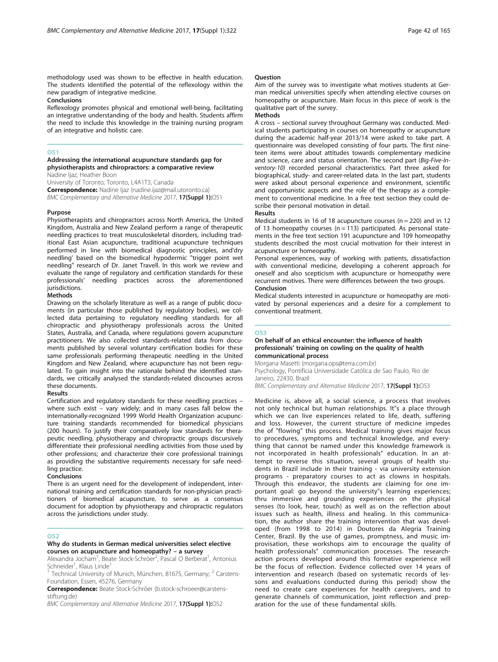methodology used was shown to be effective in health education. The students identified the potential of the reflexology within the new paradigm of integrative medicine.

#### Conclusions

Reflexology promotes physical and emotional well-being, facilitating an integrative understanding of the body and health. Students affirm the need to include this knowledge in the training nursing program of an integrative and holistic care.

#### O51

## Addressing the international acupuncture standards gap for physiotherapists and chiropractors: a comparative review Nadine Ijaz, Heather Boon

University of Toronto, Toronto, L4A1T3, Canada

Correspondence: Nadine Ijaz (nadine.ijaz@mail.utoronto.ca) BMC Complementary and Alternative Medicine 2017, 17(Suppl 1):O51

#### Purpose

Physiotherapists and chiropractors across North America, the United Kingdom, Australia and New Zealand perform a range of therapeutic needling practices to treat musculoskeletal disorders, including traditional East Asian acupuncture, traditional acupuncture techniques performed in line with biomedical diagnostic principles, and'dry needling' based on the biomedical hypodermic "trigger point wet needling" research of Dr. Janet Travell. In this work we review and evaluate the range of regulatory and certification standards for these professionals' needling practices across the aforementioned jurisdictions.

## **Methods**

Drawing on the scholarly literature as well as a range of public documents (in particular those published by regulatory bodies), we collected data pertaining to regulatory needling standards for all chiropractic and physiotherapy professionals across the United States, Australia, and Canada, where regulations govern acupuncture practitioners. We also collected standards-related data from documents published by several voluntary certification bodies for these same professionals performing therapeutic needling in the United Kingdom and New Zealand, where acupuncture has not been regulated. To gain insight into the rationale behind the identified standards, we critically analysed the standards-related discourses across these documents.

## Results

Certification and regulatory standards for these needling practices – where such exist – vary widely; and in many cases fall below the internationally-recognized 1999 World Health Organization acupuncture training standards recommended for biomedical physicians (200 hours). To justify their comparatively low standards for therapeutic needling, physiotherapy and chiropractic groups discursively differentiate their professional needling activities from those used by other professions; and characterize their core professional trainings as providing the substantive requirements necessary for safe needling practice.

#### Conclusions

There is an urgent need for the development of independent, international training and certification standards for non-physician practitioners of biomedical acupuncture, to serve as a consensus document for adoption by physiotherapy and chiropractic regulators across the jurisdictions under study.

## O52

## Why do students in German medical universities select elective courses on acupuncture and homeopathy? – a survey

Alexandra Jocham<sup>1</sup>, Beate Stock-Schröer<sup>2</sup>, Pascal O Berberat<sup>1</sup>, Antonius Schneider<sup>1</sup>, Klaus Linde<sup>1</sup>

Technical University of Munich, München, 81675, Germany; <sup>2</sup> Carstens-Foundation, Essen, 45276, Germany

Correspondence: Beate Stock-Schröer (b.stock-schroeer@carstensstiftung.de)

BMC Complementary and Alternative Medicine 2017, 17(Suppl 1):052

#### **Ouestion**

Aim of the survey was to investigate what motives students at German medical universities specify when attending elective courses on homeopathy or acupuncture. Main focus in this piece of work is the qualitative part of the survey.

## **Methods**

A cross – sectional survey throughout Germany was conducted. Medical students participating in courses on homeopathy or acupuncture during the academic half-year 2013/14 were asked to take part. A questionnaire was developed consisting of four parts. The first nineteen items were about attitudes towards complementary medicine and science, care and status orientation. The second part (Big-Five-Inventory-10) recorded personal characteristics. Part three asked for biographical, study- and career-related data. In the last part, students were asked about personal experience and environment, scientific and opportunistic aspects and the role of the therapy as a complement to conventional medicine. In a free text section they could describe their personal motivation in detail.

#### Results

Medical students in 16 of 18 acupuncture courses ( $n = 220$ ) and in 12 of 13 homeopathy courses ( $n = 113$ ) participated. As personal statements in the free text section 191 acupuncture and 109 homeopathy students described the most crucial motivation for their interest in acupuncture or homeopathy.

Personal experiences, way of working with patients, dissatisfaction with conventional medicine, developing a coherent approach for oneself and also scepticism with acupuncture or homeopathy were recurrent motives. There were differences between the two groups. Conclusion

Medical students interested in acupuncture or homeopathy are motivated by personal experiences and a desire for a complement to conventional treatment.

## O53

## On behalf of an ethical encounter: the influence of health professionals' training on cowling on the quality of health communicational process

Morgana Masetti (morgana.ops@terra.com.br) Psychology, Pontificia Universidade Católica de Sao Paulo, Rio de Janeiro, 22430, Brazil

BMC Complementary and Alternative Medicine 2017, 17(Suppl 1):O53

Medicine is, above all, a social science, a process that involves not only technical but human relationships. It"s a place through which we can live experiences related to life, death, suffering and loss. However, the current structure of medicine impedes the of "flowing" this process. Medical training gives major focus to procedures, symptoms and technical knowledge, and everything that cannot be named under this knowledge framework is not incorporated in health professionals" education. In an attempt to reverse this situation, several groups of health students in Brazil include in their training - via university extension programs - preparatory courses to act as clowns in hospitals. Through this endeavor, the students are claiming for one important goal: go beyond the university"s learning experiences; thru immersive and grounding experiences on the physical senses (to look, hear, touch) as well as on the reflection about issues such as health, illness and healing. In this communication, the author share the training intervention that was developed (from 1998 to 2014) in Doutores da Alegria Training Center, Brazil. By the use of games, promptness, and music improvisation, these workshops aim to encourage the quality of health professionals" communication processes. The researchaction process developed around this formative experience will be the focus of reflection. Evidence collected over 14 years of intervention and research (based on systematic records of lessons and evaluations conducted during this period) show the need to create care experiences for health caregivers, and to generate channels of communication, joint reflection and preparation for the use of these fundamental skills.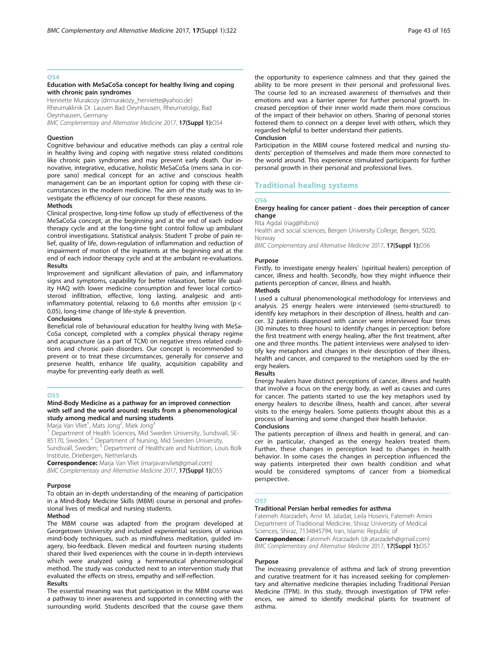## Education with MeSaCoSa concept for healthy living and coping with chronic pain syndromes

Henriette Murakozy (drmurakozy\_henriette@yahoo.de) Rheumaklinik Dr. Lauven Bad Oeynhausen, Rheumatolgy, Bad Oeynhausen, Germany

BMC Complementary and Alternative Medicine 2017, 17(Suppl 1):054

#### **Ouestion**

Cognitive behaviour and educative methods can play a central role in healthy living and coping with negative stress related conditions like chronic pain syndromes and may prevent early death. Our innovative, integrative, educative, holistic MeSaCoSa (mens sana in corpore sano) medical concept for an active and conscious health management can be an important option for coping with these circumstances in the modern medicine. The aim of the study was to investigate the efficiency of our concept for these reasons.

## Methods

Clinical prospective, long-time follow up study of effectiveness of the MeSaCoSa concept, at the beginning and at the end of each indoor therapy cycle and at the long-time tight control follow up ambulant control investigations. Statistical analysis: Student T probe of pain relief, quality of life, down-regulation of inflammation and reduction of impairment of motion of the inpatients at the beginning and at the end of each indoor therapy cycle and at the ambulant re-evaluations. Results

Improvement and significant alleviation of pain, and inflammatory signs and symptoms, capability for better relaxation, better life quality HAQ with lower medicine consumption and fewer local corticosteroid infiltration, effective, long lasting, analgesic and antiinflammatory potential, relaxing to 6,6 months after emission ( $p <$ 0,05), long-time change of life-style & prevention.

## Conclusions

Beneficial role of behavioural education for healthy living with MeSa-CoSa concept, completed with a complex physical therapy regime and acupuncture (as a part of TCM) on negative stress related conditions and chronic pain disorders. Our concept is recommended to prevent or to treat these circumstances, generally for conserve and preserve health, enhance life quality, acquisition capability and maybe for preventing early death as well.

## O55

## Mind-Body Medicine as a pathway for an improved connection with self and the world around: results from a phenomenological study among medical and nursing students

Marja Van Vliet<sup>1</sup>, Mats Jong<sup>2</sup>, Miek Jong<sup>3</sup>

<sup>1</sup> Department of Health Sciences, Mid Sweden University, Sundsvall, SE-85170, Sweden; <sup>2</sup> Department of Nursing, Mid Sweden University, Sundsvall, Sweden; <sup>3</sup> Department of Healthcare and Nutrition, Louis Bolk Institute, Driebergen, Netherlands

Correspondence: Marja Van Vliet (marjavanvliet@gmail.com) BMC Complementary and Alternative Medicine 2017, 17(Suppl 1):055

#### Purpose

To obtain an in-depth understanding of the meaning of participation in a Mind-Body Medicine Skills (MBM) course in personal and professional lives of medical and nursing students.

## Method

The MBM course was adapted from the program developed at Georgetown University and included experiential sessions of various mind-body techniques, such as mindfulness meditation, guided imagery, bio-feedback. Eleven medical and fourteen nursing students shared their lived experiences with the course in in-depth interviews which were analyzed using a hermeneutical phenomenological method. The study was conducted next to an intervention study that evaluated the effects on stress, empathy and self-reflection. Results

The essential meaning was that participation in the MBM course was a pathway to inner awareness and supported in connecting with the surrounding world. Students described that the course gave them

the opportunity to experience calmness and that they gained the ability to be more present in their personal and professional lives. The course led to an increased awareness of themselves and their emotions and was a barrier opener for further personal growth. Increased perception of their inner world made them more conscious of the impact of their behavior on others. Sharing of personal stories fostered them to connect on a deeper level with others, which they regarded helpful to better understand their patients. Conclusion

Participation in the MBM course fostered medical and nursing students' perception of themselves and made them more connected to the world around. This experience stimulated participants for further personal growth in their personal and professional lives.

## Traditional healing systems

## O56

## Energy healing for cancer patient - does their perception of cancer change

Rita Agdal (riag@hib.no)

Health and social sciences, Bergen University College, Bergen, 5020, **Norway** 

BMC Complementary and Alternative Medicine 2017, 17(Suppl 1):056

#### Purpose

Firstly, to investigate energy healers` (spiritual healers) perception of cancer, illness and health. Secondly, how they might influence their patients perception of cancer, illness and health. Methods

I used a cultural phenomenological methodology for interviews and analysis. 25 energy healers were interviewed (semi-structured) to identify key metaphors in their description of illness, health and cancer. 32 patients diagnosed with cancer were interviewed four times (30 minutes to three hours) to identify changes in perception: before the first treatment with energy healing, after the first treatment, after one and three months. The patient interviews were analysed to identify key metaphors and changes in their description of their illness, health and cancer, and compared to the metaphors used by the energy healers.

## Results

Energy healers have distinct perceptions of cancer, illness and health that involve a focus on the energy body, as well as causes and cures for cancer. The patients started to use the key metaphors used by energy healers to describe illness, health and cancer, after several visits to the energy healers. Some patients thought about this as a process of learning and some changed their health behavior. Conclusions

The patients perception of illness and health in general, and cancer in particular, changed as the energy healers treated them. Further, these changes in perception lead to changes in health behavior. In some cases the changes in perception influenced the way patients interpreted their own health condition and what would be considered symptoms of cancer from a biomedical perspective.

## O57

#### Traditional Persian herbal remedies for asthma

Fatemeh Atarzadeh, Amir M. Jaladat, Leila Hoseini, Fatemeh Amini Department of Traditional Medicine, Shiraz University of Medical Sciences, Shiraz, 7134845794, Iran, Islamic Republic of Correspondence: Fatemeh Atarzadeh (dr.atarzadeh@gmail.com) BMC Complementary and Alternative Medicine 2017, 17(Suppl 1):057

#### Purpose

The increasing prevalence of asthma and lack of strong prevention and curative treatment for it has increased seeking for complementary and alternative medicine therapies including Traditional Persian Medicine (TPM). In this study, through investigation of TPM references, we aimed to identify medicinal plants for treatment of asthma.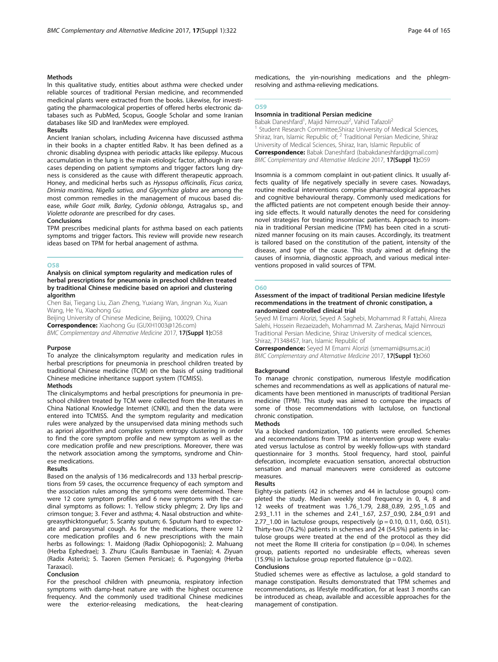## Methods

In this qualitative study, entities about asthma were checked under reliable sources of traditional Persian medicine, and recommended medicinal plants were extracted from the books. Likewise, for investigating the pharmacological properties of offered herbs electronic databases such as PubMed, Scopus, Google Scholar and some Iranian databases like SID and IranMedex were employed.

#### Results

Ancient Iranian scholars, including Avicenna have discussed asthma in their books in a chapter entitled Rabv. It has been defined as a chronic disabling dyspnea with periodic attacks like epilepsy. Mucous accumulation in the lung is the main etiologic factor, although in rare cases depending on patient symptoms and trigger factors lung dryness is considered as the cause with different therapeutic approach. Honey, and medicinal herbs such as Hyssopus officinalis, Ficus carica, Drimia maritima, Nigella sativa, and Glycyrrhiza glabra are among the most common remedies in the management of mucous based disease, while Goat milk, Barley, Cydonia oblonga, Astragalus sp., and Violette odorante are prescribed for dry cases.

#### Conclusions

TPM prescribes medicinal plants for asthma based on each patients symptoms and trigger factors. This review will provide new research ideas based on TPM for herbal anagement of asthma.

#### O58

Analysis on clinical symptom regularity and medication rules of herbal prescriptions for pneumonia in preschool children treated by traditional Chinese medicine based on apriori and clustering algorithm

Chen Bai, Tiegang Liu, Zian Zheng, Yuxiang Wan, Jingnan Xu, Xuan Wang, He Yu, Xiaohong Gu

Beijing University of Chinese Medicine, Beijing, 100029, China Correspondence: Xiaohong Gu (GUXH1003@126.com)

BMC Complementary and Alternative Medicine 2017, 17(Suppl 1):O58

#### Purpose

To analyze the clinicalsymptom regularity and medication rules in herbal prescriptions for pneumonia in preschool children treated by traditional Chinese medicine (TCM) on the basis of using traditional Chinese medicine inheritance support system (TCMISS).

#### Methods

The clinicalsymptoms and herbal prescriptions for pneumonia in preschool children treated by TCM were collected from the literatures in China National Knowledge Internet (CNKI), and then the data were entered into TCMISS. And the symptom regularity and medication rules were analyzed by the unsupervised data mining methods such as apriori algorithm and complex system entropy clustering in order to find the core symptom profile and new symptom as well as the core medication profile and new prescriptions. Moreover, there was the network association among the symptoms, syndrome and Chinese medications.

#### Results

Based on the analysis of 136 medicalrecords and 133 herbal prescriptions from 59 cases, the occurrence frequency of each symptom and the association rules among the symptoms were determined. There were 12 core symptom profiles and 6 new symptoms with the cardinal symptoms as follows: 1. Yellow sticky phlegm; 2. Dry lips and crimson tongue; 3. Fever and asthma; 4. Nasal obstruction and whitegreasythicktonguefur; 5. Scanty sputum; 6. Sputum hard to expectorate and paroxysmal cough. As for the medications, there were 12 core medication profiles and 6 new prescriptions with the main herbs as followings: 1. Maidong (Radix Ophiopogonis); 2. Mahuang (Herba Ephedrae); 3. Zhuru (Caulis Bambusae in Taenia); 4. Ziyuan (Radix Asteris); 5. Taoren (Semen Persicae); 6. Pugongying (Herba Taraxaci).

#### Conclusion

For the preschool children with pneumonia, respiratory infection symptoms with damp-heat nature are with the highest occurrence frequency. And the commonly used traditional Chinese medicines were the exterior-releasing medications, the heat-clearing

medications, the yin-nourishing medications and the phlegmresolving and asthma-relieving medications.

#### O59

## Insomnia in traditional Persian medicine

Babak Daneshfard<sup>1</sup>, Majid Nimrouzi<sup>2</sup>, Vahid Tafazoli<sup>2</sup> Student Research Committee,Shiraz University of Medical Sciences, Shiraz, Iran, Islamic Republic of; <sup>2</sup> Traditional Persian Medicine, Shiraz University of Medical Sciences, Shiraz, Iran, Islamic Republic of Correspondence: Babak Daneshfard (babakdaneshfard@gmail.com) BMC Complementary and Alternative Medicine 2017, 17(Suppl 1):059

Insomnia is a commom complaint in out-patient clinics. It usually affects quality of life negatively specially in severe cases. Nowadays, routine medical interventions comprise pharmacological approaches and cognitive behavioural therapy. Commonly used medications for the afflicted patients are not competent enough beside their annoying side effects. It would naturally denotes the need for considering novel strategies for treating insomniac patients. Approach to insomnia in traditional Persian medicine (TPM) has been cited in a scrutinized manner focusing on its main causes. Accordingly, its treatment is tailored based on the constitution of the patient, intensity of the disease, and type of the cause. This study aimed at defining the causes of insomnia, diagnostic approach, and various medical interventions proposed in valid sources of TPM.

#### O60

## Assessment of the impact of traditional Persian medicine lifestyle recommendations in the treatment of chronic constipation, a randomized controlled clinical trial

Seyed M Emami Alorizi, Seyed A Saghebi, Mohammad R Fattahi, Alireza Salehi, Hossein Rezaeizadeh, Mohammad M. Zarshenas, Majid Nimrouzi Traditional Persian Medicine, Shiraz University of medical sciences, Shiraz, 71348457, Iran, Islamic Republic of

Correspondence: Seyed M Emami Alorizi (smemami@sums.ac.ir) BMC Complementary and Alternative Medicine 2017, 17(Suppl 1):060

#### **Background**

To manage chronic constipation, numerous lifestyle modification schemes and recommendations as well as applications of natural medicaments have been mentioned in manuscripts of traditional Persian medicine (TPM). This study was aimed to compare the impacts of some of those recommendations with lactulose, on functional chronic constipation.

## **Methods**

Via a blocked randomization, 100 patients were enrolled. Schemes and recommendations from TPM as intervention group were evaluated versus lactulose as control by weekly follow-ups with standard questionnaire for 3 months. Stool frequency, hard stool, painful defecation, incomplete evacuation sensation, anorectal obstruction sensation and manual maneuvers were considered as outcome measures.

#### Results

Eighty-six patients (42 in schemes and 44 in lactulose groups) completed the study. Median weekly stool frequency in 0, 4, 8 and 12 weeks of treatment was 1.76\_1.79, 2.88\_0.89, 2.95\_1.05 and 2.93\_1.11 in the schemes and 2.41\_1.67, 2.57\_0.90, 2.84\_0.91 and 2.77\_1.00 in lactulose groups, respectively (p = 0.10, 0.11, 0.60, 0.51). Thirty-two (76.2%) patients in schemes and 24 (54.5%) patients in lactulose groups were treated at the end of the protocol as they did not meet the Rome III criteria for constipation ( $p = 0.04$ ). In schemes group, patients reported no undesirable effects, whereas seven (15.9%) in lactulose group reported flatulence ( $p = 0.02$ ).

## Conclusions

Studied schemes were as effective as lactulose, a gold standard to manage constipation. Results demonstrated that TPM schemes and recommendations, as lifestyle modification, for at least 3 months can be introduced as cheap, available and accessible approaches for the management of constipation.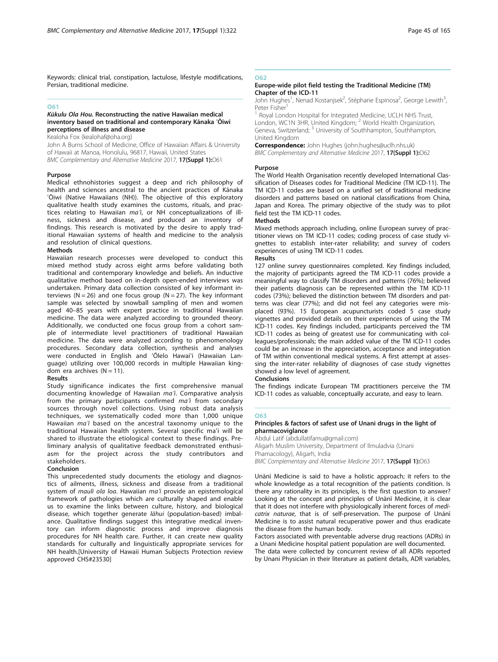Keywords: clinical trial, constipation, lactulose, lifestyle modifications, Persian, traditional medicine.

#### O61

## Kūkulu Ola Hou. Reconstructing the native Hawaiian medical inventory based on traditional and contemporary Kānaka ʻŌiwi perceptions of illness and disease

Kealoha Fox (kealohaf@oha.org)

John A Burns School of Medicine, Office of Hawaiian Affairs & University of Hawaii at Manoa, Honolulu, 96817, Hawaii, United States BMC Complementary and Alternative Medicine 2017, 17(Suppl 1):061

## Purpose

Medical ethnohistories suggest a deep and rich philosophy of health and sciences ancestral to the ancient practices of Kānaka ʻŌiwi (Native Hawaiians (NH)). The objective of this exploratory qualitative health study examines the customs, rituals, and practices relating to Hawaiian maʻi, or NH conceptualizations of illness, sickness and disease, and produced an inventory of findings. This research is motivated by the desire to apply traditional Hawaiian systems of health and medicine to the analysis and resolution of clinical questions.

#### **Methods**

Hawaiian research processes were developed to conduct this mixed method study across eight arms before validating both traditional and contemporary knowledge and beliefs. An inductive qualitative method based on in-depth open-ended interviews was undertaken. Primary data collection consisted of key informant interviews ( $N = 26$ ) and one focus group ( $N = 27$ ). The key informant sample was selected by snowball sampling of men and women aged 40–85 years with expert practice in traditional Hawaiian medicine. The data were analyzed according to grounded theory. Additionally, we conducted one focus group from a cohort sample of intermediate level practitioners of traditional Hawaiian medicine. The data were analyzed according to phenomenology procedures. Secondary data collection, synthesis and analyses were conducted in English and ʻŌlelo Hawaiʻi (Hawaiian Language) utilizing over 100,000 records in multiple Hawaiian kingdom era archives  $(N = 11)$ .

## Results

Study significance indicates the first comprehensive manual documenting knowledge of Hawaiian maʻi. Comparative analysis from the primary participants confirmed ma'i from secondary sources through novel collections. Using robust data analysis techniques, we systematically coded more than 1,000 unique Hawaiian maʻi based on the ancestral taxonomy unique to the traditional Hawaiian health system. Several specific maʻi will be shared to illustrate the etiological context to these findings. Preliminary analysis of qualitative feedback demonstrated enthusiasm for the project across the study contributors and stakeholders.

## Conclusion

This unprecedented study documents the etiology and diagnostics of ailments, illness, sickness and disease from a traditional system of mauli ola loa. Hawaiian ma'i provide an epistemological framework of pathologies which are culturally shaped and enable us to examine the links between culture, history, and biological disease, which together generate lāhui (population-based) imbalance. Qualitative findings suggest this integrative medical inventory can inform diagnostic process and improve diagnosis procedures for NH health care. Further, it can create new quality standards for culturally and linguistically appropriate services for NH health.[University of Hawaii Human Subjects Protection review approved CHS#23530]

## O62

## Europe-wide pilot field testing the Traditional Medicine (TM) Chapter of the ICD-11

John Hughes<sup>1</sup>, Nenad Kostanjsek<sup>2</sup>, Stéphane Espinosa<sup>2</sup>, George Lewith<sup>3</sup> Peter Fisher<sup>1</sup>

Royal London Hospital for Integrated Medicine, UCLH NHS Trust, London, WC1N 3HR, United Kingdom; <sup>2</sup> World Health Organization, Geneva, Switzerland; <sup>3</sup> University of Southhampton, Southhampton, United Kingdom

Correspondence: John Hughes (john.hughes@uclh.nhs.uk) BMC Complementary and Alternative Medicine 2017, 17(Suppl 1):062

#### Purpose

The World Health Organisation recently developed International Classification of Diseases codes for Traditional Medicine (TM ICD-11). The TM ICD-11 codes are based on a unified set of traditional medicine disorders and patterns based on national classifications from China, Japan and Korea. The primary objective of the study was to pilot field test the TM ICD-11 codes.

## Methods

Mixed methods approach including, online European survey of practitioner views on TM ICD-11 codes; coding process of case study vignettes to establish inter-rater reliability; and survey of coders experiences of using TM ICD-11 codes.

## Results

127 online survey questionnaires completed. Key findings included, the majority of participants agreed the TM ICD-11 codes provide a meaningful way to classify TM disorders and patterns (76%); believed their patients diagnosis can be represented within the TM ICD-11 codes (73%); believed the distinction between TM disorders and patterns was clear (77%); and did not feel any categories were misplaced (93%). 15 European acupuncturists coded 5 case study vignettes and provided details on their experiences of using the TM ICD-11 codes. Key findings included, participants perceived the TM ICD-11 codes as being of greatest use for communicating with colleagues/professionals; the main added value of the TM ICD-11 codes could be an increase in the appreciation, acceptance and integration of TM within conventional medical systems. A first attempt at assessing the inter-rater reliability of diagnoses of case study vignettes showed a low level of agreement.

## Conclusions

The findings indicate European TM practitioners perceive the TM ICD-11 codes as valuable, conceptually accurate, and easy to learn.

#### O63

## Principles & factors of safest use of Unani drugs in the light of pharmacoviglance

Abdul Latif (abdullatifamu@gmail.com) Aligarh Muslim University, Department of Ilmuladvia (Unani Phamacology), Aligarh, India BMC Complementary and Alternative Medicine 2017, 17(Suppl 1):O63

Unānī Medicine is said to have a holistic approach; it refers to the whole knowledge as a total recognition of the patients condition. Is there any rationality in its principles, is the first question to answer? Looking at the concept and principles of Unānī Medicine, it is clear that it does not interfere with physiologically inherent forces of medicatrix naturae, that is of self-preservation. The purpose of Unānī Medicine is to assist natural recuperative power and thus eradicate the disease from the human body.

Factors associated with preventable adverse drug reactions (ADRs) in a Unani Medicine hospital patient population are well documented. The data were collected by concurrent review of all ADRs reported by Unani Physician in their literature as patient details, ADR variables,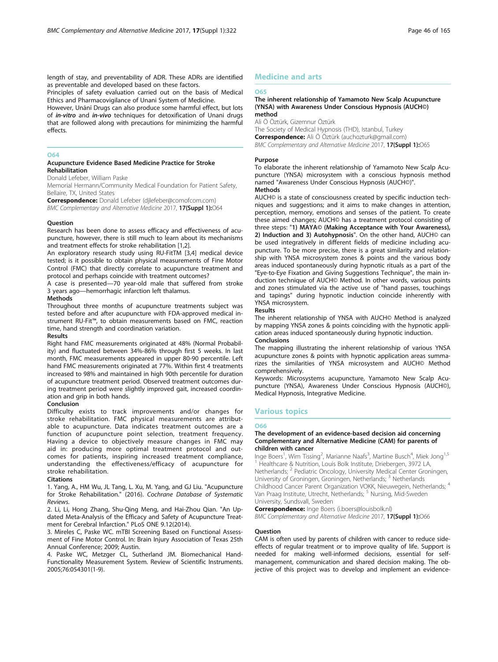length of stay, and preventability of ADR. These ADRs are identified as preventable and developed based on these factors.

Principles of safety evaluation carried out on the basis of Medical Ethics and Pharmacovigilance of Unani System of Medicine.

However, Unānī Drugs can also produce some harmful effect, but lots of *in-vitro* and *in-vivo* techniques for detoxification of Unani drugs that are followed along with precautions for minimizing the harmful effects.

## O64

#### Acupuncture Evidence Based Medicine Practice for Stroke Rehabilitation

Donald Lefeber, William Paske

Memorial Hermann/Community Medical Foundation for Patient Safety, Bellaire, TX, United States

Correspondence: Donald Lefeber (djlefeber@comofcom.com) BMC Complementary and Alternative Medicine 2017, 17(Suppl 1):064

#### **Ouestion**

Research has been done to assess efficacy and effectiveness of acupuncture, however, there is still much to learn about its mechanisms and treatment effects for stroke rehabilitation [1,2].

An exploratory research study using RU-FitTM [3,4] medical device tested; is it possible to obtain physical measurements of Fine Motor Control (FMC) that directly correlate to acupuncture treatment and protocol and perhaps coincide with treatment outcomes?

A case is presented—70 year-old male that suffered from stroke 3 years ago—hemorrhagic infarction left thalamus.

#### Methods

Throughout three months of acupuncture treatments subject was tested before and after acupuncture with FDA-approved medical instrument RU-Fit™, to obtain measurements based on FMC, reaction time, hand strength and coordination variation.

#### Results

Right hand FMC measurements originated at 48% (Normal Probability) and fluctuated between 34%-86% through first 5 weeks. In last month, FMC measurements appeared in upper 80-90 percentile. Left hand FMC measurements originated at 77%. Within first 4 treatments increased to 98% and maintained in high 90th percentile for duration of acupuncture treatment period. Observed treatment outcomes during treatment period were slightly improved gait, increased coordination and grip in both hands.

#### Conclusion

Difficulty exists to track improvements and/or changes for stroke rehabilitation. FMC physical measurements are attributable to acupuncture. Data indicates treatment outcomes are a function of acupuncture point selection, treatment frequency. Having a device to objectively measure changes in FMC may aid in: producing more optimal treatment protocol and outcomes for patients, inspiring increased treatment compliance, understanding the effectiveness/efficacy of acupuncture for stroke rehabilitation.

## **Citations**

1. Yang, A., HM Wu, JL Tang, L. Xu, M. Yang, and GJ Liu. "Acupuncture for Stroke Rehabilitation." (2016). Cochrane Database of Systematic Reviews.

2. Li, Li, Hong Zhang, Shu-Qing Meng, and Hai-Zhou Qian. "An Updated Meta-Analysis of the Efficacy and Safety of Acupuncture Treatment for Cerebral Infarction." PLoS ONE 9.12(2014).

3. Mireles C, Paske WC. mTBI Screening Based on Functional Assessment of Fine Motor Control. In: Brain Injury Association of Texas 25th Annual Conference; 2009; Austin.

4. Paske WC, Metzger CL, Sutherland JM. Biomechanical Hand-Functionality Measurement System. Review of Scientific Instruments. 2005;76:054301(1-9).

## Medicine and arts

#### O65

## The inherent relationship of Yamamoto New Scalp Acupuncture (YNSA) with Awareness Under Conscious Hypnosis (AUCH©) method

Ali Ö Öztürk, Gizemnur Öztürk

The Society of Medical Hypnosis (THD), Istanbul, Turkey Correspondence: Ali Ö Öztürk (auchozturk@gmail.com) BMC Complementary and Alternative Medicine 2017, 17(Suppl 1):065

#### Purpose

To elaborate the inherent relationship of Yamamoto New Scalp Acupuncture (YNSA) microsystem with a conscious hypnosis method named "Awareness Under Conscious Hypnosis (AUCH©)".

## **Methods**

AUCH© is a state of consciousness created by specific induction techniques and suggestions; and it aims to make changes in attention, perception, memory, emotions and senses of the patient. To create these aimed changes; AUCH© has a treatment protocol consisting of three steps: "1) MAYA© (Making Acceptance with Your Awareness), 2) Induction and 3) Autohypnosis". On the other hand, AUCH© can be used integratively in different fields of medicine including acupuncture. To be more precise, there is a great similarity and relationship with YNSA microsystem zones & points and the various body areas induced spontaneously during hypnotic rituals as a part of the "Eye-to-Eye Fixation and Giving Suggestions Technique", the main induction technique of AUCH© Method. In other words, various points and zones stimulated via the active use of "hand passes, touchings and tapings" during hypnotic induction coincide inherently with YNSA microsystem.

#### Results

The inherent relationship of YNSA with AUCH© Method is analyzed by mapping YNSA zones & points coinciding with the hypnotic application areas induced spontaneously during hypnotic induction. Conclusions

The mapping illustrating the inherent relationship of various YNSA acupuncture zones & points with hypnotic application areas summarizes the similarities of YNSA microsystem and AUCH© Method comprehensively.

Keywords: Microsystems acupuncture, Yamamoto New Scalp Acupuncture (YNSA), Awareness Under Conscious Hypnosis (AUCH©), Medical Hypnosis, Integrative Medicine.

## Various topics

#### O66

## The development of an evidence-based decision aid concerning Complementary and Alternative Medicine (CAM) for parents of children with cancer

Inge Boers<sup>1</sup>, Wim Tissing<sup>2</sup>, Marianne Naafs<sup>3</sup>, Martine Busch<sup>4</sup>, Miek Jong<sup>1,5</sup> Healthcare & Nutrition, Louis Bolk Institute, Driebergen, 3972 LA, Netherlands; <sup>2</sup> Pediatric Oncology, University Medical Center Groningen, University of Groningen, Groningen, Netherlands; <sup>3</sup> Netherlands Childhood Cancer Parent Organization VOKK, Nieuwegein, Netherlands; <sup>4</sup> Van Praag Institute, Utrecht, Netherlands; <sup>5</sup> Nursing, Mid-Sweden University, Sundsvall, Sweden

Correspondence: Inge Boers (i.boers@louisbolk.nl)

BMC Complementary and Alternative Medicine 2017, 17(Suppl 1):066

#### Question

CAM is often used by parents of children with cancer to reduce sideeffects of regular treatment or to improve quality of life. Support is needed for making well-informed decisions, essential for selfmanagement, communication and shared decision making. The objective of this project was to develop and implement an evidence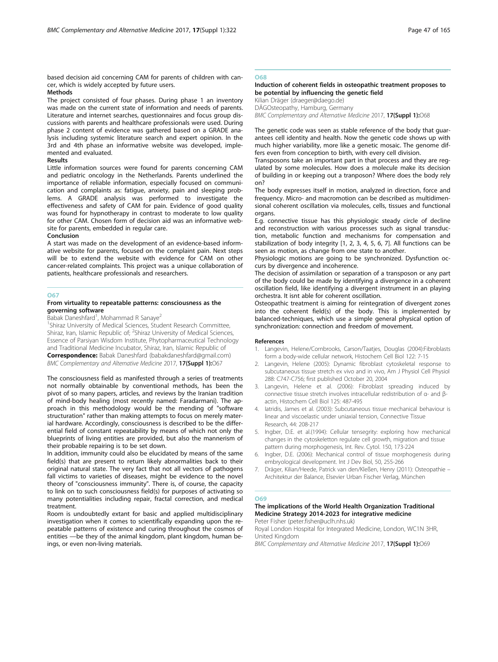based decision aid concerning CAM for parents of children with cancer, which is widely accepted by future users.

## Methods

The project consisted of four phases. During phase 1 an inventory was made on the current state of information and needs of parents. Literature and internet searches, questionnaires and focus group discussions with parents and healthcare professionals were used. During phase 2 content of evidence was gathered based on a GRADE analysis including systemic literature search and expert opinion. In the 3rd and 4th phase an informative website was developed, implemented and evaluated.

## Results

Little information sources were found for parents concerning CAM and pediatric oncology in the Netherlands. Parents underlined the importance of reliable information, especially focused on communication and complaints as: fatigue, anxiety, pain and sleeping problems. A GRADE analysis was performed to investigate the effectiveness and safety of CAM for pain. Evidence of good quality was found for hypnotherapy in contrast to moderate to low quality for other CAM. Chosen form of decision aid was an informative website for parents, embedded in regular care.

## Conclusion

A start was made on the development of an evidence-based informative website for parents, focused on the complaint pain. Next steps will be to extend the website with evidence for CAM on other cancer-related complaints. This project was a unique collaboration of patients, healthcare professionals and researchers.

#### O<sub>67</sub>

## From virtuality to repeatable patterns: consciousness as the governing software

Babak Daneshfard<sup>1</sup>, Mohammad R Sanaye<sup>2</sup>

<sup>1</sup>Shiraz University of Medical Sciences, Student Research Committee, Shiraz, Iran, Islamic Republic of; <sup>2</sup>Shiraz University of Medical Sciences, Essence of Parsiyan Wisdom Institute, Phytopharmaceutical Technology and Traditional Medicine Incubator, Shiraz, Iran, Islamic Republic of Correspondence: Babak Daneshfard (babakdaneshfard@gmail.com) BMC Complementary and Alternative Medicine 2017, 17(Suppl 1):067

The consciousness field as manifested through a series of treatments not normally obtainable by conventional methods, has been the pivot of so many papers, articles, and reviews by the Iranian tradition of mind-body healing (most recently named: Faradarmani). The approach in this methodology would be the mending of "software structuration" rather than making attempts to focus on merely material hardware. Accordingly, consciousness is described to be the differential field of constant repeatability by means of which not only the blueprints of living entities are provided, but also the mannerism of their probable repairing is to be set down.

In addition, immunity could also be elucidated by means of the same field(s) that are present to return likely abnormalities back to their original natural state. The very fact that not all vectors of pathogens fall victims to varieties of diseases, might be evidence to the novel theory of "consciousness immunity". There is, of course, the capacity to link on to such consciousness field(s) for purposes of activating so many potentialities including repair, fractal correction, and medical treatment.

Room is undoubtedly extant for basic and applied multidisciplinary investigation when it comes to scientifically expanding upon the repeatable patterns of existence and curing throughout the cosmos of entities —be they of the animal kingdom, plant kingdom, human beings, or even non-living materials.

## O68

## Induction of coherent fields in osteopathic treatment proposes to be potential by influencing the genetic field

Kilian Dräger (draeger@daego.de) DÄGOsteopathy, Hamburg, Germany

BMC Complementary and Alternative Medicine 2017, 17(Suppl 1):068

The genetic code was seen as stable reference of the body that guarantees cell identity and health. Now the genetic code shows up with much higher variability, more like a genetic mosaic. The genome differs even from conception to birth, with every cell division.

Transposons take an important part in that process and they are regulated by some molecules. How does a molecule make its decision of building in or keeping out a tranposon? Where does the body rely on?

The body expresses itself in motion, analyzed in direction, force and frequency. Micro- and macromotion can be described as multidimensional coherent oscillation via molecules, cells, tissues and functional organs.

E.g. connective tissue has this physiologic steady circle of decline and reconstruction with various processes such as signal transduction, metabolic function and mechanisms for compensation and stabilization of body integrity [1, 2, 3, 4, 5, 6, 7]. All functions can be seen as motion, as change from one state to another.

Physiologic motions are going to be synchronized. Dysfunction occurs by divergence and incoherence.

The decision of assimilation or separation of a transposon or any part of the body could be made by identifying a divergence in a coherent oscillation field, like identifying a divergent instrument in an playing orchestra. It isnt able for coherent oscillation.

Osteopathic treatment is aiming for reintegration of divergent zones into the coherent field(s) of the body. This is implemented by balanced-techniques, which use a simple general physical option of synchronization: connection and freedom of movement.

#### References

- 1. Langevin, Helene/Cornbrooks, Carson/Taatjes, Douglas (2004):Fibroblasts form a body-wide cellular network, Histochem Cell Biol 122: 7-15
- 2. Langevin, Helene (2005): Dynamic fibroblast cytoskeletal response to subcutaneous tissue stretch ex vivo and in vivo, Am J Physiol Cell Physiol 288: C747-C756; first published October 20, 2004
- 3. Langevin, Helene et al. (2006): Fibroblast spreading induced by connective tissue stretch involves intracellular redistribution of α- and βactin, Histochem Cell Biol 125: 487-495
- 4. Iatridis, James et al. (2003): Subcutaneous tissue mechanical behaviour is linear and viscoelastic under uniaxial tension, Connective Tissue Research, 44: 208-217
- 5. Ingber, D.E. et al.(1994): Cellular tensegrity: exploring how mechanical changes in the cytoskeletton regulate cell growth, migration and tissue pattern during morphogenesis, Int. Rev. Cytol. 150, 173-224
- Ingber, D.E. (2006): Mechanical control of tissue morphogenesis during embryological development. Int J Dev Biol, 50, 255-266
- 7. Dräger, Kilian/Heede, Patrick van den/Kleßen, Henry (2011): Osteopathie Architektur der Balance, Elsevier Urban Fischer Verlag, München

## O69

## The implications of the World Health Organization Traditional Medicine Strategy 2014-2023 for integrative medicine

Peter Fisher (peter.fisher@uclh.nhs.uk)

Royal London Hospital for Integrated Medicine, London, WC1N 3HR, United Kingdom

BMC Complementary and Alternative Medicine 2017, 17(Suppl 1):069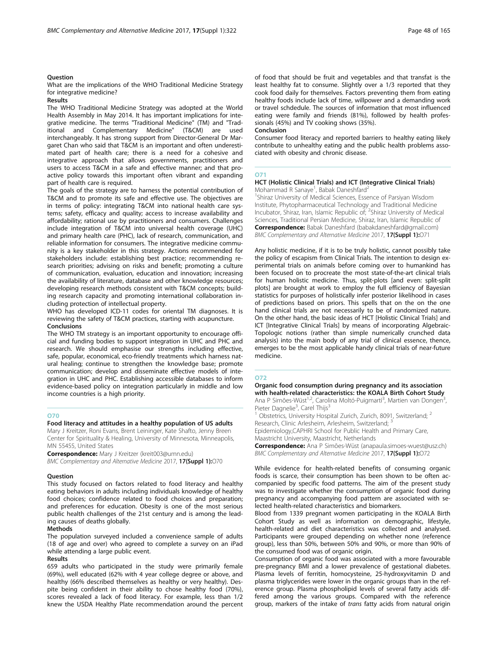## **Ouestion**

What are the implications of the WHO Traditional Medicine Strategy for integrative medicine?

## Results

The WHO Traditional Medicine Strategy was adopted at the World Health Assembly in May 2014. It has important implications for integrative medicine. The terms "Traditional Medicine" (TM) and "Traditional and Complementary Medicine" (T&CM) are used interchangeably. It has strong support from Director-General Dr Margaret Chan who said that T&CM is an important and often underestimated part of health care; there is a need for a cohesive and integrative approach that allows governments, practitioners and users to access T&CM in a safe and effective manner; and that proactive policy towards this important often vibrant and expanding part of health care is required.

The goals of the strategy are to harness the potential contribution of T&CM and to promote its safe and effective use. The objectives are in terms of policy: integrating T&CM into national health care systems; safety, efficacy and quality; access to increase availability and affordability; rational use by practitioners and consumers. Challenges include integration of T&CM into universal health coverage (UHC) and primary health care (PHC), lack of research, communication, and reliable information for consumers. The integrative medicine community is a key stakeholder in this strategy. Actions recommended for stakeholders include: establishing best practice; recommending research priorities; advising on risks and benefit; promoting a culture of communication, evaluation, education and innovation; increasing the availability of literature, database and other knowledge resources; developing research methods consistent with T&CM concepts; building research capacity and promoting international collaboration including protection of intellectual property.

WHO has developed ICD-11 codes for oriental TM diagnoses. It is reviewing the safety of T&CM practices, starting with acupuncture. Conclusions

The WHO TM strategy is an important opportunity to encourage official and funding bodies to support integration in UHC and PHC and research. We should emphasise our strengths including effective, safe, popular, economical, eco-friendly treatments which harness natural healing; continue to strengthen the knowledge base; promote communication; develop and disseminate effective models of integration in UHC and PHC. Establishing accessible databases to inform evidence-based policy on integration particularly in middle and low income countries is a high priority.

#### O70

# Food literacy and attitudes in a healthy population of US adults

Mary J Kreitzer, Roni Evans, Brent Leininger, Kate Shafto, Jenny Breen Center for Spirituality & Healing, University of Minnesota, Minneapolis, MN 55455, United States

Correspondence: Mary J Kreitzer (kreit003@umn.edu)

BMC Complementary and Alternative Medicine 2017, 17(Suppl 1):070

#### Question

This study focused on factors related to food literacy and healthy eating behaviors in adults including individuals knowledge of healthy food choices; confidence related to food choices and preparation; and preferences for education. Obesity is one of the most serious public health challenges of the 21st century and is among the leading causes of deaths globally.

#### Methods

The population surveyed included a convenience sample of adults (18 of age and over) who agreed to complete a survey on an iPad while attending a large public event.

## Results

659 adults who participated in the study were primarily female (69%), well educated (62% with 4 year college degree or above, and healthy (66% described themselves as healthy or very healthy). Despite being confident in their ability to chose healthy food (70%), scores revealed a lack of food literacy. For example, less than 1/2 knew the USDA Healthy Plate recommendation around the percent of food that should be fruit and vegetables and that transfat is the least healthy fat to consume. Slightly over a 1/3 reported that they cook food daily for themselves. Factors preventing them from eating healthy foods include lack of time, willpower and a demanding work or travel schdedule. The sources of information that most influenced eating were family and friends (81%), followed by health professionals (45%) and TV cooking shows (35%).

## Conclusion

Consumer food literacy and reported barriers to healthy eating likely contribute to unhealthy eating and the public health problems associated with obesity and chronic disease.

## O71

## HCT (Holistic Clinical Trials) and ICT (Integrative Clinical Trials) Mohammad R Sanaye<sup>1</sup>, Babak Daneshfard<sup>2</sup>

<sup>1</sup>Shiraz University of Medical Sciences, Essence of Parsiyan Wisdom Institute, Phytopharmaceutical Technology and Traditional Medicine Incubator, Shiraz, Iran, Islamic Republic of; <sup>2</sup>Shiraz University of Medical Sciences, Traditional Persian Medicine, Shiraz, Iran, Islamic Republic of Correspondence: Babak Daneshfard (babakdaneshfard@gmail.com) BMC Complementary and Alternative Medicine 2017, 17(Suppl 1):071

Any holistic medicine, if it is to be truly holistic, cannot possibly take the policy of escapism from Clinical Trials. The intention to design experimental trials on animals before coming over to humankind has been focused on to procreate the most state-of-the-art clinical trials for human holistic medicine. Thus, split-plots [and even: split-split plots] are brought at work to employ the full efficiency of Bayesian statistics for purposes of holistically infer posterior likelihood in cases of predictions based on priors. This spells that on the on the one hand clinical trials are not necessarily to be of randomized nature. On the other hand, the basic ideas of HCT [Holistic Clinical Trials] and ICT [Integrative Clinical Trials] by means of incorporating Algebraic-Topologic notions (rather than simple numerically crunched data analysis) into the main body of any trial of clinical essence, thence, emerges to be the most applicable handy clinical trials of near-future medicine.

#### O72

Organic food consumption during pregnancy and its association with health-related characteristics: the KOALA Birth Cohort Study Ana P Simões-Wüst<sup>1,2</sup>, Carolina Moltó-Puigmartí<sup>3</sup>, Martien van Dongen<sup>3</sup> ,

Pieter Dagnelie<sup>3</sup>, Carel Thijs<sup>3</sup> Obstetrics, University Hospital Zurich, Zurich, 8091, Switzerland; <sup>2</sup>

Research, Clinic Arlesheim, Arlesheim, Switzerland; Epidemiology,CAPHRI School for Public Health and Primary Care,

Maastricht University, Maastricht, Netherlands

Correspondence: Ana P Simões-Wüst (anapaula.simoes-wuest@usz.ch) BMC Complementary and Alternative Medicine 2017, 17(Suppl 1):072

While evidence for health-related benefits of consuming organic foods is scarce, their consumption has been shown to be often accompanied by specific food patterns. The aim of the present study was to investigate whether the consumption of organic food during pregnancy and accompanying food pattern are associated with selected health-related characteristics and biomarkers.

Blood from 1339 pregnant women participating in the KOALA Birth Cohort Study as well as information on demographic, lifestyle, health-related and diet characteristics was collected and analysed. Participants were grouped depending on whether none (reference group), less than 50%, between 50% and 90%, or more than 90% of the consumed food was of organic origin.

Consumption of organic food was associated with a more favourable pre-pregnancy BMI and a lower prevalence of gestational diabetes. Plasma levels of ferritin, homocysteine, 25-hydroxyvitamin D and plasma triglycerides were lower in the organic groups than in the reference group. Plasma phospholipid levels of several fatty acids differed among the various groups. Compared with the reference group, markers of the intake of trans fatty acids from natural origin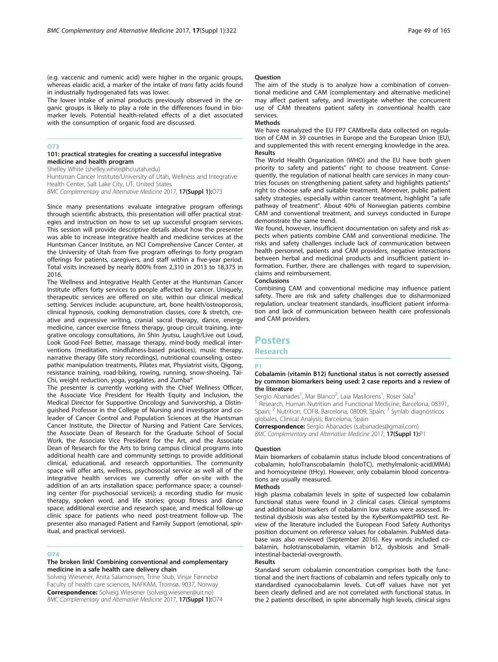(e.g. vaccenic and rumenic acid) were higher in the organic groups, whereas elaidic acid, a marker of the intake of trans fatty acids found in industrially hydrogenated fats was lower.

The lower intake of animal products previously observed in the organic groups is likely to play a role in the differences found in biomarker levels. Potential health-related effects of a diet associated with the consumption of organic food are discussed.

#### O73

## 101: practical strategies for creating a successful integrative medicine and health program

Shelley White (shelley.white@hci.utah.edu)

Huntsman Cancer Institute/University of Utah, Wellness and Integrative Health Center, Salt Lake City, UT, United States BMC Complementary and Alternative Medicine 2017, 17(Suppl 1):O73

Since many presentations evaluate integrative program offerings through scientific abstracts, this presentation will offer practical strategies and instruction on how to set up successful program services. This session will provide descriptive details about how the presenter was able to increase integrative health and medicine services at the Huntsman Cancer Institute, an NCI Comprehensive Cancer Center, at the University of Utah from five program offerings to forty program offerings for patients, caregivers, and staff within a five-year period. Total visits increased by nearly 800% from 2,310 in 2013 to 18,375 in 2016.

The Wellness and Integrative Health Center at the Huntsman Cancer Institute offers forty services to people affected by cancer. Uniquely, therapeutic services are offered on site, within our clinical medical setting. Services include: acupuncture, art, bone health/osteoporosis, clinical hypnosis, cooking demonstration classes, core & stretch, creative and expressive writing, cranial sacral therapy, dance, energy medicine, cancer exercise fitness therapy, group circuit training, integrative oncology consultations, Jin Shin Jyutsu, Laugh/Live out Loud, Look Good-Feel Better, massage therapy, mind-body medical interventions (meditation, mindfulness-based practices), music therapy, narrative therapy (life story recordings), nutritional counseling, osteopathic manipulation treatments, Pilates mat, Physiatrist visits, Qigong, resistance training, road-biking, rowing, running, snow-shoeing, Tai-Chi, weight reduction, yoga, yogalates, and Zumba®

The presenter is currently working with the Chief Wellness Officer, the Associate Vice President for Health Equity and Inclusion, the Medical Director for Supportive Oncology and Survivorship, a Distinguished Professor in the College of Nursing and investigator and coleader of Cancer Control and Population Sciences at the Huntsman Cancer Institute, the Director of Nursing and Patient Care Services, the Associate Dean of Research for the Graduate School of Social Work, the Associate Vice President for the Art, and the Associate Dean of Research for the Arts to bring campus clinical programs into additional health care and community settings to provide additional clinical, educational, and research opportunities. The community space will offer arts, wellness, psychosocial service as well all of the integrative health services we currently offer on-site with the addition of an arts installation space; performance space; a counseling center (for psychosocial services); a recording studio for music therapy, spoken word, and life stories; group fitness and dance space; additional exercise and research space, and medical follow-up clinic space for patients who need post-treatment follow-up. The presenter also managed Patient and Family Support (emotional, spiritual, and practical services).

## O74

## The broken link! Combining conventional and complementary medicine in a safe health care delivery chain

Solveig Wiesener, Anita Salamonsen, Trine Stub, Vinjar Fønnebø Faculty of health care sciences, NAFKAM, Tromsø, 9037, Norway Correspondence: Solveig Wiesener (solveig.wiesener@uit.no) BMC Complementary and Alternative Medicine 2017, 17(Suppl 1):074

#### **Ouestion**

The aim of the study is to analyze how a combination of conventional medicine and CAM (complementary and alternative medicine) may affect patient safety, and investigate whether the concurrent use of CAM threatens patient safety in conventional health care services.

#### Methods

We have reanalyzed the EU FP7 CAMbrella data collected on regulation of CAM in 39 countries in Europe and the European Union (EU), and supplemented this with recent emerging knowledge in the area. Results

The World Health Organization (WHO) and the EU have both given priority to safety and patients" right to choose treatment. Consequently, the regulation of national health care services in many countries focuses on strengthening patient safety and highlights patients" right to choose safe and suitable treatment. Moreover, public patient safety strategies, especially within cancer treatment, highlight "a safe pathway of treatment". About 40% of Norwegian patients combine CAM and conventional treatment, and surveys conducted in Europe demonstrate the same trend.

We found, however, insufficient documentation on safety and risk aspects when patients combine CAM and conventional medicine. The risks and safety challenges include lack of communication between health personnel, patients and CAM providers, negative interactions between herbal and medicinal products and insufficient patient information. Further, there are challenges with regard to supervision, claims and reimbursement.

## Conclusions

Combining CAM and conventional medicine may influence patient safety. There are risk and safety challenges due to disharmonized regulation, unclear treatment standards, insufficient patient information and lack of communication between health care professionals and CAM providers.

## Posters

## Research

## P1

## Cobalamin (vitamin B12) functional status is not correctly assessed by common biomarkers being used: 2 case reports and a review of the literature

Sergio Abanades<sup>1</sup>, Mar Blanco<sup>2</sup>, Laia Masllorens<sup>1</sup>, Roser Sala<sup>3</sup>

<sup>1</sup> Research, Human Nutrition and Functional Medicine, Barcelona, 08391, Spain; <sup>2</sup> Nutrition, COFB, Barcelona, 08009, Spain; <sup>3</sup> Synlab diagnósticos globales, Clinical Analysis, Barcelona, Spain

Correspondence: Sergio Abanades (s.abanades@gmail.com) BMC Complementary and Alternative Medicine 2017, 17(Suppl 1):P1

#### **Ouestion**

Main biomarkers of cobalamin status include blood concentrations of cobalamin, holoTranscobalamin (holoTC), methylmalonic-acid(MMA) and homocysteine (tHcy). However, only cobalamin blood concentrations are usually measured.

## Methods

High plasma cobalamin levels in spite of suspected low cobalamin functional status were found in 2 clinical cases. Clinical symptoms and additional biomarkers of cobalamin low status were assessed. Intestinal dysbiosis was also tested by the KyberKompaktPRO test. Review of the literature included the European Food Safety Authoritys position document on reference values for cobalamin. PubMed database was also reviewed (September 2016). Key words included cobalamin, holotranscobalamin, vitamin b12, dysbiosis and Smallintestinal-bacterial-overgrowth.

## Results

Standard serum cobalamin concentration comprises both the functional and the inert fractions of cobalamin and refers typically only to standardised cyanocobalamin levels. Cut-off values have not yet been clearly defined and are not correlated with functional status. In the 2 patients described, in spite abnormally high levels, clinical signs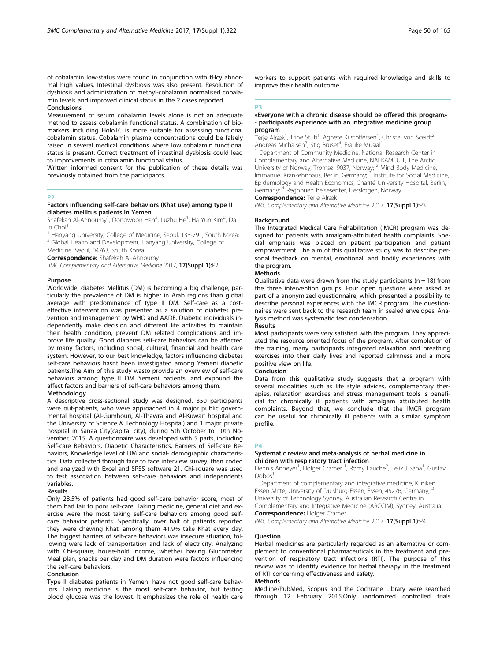of cobalamin low-status were found in conjunction with tHcy abnormal high values. Intestinal dysbiosis was also present. Resolution of dysbiosis and administration of methyl-cobalamin normalised cobalamin levels and improved clinical status in the 2 cases reported. Conclusions

Measurement of serum cobalamin levels alone is not an adequate method to assess cobalamin functional status. A combination of biomarkers including HoloTC is more suitable for assessing functional cobalamin status. Cobalamin plasma concentrations could be falsely raised in several medical conditions where low cobalamin functional status is present. Correct treatment of intestinal dysbiosis could lead to improvements in cobalamin functional status.

Written informed consent for the publication of these details was previously obtained from the participants.

## D<sub>2</sub>

## Factors influencing self-care behaviors (Khat use) among type II diabetes mellitus patients in Yemen

Shafekah Al-Ahnoumy<sup>1</sup>, Dongwoon Han<sup>2</sup>, Luzhu He<sup>1</sup>, Ha Yun Kim<sup>2</sup>, Da In Choi

<sup>1</sup> Hanyang University, College of Medicine, Seoul, 133-791, South Korea; <sup>2</sup> Global Health and Development, Hanyang University, College of

Medicine, Seoul, 04763, South Korea

Correspondence: Shafekah Al-Ahnoumy

BMC Complementary and Alternative Medicine 2017, 17(Suppl 1):P2

#### Purpose

Worldwide, diabetes Mellitus (DM) is becoming a big challenge, particularly the prevalence of DM is higher in Arab regions than global average with predominance of type II DM. Self-care as a costeffective intervention was presented as a solution of diabetes prevention and management by WHO and AADE. Diabetic individuals independently make decision and different life activities to maintain their health condition, prevent DM related complications and improve life quality. Good diabetes self-care behaviors can be affected by many factors, including social, cultural, financial and health care system. However, to our best knowledge, factors influencing diabetes self-care behaviors hasnt been investigated among Yemeni diabetic patients.The Aim of this study wasto provide an overview of self-care behaviors among type II DM Yemeni patients, and expound the affect factors and barriers of self-care behaviors among them.

## Methodology

A descriptive cross-sectional study was designed. 350 participants were out-patients, who were approached in 4 major public governmental hospital (Al-Gumhouri, Al-Thawra and Al-Kuwait hospital and the University of Science & Technology Hospital) and 1 major private hospital in Sanaa City(capital city), during 5th October to 10th November, 2015. A questionnaire was developed with 5 parts, including Self-care Behaviors, Diabetic Characteristics, Barriers of Self-care Behaviors, Knowledge level of DM and social- demographic characteristics. Data collected through face to face interview survey, then coded and analyzed with Excel and SPSS software 21. Chi-square was used to test association between self-care behaviors and independents variables.

#### Results

Only 28.5% of patients had good self-care behavior score, most of them had fair to poor self-care. Taking medicine, general diet and exercise were the most taking self-care behaviors among good selfcare behavior patients. Specifically, over half of patients reported they were chewing Khat, among them 41.9% take Khat every day. The biggest barriers of self-care behaviors was insecure situation, following were lack of transportation and lack of electricity. Analyzing with Chi-square, house-hold income, whether having Glucometer, Meal plan, snacks per day and DM duration were factors influencing the self-care behaviors.

#### Conclusion

Type II diabetes patients in Yemeni have not good self-care behaviors. Taking medicine is the most self-care behavior, but testing blood glucose was the lowest. It emphasizes the role of health care workers to support patients with required knowledge and skills to improve their health outcome.

## P3

## «Everyone with a chronic disease should be offered this program» - participants experience with an integrative medicine group program

 $\mathsf{T}$ erje $\mathsf{Alræk}^1$ , Trine Stub $^1$ , Agnete Kristoffersen $^1$ , Christel von Sceidt $^2$ Andreas Michalsen<sup>3</sup>, Stig Bruset<sup>4</sup>, Frauke Musial<sup>1</sup>

<sup>1</sup> Department of Community Medicine, National Research Center in Complementary and Alternative Medicine, NAFKAM, UiT, The Arctic University of Norway, Tromsø, 9037, Norway; <sup>2</sup> Mind Body Medicine, Immanuel Krankehnhaus, Berlin, Germany; <sup>3</sup> Institute for Social Medicine Epidemiology and Health Economics, Charité University Hospital, Berlin, Germany; <sup>4</sup> Regnbuen helsesenter, Lierskogen, Norway

Correspondence: Terje Alræk

BMC Complementary and Alternative Medicine 2017, 17(Suppl 1):P3

#### Background

The Integrated Medical Care Rehabilitation (IMCR) program was designed for patients with amalgam-attributed health complaints. Special emphasis was placed on patient participation and patient empowerment. The aim of this qualitative study was to describe personal feedback on mental, emotional, and bodily experiences with the program.

#### **Methods**

Qualitative data were drawn from the study participants ( $n = 18$ ) from the three intervention groups. Four open questions were asked as part of a anonymized questionnaire, which presented a possibility to describe personal experiences with the IMCR program. The questionnaires were sent back to the research team in sealed envelopes. Analysis method was systematic text condensation.

## Results

Most participants were very satisfied with the program. They appreciated the resource oriented focus of the program. After completion of the training, many participants integrated relaxation and breathing exercises into their daily lives and reported calmness and a more positive view on life.

Conclusion

Data from this qualitative study suggests that a program with several modalities such as life style advices, complementary therapies, relaxation exercises and stress management tools is beneficial for chronically ill patients with amalgam attributed health complaints. Beyond that, we conclude that the IMCR program can be useful for chronically ill patients with a similar symptom profile.

## P4

## Systematic review and meta-analysis of herbal medicine in children with respiratory tract infection

Dennis Anheyer<sup>1</sup>, Holger Cramer<sup>1</sup>, Romy Lauche<sup>2</sup>, Felix J Saha<sup>1</sup>, Gustav Dobos

<sup>1</sup> Department of complementary and integrative medicine, Kliniken Essen Mitte, University of Duisburg-Essen, Essen, 45276, Germany; <sup>2</sup> University of Technology Sydney, Australian Research Centre in Complementary and Integrative Medicine (ARCCIM), Sydney, Australia Correspondence: Holger Cramer

BMC Complementary and Alternative Medicine 2017, 17(Suppl 1):P4

#### **Ouestion**

Herbal medicines are particularly regarded as an alternative or complement to conventional pharmaceuticals in the treatment and prevention of respiratory tract infections (RTI). The purpose of this review was to identify evidence for herbal therapy in the treatment of RTI concerning effectiveness and safety.

#### Methods

Medline/PubMed, Scopus and the Cochrane Library were searched through 12 February 2015.Only randomized controlled trials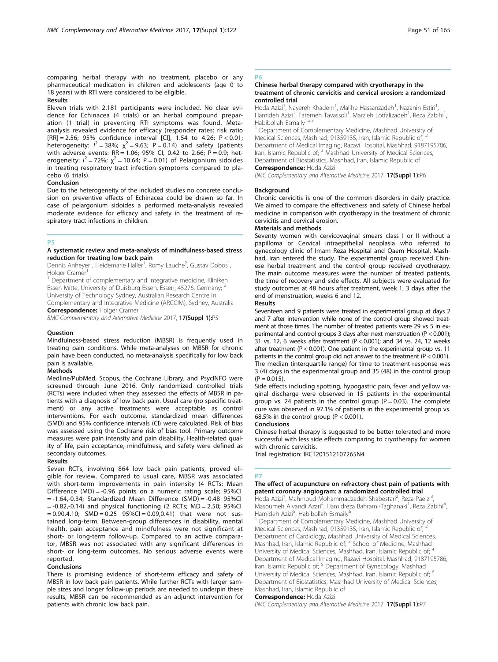comparing herbal therapy with no treatment, placebo or any pharmaceutical medication in children and adolescents (age 0 to 18 years) with RTI were considered to be eligible.

## Results

Eleven trials with 2.181 participants were included. No clear evidence for Echinacea (4 trials) or an herbal compound preparation (1 trial) in preventing RTI symptoms was found. Metaanalysis revealed evidence for efficacy (responder rates: risk ratio  $[RR] = 2.56$ ; 95% confidence interval  $[CI]$ , 1.54 to 4.26; P < 0.01; heterogeneity:  $l^2 = 38\%$ ;  $\chi^2 = 9.63$ ; P = 0.14) and safety (patients with adverse events:  $RR = 1.06$ ; 95% CI, 0.42 to 2.66;  $P = 0.9$ ; heterogeneity:  $l^2 = 72\%$ ;  $\chi^2 = 10.64$ ; P = 0.01) of Pelargonium sidoides in treating respiratory tract infection symptoms compared to placebo (6 trials).

## Conclusion

Due to the heterogeneity of the included studies no concrete conclusion on preventive effects of Echinacea could be drawn so far. In case of pelargonium sidoides a performed meta-analysis revealed moderate evidence for efficacy and safety in the treatment of respiratory tract infections in children.

## P5

## A systematic review and meta-analysis of mindfulness-based stress reduction for treating low back pain

Dennis Anheyer<sup>1</sup>, Heidemarie Haller<sup>1</sup>, Romy Lauche<sup>2</sup>, Gustav Dobos<sup>1</sup> , Holger Cramer<sup>1</sup>

Department of complementary and integrative medicine, Kliniken Essen Mitte, University of Duisburg-Essen, Essen, 45276, Germany; <sup>2</sup> University of Technology Sydney, Australian Research Centre in Complementary and Integrative Medicine (ARCCIM), Sydney, Australia Correspondence: Holger Cramer

BMC Complementary and Alternative Medicine 2017, 17(Suppl 1):P5

## **Ouestion**

Mindfulness-based stress reduction (MBSR) is frequently used in treating pain conditions. While meta-analyses on MBSR for chronic pain have been conducted, no meta-analysis specifically for low back pain is available.

#### Methods

Medline/PubMed, Scopus, the Cochrane Library, and PsycINFO were screened through June 2016. Only randomized controlled trials (RCTs) were included when they assessed the effects of MBSR in patients with a diagnosis of low back pain. Usual care (no specific treatment) or any active treatments were acceptable as control interventions. For each outcome, standardized mean differences (SMD) and 95% confidence intervals (CI) were calculated. Risk of bias was assessed using the Cochrane risk of bias tool. Primary outcome measures were pain intensity and pain disability. Health-related quality of life, pain acceptance, mindfulness, and safety were defined as secondary outcomes.

## Results

Seven RCTs, involving 864 low back pain patients, proved eligible for review. Compared to usual care, MBSR was associated with short-term improvements in pain intensity (4 RCTs; Mean Difference (MD) = -0.96 points on a numeric rating scale; 95%CI = -1.64,-0.34; Standardized Mean Difference (SMD) = -0.48 95%CI = -0.82,-0.14) and physical functioning (2 RCTs; MD = 2.50; 95%CI  $= 0.90, 4.10$ ; SMD  $= 0.25$  95%CI  $= 0.09, 0.41$ ) that were not sustained long-term. Between-group differences in disability, mental health, pain acceptance and mindfulness were not significant at short- or long-term follow-up. Compared to an active comparator, MBSR was not associated with any significant differences in short- or long-term outcomes. No serious adverse events were reported.

### Conclusions

There is promising evidence of short-term efficacy and safety of MBSR in low back pain patients. While further RCTs with larger sample sizes and longer follow-up periods are needed to underpin these results, MBSR can be recommended as an adjunct intervention for patients with chronic low back pain.

### P6

## Chinese herbal therapy compared with cryotherapy in the treatment of chronic cervicitis and cervical erosion: a randomized controlled trial

Hoda Azizi<sup>1</sup>, Nayereh Khadem<sup>1</sup>, Malihe Hassanzadeh<sup>1</sup>, Nazanin Estiri<sup>1</sup> , Hamideh Azizi<sup>1</sup>, Fatemeh Tavassoli<sup>1</sup>, Marzieh Lotfalizadeh<sup>1</sup>, Reza Zabihi<sup>1</sup> , Habibollah Esmaily<sup>1,2,3</sup>

<sup>1</sup> Department of Complementary Medicine, Mashhad University of Medical Sciences, Mashhad, 91359135, Iran, Islamic Republic of; <sup>2</sup> Department of Medical Imaging, Razavi Hospital, Mashhad, 9187195786, Iran, Islamic Republic of; <sup>3</sup> Mashhad University of Medical Sciences, Department of Biostatistics, Mashhad, Iran, Islamic Republic of Correspondence: Hoda Azizi

BMC Complementary and Alternative Medicine 2017, 17(Suppl 1):P6

#### Background

Chronic cervicitis is one of the common disorders in daily practice. We aimed to compare the effectiveness and safety of Chinese herbal medicine in comparison with cryotherapy in the treatment of chronic cervicitis and cervical erosion.

## Materials and methods

Seventy women with cervicovaginal smears class I or II without a papilloma or Cervical intraepithelial neoplasia who referred to gynecology clinic of Imam Reza Hospital and Qaem Hospital, Mashhad, Iran entered the study. The experimental group received Chinese herbal treatment and the control group received cryotherapy. The main outcome measures were the number of treated patients, the time of recovery and side effects. All subjects were evaluated for study outcomes at 48 hours after treatment, week 1, 3 days after the end of menstruation, weeks 6 and 12.

Results

Seventeen and 9 patients were treated in experimental group at days 2 and 7 after intervention while none of the control group showed treatment at those times. The number of treated patients were 29 vs 5 in experimental and control groups 3 days after next menstruation (P < 0.001); 31 vs. 12, 6 weeks after treatment (P < 0.001); and 34 vs. 24, 12 weeks after treatment ( $P < 0.001$ ). One patient in the experimental group vs. 11 patients in the control group did not answer to the treatment (P < 0.001). The median (interquartile range) for time to treatment response was 3 (4) days in the experimental group and 35 (48) in the control group  $(P = 0.015)$ .

Side effects including spotting, hypogastric pain, fever and yellow vaginal discharge were observed in 15 patients in the experimental group vs. 24 patients in the control group ( $P = 0.03$ ). The complete cure was observed in 97.1% of patients in the experimental group vs. 68.5% in the control group ( $P < 0.001$ ).

## Conclusions

Chinese herbal therapy is suggested to be better tolerated and more successful with less side effects comparing to cryotherapy for women with chronic cervicitis.

Trial registration: IRCT201512107265N4

## P7

## The effect of acupuncture on refractory chest pain of patients with patent coronary angiogram: a randomized controlled trial

Hoda Azizi<sup>1</sup>, Mahmoud Mohammadzadeh Shabestari<sup>2</sup>, Reza Paeizi<sup>3</sup> , Masoumeh Alvandi Azari<sup>4</sup>, Hamidreza Bahrami-Taghanaki<sup>1</sup>, Reza Zabihi<sup>4</sup> , Hamideh Azizi<sup>5</sup>, Habibollah Esmaily<sup>6</sup>

<sup>1</sup> Department of Complementary Medicine, Mashhad University of Medical Sciences, Mashhad, 91359135, Iran, Islamic Republic of; <sup>2</sup> Department of Cardiology, Mashhad University of Medical Sciences, Mashhad, Iran, Islamic Republic of; <sup>3</sup> School of Medicine, Mashhad University of Medical Sciences, Mashhad, Iran, Islamic Republic of; <sup>4</sup> Department of Medical Imaging, Razavi Hospital, Mashhad, 9187195786, Iran, Islamic Republic of; <sup>5</sup> Department of Gynecology, Mashhad University of Medical Sciences, Mashhad, Iran, Islamic Republic of; <sup>6</sup> Department of Biostatistics, Mashhad University of Medical Sciences, Mashhad, Iran, Islamic Republic of

### Correspondence: Hoda Azizi

BMC Complementary and Alternative Medicine 2017, 17(Suppl 1):P7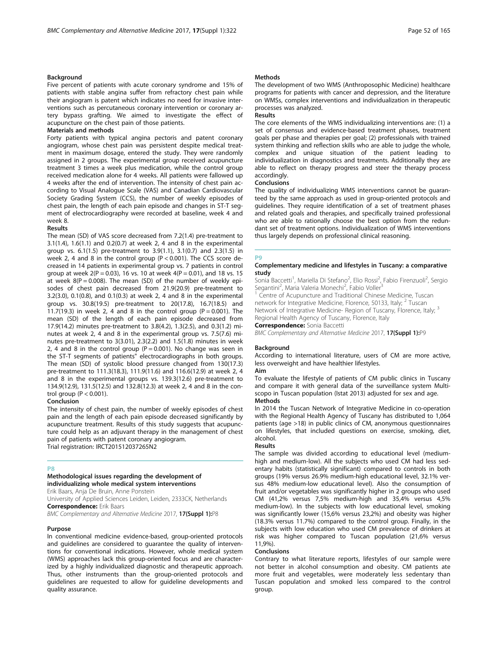## Background

Five percent of patients with acute coronary syndrome and 15% of patients with stable angina suffer from refractory chest pain while their angiogram is patent which indicates no need for invasive interventions such as percutaneous coronary intervention or coronary artery bypass grafting. We aimed to investigate the effect of acupuncture on the chest pain of those patients.

#### Materials and methods

Forty patients with typical angina pectoris and patent coronary angiogram, whose chest pain was persistent despite medical treatment in maximum dosage, entered the study. They were randomly assigned in 2 groups. The experimental group received acupuncture treatment 3 times a week plus medication, while the control group received medication alone for 4 weeks. All patients were fallowed up 4 weeks after the end of intervention. The intensity of chest pain according to Visual Analogue Scale (VAS) and Canadian Cardiovascular Society Grading System (CCS), the number of weekly episodes of chest pain, the length of each pain episode and changes in ST-T segment of electrocardiography were recorded at baseline, week 4 and week 8.

#### Results

The mean (SD) of VAS score decreased from 7.2(1.4) pre-treatment to 3.1(1.4), 1.6(1.1) and 0.2(0.7) at week 2, 4 and 8 in the experimental group vs. 6.1(1.5) pre-treatment to 3.9(1.1), 3.1(0.7) and 2.3(1.5) in week 2, 4 and 8 in the control group (P < 0.001). The CCS score decreased in 14 patients in experimental group vs. 7 patients in control group at week  $2(P = 0.03)$ , 16 vs. 10 at week  $4(P = 0.01)$ , and 18 vs. 15 at week  $8(P = 0.008)$ . The mean (SD) of the number of weekly episodes of chest pain decreased from 21.9(20.9) pre-treatment to 3.2(3.0), 0.1(0.8), and 0.1(0.3) at week 2, 4 and 8 in the experimental group vs. 30.8(19.5) pre-treatment to 20(17.8), 16.7(18.5) and 11.7(19.3) in week 2, 4 and 8 in the control group (P = 0.001). The mean (SD) of the length of each pain episode decreased from 17.9(14.2) minutes pre-treatment to 3.8(4.2), 1.3(2.5), and 0.3(1.2) minutes at week 2, 4 and 8 in the experimental group vs. 7.5(7.6) minutes pre-treatment to 3(3.01), 2.3(2.2) and 1.5(1.8) minutes in week 2, 4 and 8 in the control group  $(P = 0.001)$ . No change was seen in the ST-T segments of patients" electrocardiographs in both groups. The mean (SD) of systolic blood pressure changed from 130(17.3) pre-treatment to 111.3(18.3), 111.9(11.6) and 116.6(12.9) at week 2, 4 and 8 in the experimental groups vs. 139.3(12.6) pre-treatment to 134.9(12.9), 131.5(12.5) and 132.8(12.3) at week 2, 4 and 8 in the control group ( $P < 0.001$ ).

## Conclusion

The intensity of chest pain, the number of weekly episodes of chest pain and the length of each pain episode decreased significantly by acupuncture treatment. Results of this study suggests that acupuncture could help as an adjuvant therapy in the management of chest pain of patients with patent coronary angiogram. Trial registration: IRCT201512037265N2

#### P8

## Methodological issues regarding the development of individualizing whole medical system interventions

Erik Baars, Anja De Bruin, Anne Ponstein

University of Applied Sciences Leiden, Leiden, 2333CK, Netherlands Correspondence: Erik Baars

BMC Complementary and Alternative Medicine 2017, 17(Suppl 1):P8

#### Purpose

In conventional medicine evidence-based, group-oriented protocols and guidelines are considered to guarantee the quality of interventions for conventional indications. However, whole medical system (WMS) approaches lack this group-oriented focus and are characterized by a highly individualized diagnostic and therapeutic approach. Thus, other instruments than the group-oriented protocols and guidelines are requested to allow for guideline developments and quality assurance.

## Methods

The development of two WMS (Anthroposophic Medicine) healthcare programs for patients with cancer and depression, and the literature on WMSs, complex interventions and individualization in therapeutic processes was analyzed.

## **Results**

The core elements of the WMS individualizing interventions are: (1) a set of consensus and evidence-based treatment phases, treatment goals per phase and therapies per goal; (2) professionals with trained system thinking and reflection skills who are able to judge the whole, complex and unique situation of the patient leading to individualization in diagnostics and treatments. Additionally they are able to reflect on therapy progress and steer the therapy process accordingly.

#### Conclusions

The quality of individualizing WMS interventions cannot be guaranteed by the same approach as used in group-oriented protocols and guidelines. They require identification of a set of treatment phases and related goals and therapies, and specifically trained professional who are able to rationally choose the best option from the redundant set of treatment options. Individualization of WMS interventions thus largely depends on professional clinical reasoning.

#### P9

## Complementary medicine and lifestyles in Tuscany: a comparative study

Sonia Baccetti<sup>1</sup>, Mariella Di Stefano<sup>2</sup>, Elio Rossi<sup>2</sup>, Fabio Firenzuoli<sup>2</sup>, Sergio Segantini<sup>2</sup>, Maria Valeria Monechi<sup>2</sup>, Fabio Voller<sup>3</sup>

<sup>1</sup> Centre of Acupuncture and Traditional Chinese Medicine, Tuscan network for Integrative Medicine, Florence, 50133, Italy; <sup>2</sup> Tuscan Network of Integrative Medicine- Region of Tuscany, Florence, Italy; 3 Regional Health Agency of Tuscany, Florence, Italy

**Correspondence:** Sonia Baccetti

BMC Complementary and Alternative Medicine 2017, 17(Suppl 1):P9

#### Background

According to international literature, users of CM are more active, less overweight and have healthier lifestyles.

#### Aim

To evaluate the lifestyle of patients of CM public clinics in Tuscany and compare it with general data of the surveillance system Multiscopo in Tuscan population (Istat 2013) adjusted for sex and age. Methods

In 2014 the Tuscan Network of Integrative Medicine in co-operation with the Regional Health Agency of Tuscany has distributed to 1,064 patients (age >18) in public clinics of CM, anonymous questionnaires on lifestyles, that included questions on exercise, smoking, diet, alcohol.

## Results

The sample was divided according to educational level (mediumhigh and medium-low). All the subjects who used CM had less sedentary habits (statistically significant) compared to controls in both groups (19% versus 26.9% medium-high educational level, 32.1% versus 48% medium-low educational level). Also the consumption of fruit and/or vegetables was significantly higher in 2 groups who used CM (41,2% versus 7,5% medium-high and 35,4% versus 4,5% medium-low). In the subjects with low educational level, smoking was significantly lower (15,6% versus 23,2%) and obesity was higher (18.3% versus 11.7%) compared to the control group. Finally, in the subjects with low education who used CM prevalence of drinkers at risk was higher compared to Tuscan population (21,6% versus 11,9%).

## Conclusions

Contrary to what literature reports, lifestyles of our sample were not better in alcohol consumption and obesity. CM patients ate more fruit and vegetables, were moderately less sedentary than Tuscan population and smoked less compared to the control group.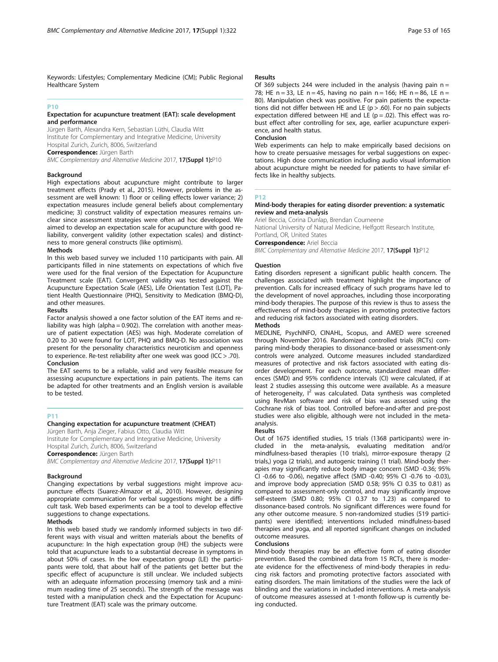Keywords: Lifestyles; Complementary Medicine (CM); Public Regional Healthcare System

## P10

## Expectation for acupuncture treatment (EAT): scale development and performance

Jürgen Barth, Alexandra Kern, Sebastian Lüthi, Claudia Witt Institute for Complementary and Integrative Medicine, University Hospital Zurich, Zurich, 8006, Switzerland Correspondence: Jürgen Barth

BMC Complementary and Alternative Medicine 2017, 17(Suppl 1):P10

## **Background**

High expectations about acupuncture might contribute to larger treatment effects (Prady et al., 2015). However, problems in the assessment are well known: 1) floor or ceiling effects lower variance; 2) expectation measures include general beliefs about complementary medicine; 3) construct validity of expectation measures remains unclear since assessment strategies were often ad hoc developed. We aimed to develop an expectation scale for acupuncture with good reliability, convergent validity (other expectation scales) and distinctness to more general constructs (like optimism).

## **Methods**

In this web based survey we included 110 participants with pain. All participants filled in nine statements on expectations of which five were used for the final version of the Expectation for Acupuncture Treatment scale (EAT). Convergent validity was tested against the Acupuncture Expectation Scale (AES), Life Orientation Test (LOT), Patient Health Questionnaire (PHQ), Sensitivity to Medication (BMQ-D), and other measures.

### Results

Factor analysis showed a one factor solution of the EAT items and reliability was high (alpha = 0.902). The correlation with another measure of patient expectation (AES) was high. Moderate correlation of 0.20 to .30 were found for LOT, PHQ and BMQ-D. No association was present for the personality characteristics neuroticism and openness to experience. Re-test reliability after one week was good (ICC > .70). Conclusion

The EAT seems to be a reliable, valid and very feasible measure for assessing acupuncture expectations in pain patients. The items can be adapted for other treatments and an English version is available to be tested.

## P11

## Changing expectation for acupuncture treatment (CHEAT)

Jürgen Barth, Anja Zieger, Fabius Otto, Claudia Witt Institute for Complementary and Integrative Medicine, University Hospital Zurich, Zurich, 8006, Switzerland

Correspondence: Jürgen Barth

BMC Complementary and Alternative Medicine 2017, 17(Suppl 1):P11

#### Background

Changing expectations by verbal suggestions might improve acupuncture effects (Suarez-Almazor et al., 2010). However, designing appropriate communication for verbal suggestions might be a difficult task. Web based experiments can be a tool to develop effective suggestions to change expectations.

#### Methods

In this web based study we randomly informed subjects in two different ways with visual and written materials about the benefits of acupuncture: In the high expectation group (HE) the subjects were told that acupuncture leads to a substantial decrease in symptoms in about 50% of cases. In the low expectation group (LE) the participants were told, that about half of the patients get better but the specific effect of acupuncture is still unclear. We included subjects with an adequate information processing (memory task and a minimum reading time of 25 seconds). The strength of the message was tested with a manipulation check and the Expectation for Acupuncture Treatment (EAT) scale was the primary outcome.

#### Results

Of 369 subjects 244 were included in the analysis (having pain  $n =$ 78; HE  $n = 33$ , LE  $n = 45$ , having no pain  $n = 166$ ; HE  $n = 86$ , LE  $n =$ 80). Manipulation check was positive. For pain patients the expectations did not differ between HE and LE ( $p > .60$ ). For no pain subjects expectation differed between HE and LE ( $p = .02$ ). This effect was robust effect after controlling for sex, age, earlier acupuncture experience, and health status.

#### Conclusion

Web experiments can help to make empirically based decisions on how to create persuasive messages for verbal suggestions on expectations. High dose communication including audio visual information about acupuncture might be needed for patients to have similar effects like in healthy subjects.

## D<sub>12</sub>

## Mind-body therapies for eating disorder prevention: a systematic review and meta-analysis

Ariel Beccia, Corina Dunlap, Brendan Courneene National University of Natural Medicine, Helfgott Research Institute, Portland, OR, United States

**Correspondence: Ariel Beccia** 

BMC Complementary and Alternative Medicine 2017, 17(Suppl 1):P12

#### **Ouestion**

Eating disorders represent a significant public health concern. The challenges associated with treatment highlight the importance of prevention. Calls for increased efficacy of such programs have led to the development of novel approaches, including those incorporating mind-body therapies. The purpose of this review is thus to assess the effectiveness of mind-body therapies in promoting protective factors and reducing risk factors associated with eating disorders.

Methods

MEDLINE, PsychINFO, CINAHL, Scopus, and AMED were screened through November 2016. Randomized controlled trials (RCTs) comparing mind-body therapies to dissonance-based or assessment-only controls were analyzed. Outcome measures included standardized measures of protective and risk factors associated with eating disorder development. For each outcome, standardized mean differences (SMD) and 95% confidence intervals (CI) were calculated, if at least 2 studies assessing this outcome were available. As a measure of heterogeneity,  $I^2$  was calculated. Data synthesis was completed using RevMan software and risk of bias was assessed using the Cochrane risk of bias tool. Controlled before-and-after and pre-post studies were also eligible, although were not included in the metaanalysis.

#### Results

Out of 1675 identified studies, 15 trials (1368 participants) were included in the meta-analysis, evaluating meditation and/or mindfulness-based therapies (10 trials), mirror-exposure therapy (2 trials,) yoga (2 trials), and autogenic training (1 trial). Mind-body therapies may significantly reduce body image concern (SMD -0.36; 95% CI -0.66 to -0.06), negative affect (SMD -0.40; 95% CI -0.76 to -0.03), and improve body appreciation (SMD 0.58; 95% CI 0.35 to 0.81) as compared to assessment-only control, and may significantly improve self-esteem (SMD 0.80; 95% CI 0.37 to 1.23) as compared to dissonance-based controls. No significant differences were found for any other outcome measure. 5 non-randomized studies (519 participants) were identified; interventions included mindfulness-based therapies and yoga, and all reported significant changes on included outcome measures.

## Conclusions

Mind-body therapies may be an effective form of eating disorder prevention. Based the combined data from 15 RCTs, there is moderate evidence for the effectiveness of mind-body therapies in reducing risk factors and promoting protective factors associated with eating disorders. The main limitations of the studies were the lack of blinding and the variations in included interventions. A meta-analysis of outcome measures assessed at 1-month follow-up is currently being conducted.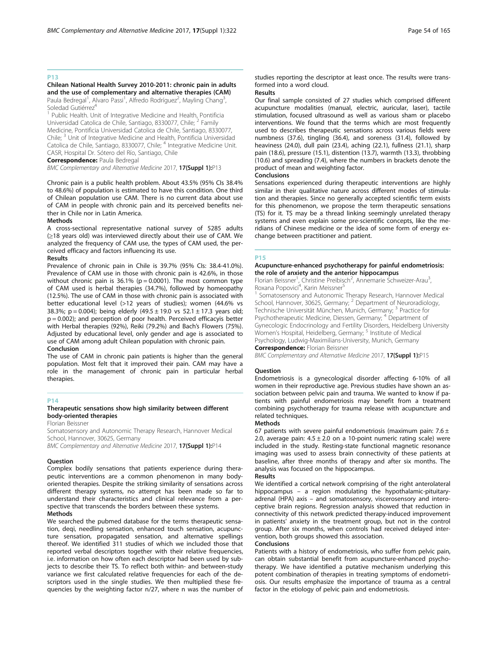## P13

#### Chilean National Health Survey 2010-2011: chronic pain in adults and the use of complementary and alternative therapies (CAM) Paula Bedregal<sup>1</sup>, Alvaro Passi<sup>1</sup>, Alfredo Rodríguez<sup>2</sup>, Mayling Chang<sup>3</sup> , Soledad Gutiérrez<sup>4</sup>

<sup>1</sup> Public Health. Unit of Integrative Medicine and Health, Pontificia Universidad Catolica de Chile, Santiago, 8330077, Chile; <sup>2</sup> Family Medicine, Pontificia Universidad Catolica de Chile, Santiago, 8330077, Chile; <sup>3</sup> Unit of Integrative Medicine and Health, Pontificia Universidad Catolica de Chile, Santiago, 8330077, Chile; <sup>4</sup> Integrative Medicine Unit. CASR, Hospital Dr. Sótero del Río, Santiago, Chile

**Correspondence: Paula Bedregal** 

BMC Complementary and Alternative Medicine 2017, 17(Suppl 1):P13

Chronic pain is a public health problem. About 43.5% (95% CIs 38.4% to 48.6%) of population is estimated to have this condition. One third of Chilean population use CAM. There is no current data about use of CAM in people with chronic pain and its perceived benefits neither in Chile nor in Latin America.

## Methods

A cross-sectional representative national survey of 5285 adults (≥18 years old) was interviewed directly about their use of CAM. We analyzed the frequency of CAM use, the types of CAM used, the perceived efficacy and factors influencing its use.

#### Results

Prevalence of chronic pain in Chile is 39.7% (95% CIs: 38.4-41.0%). Prevalence of CAM use in those with chronic pain is 42.6%, in those without chronic pain is  $36.1\%$  (p = 0.0001). The most common type of CAM used is herbal therapies (34.7%), followed by homeopathy (12.5%). The use of CAM in those with chronic pain is associated with better educational level (>12 years of studies); women (44.6% vs 38.3%; p = 0.004); being elderly  $(49.5 \pm 19.0 \text{ vs } 52.1 \pm 17.3 \text{ years old})$ p = 0.002); and perception of poor health. Perceived efficacyis better with Herbal therapies (92%), Reiki (79.2%) and Bach's Flowers (75%). Adjusted by educational level, only gender and age is associated to use of CAM among adult Chilean population with chronic pain.

Conclusion

The use of CAM in chronic pain patients is higher than the general population. Most felt that it improved their pain. CAM may have a role in the management of chronic pain in particular herbal therapies.

#### P14

## Therapeutic sensations show high similarity between different body-oriented therapies

Florian Beissner

Somatosensory and Autonomic Therapy Research, Hannover Medical School, Hannover, 30625, Germany

BMC Complementary and Alternative Medicine 2017, 17(Suppl 1):P14

## Question

Complex bodily sensations that patients experience during therapeutic interventions are a common phenomenon in many bodyoriented therapies. Despite the striking similarity of sensations across different therapy systems, no attempt has been made so far to understand their characteristics and clinical relevance from a perspective that transcends the borders between these systems.

## Methods

We searched the pubmed database for the terms therapeutic sensation, deqi, needling sensation, enhanced touch sensation, acupuncture sensation, propagated sensation, and alternative spellings thereof. We identified 311 studies of which we included those that reported verbal descriptors together with their relative frequencies, i.e. information on how often each descriptor had been used by subjects to describe their TS. To reflect both within- and between-study variance we first calculated relative frequencies for each of the descriptors used in the single studies. We then multiplied these frequencies by the weighting factor n/27, where n was the number of studies reporting the descriptor at least once. The results were transformed into a word cloud.

#### Results

Our final sample consisted of 27 studies which comprised different acupuncture modalities (manual, electric, auricular, laser), tactile stimulation, focused ultrasound as well as various sham or placebo interventions. We found that the terms which are most frequently used to describes therapeutic sensations across various fields were numbness (37.6), tingling (36.4), and soreness (31.4), followed by heaviness (24.0), dull pain (23.4), aching (22.1), fullness (21.1), sharp pain (18.6), pressure (15.1), distention (13.7), warmth (13.3), throbbing (10.6) and spreading (7.4), where the numbers in brackets denote the product of mean and weighting factor.

#### Conclusions

Sensations experienced during therapeutic interventions are highly similar in their qualitative nature across different modes of stimulation and therapies. Since no generally accepted scientific term exists for this phenomenon, we propose the term therapeutic sensations (TS) for it. TS may be a thread linking seemingly unrelated therapy systems and even explain some pre-scientific concepts, like the meridians of Chinese medicine or the idea of some form of energy exchange between practitioner and patient.

#### P15

## Acupuncture-enhanced psychotherapy for painful endometriosis: the role of anxiety and the anterior hippocampus

Florian Beissner<sup>1</sup>, Christine Preibisch<sup>2</sup>, Annemarie Schweizer-Arau<sup>3</sup> , Roxana Popovici<sup>4</sup>, Karin Meissner<sup>5</sup>

<sup>1</sup> Somatosensory and Autonomic Therapy Research, Hannover Medical School, Hannover, 30625, Germany; <sup>2</sup> Department of Neuroradiology, Technische Universität München, Munich, Germany; <sup>3</sup> Practice for Psychotherapeutic Medicine, Diessen, Germany; <sup>4</sup> Department of Gynecologic Endocrinology and Fertility Disorders, Heidelberg University Women's Hospital, Heidelberg, Germany; <sup>5</sup> Institute of Medical Psychology, Ludwig-Maximilians-University, Munich, Germany **Correspondence: Florian Beissner** 

BMC Complementary and Alternative Medicine 2017, 17(Suppl 1):P15

## **Ouestion**

Endometriosis is a gynecological disorder affecting 6-10% of all women in their reproductive age. Previous studies have shown an association between pelvic pain and trauma. We wanted to know if patients with painful endometriosis may benefit from a treatment combining psychotherapy for trauma release with acupuncture and related techniques.

## Methods

67 patients with severe painful endometriosis (maximum pain:  $7.6 \pm$ 2.0, average pain:  $4.5 \pm 2.0$  on a 10-point numeric rating scale) were included in the study. Resting-state functional magnetic resonance imaging was used to assess brain connectivity of these patients at baseline, after three months of therapy and after six months. The analysis was focused on the hippocampus.

#### Results

We identified a cortical network comprising of the right anterolateral hippocampus – a region modulating the hypothalamic-pituitaryadrenal (HPA) axis – and somatosensory, viscerosensory and interoceptive brain regions. Regression analysis showed that reduction in connectivity of this network predicted therapy-induced improvement in patients' anxiety in the treatment group, but not in the control group. After six months, when controls had received delayed intervention, both groups showed this association.

## Conclusions

Patients with a history of endometriosis, who suffer from pelvic pain, can obtain substantial benefit from acupuncture-enhanced psychotherapy. We have identified a putative mechanism underlying this potent combination of therapies in treating symptoms of endometriosis. Our results emphasize the importance of trauma as a central factor in the etiology of pelvic pain and endometriosis.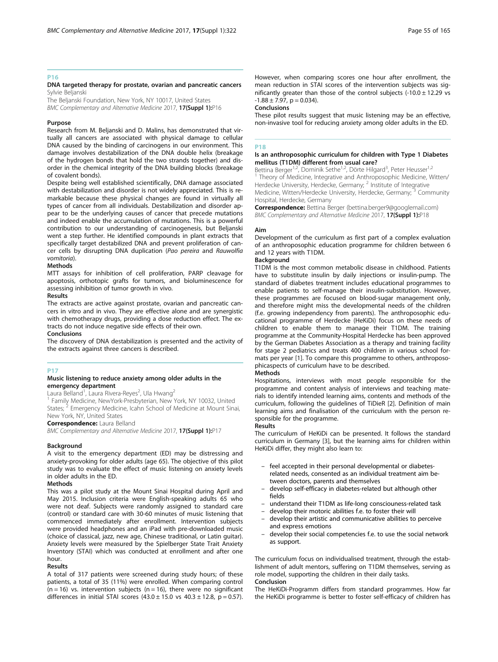## P16

## DNA targeted therapy for prostate, ovarian and pancreatic cancers Sylvie Beljanski

The Beljanski Foundation, New York, NY 10017, United States BMC Complementary and Alternative Medicine 2017, 17(Suppl 1):P16

#### Purpose

Research from M. Beljanski and D. Malins, has demonstrated that virtually all cancers are associated with physical damage to cellular DNA caused by the binding of carcinogens in our environment. This damage involves destabilization of the DNA double helix (breakage of the hydrogen bonds that hold the two strands together) and disorder in the chemical integrity of the DNA building blocks (breakage of covalent bonds).

Despite being well established scientifically, DNA damage associated with destabilization and disorder is not widely appreciated. This is remarkable because these physical changes are found in virtually all types of cancer from all individuals. Destabilization and disorder appear to be the underlying causes of cancer that precede mutations and indeed enable the accumulation of mutations. This is a powerful contribution to our understanding of carcinogenesis, but Beljanski went a step further. He identified compounds in plant extracts that specifically target destabilized DNA and prevent proliferation of cancer cells by disrupting DNA duplication (Pao pereira and Rauwolfia vomitoria).

#### Methods

MTT assays for inhibition of cell proliferation, PARP cleavage for apoptosis, orthotopic grafts for tumors, and bioluminescence for assessing inhibition of tumor growth in vivo.

## Results

The extracts are active against prostate, ovarian and pancreatic cancers in vitro and in vivo. They are effective alone and are synergistic with chemotherapy drugs, providing a dose reduction effect. The extracts do not induce negative side effects of their own.

## Conclusions

The discovery of DNA destabilization is presented and the activity of the extracts against three cancers is described.

#### P17

## Music listening to reduce anxiety among older adults in the emergency department

Laura Belland<sup>1</sup>, Laura Rivera-Reyes<sup>2</sup>, Ula Hwang<sup>2</sup>

Family Medicine, NewYork-Presbyterian, New York, NY 10032, United States; <sup>2</sup> Emergency Medicine, Icahn School of Medicine at Mount Sinai, New York, NY, United States

## **Correspondence:** Laura Belland

BMC Complementary and Alternative Medicine 2017, 17(Suppl 1):P17

## Background

A visit to the emergency department (ED) may be distressing and anxiety-provoking for older adults (age 65). The objective of this pilot study was to evaluate the effect of music listening on anxiety levels in older adults in the ED.

## Methods

This was a pilot study at the Mount Sinai Hospital during April and May 2015. Inclusion criteria were English-speaking adults 65 who were not deaf. Subjects were randomly assigned to standard care (control) or standard care with 30-60 minutes of music listening that commenced immediately after enrollment. Intervention subjects were provided headphones and an iPad with pre-downloaded music (choice of classical, jazz, new age, Chinese traditional, or Latin guitar). Anxiety levels were measured by the Spielberger State Trait Anxiety Inventory (STAI) which was conducted at enrollment and after one hour.

### Results

A total of 317 patients were screened during study hours; of these patients, a total of 35 (11%) were enrolled. When comparing control  $(n = 16)$  vs. intervention subjects  $(n = 16)$ , there were no significant differences in initial STAI scores  $(43.0 \pm 15.0 \text{ vs } 40.3 \pm 12.8, \text{ p} = 0.57)$ . However, when comparing scores one hour after enrollment, the mean reduction in STAI scores of the intervention subjects was significantly greater than those of the control subjects  $(-10.0 \pm 12.29 \text{ vs.})$  $-1.88 \pm 7.97$ , p = 0.034).

## Conclusions

These pilot results suggest that music listening may be an effective, non-invasive tool for reducing anxiety among older adults in the ED.

#### P18

## Is an anthroposophic curriculum for children with Type 1 Diabetes mellitus (T1DM) different from usual care?

Bettina Berger<sup>1,2</sup>, Dominik Sethe<sup>1,2</sup>, Dörte Hilgard<sup>3</sup>, Peter Heusser<sup>1,2</sup> Theory of Medicine, Integrative and Anthroposophic Medicine, Witten/ Herdecke University, Herdecke, Germany; <sup>2</sup> Institute of Integrative Medicine, Witten/Herdecke University, Herdecke, Germany;<sup>3</sup> Community Hospital, Herdecke, Germany

Correspondence: Bettina Berger (bettina.berger9@googlemail.com) BMC Complementary and Alternative Medicine 2017, 17(Suppl 1):P18

#### Aim

Development of the curriculum as first part of a complex evaluation of an anthroposophic education programme for children between 6 and 12 years with T1DM.

#### **Background**

T1DM is the most common metabolic disease in childhood. Patients have to substitute insulin by daily injections or insulin-pump. The standard of diabetes treatment includes educational programmes to enable patients to self-manage their insulin-substitution. However, these programmes are focused on blood-sugar management only, and therefore might miss the developmental needs of the children (f.e. growing independency from parents). The anthroposophic educational programme of Herdecke (HeKiDi) focus on these needs of children to enable them to manage their T1DM. The training programme at the Community-Hospital Herdecke has been approved by the German Diabetes Association as a therapy and training facility for stage 2 pediatrics and treats 400 children in various school formats per year [1]. To compare this programme to others, anthroposophicaspects of curriculum have to be described.

## **Methods**

Hospitations, interviews with most people responsible for the programme and content analysis of interviews and teaching materials to identify intended learning aims, contents and methods of the curriculum, following the guidelines of TiDieR [2]. Definition of main learning aims and finalisation of the curriculum with the person responsible for the programme.

#### Results

The curriculum of HeKiDi can be presented. It follows the standard curriculum in Germany [3], but the learning aims for children within HeKiDi differ, they might also learn to:

- feel accepted in their personal developmental or diabetesrelated needs, consented as an individual treatment aim between doctors, parents and themselves
- develop self-efficacy in diabetes-related but although other fields
- understand their T1DM as life-long consciouness-related task
- develop their motoric abilities f.e. to foster their will
- develop their artistic and communicative abilities to perceive and express emotions
- develop their social competencies f.e. to use the social network as support.

The curriculum focus on individualised treatment, through the establishment of adult mentors, suffering on T1DM themselves, serving as role model, supporting the children in their daily tasks. Conclusion

The HeKiDi-Programm differs from standard programmes. How far the HeKiDi programme is better to foster self-efficacy of children has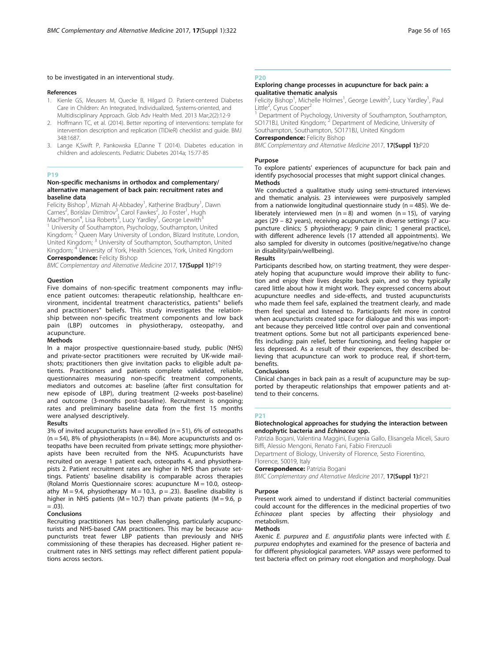## to be investigated in an interventional study.

## References

- 1. Kienle GS, Meusers M, Quecke B, Hilgard D. Patient-centered Diabetes Care in Children: An Integrated, Individualized, Systems-oriented, and Multidisciplinary Approach. Glob Adv Health Med. 2013 Mar;2(2):12-9
- 2. Hoffmann TC, et al. (2014). Better reporting of interventions: template for intervention description and replication (TIDieR) checklist and guide. BMJ 348:1687.
- 3. Lange K,Swift P, Pankowska E,Danne T (2014). Diabetes education in children and adolescents. Pediatric Diabetes 2014a; 15:77-85

#### P19

### Non-specific mechanisms in orthodox and complementary/ alternative management of back pain: recruitment rates and baseline data

Felicity Bishop<sup>1</sup>, Miznah Al-Abbadey<sup>1</sup>, Katherine Bradbury<sup>1</sup>, Dawn Carnes<sup>2</sup>, Borislav Dimitrov<sup>3</sup>, Carol Fawkes<sup>2</sup>, Jo Foster<sup>1</sup>, Hugh<br>MacPherson<sup>4</sup>, Lisa Roberts<sup>3</sup>, Lucy Yardley<sup>1</sup>, George Lewith<sup>3</sup>

<sup>1</sup> University of Southampton, Psychology, Southampton, United Kingdom; <sup>2</sup> Queen Mary University of London, Blizard Institute, London, United Kingdom; <sup>3</sup> University of Southampton, Southampton, United Kingdom; <sup>4</sup> University of York, Health Sciences, York, United Kingdom **Correspondence: Felicity Bishop** 

BMC Complementary and Alternative Medicine 2017, 17(Suppl 1):P19

## **Ouestion**

Five domains of non-specific treatment components may influence patient outcomes: therapeutic relationship, healthcare environment, incidental treatment characteristics, patients" beliefs and practitioners" beliefs. This study investigates the relationship between non-specific treatment components and low back pain (LBP) outcomes in physiotherapy, osteopathy, and acupuncture.

## **Methods**

In a major prospective questionnaire-based study, public (NHS) and private-sector practitioners were recruited by UK-wide mailshots; practitioners then give invitation packs to eligible adult patients. Practitioners and patients complete validated, reliable, questionnaires measuring non-specific treatment components, mediators and outcomes at: baseline (after first consultation for new episode of LBP), during treatment (2-weeks post-baseline) and outcome (3-months post-baseline). Recruitment is ongoing; rates and preliminary baseline data from the first 15 months were analysed descriptively.

## Results

3% of invited acupuncturists have enrolled ( $n = 51$ ), 6% of osteopaths  $(n = 54)$ , 8% of physiotherapists  $(n = 84)$ . More acupuncturists and osteopaths have been recruited from private settings; more physiotherapists have been recruited from the NHS. Acupuncturists have recruited on average 1 patient each, osteopaths 4, and physiotherapists 2. Patient recruitment rates are higher in NHS than private settings. Patients' baseline disability is comparable across therapies (Roland Morris Questionnaire scores: acupuncture M = 10.0, osteopathy  $M = 9.4$ , physiotherapy  $M = 10.3$ , p = .23). Baseline disability is higher in NHS patients (M = 10.7) than private patients (M = 9.6, p  $= .03$ ).

## Conclusions

Recruiting practitioners has been challenging, particularly acupuncturists and NHS-based CAM practitioners. This may be because acupuncturists treat fewer LBP patients than previously and NHS commissioning of these therapies has decreased. Higher patient recruitment rates in NHS settings may reflect different patient populations across sectors.

## P20

## Exploring change processes in acupuncture for back pain: a qualitative thematic analysis

Felicity Bishop<sup>1</sup>, Michelle Holmes<sup>1</sup>, George Lewith<sup>2</sup>, Lucy Yardley<sup>1</sup>, Paul Little<sup>2</sup>, Cyrus Cooper<sup>2</sup>

<sup>1</sup> Department of Psychology, University of Southampton, Southampton, SO171BJ, United Kingdom; <sup>2</sup> Department of Medicine, University of Southampton, Southampton, SO171BJ, United Kingdom **Correspondence: Felicity Bishop** 

BMC Complementary and Alternative Medicine 2017, 17(Suppl 1):P20

#### Purpose

To explore patients' experiences of acupuncture for back pain and identify psychosocial processes that might support clinical changes. Methods

We conducted a qualitative study using semi-structured interviews and thematic analysis. 23 interviewees were purposively sampled from a nationwide longitudinal questionnaire study ( $n = 485$ ). We deliberately interviewed men  $(n = 8)$  and women  $(n = 15)$ , of varying ages (29 – 82 years), receiving acupuncture in diverse settings (7 acupuncture clinics; 5 physiotherapy; 9 pain clinic; 1 general practice), with different adherence levels (17 attended all appointments). We also sampled for diversity in outcomes (positive/negative/no change in disability/pain/wellbeing).

#### Results

Participants described how, on starting treatment, they were desperately hoping that acupuncture would improve their ability to function and enjoy their lives despite back pain, and so they typically cared little about how it might work. They expressed concerns about acupuncture needles and side-effects, and trusted acupuncturists who made them feel safe, explained the treatment clearly, and made them feel special and listened to. Participants felt more in control when acupuncturists created space for dialogue and this was important because they perceived little control over pain and conventional treatment options. Some but not all participants experienced benefits including: pain relief, better functioning, and feeling happier or less depressed. As a result of their experiences, they described believing that acupuncture can work to produce real, if short-term, benefits.

#### Conclusions

Clinical changes in back pain as a result of acupuncture may be supported by therapeutic relationships that empower patients and attend to their concerns.

## P21

## Biotechnological approaches for studying the interaction between endophytic bacteria and Echinacea spp.

Patrizia Bogani, Valentina Maggini, Eugenia Gallo, Elisangela Miceli, Sauro Biffi, Alessio Mengoni, Renato Fani, Fabio Firenzuoli

Department of Biology, University of Florence, Sesto Fiorentino, Florence, 50019, Italy

Correspondence: Patrizia Bogani

BMC Complementary and Alternative Medicine 2017, 17(Suppl 1):P21

## Purpose

Present work aimed to understand if distinct bacterial communities could account for the differences in the medicinal properties of two Echinacea plant species by affecting their physiology and metabolism.

#### Methods

Axenic E. purpurea and E. angustifolia plants were infected with E. purpurea endophytes and examined for the presence of bacteria and for different physiological parameters. VAP assays were performed to test bacteria effect on primary root elongation and morphology. Dual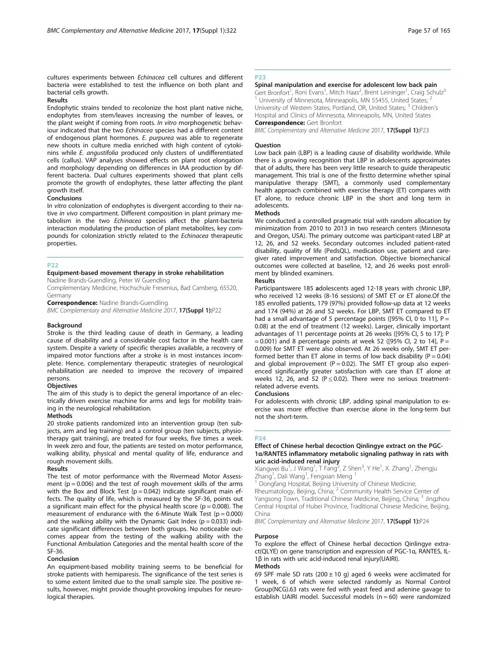cultures experiments between Echinacea cell cultures and different bacteria were established to test the influence on both plant and bacterial cells growth.

## Results

Endophytic strains tended to recolonize the host plant native niche, endophytes from stem/leaves increasing the number of leaves, or the plant weight if coming from roots. In vitro morphogenetic behaviour indicated that the two Echinacea species had a different content of endogenous plant hormones. E. purpurea was able to regenerate new shoots in culture media enriched with high content of cytokinins while E. angustifolia produced only clusters of undifferentiated cells (callus). VAP analyses showed effects on plant root elongation and morphology depending on differences in IAA production by different bacteria. Dual cultures experiments showed that plant cells promote the growth of endophytes, these latter affecting the plant growth itself.

#### Conclusions

In vitro colonization of endophytes is divergent according to their native in vivo compartment. Different composition in plant primary metabolism in the two Echinacea species affect the plant-bacteria interaction modulating the production of plant metabolites, key compounds for colonization strictly related to the Echinacea therapeutic properties.

#### P22

# Equipment-based movement therapy in stroke rehabilitation

Nadine Brands-Guendling, Peter W Guendling

Complementary Medicine, Hochschule Fresenius, Bad Camberg, 65520, Germany

**Correspondence: Nadine Brands-Guendling** 

BMC Complementary and Alternative Medicine 2017, 17(Suppl 1):P22

#### Background

Stroke is the third leading cause of death in Germany, a leading cause of disability and a considerable cost factor in the health care system. Despite a variety of specific therapies available, a recovery of impaired motor functions after a stroke is in most instances incomplete. Hence, complementary therapeutic strategies of neurological rehabilitation are needed to improve the recovery of impaired persons.

#### **Objectives**

The aim of this study is to depict the general importance of an electrically driven exercise machine for arms and legs for mobility training in the neurological rehabilitation.

#### Methods

20 stroke patients randomized into an intervention group (ten subjects, arm and leg training) and a control group (ten subjects, physiotherapy gait training), are treated for four weeks, five times a week. In week zero and four, the patients are tested on motor performance, walking ability, physical and mental quality of life, endurance and rough movement skills.

#### Results

The test of motor performance with the Rivermead Motor Assessment ( $p = 0.006$ ) and the test of rough movement skills of the arms with the Box and Block Test ( $p = 0.042$ ) indicate significant main effects. The quality of life, which is measured by the SF-36, points out a significant main effect for the physical health score ( $p = 0.008$ ). The measurement of endurance with the 6-Minute Walk Test ( $p = 0.000$ ) and the walking ability with the Dynamic Gait Index ( $p = 0.033$ ) indicate significant differences between both groups. No noticeable outcomes appear from the testing of the walking ability with the Functional Ambulation Categories and the mental health score of the SF-36.

#### Conclusion

An equipment-based mobility training seems to be beneficial for stroke patients with hemiparesis. The significance of the test series is to some extent limited due to the small sample size. The positive results, however, might provide thought-provoking impulses for neurological therapies.

## P23

## Spinal manipulation and exercise for adolescent low back pain

Gert Bronfort<sup>1</sup>, Roni Evans<sup>1</sup>, Mitch Haas<sup>2</sup>, Brent Leininger<sup>1</sup>, Craig Schulz<sup>3</sup> <sup>1</sup> University of Minnesota, Minneapolis, MN 55455, United States;<sup>2</sup> University of Western States, Portland, OR, United States; <sup>3</sup> Children's Hospital and Clinics of Minnesota, Minneapolis, MN, United States Correspondence: Gert Bronfort

BMC Complementary and Alternative Medicine 2017, 17(Suppl 1):P23

## **Ouestion**

Low back pain (LBP) is a leading cause of disability worldwide. While there is a growing recognition that LBP in adolescents approximates that of adults, there has been very little research to guide therapeutic management. This trial is one of the firstto determine whether spinal manipulative therapy (SMT), a commonly used complementary health approach combined with exercise therapy (ET) compares with ET alone, to reduce chronic LBP in the short and long term in adolescents.

#### **Methods**

We conducted a controlled pragmatic trial with random allocation by minimization from 2010 to 2013 in two research centers (Minnesota and Oregon, USA). The primary outcome was participant-rated LBP at 12, 26, and 52 weeks. Secondary outcomes included patient-rated disability, quality of life (PedsQL), medication use, patient and caregiver rated improvement and satisfaction. Objective biomechanical outcomes were collected at baseline, 12, and 26 weeks post enrollment by blinded examiners.

## Results

Participantswere 185 adolescents aged 12-18 years with chronic LBP, who received 12 weeks (8-16 sessions) of SMT ET or ET alone.Of the 185 enrolled patients, 179 (97%) provided follow-up data at 12 weeks and 174 (94%) at 26 and 52 weeks. For LBP, SMT ET compared to ET had a small advantage of 5 percentage points ([95% CI, 0 to 11],  $P =$ 0.08) at the end of treatment (12 weeks). Larger, clinically important advantages of 11 percentage points at 26 weeks ([95% CI, 5 to 17]; P  $= 0.001$ ) and 8 percentage points at week 52 ([95% Cl, 2 to 14], P = 0.009) for SMT ET were also observed. At 26 weeks only, SMT ET performed better than ET alone in terms of low back disability ( $P = 0.04$ ) and global improvement (P = 0.02). The SMT ET group also experienced significantly greater satisfaction with care than ET alone at weeks 12, 26, and 52 ( $P \le 0.02$ ). There were no serious treatmentrelated adverse events.

#### Conclusions

For adolescents with chronic LBP, adding spinal manipulation to exercise was more effective than exercise alone in the long-term but not the short-term.

## P24

## Effect of Chinese herbal decoction Qinlingye extract on the PGC-1α/RANTES inflammatory metabolic signaling pathway in rats with uric acid-induced renal injury

Xiangwei Bu<sup>1</sup>, J Wang<sup>1</sup>, T Fang<sup>2</sup>, Z Shen<sup>3</sup>, Y He<sup>1</sup>, X. Zhang<sup>1</sup>, Zhengju Zhang<sup>1</sup>, Dali Wang<sup>1</sup>, Fengxian Meng<sup>1</sup>

<sup>1</sup> Dongfang Hospital, Beijing University of Chinese Medicine,

Rheumatology, Beijing, China; <sup>2</sup> Community Health Service Center of Yangsong Town, Traditional Chinese Medicine, Beijing, China; <sup>3</sup> Jingzhou

Central Hospital of Hubei Province, Traditional Chinese Medicine, Beijing, China

BMC Complementary and Alternative Medicine 2017, 17(Suppl 1):P24

#### Purpose

To explore the effect of Chinese herbal decoction Qinlingye extract(QLYE) on gene transcription and expression of PGC-1α, RANTES, IL-1β in rats with uric acid-induced renal injury(UAIRI).

#### Methods

69 SPF male SD rats (200  $\pm$  10 g) aged 6 weeks were acclimated for 1 week, 6 of which were selected randomly as Normal Control Group(NCG).63 rats were fed with yeast feed and adenine gavage to establish UAIRI model. Successful models  $(n = 60)$  were randomized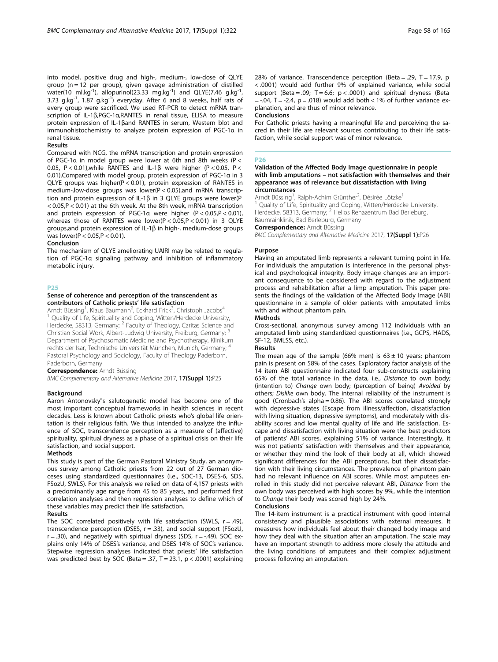into model, positive drug and high-, medium-, low-dose of QLYE group ( $n = 12$  per group), given gavage administration of distilled water(10 ml.kg<sup>-1</sup>), allopurinol(23.33 mg.kg<sup>-1</sup>) and QLYE(7.46 g.kg<sup>-1</sup>) 3.73 g.kg $^{-1}$ , 1.87 g.kg $^{-1}$ ) everyday. After 6 and 8 weeks, half rats of every group were sacrificed. We used RT-PCR to detect mRNA transcription of IL-1β,PGC-1α,RANTES in renal tissue, ELISA to measure protein expression of IL-1βand RANTES in serum, Western blot and immunohistochemistry to analyze protein expression of PGC-1α in renal tissue.

#### Results

Compared with NCG, the mRNA transcription and protein expression of PGC-1α in model group were lower at 6th and 8th weeks (P < 0.05, P < 0.01), while RANTES and IL-1 $\beta$  were higher (P < 0.05, P < 0.01).Compared with model group, protein expression of PGC-1α in 3 QLYE groups was higher(P < 0.01), protein expression of RANTES in medium-,low-dose groups was lower(P < 0.05),and mRNA transcription and protein expression of IL-1β in 3 QLYE groups were lower(P < 0.05,P < 0.01) at the 6th week. At the 8th week, mRNA transcription and protein expression of PGC-1α were higher (P < 0.05,P < 0.01), whereas those of RANTES were lower(P < 0.05,P < 0.01) in 3 QLYE groups,and protein expression of IL-1β in high-, medium-dose groups was lower(P < 0.05,P < 0.01).

#### Conclusion

The mechanism of QLYE ameliorating UAIRI may be related to regulation of PGC-1α signaling pathway and inhibition of inflammatory metabolic injury.

## P25

## Sense of coherence and perception of the transcendent as contributors of Catholic priests' life satisfaction

Arndt Büssing<sup>1</sup>, Klaus Baumann<sup>2</sup>, Eckhard Frick<sup>3</sup>, Christoph Jacobs<sup>4</sup> <sup>1</sup> Quality of Life, Spirituality and Coping, Witten/Herdecke University, Herdecke, 58313, Germany; <sup>2</sup> Faculty of Theology, Caritas Science and Christian Social Work, Albert-Ludwig University, Freiburg, Germany; <sup>3</sup> Department of Psychosomatic Medicine and Psychotherapy, Klinikum rechts der Isar, Technische Universität München, Munich, Germany; <sup>4</sup> Pastoral Psychology and Sociology, Faculty of Theology Paderborn, Paderborn, Germany

#### Correspondence: Arndt Büssing

BMC Complementary and Alternative Medicine 2017, 17(Suppl 1):P25

#### **Background**

Aaron Antonovsky"s salutogenetic model has become one of the most important conceptual frameworks in health sciences in recent decades. Less is known about Catholic priests who's global life orientation is their religious faith. We thus intended to analyze the influence of SOC, transcendence perception as a measure of (affective) spirituality, spiritual dryness as a phase of a spiritual crisis on their life satisfaction, and social support.

#### Methods

This study is part of the German Pastoral Ministry Study, an anonymous survey among Catholic priests from 22 out of 27 German dioceses using standardized questionnaires (i.e., SOC-13, DSES-6, SDS, FSozU, SWLS). For this analysis we relied on data of 4,157 priests with a predominantly age range from 45 to 85 years, and performed first correlation analyses and then regression analyses to define which of these variables may predict their life satisfaction.

## Results

The SOC correlated positively with life satisfaction (SWLS,  $r = .49$ ), transcendence perception (DSES, r = .33), and social support (FSozU,  $r = .30$ ), and negatively with spiritual dryness (SDS,  $r = -.49$ ). SOC explains only 14% of DSES's variance, and DSES 14% of SOC's variance. Stepwise regression analyses indicated that priests' life satisfaction was predicted best by SOC (Beta = .37,  $T = 23.1$ ,  $p < .0001$ ) explaining 28% of variance. Transcendence perception (Beta = .29,  $T = 17.9$ , p < .0001) would add further 9% of explained variance, while social support (Beta = .09;  $T = 6.6$ ;  $p < .0001$ ) and spiritual dryness (Beta  $=$  -.04, T = -2.4, p = .018) would add both < 1% of further variance explanation, and are thus of minor relevance.

## **Conclusions**

For Catholic priests having a meaningful life and perceiving the sacred in their life are relevant sources contributing to their life satisfaction, while social support was of minor relevance.

#### P26

## Validation of the Affected Body Image questionnaire in people with limb amputations – not satisfaction with themselves and their appearance was of relevance but dissatisfaction with living circumstances

Arndt Büssing<sup>1</sup>, Ralph-Achim Grünther<sup>2</sup>, Désirée Lötzke<sup>1</sup>

<sup>1</sup> Quality of Life, Spirituality and Coping, Witten/Herdecke University, Herdecke, 58313, Germany; <sup>2</sup> Helios Rehazentrum Bad Berleburg, Baumrainklinik, Bad Berleburg, Germany

Correspondence: Arndt Büssing

BMC Complementary and Alternative Medicine 2017, 17(Suppl 1):P26

#### Purpose

Having an amputated limb represents a relevant turning point in life. For individuals the amputation is interference in the personal physical and psychological integrity. Body image changes are an important consequence to be considered with regard to the adjustment process and rehabilitation after a limp amputation. This paper presents the findings of the validation of the Affected Body Image (ABI) questionnaire in a sample of older patients with amputated limbs with and without phantom pain.

#### **Methods**

Cross-sectional, anonymous survey among 112 individuals with an amputated limb using standardized questionnaires (i.e., GCPS, HADS, SF-12, BMLSS, etc.).

#### Results

The mean age of the sample (66% men) is  $63 \pm 10$  years; phantom pain is present on 58% of the cases. Exploratory factor analysis of the 14 item ABI questionnaire indicated four sub-constructs explaining 65% of the total variance in the data, i.e., Distance to own body; (intention to) Change own body; (perception of being) Avoided by others; Dislike own body. The internal reliability of the instrument is good (Cronbach's alpha = 0.86). The ABI scores correlated strongly with depressive states (Escape from illness/affection, dissatisfaction with living situation, depressive symptoms), and moderately with disability scores and low mental quality of life and life satisfaction. Escape and dissatisfaction with living situation were the best predictors of patients' ABI scores, explaining 51% of variance. Interestingly, it was not patients' satisfaction with themselves and their appearance, or whether they mind the look of their body at all, which showed significant differences for the ABI perceptions, but their dissatisfaction with their living circumstances. The prevalence of phantom pain had no relevant influence on ABI scores. While most amputees enrolled in this study did not perceive relevant ABI, Distance from the own body was perceived with high scores by 9%, while the intention to Change their body was scored high by 24%.

## Conclusions

The 14-item instrument is a practical instrument with good internal consistency and plausible associations with external measures. It measures how individuals feel about their changed body image and how they deal with the situation after an amputation. The scale may have an important strength to address more closely the attitude and the living conditions of amputees and their complex adjustment process following an amputation.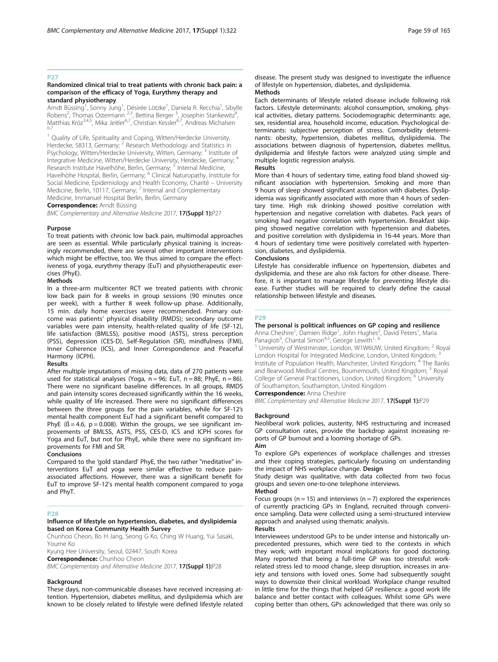## P27

## Randomized clinical trial to treat patients with chronic back pain: a comparison of the efficacy of Yoga, Eurythmy therapy and standard physiotherapy

Arndt Büssing<sup>1</sup>, Sonny Jung<sup>1</sup>, Désirée Lötzke<sup>1</sup>, Daniela R. Recchia<sup>1</sup>, Sibylle Robens<sup>2</sup>, Thomas Ostermann<sup>2,3</sup>, Bettina Berger<sup>3</sup>, Josephin Stankewitz<sup>4</sup> , Matthias Kröz<sup>3,4,5</sup>, Mika Jeitler<sup>6,7</sup>, Christian Kessler<sup>6,7</sup>, Andreas Michalsen<br><sup>6,7</sup>

<sup>1</sup> Quality of Life, Spirituality and Coping, Witten/Herdecke University, Herdecke, 58313, Germany; <sup>2</sup> Research Methodology and Statistics in Psychology, Witten/Herdecke University, Witten, Germany; <sup>3</sup> Institute of Integrative Medicine, Witten/Herdecke University, Herdecke, Germany; ' Research Institute Havelhöhe, Berlin, Germany; <sup>5</sup> Internal Medicine, Havelhöhe Hospital, Berlin, Germany; <sup>6</sup> Clinical Naturopathy, Institute for Social Medicine, Epidemiology and Health Economy, Charité – University Medicine, Berlin, 10117, Germany; <sup>7</sup> Internal and Complementary Medicine, Immanuel Hospital Berlin, Berlin, Germany

## Correspondence: Arndt Büssing

BMC Complementary and Alternative Medicine 2017, 17(Suppl 1):P27

#### Purpose

To treat patients with chronic low back pain, multimodal approaches are seen as essential. While particularly physical training is increasingly recommended, there are several other important interventions which might be effective, too. We thus aimed to compare the effectiveness of yoga, eurythmy therapy (EuT) and physiotherapeutic exercises (PhyE).

#### Methods

In a three-arm multicenter RCT we treated patients with chronic low back pain for 8 weeks in group sessions (90 minutes once per week), with a further 8 week follow-up phase. Additionally, 15 min. daily home exercises were recommended. Primary outcome was patients' physical disability (RMDS); secondary outcome variables were pain intensity, health-related quality of life (SF-12), life satisfaction (BMLSS), positive mood (ASTS), stress perception (PSS), depression (CES-D), Self-Regulation (SR), mindfulness (FMI), Inner Coherence (ICS), and Inner Correspondence and Peaceful Harmony (ICPH).

## Results

After multiple imputations of missing data, data of 270 patients were used for statistical analyses (Yoga,  $n = 96$ ; EuT,  $n = 88$ ; PhyE,  $n = 86$ ). There were no significant baseline differences. In all groups, RMDS and pain intensity scores decreased significantly within the 16 weeks, while quality of life increased. There were no significant differences between the three groups for the pain variables, while for SF-12's mental health component EuT had a significant benefit compared to PhyE ( $\beta = 4.6$ ,  $p = 0.008$ ). Within the groups, we see significant improvements of BMLSS, ASTS, PSS, CES-D, ICS and ICPH scores for Yoga and EuT, but not for PhyE, while there were no significant improvements for FMI and SR.

#### Conclusions

Compared to the 'gold standard' PhyE, the two rather "meditative" interventions EuT and yoga were similar effective to reduce painassociated affections. However, there was a significant benefit for EuT to improve SF-12's mental health component compared to yoga and PhyT.

## P28

## Influence of lifestyle on hypertension, diabetes, and dyslipidemia based on Korea Community Health Survey

Chunhoo Cheon, Bo H Jang, Seong G Ko, Ching W Huang, Yui Sasaki, Youme Ko

Kyung Hee University, Seoul, 02447, South Korea

**Correspondence:** Chunhoo Cheon

BMC Complementary and Alternative Medicine 2017, 17(Suppl 1):P28

## Background

These days, non-communicable diseases have received increasing attention. Hypertension, diabetes mellitus, and dyslipidemia which are known to be closely related to lifestyle were defined lifestyle related disease. The present study was designed to investigate the influence of lifestyle on hypertension, diabetes, and dyslipidemia.

## Methods

Each determinants of lifestyle related disease include following risk factors. Lifestyle determinants: alcohol consumption, smoking, physical activities, dietary patterns. Sociodemographic determinants: age, sex, residential area, household income, education. Psychological determinants: subjective perception of stress. Comorbidity determinants: obesity, hypertension, diabetes mellitus, dyslipidemia. The associations between diagnosis of hypertension, diabetes mellitus, dyslipidemia and lifestyle factors were analyzed using simple and multiple logistic regression analysis.

## **Results**

More than 4 hours of sedentary time, eating food bland showed significant association with hypertension. Smoking and more than 9 hours of sleep showed significant association with diabetes. Dyslipidemia was significantly associated with more than 4 hours of sedentary time. High risk drinking showed positive correlation with hypertension and negative correlation with diabetes. Pack years of smoking had negative correlation with hypertension. Breakfast skipping showed negative correlation with hypertension and diabetes, and positive correlation with dyslipidemia in 16-44 years. More than 4 hours of sedentary time were positively correlated with hypertension, diabetes, and dyslipidemia.

## Conclusions

Lifestyle has considerable influence on hypertension, diabetes and dyslipidemia, and these are also risk factors for other disease. Therefore, it is important to manage lifestyle for preventing lifestyle disease. Further studies will be required to clearly define the causal relationship between lifestyle and diseases.

#### P29

## The personal is political: influences on GP coping and resilience

Anna Cheshire<sup>1</sup>, Damien Ridge<sup>1</sup>, John Hughes<sup>2</sup>, David Peters<sup>1</sup>, Maria Panagioti<sup>3</sup>, Chantal Simon<sup>4,5</sup>, George Lewith<sup>1, 6</sup>

<sup>1</sup> University of Westminster, London, W1W6UW, United Kingdom;  $2$  Royal London Hospital for Integrated Medicine, London, United Kingdom; <sup>3</sup> Institute of Population Health, Manchester, United Kingdom; <sup>4</sup> The Banks and Bearwood Medical Centres, Bournemouth, United Kingdom; <sup>5</sup> Royal College of General Practitioners, London, United Kingdom; <sup>6</sup> University of Southampton, Southampton, United Kingdom

**Correspondence: Anna Cheshire** 

BMC Complementary and Alternative Medicine 2017, 17(Suppl 1):P29

#### **Background**

Neoliberal work policies, austerity, NHS restructuring and increased GP consultation rates, provide the backdrop against increasing reports of GP burnout and a looming shortage of GPs. Aim

To explore GPs experiences of workplace challenges and stresses and their coping strategies, particularly focusing on understanding the impact of NHS workplace change. Design

Study design was qualitative, with data collected from two focus groups and seven one-to-one telephone interviews.

#### Method

Focus groups ( $n = 15$ ) and interviews ( $n = 7$ ) explored the experiences of currently practicing GPs in England, recruited through convenience sampling. Data were collected using a semi-structured interview approach and analysed using thematic analysis.

## Results

Interviewees understood GPs to be under intense and historically unprecedented pressures, which were tied to the contexts in which they work; with important moral implications for good doctoring. Many reported that being a full-time GP was too stressful: workrelated stress led to mood change, sleep disruption, increases in anxiety and tensions with loved ones. Some had subsequently sought ways to downsize their clinical workload. Workplace change resulted in little time for the things that helped GP resilience: a good work life balance and better contact with colleagues. Whilst some GPs were coping better than others, GPs acknowledged that there was only so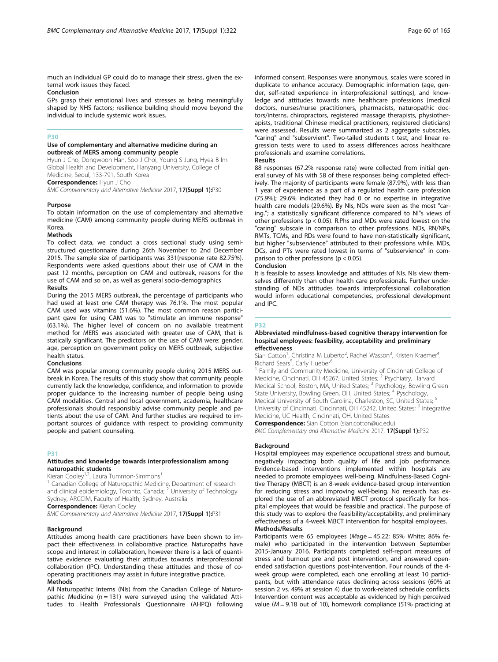much an individual GP could do to manage their stress, given the external work issues they faced.

## Conclusion

GPs grasp their emotional lives and stresses as being meaningfully shaped by NHS factors; resilience building should move beyond the individual to include systemic work issues.

#### P30

#### Use of complementary and alternative medicine during an outbreak of MERS among community people

Hyun J Cho, Dongwoon Han, Soo J Choi, Young S Jung, Hyea B Im Global Health and Development, Hanyang University, College of Medicine, Seoul, 133-791, South Korea **Correspondence: Hyun J Cho** 

BMC Complementary and Alternative Medicine 2017, 17(Suppl 1):P30

#### Purpose

To obtain information on the use of complementary and alternative medicine (CAM) among community people during MERS outbreak in Korea.

#### Methods

To collect data, we conduct a cross sectional study using semistructured questionnaire during 26th November to 2nd December 2015. The sample size of participants was 331(response rate 82.75%). Respondents were asked questions about their use of CAM in the past 12 months, perception on CAM and outbreak, reasons for the use of CAM and so on, as well as general socio-demographics

## Results

During the 2015 MERS outbreak, the percentage of participants who had used at least one CAM therapy was 76.1%. The most popular CAM used was vitamins (51.6%). The most common reason participant gave for using CAM was to "stimulate an immune response" (63.1%). The higher level of concern on no available treatment method for MERS was associated with greater use of CAM, that is statically significant. The predictors on the use of CAM were: gender, age, perception on government policy on MERS outbreak, subjective health status.

#### Conclusions

CAM was popular among community people during 2015 MERS outbreak in Korea. The results of this study show that community people currently lack the knowledge, confidence, and information to provide proper guidance to the increasing number of people being using CAM modalities. Central and local government, academia, healthcare professionals should responsibly advise community people and patients about the use of CAM. And further studies are required to important sources of guidance with respect to providing community people and patient counseling.

#### P31

## Attitudes and knowledge towards interprofessionalism among naturopathic students

Kieran Cooley<sup>1,2</sup>, Laura Tummon-Simmons<sup>1</sup>

Canadian College of Naturopathic Medicine, Department of research and clinical epidemiology, Toronto, Canada; <sup>2</sup> University of Technology Sydney, ARCCIM, Faculty of Health, Sydney, Australia **Correspondence: Kieran Cooley** 

BMC Complementary and Alternative Medicine 2017, 17(Suppl 1):P31

## Background

Attitudes among health care practitioners have been shown to impact their effectiveness in collaborative practice. Naturopaths have scope and interest in collaboration, however there is a lack of quantitative evidence evaluating their attitudes towards interprofessional collaboration (IPC). Understanding these attitudes and those of cooperating practitioners may assist in future integrative practice. Methods

All Naturopathic Interns (NIs) from the Canadian College of Naturopathic Medicine ( $n = 131$ ) were surveyed using the validated Attitudes to Health Professionals Questionnaire (AHPQ) following informed consent. Responses were anonymous, scales were scored in duplicate to enhance accuracy. Demographic information (age, gender, self-rated experience in interprofessional settings), and knowledge and attitudes towards nine healthcare professions (medical doctors, nurses/nurse practitioners, pharmacists, naturopathic doctors/interns, chiropractors, registered massage therapists, physiotherapists, traditional Chinese medical practitioners, registered dieticians) were assessed. Results were summarized as 2 aggregate subscales, "caring" and "subservient". Two-tailed students t test, and linear regression tests were to used to assess differences across healthcare professionals and examine correlations.

#### Results

88 responses (67.2% response rate) were collected from initial general survey of NIs with 58 of these responses being completed effectively. The majority of participants were female (87.9%), with less than 1 year of experience as a part of a regulated health care profession (75.9%); 29.6% indicated they had 0 or no expertise in integrative health care models (29.6%). By NIs, NDs were seen as the most "caring."; a statistically significant difference compared to NI"s views of other professions (p < 0.05). R.Phs and MDs were rated lowest on the "caring" subscale in comparison to other professions. NDs, RN/NPs, RMTs, TCMs, and RDs were found to have non-statistically significant, but higher "subservience" attributed to their professions while. MDs, DCs, and PTs were rated lowest in terms of "subservience" in comparison to other professions ( $p < 0.05$ ).

## Conclusion

It is feasible to assess knowledge and attitudes of NIs. NIs view themselves differently than other health care professionals. Further understanding of NDs attitudes towards interprofessional collaboration would inform educational competencies, professional development and IPC.

#### P32

## Abbreviated mindfulness-based cognitive therapy intervention for hospital employees: feasibility, acceptability and preliminary effectiveness

Sian Cotton<sup>1</sup>, Christina M Luberto<sup>2</sup>, Rachel Wasson<sup>3</sup>, Kristen Kraemer<sup>4</sup> , Richard Sears<sup>5</sup>, Carly Hueber<sup>6</sup>

<sup>1</sup> Family and Community Medicine, University of Cincinnati College of Medicine, Cincinnati, OH 45267, United States; <sup>2</sup> Psychiatry, Harvard Medical School, Boston, MA, United States; <sup>3</sup> Psychology, Bowling Green State University, Bowling Green, OH, United States; <sup>4</sup> Pyschology, Medical University of South Carolina, Charleston, SC, United States; <sup>5</sup> University of Cincinnati, Cincinnati, OH 45242, United States; <sup>6</sup> Integrative Medicine, UC Health, Cincinnati, OH, United States Correspondence: Sian Cotton (sian.cotton@uc.edu)

BMC Complementary and Alternative Medicine 2017, 17(Suppl 1):P32

## Background

Hospital employees may experience occupational stress and burnout, negatively impacting both quality of life and job performance. Evidence-based interventions implemented within hospitals are needed to promote employees well-being. Mindfulness-Based Cognitive Therapy (MBCT) is an 8-week evidence-based group intervention for reducing stress and improving well-being. No research has explored the use of an abbreviated MBCT protocol specifically for hospital employees that would be feasible and practical. The purpose of this study was to explore the feasibility/acceptability, and preliminary effectiveness of a 4-week MBCT intervention for hospital employees. Methods/Results

Participants were 65 employees (Mage = 45.22; 85% White; 86% female) who participated in the intervention between September 2015-January 2016. Participants completed self-report measures of stress and burnout pre and post intervention, and answered openended satisfaction questions post-intervention. Four rounds of the 4 week group were completed, each one enrolling at least 10 participants, but with attendance rates declining across sessions (60% at session 2 vs. 49% at session 4) due to work-related schedule conflicts. Intervention content was acceptable as evidenced by high perceived value ( $M = 9.18$  out of 10), homework compliance (51% practicing at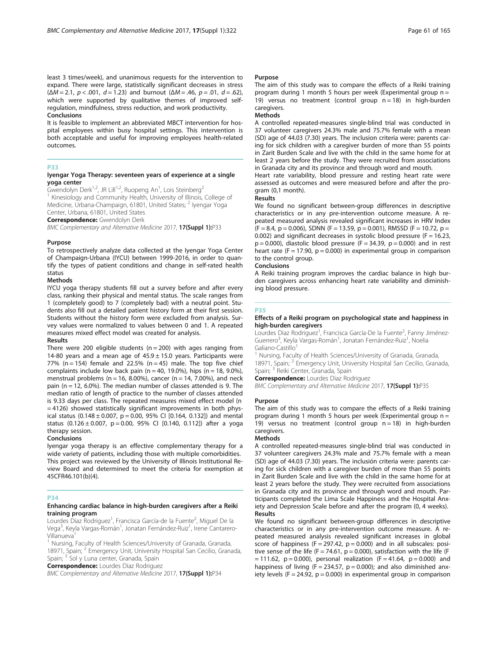least 3 times/week), and unanimous requests for the intervention to expand. There were large, statistically significant decreases in stress  $(\Delta M = 2.1, p < .001, d = 1.23)$  and burnout  $(\Delta M = .46, p = .01, d = .62)$ , which were supported by qualitative themes of improved selfregulation, mindfulness, stress reduction, and work productivity.

## Conclusions

It is feasible to implement an abbreviated MBCT intervention for hospital employees within busy hospital settings. This intervention is both acceptable and useful for improving employees health-related outcomes.

## P33

## Iyengar Yoga Therapy: seventeen years of experience at a single yoga center

Gwendolyn Derk<sup>1,2</sup>, JR Lill<sup>1,2</sup>, Ruopeng An<sup>1</sup>, Lois Steinberg<sup>2</sup>

<sup>1</sup> Kinesiology and Community Health, University of Illinois, College of Medicine, Urbana-Champaign, 61801, United States; <sup>2</sup> Iyengar Yoga Center, Urbana, 61801, United States

**Correspondence:** Gwendolyn Derk

BMC Complementary and Alternative Medicine 2017, 17(Suppl 1):P33

#### Purpose

To retrospectively analyze data collected at the Iyengar Yoga Center of Champaign-Urbana (IYCU) between 1999-2016, in order to quantify the types of patient conditions and change in self-rated health status

## Methods

IYCU yoga therapy students fill out a survey before and after every class, ranking their physical and mental status. The scale ranges from 1 (completely good) to 7 (completely bad) with a neutral point. Students also fill out a detailed patient history form at their first session. Students without the history form were excluded from analysis. Survey values were normalized to values between 0 and 1. A repeated measures mixed effect model was created for analysis.

## Results

There were 200 eligible students ( $n = 200$ ) with ages ranging from 14-80 years and a mean age of  $45.9 \pm 15.0$  years. Participants were 77% ( $n = 154$ ) female and 22.5% ( $n = 45$ ) male. The top five chief complaints include low back pain ( $n = 40$ , 19.0%), hips ( $n = 18$ , 9.0%), menstrual problems ( $n = 16$ , 8.00%), cancer ( $n = 14$ , 7.00%), and neck pain ( $n = 12$ , 6.0%). The median number of classes attended is 9. The median ratio of length of practice to the number of classes attended is 9.33 days per class. The repeated measures mixed effect model (n = 4126) showed statistically significant improvements in both physical status (0.148  $\pm$  0.007, p = 0.00, 95% CI [0.164, 0.132]) and mental status (0.126 ± 0.007, p = 0.00, 95% CI [0.140, 0.112]) after a yoga therapy session.

#### Conclusions

Iyengar yoga therapy is an effective complementary therapy for a wide variety of patients, including those with multiple comorbidities. This project was reviewed by the University of Illinois Institutional Review Board and determined to meet the criteria for exemption at 45CFR46.101(b)(4).

#### P34

## Enhancing cardiac balance in high-burden caregivers after a Reiki training program

Lourdes Diaz Rodriguez<sup>1</sup>, Francisca García-de la Fuente<sup>2</sup>, Miguel De la Vega<sup>3</sup>, Keyla Vargas-Román<sup>1</sup>, Jonatan Fernández-Ruiz<sup>1</sup>, Irene Cantarero-Villanueva

<sup>1</sup> Nursing, Faculty of Health Sciences/University of Granada, Granada, 18971, Spain; <sup>2</sup> Emergency Unit, University Hospital San Cecilio, Granada, Spain; <sup>3</sup> Sol y Luna center, Granada, Spain

**Correspondence:** Lourdes Diaz Rodriguez

BMC Complementary and Alternative Medicine 2017, 17(Suppl 1):P34

#### Purpose

The aim of this study was to compare the effects of a Reiki training program during 1 month 5 hours per week (Experimental group n = 19) versus no treatment (control group  $n = 18$ ) in high-burden caregivers.

## **Methods**

A controlled repeated-measures single-blind trial was conducted in 37 volunteer caregivers 24.3% male and 75.7% female with a mean (SD) age of 44.03 (7.30) years. The inclusion criteria were: parents caring for sick children with a caregiver burden of more than 55 points in Zarit Burden Scale and live with the child in the same home for at least 2 years before the study. They were recruited from associations in Granada city and its province and through word and mouth.

Heart rate variability, blood pressure and resting heart rate were assessed as outcomes and were measured before and after the program (0,1 month).

#### Results

We found no significant between-group differences in descriptive characteristics or in any pre-intervention outcome measure. A repeated measured analysis revealed significant increases in HRV Index  $(F = 8.4, p = 0.006)$ , SDNN  $(F = 13.59, p = 0.001)$ , RMSSD  $(F = 10.72, p = 1.59)$ 0.002) and significant decreases in systolic blood pressure ( $F = 16.23$ ,  $p = 0.000$ ), diastolic blood pressure (F = 34.39,  $p = 0.000$ ) and in rest heart rate ( $F = 17.90$ ,  $p = 0.000$ ) in experimental group in comparison to the control group.

#### Conclusions

A Reiki training program improves the cardiac balance in high burden caregivers across enhancing heart rate variability and diminishing blood pressure.

## P35

## Effects of a Reiki program on psychological state and happiness in high-burden caregivers

Lourdes Diaz Rodriguez<sup>1</sup>, Francisca García-De la Fuente<sup>2</sup>, Fanny Jiménez-Guerrero<sup>3</sup>, Keyla Vargas-Román<sup>1</sup>, Jonatan Fernández-Ruiz<sup>1</sup>, Noelia Galiano-Castillo<sup>1</sup>

<sup>1</sup> Nursing, Faculty of Health Sciences/University of Granada, Granada,

18971, Spain; <sup>2</sup> Emergency Unit, University Hospital San Cecilio, Granada, Spain; <sup>3</sup> Reiki Center, Granada, Spain

**Correspondence:** Lourdes Diaz Rodriguez

BMC Complementary and Alternative Medicine 2017, 17(Suppl 1):P35

## Purpose

The aim of this study was to compare the effects of a Reiki training program during 1 month 5 hours per week (Experimental group n = 19) versus no treatment (control group  $n = 18$ ) in high-burden caregivers.

#### Methods

A controlled repeated-measures single-blind trial was conducted in 37 volunteer caregivers 24.3% male and 75.7% female with a mean (SD) age of 44.03 (7.30) years. The inclusión criteria were: parents caring for sick children with a caregiver burden of more than 55 points in Zarit Burden Scale and live with the child in the same home for at least 2 years before the study. They were recruited from associations in Granada city and its province and through word and mouth. Participants completed the Lima Scale Happiness and the Hospital Anxiety and Depression Scale before and after the program (0, 4 weeks). Results

We found no significant between-group differences in descriptive characteristics or in any pre-intervention outcome measure. A repeated measured analysis revealed significant increases in global score of happiness (F = 297.42,  $p = 0.000$ ) and in all subscales: positive sense of the life (F = 74.61,  $p = 0.000$ ), satisfaction with the life (F  $= 111.62$ ,  $p = 0.000$ ), personal realization (F = 41.64,  $p = 0.000$ ) and happiness of living (F = 234.57,  $p = 0.000$ ); and also diminished anxiety levels (F = 24.92,  $p = 0.000$ ) in experimental group in comparison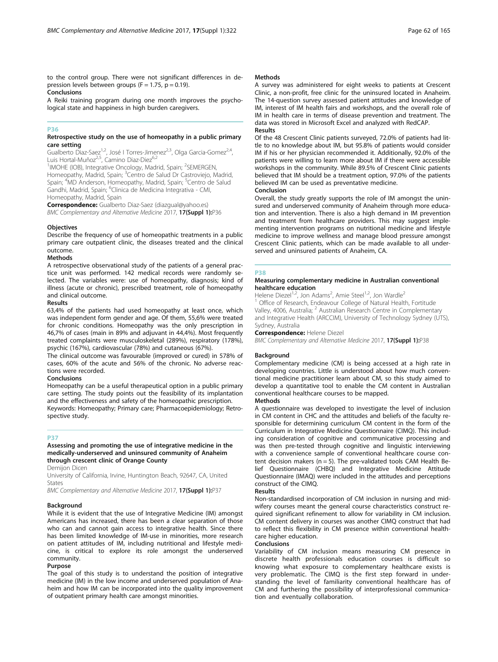to the control group. There were not significant differences in depression levels between groups ( $F = 1.75$ ,  $p = 0.19$ ).

## Conclusions

A Reiki training program during one month improves the psychological state and happiness in high burden caregivers.

## P36

#### Retrospective study on the use of homeopathy in a public primary care setting

Gualberto Diaz-Saez<sup>1,2</sup>, José I Torres-Jimenez<sup>2,3</sup>, Olga Garcia-Gomez<sup>2,4</sup>, Luis Hortal-Muñoz<sup>2,5</sup>, Camino Diaz-Diez<sup>6,2</sup> <sup>1</sup>IMOHE (IOB), Integrative Oncology, Madrid, Spain; <sup>2</sup>SEMERGEN, Homeopathy, Madrid, Spain; <sup>3</sup>Centro de Salud Dr Castroviejo, Madrid, Spain; <sup>4</sup>MD Anderson, Homeopathy, Madrid, Spain; <sup>5</sup>Centro de Salud Gandhi, Madrid, Spain; <sup>6</sup>Clinica de Medicina Integrativa - CMI,

## Homeopathy, Madrid, Spain

Correspondence: Gualberto Diaz-Saez (diazgual@yahoo.es) BMC Complementary and Alternative Medicine 2017, 17(Suppl 1):P36

## **Objectives**

Describe the frequency of use of homeopathic treatments in a public primary care outpatient clinic, the diseases treated and the clinical outcome.

## Methods

A retrospective observational study of the patients of a general practice unit was performed. 142 medical records were randomly selected. The variables were: use of homeopathy, diagnosis; kind of illness (acute or chronic), prescribed treatment, role of homeopathy and clinical outcome.

## Results

63,4% of the patients had used homeopathy at least once, which was independent form gender and age. Of them, 55,6% were treated for chronic conditions. Homeopathy was the only prescription in 46,7% of cases (main in 89% and adjuvant in 44,4%). Most frequently treated complaints were musculoskeletal (289%), respiratory (178%), psychic (167%), cardiovascular (78%) and cutaneous (67%).

The clinical outcome was favourable (improved or cured) in 578% of cases, 60% of the acute and 56% of the chronic. No adverse reactions were recorded.

## Conclusions

Homeopathy can be a useful therapeutical option in a public primary care setting. The study points out the feasibility of its implantation and the effectiveness and safety of the homeopathic prescription. Keywords: Homeopathy; Primary care; Pharmacoepidemiology; Retrospective study.

## P37

## Assessing and promoting the use of integrative medicine in the medically-underserved and uninsured community of Anaheim through crescent clinic of Orange County

Demijon Dicen

University of California, Irvine, Huntington Beach, 92647, CA, United States

BMC Complementary and Alternative Medicine 2017, 17(Suppl 1):P37

## **Background**

While it is evident that the use of Integrative Medicine (IM) amongst Americans has increased, there has been a clear separation of those who can and cannot gain access to integrative health. Since there has been limited knowledge of IM-use in minorities, more research on patient attitudes of IM, including nutritional and lifestyle medicine, is critical to explore its role amongst the underserved community.

## Purpose

The goal of this study is to understand the position of integrative medicine (IM) in the low income and underserved population of Anaheim and how IM can be incorporated into the quality improvement of outpatient primary health care amongst minorities.

## Methods

A survey was administered for eight weeks to patients at Crescent Clinic, a non-profit, free clinic for the uninsured located in Anaheim. The 14-question survey assessed patient attitudes and knowledge of IM, interest of IM health fairs and workshops, and the overall role of IM in health care in terms of disease prevention and treatment. The data was stored in Microsoft Excel and analyzed with RedCAP. Results

Of the 48 Crescent Clinic patients surveyed, 72.0% of patients had little to no knowledge about IM, but 95.8% of patients would consider IM if his or her physician recommended it. Additionally, 92.0% of the patients were willing to learn more about IM if there were accessible workshops in the community. While 89.5% of Crescent Clinic patients believed that IM should be a treatment option, 97.0% of the patients believed IM can be used as preventative medicine. Conclusion

Overall, the study greatly supports the role of IM amongst the uninsured and underserved community of Anaheim through more education and intervention. There is also a high demand in IM prevention and treatment from healthcare providers. This may suggest implementing intervention programs on nutritional medicine and lifestyle medicine to improve wellness and manage blood pressure amongst Crescent Clinic patients, which can be made available to all under-

## P38

## Measuring complementary medicine in Australian conventional healthcare education

Helene Diezel<sup>1,2</sup>, Jon Adams<sup>2</sup>, Amie Steel<sup>1,2</sup>, Jon Wardle<sup>2</sup> <sup>1</sup> Office of Research, Endeavour College of Natural Health, Fortitude

served and uninsured patients of Anaheim, CA.

Valley, 4006, Australia; <sup>2</sup> Australian Research Centre in Complementary and Integrative Health (ARCCIM), University of Technology Sydney (UTS), Sydney, Australia

## Correspondence: Helene Diezel

BMC Complementary and Alternative Medicine 2017, 17(Suppl 1):P38

## Background

Complementary medicine (CM) is being accessed at a high rate in developing countries. Little is understood about how much conventional medicine practitioner learn about CM, so this study aimed to develop a quantitative tool to enable the CM content in Australian conventional healthcare courses to be mapped.

## **Methods**

A questionnaire was developed to investigate the level of inclusion in CM content in CHC and the attitudes and beliefs of the faculty responsible for determining curriculum CM content in the form of the Curriculum in Integrative Medicine Questionnaire (CIMQ). This including consideration of cognitive and communicative processing and was then pre-tested through cognitive and linguistic interviewing with a convenience sample of conventional healthcare course content decision makers ( $n = 5$ ). The pre-validated tools CAM Health Belief Questionnaire (CHBQ) and Integrative Medicine Attitude Questionnaire (IMAQ) were included in the attitudes and perceptions construct of the CIMQ.

## Results

Non-standardised incorporation of CM inclusion in nursing and midwifery courses meant the general course characteristics construct required significant refinement to allow for variability in CM inclusion. CM content delivery in courses was another CIMQ construct that had to reflect this flexibility in CM presence within conventional healthcare higher education.

## Conclusions

Variability of CM inclusion means measuring CM presence in discrete health professionals education courses is difficult so knowing what exposure to complementary healthcare exists is very problematic. The CIMQ is the first step forward in understanding the level of familiarity conventional healthcare has of CM and furthering the possibility of interprofessional communication and eventually collaboration.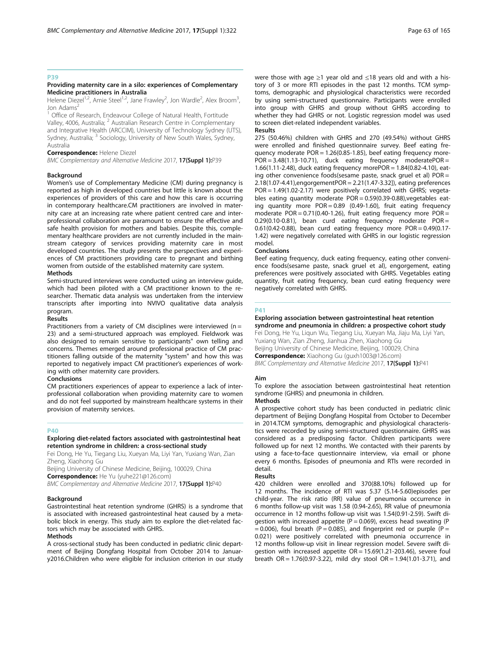## P39

## Providing maternity care in a silo: experiences of Complementary Medicine practitioners in Australia

Helene Diezel<sup>1,2</sup>, Amie Steel<sup>1,2</sup>, Jane Frawley<sup>2</sup>, Jon Wardle<sup>2</sup>, Alex Broom<sup>3</sup> , Jon Adams<sup>2</sup>

Office of Research, Endeavour College of Natural Health, Fortitude Valley, 4006, Australia; <sup>2</sup> Australian Research Centre in Complementary and Integrative Health (ARCCIM), University of Technology Sydney (UTS), Sydney, Australia; <sup>3</sup> Sociology, University of New South Wales, Sydney, Australia

## Correspondence: Helene Diezel

BMC Complementary and Alternative Medicine 2017, 17(Suppl 1):P39

## **Background**

Women's use of Complementary Medicine (CM) during pregnancy is reported as high in developed countries but little is known about the experiences of providers of this care and how this care is occurring in contemporary healthcare.CM practitioners are involved in maternity care at an increasing rate where patient centred care and interprofessional collaboration are paramount to ensure the effective and safe health provision for mothers and babies. Despite this, complementary healthcare providers are not currently included in the mainstream category of services providing maternity care in most developed countries. The study presents the perspectives and experiences of CM practitioners providing care to pregnant and birthing women from outside of the established maternity care system.

## Methods

Semi-structured interviews were conducted using an interview guide, which had been piloted with a CM practitioner known to the researcher. Thematic data analysis was undertaken from the interview transcripts after importing into NVIVO qualitative data analysis program.

#### Results

Practitioners from a variety of CM disciplines were interviewed ( $n =$ 23) and a semi-structured approach was employed. Fieldwork was also designed to remain sensitive to participants" own telling and concerns. Themes emerged around professional practice of CM practitioners falling outside of the maternity "system" and how this was reported to negatively impact CM practitioner's experiences of working with other maternity care providers.

#### Conclusions

CM practitioners experiences of appear to experience a lack of interprofessional collaboration when providing maternity care to women and do not feel supported by mainstream healthcare systems in their provision of maternity services.

## P40

## Exploring diet-related factors associated with gastrointestinal heat retention syndrome in children: a cross-sectional study

Fei Dong, He Yu, Tiegang Liu, Xueyan Ma, Liyi Yan, Yuxiang Wan, Zian Zheng, Xiaohong Gu

Beijing University of Chinese Medicine, Beijing, 100029, China

Correspondence: He Yu (yuhe221@126.com) BMC Complementary and Alternative Medicine 2017, 17(Suppl 1):P40

## Background

Gastrointestinal heat retention syndrome (GHRS) is a syndrome that is associated with increased gastrointestinal heat caused by a metabolic block in energy. This study aim to explore the diet-related factors which may be associated with GHRS.

#### Methods

A cross-sectional study has been conducted in pediatric clinic department of Beijing Dongfang Hospital from October 2014 to January2016.Children who were eligible for inclusion criterion in our study were those with age  $\geq$ 1 year old and  $\leq$ 18 years old and with a history of 3 or more RTI episodes in the past 12 months. TCM symptoms, demographic and physiological characteristics were recorded by using semi-structured questionnaire. Participants were enrolled into group with GHRS and group without GHRS according to whether they had GHRS or not. Logistic regression model was used to screen diet-related independent variables.

## Results

275 (50.46%) children with GHRS and 270 (49.54%) without GHRS were enrolled and finished questionnaire survey. Beef eating frequency moderate POR = 1.26(0.85-1.85), beef eating frequency more- $POR = 3.48(1.13-10.71)$ , duck eating frequency moderate $POR =$ 1.66(1.11-2.48), duck eating frequency morePOR = 1.84(0.82-4.10), eating other convenience foods(sesame paste, snack gruel et al)  $POR =$ 2.18(1.07-4.41),engorgementPOR = 2.21(1.47-3.32]), eating preferences POR = 1.49(1.02-2.17) were positively correlated with GHRS; vegetables eating quantity moderate POR = 0.59(0.39-0.88),vegetables eating quantity more  $POR = 0.89$  (0.49-1.60), fruit eating frequency moderate  $POR = 0.71(0.40-1.26)$ , fruit eating frequency more  $POR =$ 0.29(0.10-0.81), bean curd eating frequency moderate  $POR =$ 0.61(0.42-0.88), bean curd eating frequency more POR = 0.49(0.17- 1.42) were negatively correlated with GHRS in our logistic regression model.

#### Conclusions

Beef eating frequency, duck eating frequency, eating other convenience foods(sesame paste, snack gruel et al), engorgement, eating preferences were positively associated with GHRS. Vegetables eating quantity, fruit eating frequency, bean curd eating frequency were negatively correlated with GHRS.

## P41

## Exploring association between gastrointestinal heat retention syndrome and pneumonia in children: a prospective cohort study

Fei Dong, He Yu, Liqun Wu, Tiegang Liu, Xueyan Ma, Jiaju Ma, Liyi Yan, Yuxiang Wan, Zian Zheng, Jianhua Zhen, Xiaohong Gu Beijing University of Chinese Medicine, Beijing, 100029, China Correspondence: Xiaohong Gu (guxh1003@126.com) BMC Complementary and Alternative Medicine 2017, 17(Suppl 1):P41

#### Aim

#### To explore the association between gastrointestinal heat retention syndrome (GHRS) and pneumonia in children. Methods

A prospective cohort study has been conducted in pediatric clinic department of Beijing Dongfang Hospital from October to December in 2014.TCM symptoms, demographic and physiological characteristics were recorded by using semi-structured questionnaire. GHRS was considered as a predisposing factor. Children participants were followed up for next 12 months. We contacted with their parents by using a face-to-face questionnaire interview, via email or phone every 6 months. Episodes of pneumonia and RTIs were recorded in detail.

#### Results

420 children were enrolled and 370(88.10%) followed up for 12 months. The incidence of RTI was 5.37 (5.14-5.60)episodes per child-year. The risk ratio (RR) value of pneumonia occurrence in 6 months follow-up visit was 1.58 (0.94-2.65), RR value of pneumonia occurrence in 12 months follow-up visit was 1.54(0.91-2.59). Swift digestion with increased appetite ( $P = 0.069$ ), excess head sweating (P  $= 0.006$ ), foul breath (P = 0.085), and fingerprint red or purple (P = 0.021) were positively correlated with pneumonia occurrence in 12 months follow-up visit in linear regression model. Severe swift digestion with increased appetite OR = 15.69(1.21-203.46), severe foul breath OR = 1.76(0.97-3.22), mild dry stool OR = 1.94(1.01-3.71), and